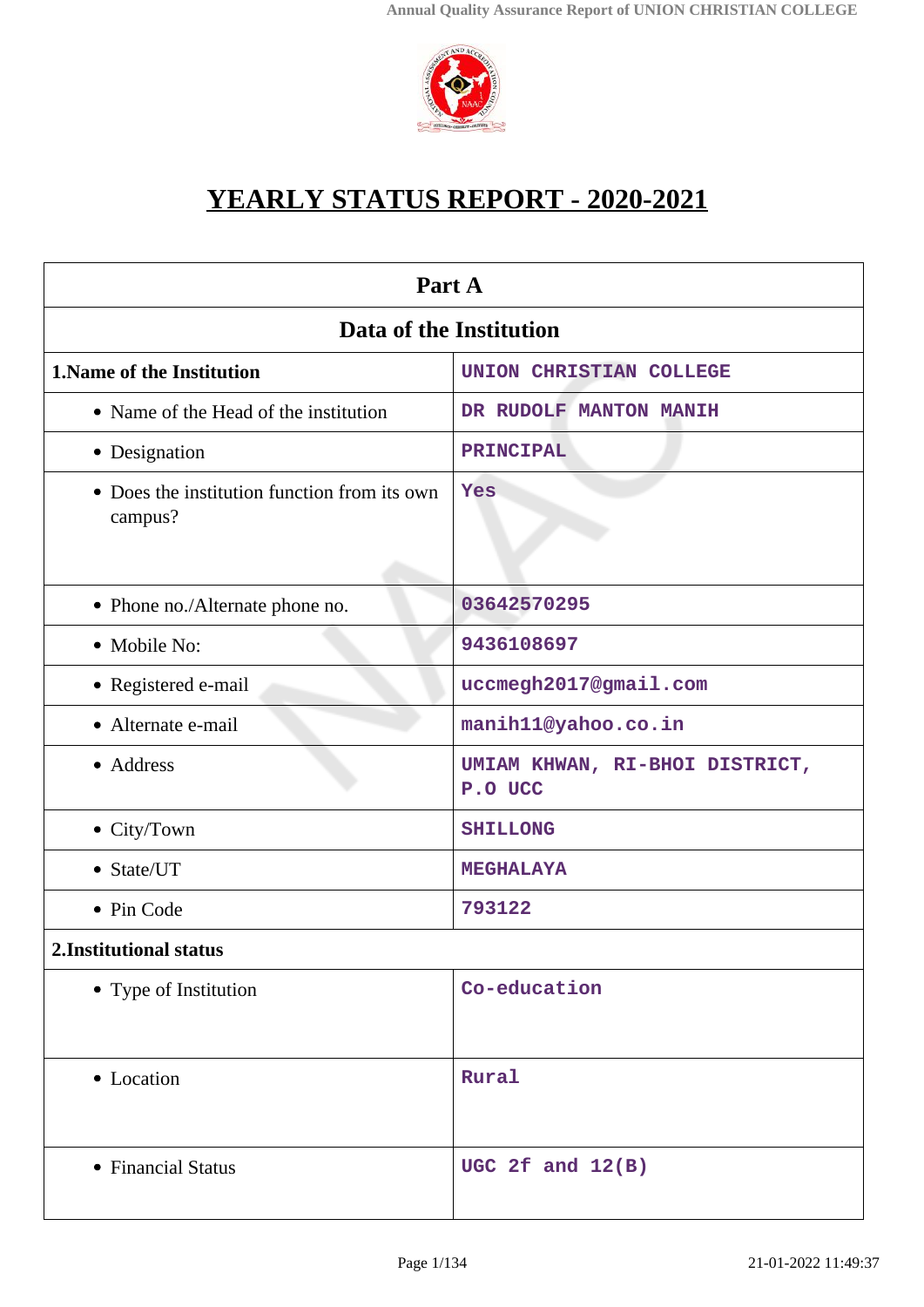

# **YEARLY STATUS REPORT - 2020-2021**

| Part A                                                  |                                           |  |
|---------------------------------------------------------|-------------------------------------------|--|
| Data of the Institution                                 |                                           |  |
| 1. Name of the Institution                              | <b>UNION CHRISTIAN COLLEGE</b>            |  |
| • Name of the Head of the institution                   | DR RUDOLF MANTON MANIH                    |  |
| • Designation                                           | PRINCIPAL                                 |  |
| • Does the institution function from its own<br>campus? | Yes                                       |  |
| • Phone no./Alternate phone no.                         | 03642570295                               |  |
| • Mobile No:                                            | 9436108697                                |  |
| • Registered e-mail                                     | uccmegh2017@gmail.com                     |  |
| • Alternate e-mail                                      | manih11@yahoo.co.in                       |  |
| • Address                                               | UMIAM KHWAN, RI-BHOI DISTRICT,<br>P.O UCC |  |
| • City/Town                                             | <b>SHILLONG</b>                           |  |
| • State/UT                                              | <b>MEGHALAYA</b>                          |  |
| • Pin Code                                              | 793122                                    |  |
| 2. Institutional status                                 |                                           |  |
| • Type of Institution                                   | Co-education                              |  |
| • Location                                              | Rural                                     |  |
| • Financial Status                                      | UGC 2f and $12(B)$                        |  |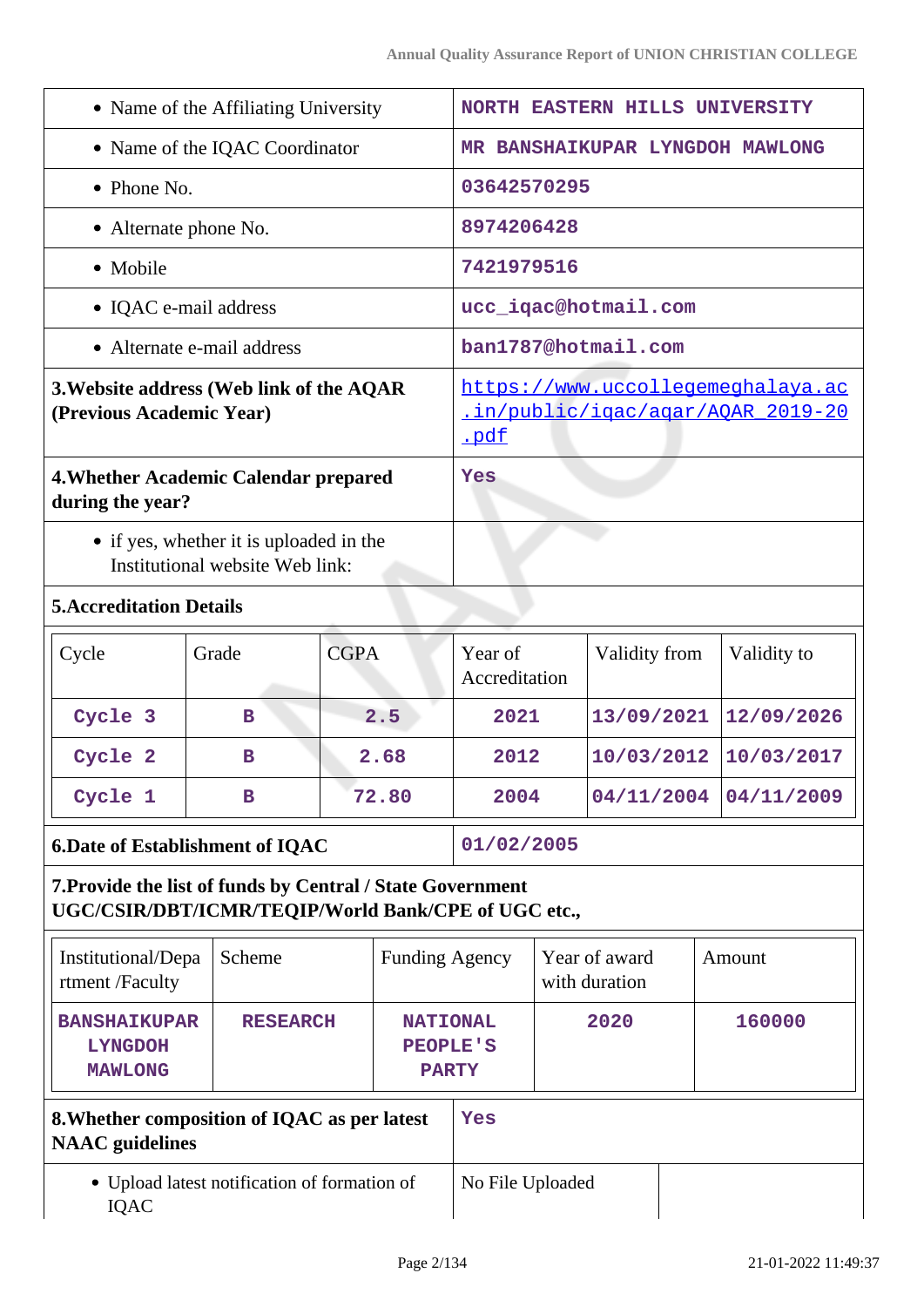| • Name of the Affiliating University                                                                              |                            |                       | <b>NORTH EASTERN HILLS UNIVERSITY</b>                                                 |                                                    |  |               |        |             |
|-------------------------------------------------------------------------------------------------------------------|----------------------------|-----------------------|---------------------------------------------------------------------------------------|----------------------------------------------------|--|---------------|--------|-------------|
| • Name of the IQAC Coordinator                                                                                    |                            |                       | MR BANSHAIKUPAR LYNGDOH MAWLONG                                                       |                                                    |  |               |        |             |
| $\bullet$ Phone No.                                                                                               |                            |                       | 03642570295                                                                           |                                                    |  |               |        |             |
| • Alternate phone No.                                                                                             |                            |                       |                                                                                       | 8974206428                                         |  |               |        |             |
| • Mobile                                                                                                          |                            |                       |                                                                                       | 7421979516                                         |  |               |        |             |
|                                                                                                                   | • IQAC e-mail address      |                       |                                                                                       | ucc_iqac@hotmail.com                               |  |               |        |             |
|                                                                                                                   | • Alternate e-mail address |                       |                                                                                       | ban1787@hotmail.com                                |  |               |        |             |
| 3. Website address (Web link of the AQAR<br>(Previous Academic Year)                                              |                            |                       | https://www.uccollegemeghalaya.ac<br><u>.in/public/iqac/aqar/AQAR_2019-20</u><br>.pdf |                                                    |  |               |        |             |
| 4. Whether Academic Calendar prepared<br>during the year?                                                         |                            |                       |                                                                                       | Yes                                                |  |               |        |             |
| • if yes, whether it is uploaded in the<br>Institutional website Web link:                                        |                            |                       |                                                                                       |                                                    |  |               |        |             |
| <b>5. Accreditation Details</b>                                                                                   |                            |                       |                                                                                       |                                                    |  |               |        |             |
| Cycle                                                                                                             | Grade                      | <b>CGPA</b>           |                                                                                       | Year of<br>Accreditation                           |  | Validity from |        | Validity to |
| Cycle 3                                                                                                           | B                          |                       | 2.5                                                                                   | 2021                                               |  | 13/09/2021    |        | 12/09/2026  |
| Cycle 2                                                                                                           | в                          |                       | 2.68                                                                                  | 2012                                               |  | 10/03/2012    |        | 10/03/2017  |
| Cycle 1                                                                                                           | в                          |                       | 72.80                                                                                 | 2004                                               |  | 04/11/2004    |        | 04/11/2009  |
| <b>6.Date of Establishment of IQAC</b>                                                                            |                            |                       | 01/02/2005                                                                            |                                                    |  |               |        |             |
| 7. Provide the list of funds by Central / State Government<br>UGC/CSIR/DBT/ICMR/TEQIP/World Bank/CPE of UGC etc., |                            |                       |                                                                                       |                                                    |  |               |        |             |
| Institutional/Depa<br>rtment /Faculty                                                                             | Scheme                     | <b>Funding Agency</b> |                                                                                       | Year of award<br>with duration                     |  |               | Amount |             |
| <b>BANSHAIKUPAR</b><br><b>LYNGDOH</b><br><b>MAWLONG</b>                                                           | <b>RESEARCH</b>            |                       |                                                                                       | <b>NATIONAL</b><br><b>PEOPLE'S</b><br><b>PARTY</b> |  | 2020          |        | 160000      |
| 8. Whether composition of IQAC as per latest<br><b>NAAC</b> guidelines                                            |                            |                       | Yes                                                                                   |                                                    |  |               |        |             |
| • Upload latest notification of formation of<br><b>IQAC</b>                                                       |                            |                       | No File Uploaded                                                                      |                                                    |  |               |        |             |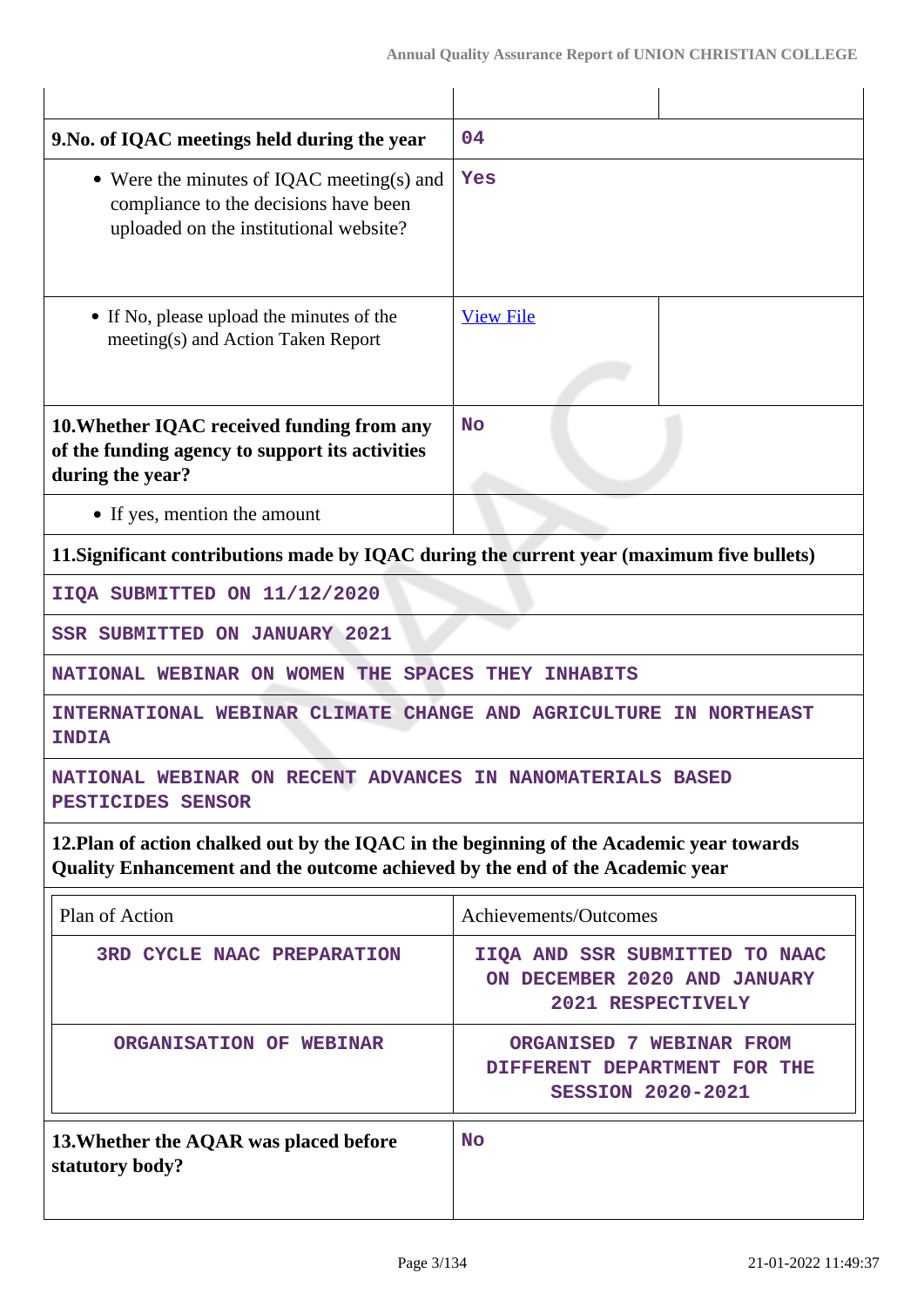| 9. No. of IQAC meetings held during the year                                                                                                                             | 04                                                                                        |  |  |  |  |
|--------------------------------------------------------------------------------------------------------------------------------------------------------------------------|-------------------------------------------------------------------------------------------|--|--|--|--|
| • Were the minutes of IQAC meeting(s) and<br>Yes<br>compliance to the decisions have been<br>uploaded on the institutional website?                                      |                                                                                           |  |  |  |  |
| • If No, please upload the minutes of the<br>meeting(s) and Action Taken Report                                                                                          | <b>View File</b>                                                                          |  |  |  |  |
| 10. Whether IQAC received funding from any<br>of the funding agency to support its activities<br>during the year?                                                        | <b>No</b>                                                                                 |  |  |  |  |
| • If yes, mention the amount                                                                                                                                             |                                                                                           |  |  |  |  |
|                                                                                                                                                                          | 11. Significant contributions made by IQAC during the current year (maximum five bullets) |  |  |  |  |
| IIQA SUBMITTED ON 11/12/2020                                                                                                                                             |                                                                                           |  |  |  |  |
| <b>SSR SUBMITTED ON JANUARY 2021</b>                                                                                                                                     |                                                                                           |  |  |  |  |
| NATIONAL WEBINAR ON WOMEN THE SPACES<br>THEY<br><b>INHABITS</b>                                                                                                          |                                                                                           |  |  |  |  |
| INTERNATIONAL WEBINAR CLIMATE CHANGE AND AGRICULTURE IN NORTHEAST<br><b>INDIA</b>                                                                                        |                                                                                           |  |  |  |  |
| NATIONAL WEBINAR ON RECENT ADVANCES IN NANOMATERIALS BASED<br>PESTICIDES SENSOR                                                                                          |                                                                                           |  |  |  |  |
| 12. Plan of action chalked out by the IQAC in the beginning of the Academic year towards<br>Quality Enhancement and the outcome achieved by the end of the Academic year |                                                                                           |  |  |  |  |
| Plan of Action                                                                                                                                                           | Achievements/Outcomes                                                                     |  |  |  |  |
| <b>3RD CYCLE NAAC PREPARATION</b>                                                                                                                                        | IIQA AND SSR SUBMITTED TO NAAC<br>ON DECEMBER 2020 AND JANUARY<br>2021 RESPECTIVELY       |  |  |  |  |
| ORGANISATION OF WEBINAR                                                                                                                                                  | ORGANISED 7 WEBINAR FROM<br>DIFFERENT DEPARTMENT FOR THE<br><b>SESSION 2020-2021</b>      |  |  |  |  |
| 13. Whether the AQAR was placed before<br>statutory body?                                                                                                                | <b>No</b>                                                                                 |  |  |  |  |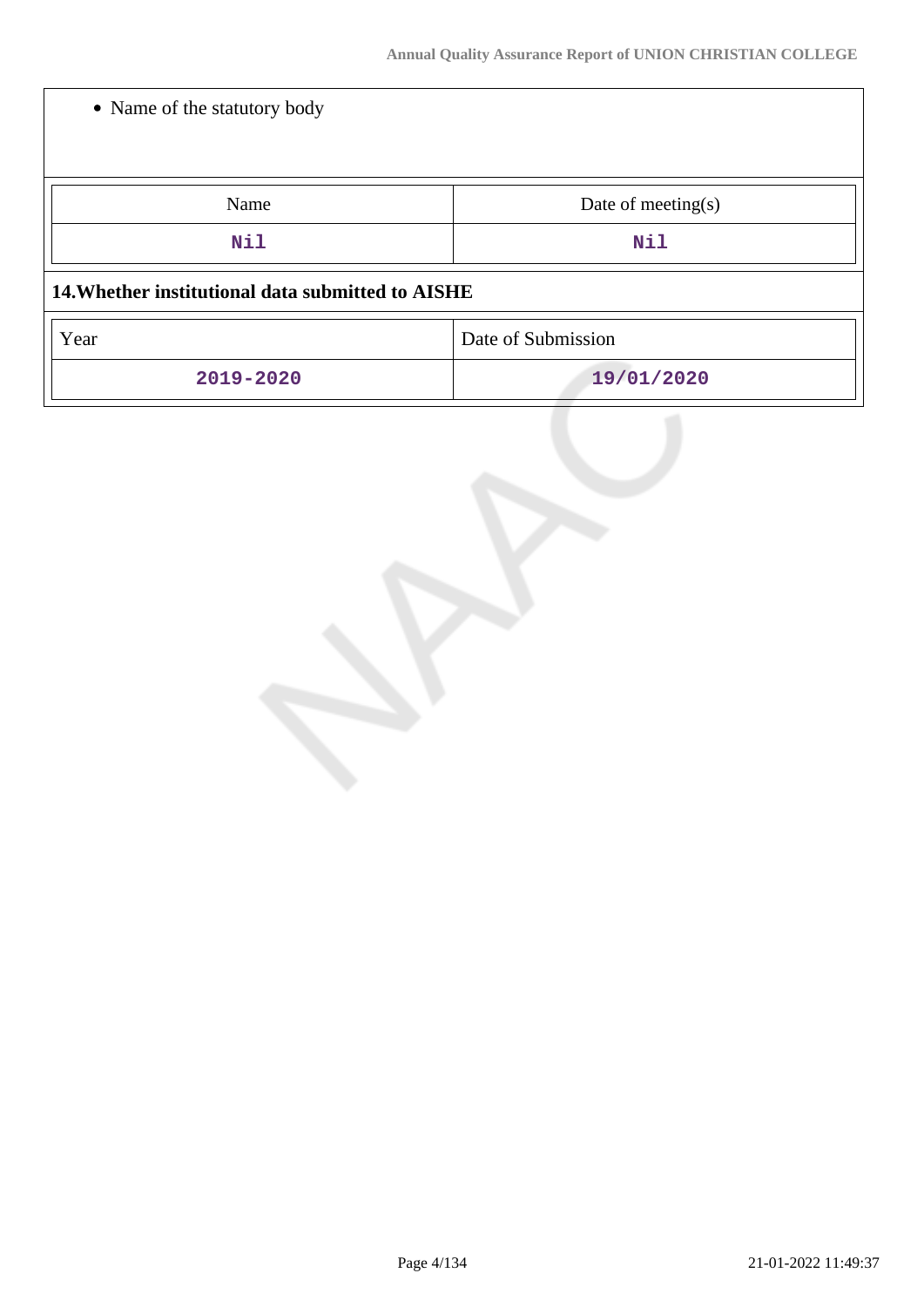| • Name of the statutory body                      |                       |
|---------------------------------------------------|-----------------------|
| Name                                              | Date of meeting $(s)$ |
| Nil                                               | Nil                   |
| 14. Whether institutional data submitted to AISHE |                       |
| Year                                              | Date of Submission    |
| 2019-2020                                         | 19/01/2020            |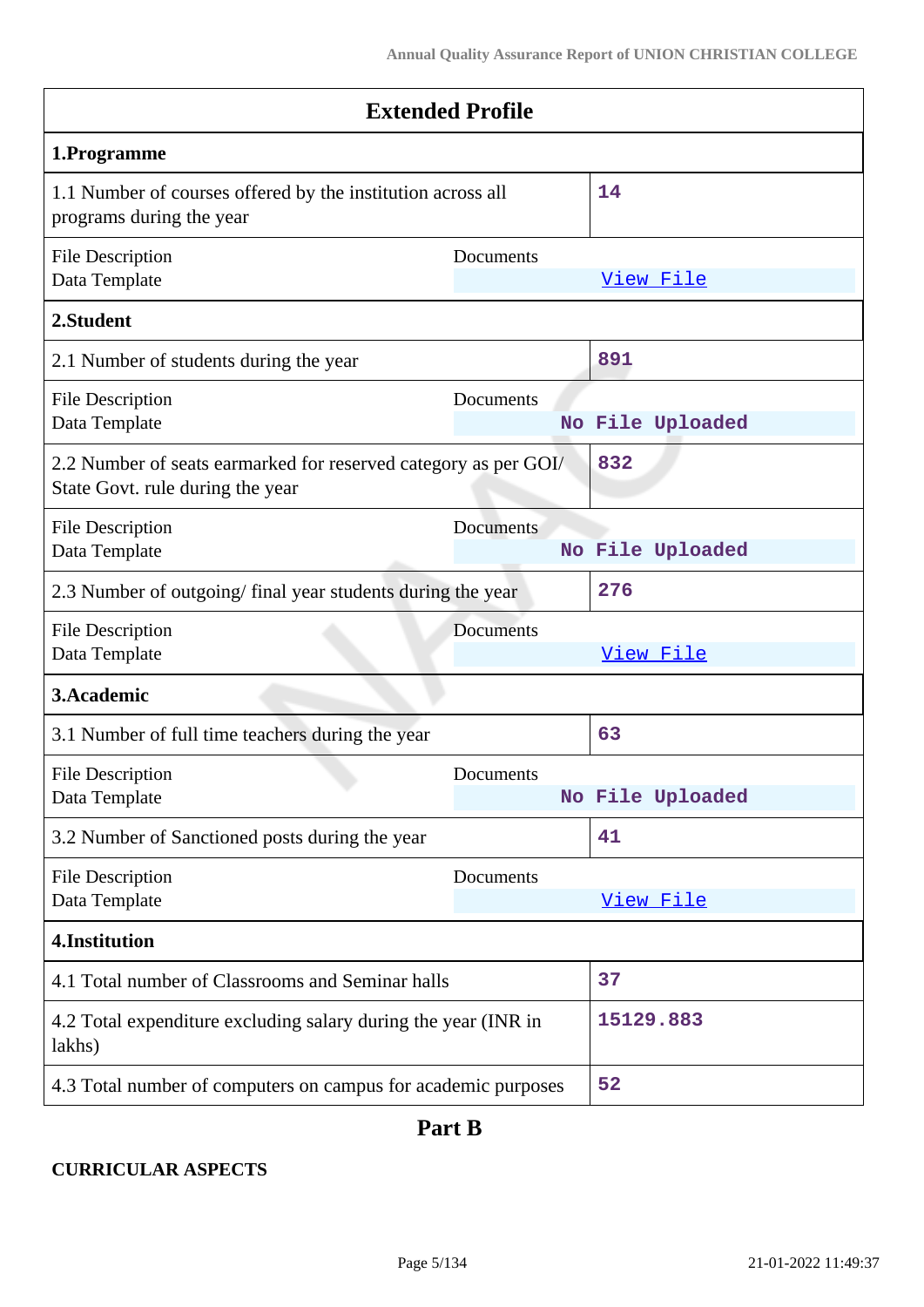| <b>Extended Profile</b>                                                                             |           |                  |
|-----------------------------------------------------------------------------------------------------|-----------|------------------|
| 1.Programme                                                                                         |           |                  |
| 1.1 Number of courses offered by the institution across all<br>programs during the year             |           | 14               |
| <b>File Description</b><br>Data Template                                                            | Documents | View File        |
| 2.Student                                                                                           |           |                  |
| 2.1 Number of students during the year                                                              |           | 891              |
| <b>File Description</b><br>Data Template                                                            | Documents | No File Uploaded |
| 2.2 Number of seats earmarked for reserved category as per GOI/<br>State Govt. rule during the year |           | 832              |
| <b>File Description</b><br>Data Template                                                            | Documents | No File Uploaded |
| 2.3 Number of outgoing/final year students during the year                                          |           | 276              |
| <b>File Description</b><br>Data Template                                                            | Documents | View File        |
| 3. Academic                                                                                         |           |                  |
| 3.1 Number of full time teachers during the year                                                    |           | 63               |
| <b>File Description</b><br>Data Template                                                            | Documents | No File Uploaded |
| 3.2 Number of Sanctioned posts during the year                                                      |           | 41               |
| <b>File Description</b><br>Data Template                                                            | Documents | View File        |
| 4.Institution                                                                                       |           |                  |
| 4.1 Total number of Classrooms and Seminar halls                                                    |           | 37               |
| 4.2 Total expenditure excluding salary during the year (INR in<br>lakhs)                            |           | 15129.883        |
| 4.3 Total number of computers on campus for academic purposes                                       |           | 52               |

## **Part B**

### **CURRICULAR ASPECTS**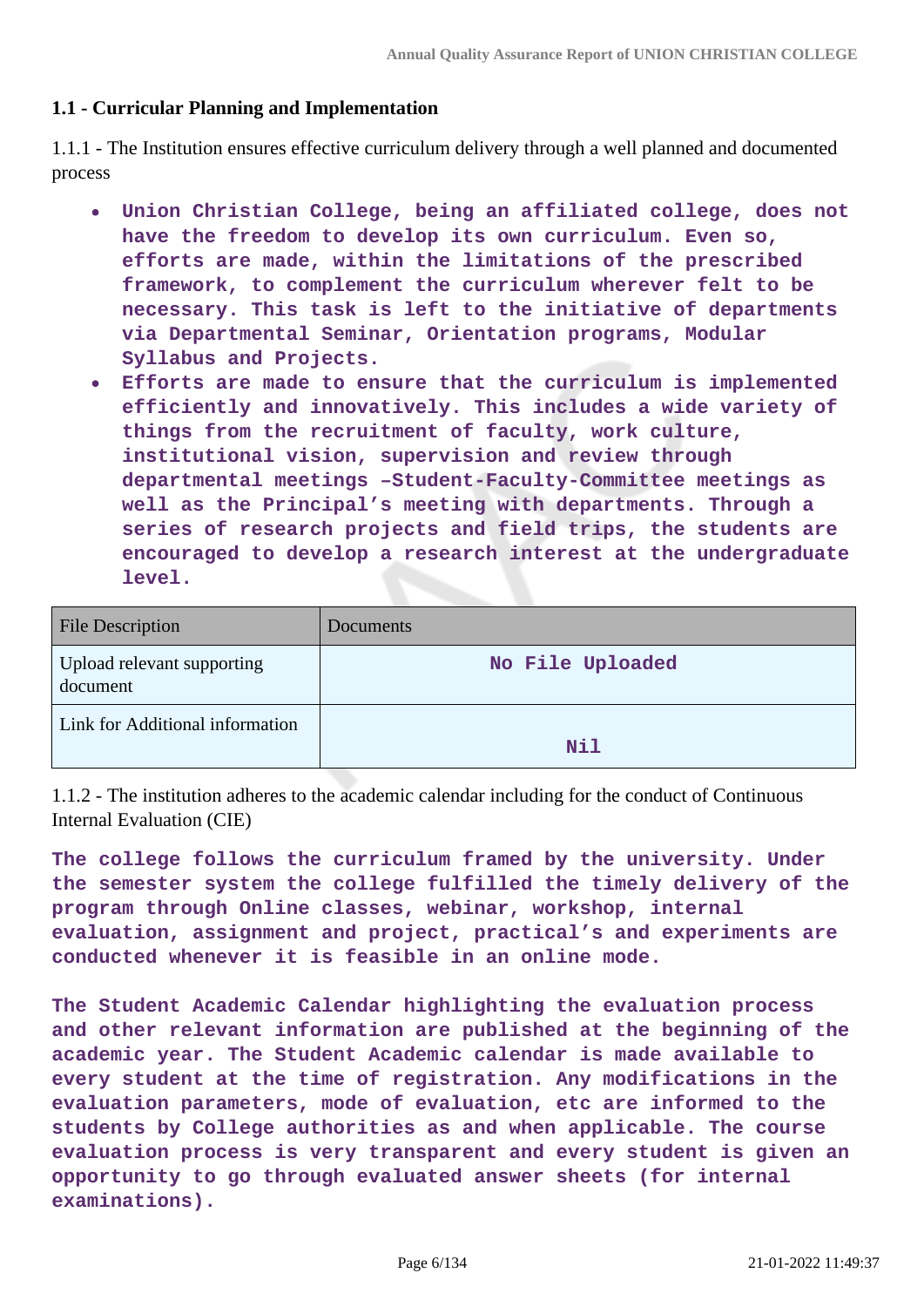#### **1.1 - Curricular Planning and Implementation**

1.1.1 - The Institution ensures effective curriculum delivery through a well planned and documented process

- **Union Christian College, being an affiliated college, does not have the freedom to develop its own curriculum. Even so, efforts are made, within the limitations of the prescribed framework, to complement the curriculum wherever felt to be necessary. This task is left to the initiative of departments via Departmental Seminar, Orientation programs, Modular Syllabus and Projects.**
- **Efforts are made to ensure that the curriculum is implemented efficiently and innovatively. This includes a wide variety of things from the recruitment of faculty, work culture, institutional vision, supervision and review through departmental meetings –Student-Faculty-Committee meetings as well as the Principal's meeting with departments. Through a series of research projects and field trips, the students are encouraged to develop a research interest at the undergraduate level.**

| <b>File Description</b>                | Documents        |
|----------------------------------------|------------------|
| Upload relevant supporting<br>document | No File Uploaded |
| Link for Additional information        | <b>Nil</b>       |

1.1.2 - The institution adheres to the academic calendar including for the conduct of Continuous Internal Evaluation (CIE)

**The college follows the curriculum framed by the university. Under the semester system the college fulfilled the timely delivery of the program through Online classes, webinar, workshop, internal evaluation, assignment and project, practical's and experiments are conducted whenever it is feasible in an online mode.**

**The Student Academic Calendar highlighting the evaluation process and other relevant information are published at the beginning of the academic year. The Student Academic calendar is made available to every student at the time of registration. Any modifications in the evaluation parameters, mode of evaluation, etc are informed to the students by College authorities as and when applicable. The course evaluation process is very transparent and every student is given an opportunity to go through evaluated answer sheets (for internal examinations).**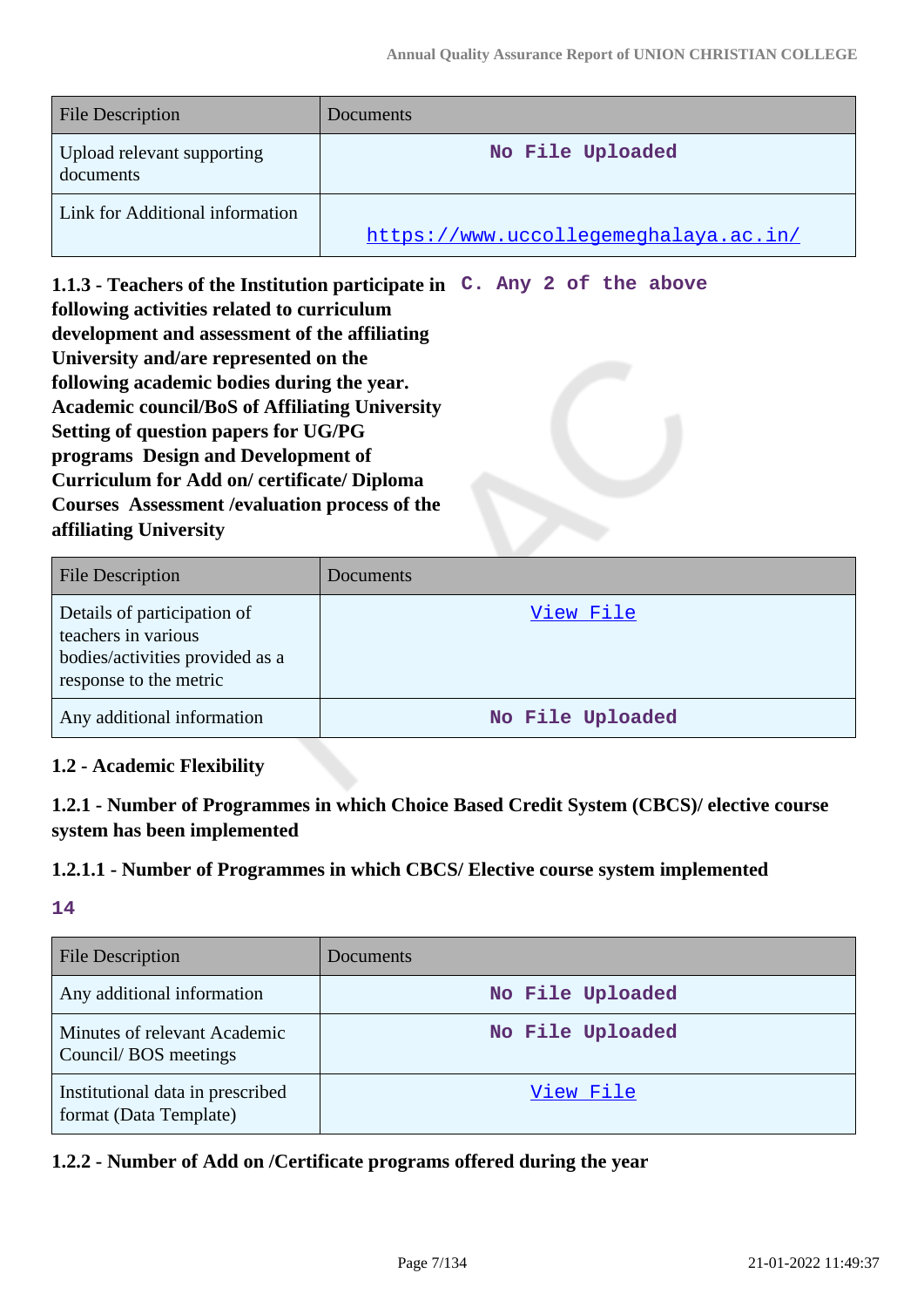| <b>File Description</b>                 | Documents                             |
|-----------------------------------------|---------------------------------------|
| Upload relevant supporting<br>documents | No File Uploaded                      |
| Link for Additional information         | https://www.uccollegemeghalaya.ac.in/ |

**1.1.3 - Teachers of the Institution participate in C. Any 2 of the above following activities related to curriculum development and assessment of the affiliating University and/are represented on the following academic bodies during the year. Academic council/BoS of Affiliating University Setting of question papers for UG/PG programs Design and Development of Curriculum for Add on/ certificate/ Diploma Courses Assessment /evaluation process of the affiliating University**

| <b>File Description</b>                                                                                         | Documents        |
|-----------------------------------------------------------------------------------------------------------------|------------------|
| Details of participation of<br>teachers in various<br>bodies/activities provided as a<br>response to the metric | View File        |
| Any additional information                                                                                      | No File Uploaded |

### **1.2 - Academic Flexibility**

**1.2.1 - Number of Programmes in which Choice Based Credit System (CBCS)/ elective course system has been implemented**

#### **1.2.1.1 - Number of Programmes in which CBCS/ Elective course system implemented**

### **14**

| <b>File Description</b>                                    | <b>Documents</b> |
|------------------------------------------------------------|------------------|
| Any additional information                                 | No File Uploaded |
| Minutes of relevant Academic<br>Council/BOS meetings       | No File Uploaded |
| Institutional data in prescribed<br>format (Data Template) | View File        |

#### **1.2.2 - Number of Add on /Certificate programs offered during the year**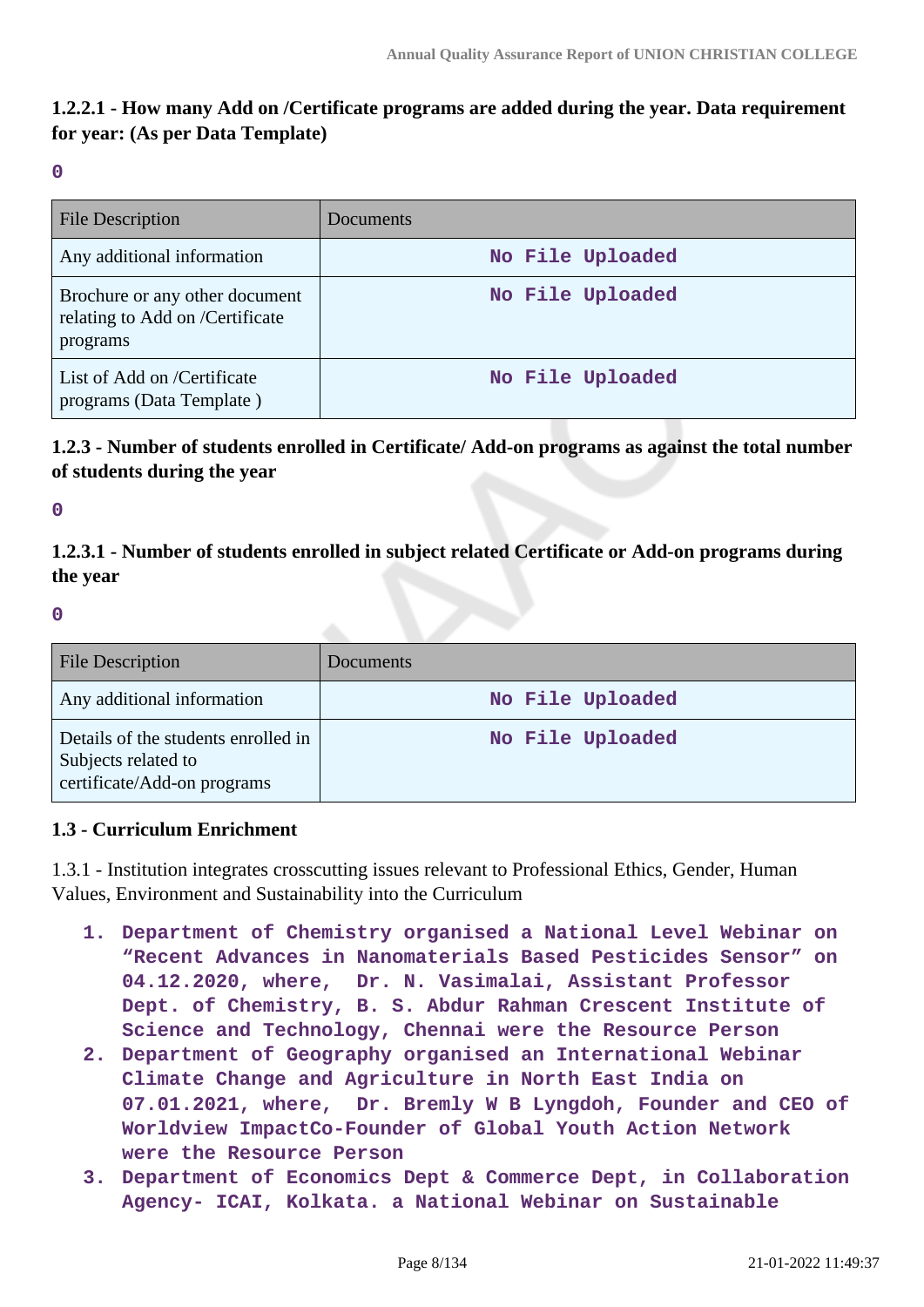### **1.2.2.1 - How many Add on /Certificate programs are added during the year. Data requirement for year: (As per Data Template)**

**0**

| <b>File Description</b>                                                       | Documents        |
|-------------------------------------------------------------------------------|------------------|
| Any additional information                                                    | No File Uploaded |
| Brochure or any other document<br>relating to Add on /Certificate<br>programs | No File Uploaded |
| List of Add on /Certificate<br>programs (Data Template)                       | No File Uploaded |

**1.2.3 - Number of students enrolled in Certificate/ Add-on programs as against the total number of students during the year**

**0**

**1.2.3.1 - Number of students enrolled in subject related Certificate or Add-on programs during the year**

**0**

| <b>File Description</b>                                                                   | Documents        |
|-------------------------------------------------------------------------------------------|------------------|
| Any additional information                                                                | No File Uploaded |
| Details of the students enrolled in<br>Subjects related to<br>certificate/Add-on programs | No File Uploaded |

#### **1.3 - Curriculum Enrichment**

1.3.1 - Institution integrates crosscutting issues relevant to Professional Ethics, Gender, Human Values, Environment and Sustainability into the Curriculum

- **1. Department of Chemistry organised a National Level Webinar on "Recent Advances in Nanomaterials Based Pesticides Sensor" on 04.12.2020, where, Dr. N. Vasimalai, Assistant Professor Dept. of Chemistry, B. S. Abdur Rahman Crescent Institute of Science and Technology, Chennai were the Resource Person**
- **2. Department of Geography organised an International Webinar Climate Change and Agriculture in North East India on 07.01.2021, where, Dr. Bremly W B Lyngdoh, Founder and CEO of Worldview ImpactCo-Founder of Global Youth Action Network were the Resource Person**
- **3. Department of Economics Dept & Commerce Dept, in Collaboration Agency- ICAI, Kolkata. a National Webinar on Sustainable**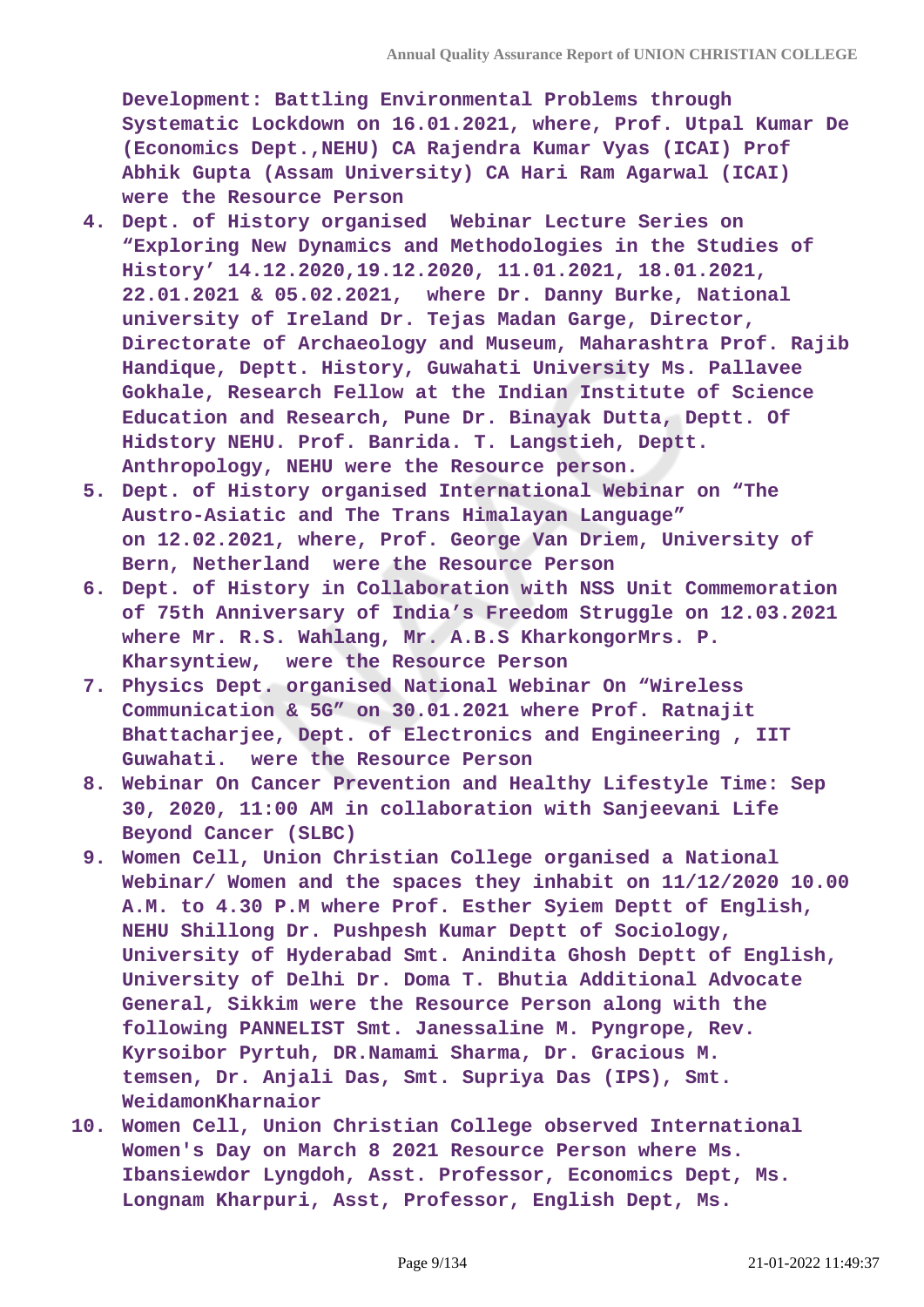**Development: Battling Environmental Problems through Systematic Lockdown on 16.01.2021, where, Prof. Utpal Kumar De (Economics Dept.,NEHU) CA Rajendra Kumar Vyas (ICAI) Prof Abhik Gupta (Assam University) CA Hari Ram Agarwal (ICAI) were the Resource Person**

- **4. Dept. of History organised Webinar Lecture Series on "Exploring New Dynamics and Methodologies in the Studies of History' 14.12.2020,19.12.2020, 11.01.2021, 18.01.2021, 22.01.2021 & 05.02.2021, where Dr. Danny Burke, National university of Ireland Dr. Tejas Madan Garge, Director, Directorate of Archaeology and Museum, Maharashtra Prof. Rajib Handique, Deptt. History, Guwahati University Ms. Pallavee Gokhale, Research Fellow at the Indian Institute of Science Education and Research, Pune Dr. Binayak Dutta, Deptt. Of Hidstory NEHU. Prof. Banrida. T. Langstieh, Deptt. Anthropology, NEHU were the Resource person.**
- **5. Dept. of History organised International Webinar on "The Austro-Asiatic and The Trans Himalayan Language" on 12.02.2021, where, Prof. George Van Driem, University of Bern, Netherland were the Resource Person**
- **6. Dept. of History in Collaboration with NSS Unit Commemoration of 75th Anniversary of India's Freedom Struggle on 12.03.2021 where Mr. R.S. Wahlang, Mr. A.B.S KharkongorMrs. P. Kharsyntiew, were the Resource Person**
- **7. Physics Dept. organised National Webinar On "Wireless Communication & 5G" on 30.01.2021 where Prof. Ratnajit Bhattacharjee, Dept. of Electronics and Engineering , IIT Guwahati. were the Resource Person**
- **8. Webinar On Cancer Prevention and Healthy Lifestyle Time: Sep 30, 2020, 11:00 AM in collaboration with Sanjeevani Life Beyond Cancer (SLBC)**
- **9. Women Cell, Union Christian College organised a National Webinar/ Women and the spaces they inhabit on 11/12/2020 10.00 A.M. to 4.30 P.M where Prof. Esther Syiem Deptt of English, NEHU Shillong Dr. Pushpesh Kumar Deptt of Sociology, University of Hyderabad Smt. Anindita Ghosh Deptt of English, University of Delhi Dr. Doma T. Bhutia Additional Advocate General, Sikkim were the Resource Person along with the following PANNELIST Smt. Janessaline M. Pyngrope, Rev. Kyrsoibor Pyrtuh, DR.Namami Sharma, Dr. Gracious M. temsen, Dr. Anjali Das, Smt. Supriya Das (IPS), Smt. WeidamonKharnaior**
- **10. Women Cell, Union Christian College observed International Women's Day on March 8 2021 Resource Person where Ms. Ibansiewdor Lyngdoh, Asst. Professor, Economics Dept, Ms. Longnam Kharpuri, Asst, Professor, English Dept, Ms.**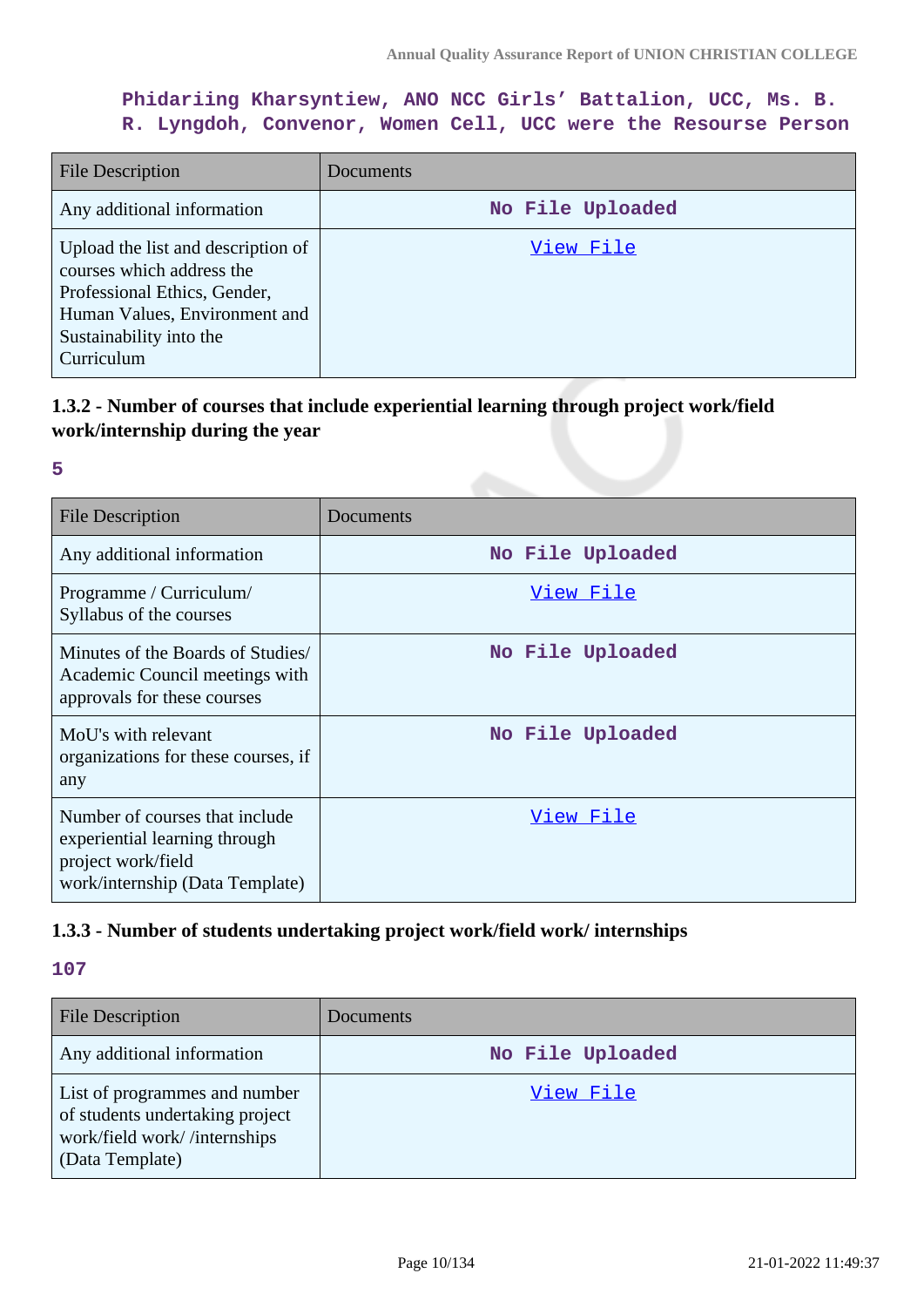### **Phidariing Kharsyntiew, ANO NCC Girls' Battalion, UCC, Ms. B. R. Lyngdoh, Convenor, Women Cell, UCC were the Resourse Person**

| <b>File Description</b>                                                                                                                                                   | Documents        |
|---------------------------------------------------------------------------------------------------------------------------------------------------------------------------|------------------|
| Any additional information                                                                                                                                                | No File Uploaded |
| Upload the list and description of<br>courses which address the<br>Professional Ethics, Gender,<br>Human Values, Environment and<br>Sustainability into the<br>Curriculum | View File        |

### **1.3.2 - Number of courses that include experiential learning through project work/field work/internship during the year**

#### **5**

| <b>File Description</b>                                                                                                  | Documents        |
|--------------------------------------------------------------------------------------------------------------------------|------------------|
| Any additional information                                                                                               | No File Uploaded |
| Programme / Curriculum/<br>Syllabus of the courses                                                                       | View File        |
| Minutes of the Boards of Studies/<br>Academic Council meetings with<br>approvals for these courses                       | No File Uploaded |
| MoU's with relevant<br>organizations for these courses, if<br>any                                                        | No File Uploaded |
| Number of courses that include<br>experiential learning through<br>project work/field<br>work/internship (Data Template) | View File        |

### **1.3.3 - Number of students undertaking project work/field work/ internships**

| <b>File Description</b>                                                                                             | Documents        |
|---------------------------------------------------------------------------------------------------------------------|------------------|
| Any additional information                                                                                          | No File Uploaded |
| List of programmes and number<br>of students undertaking project<br>work/field work//internships<br>(Data Template) | View File        |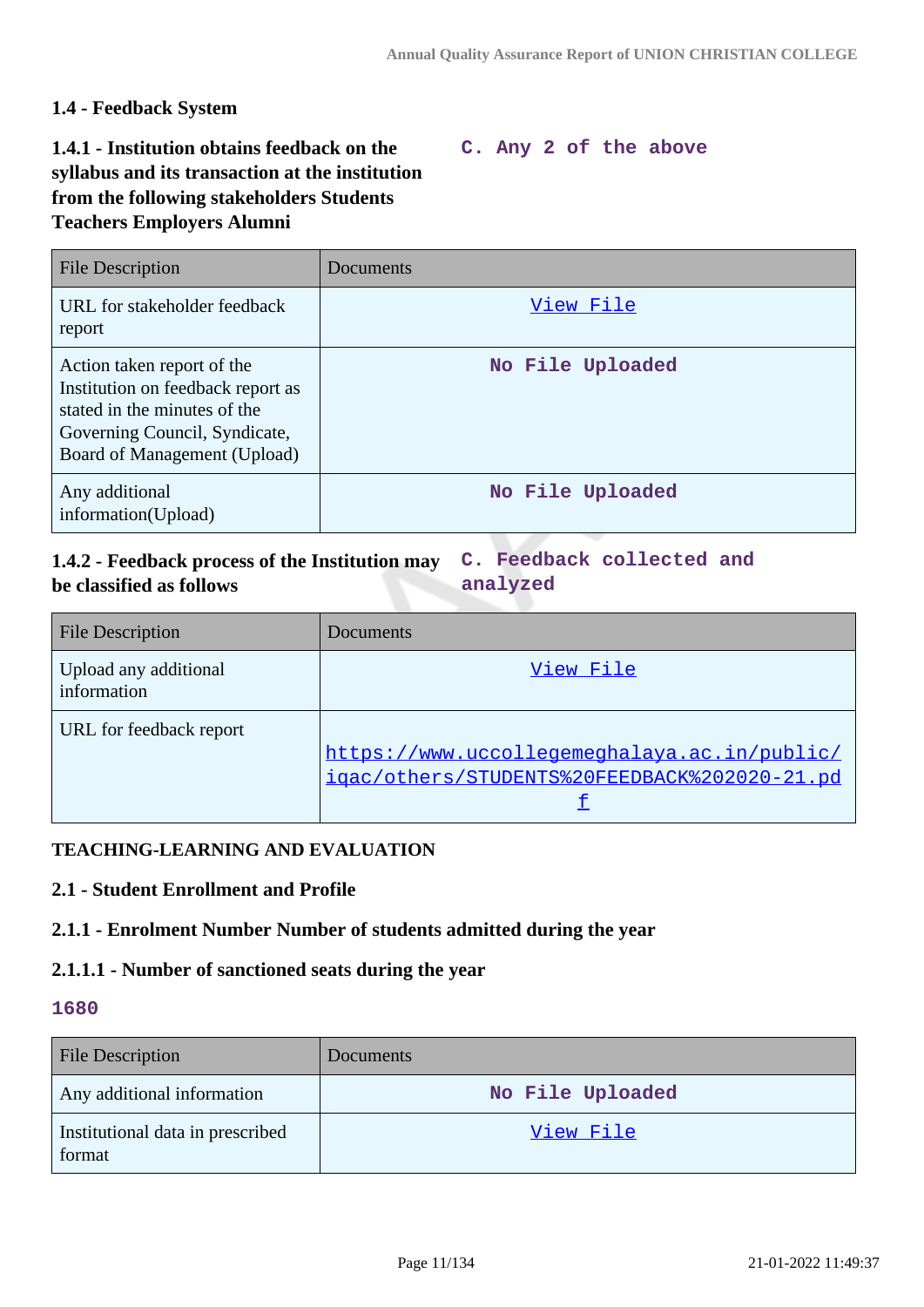### **1.4 - Feedback System**

### **1.4.1 - Institution obtains feedback on the syllabus and its transaction at the institution from the following stakeholders Students Teachers Employers Alumni**

#### **C. Any 2 of the above**

| File Description                                                                                                                                                 | Documents        |
|------------------------------------------------------------------------------------------------------------------------------------------------------------------|------------------|
| URL for stakeholder feedback<br>report                                                                                                                           | View File        |
| Action taken report of the<br>Institution on feedback report as<br>stated in the minutes of the<br>Governing Council, Syndicate,<br>Board of Management (Upload) | No File Uploaded |
| Any additional<br>information(Upload)                                                                                                                            | No File Uploaded |

#### **1.4.2 - Feedback process of the Institution may be classified as follows C. Feedback collected and analyzed**

| <b>File Description</b>              | Documents                                    |
|--------------------------------------|----------------------------------------------|
| Upload any additional<br>information | View File                                    |
| URL for feedback report              |                                              |
|                                      | https://www.uccollegemeghalaya.ac.in/public/ |
|                                      | igac/others/STUDENTS%20FEEDBACK%202020-21.pd |
|                                      |                                              |

#### **TEACHING-LEARNING AND EVALUATION**

#### **2.1 - Student Enrollment and Profile**

#### **2.1.1 - Enrolment Number Number of students admitted during the year**

#### **2.1.1.1 - Number of sanctioned seats during the year**

| <b>File Description</b>                    | <b>Documents</b> |
|--------------------------------------------|------------------|
| Any additional information                 | No File Uploaded |
| Institutional data in prescribed<br>format | View File        |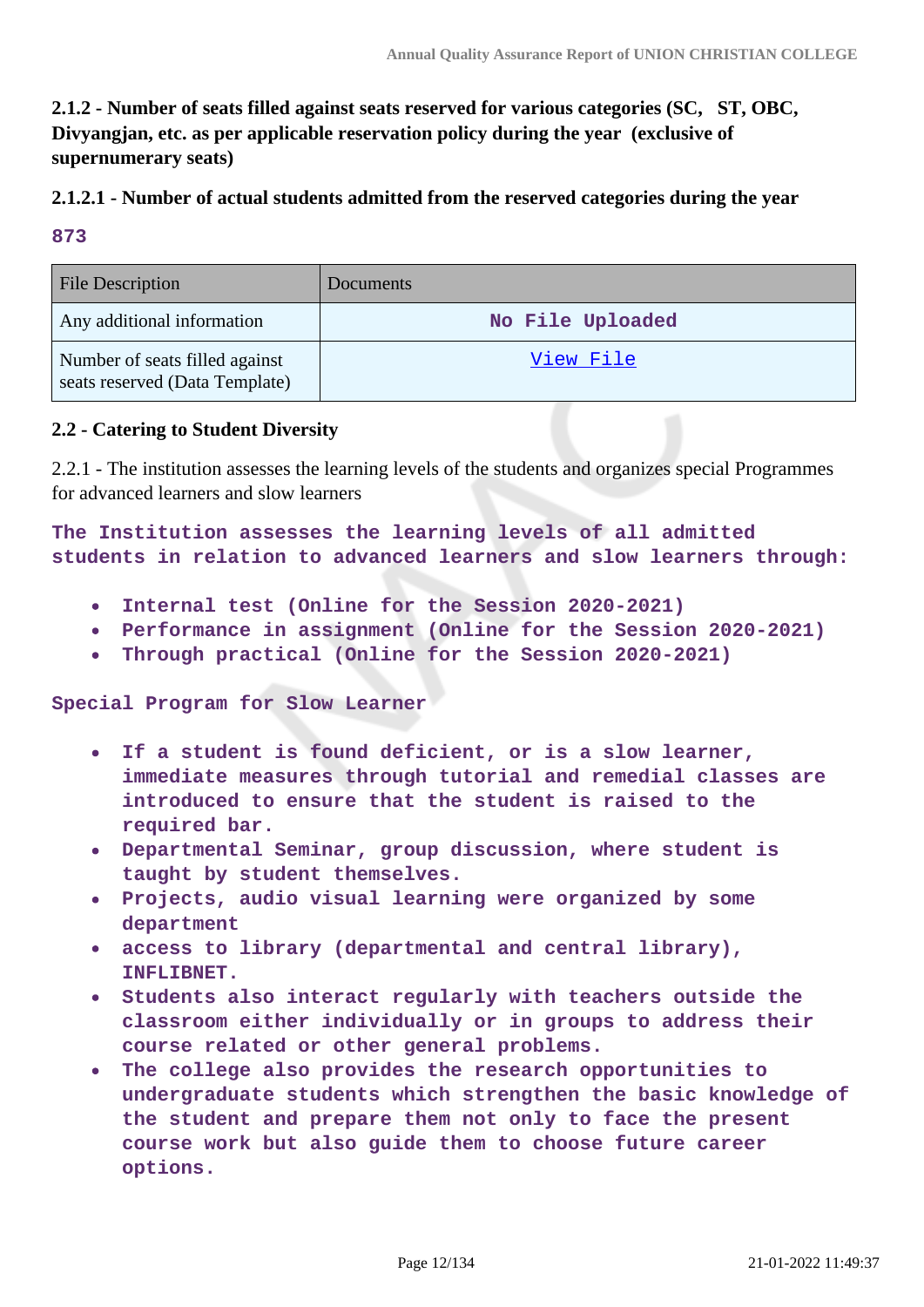**2.1.2 - Number of seats filled against seats reserved for various categories (SC, ST, OBC, Divyangjan, etc. as per applicable reservation policy during the year (exclusive of supernumerary seats)**

### **2.1.2.1 - Number of actual students admitted from the reserved categories during the year**

**873**

| <b>File Description</b>                                          | <b>Documents</b> |
|------------------------------------------------------------------|------------------|
| Any additional information                                       | No File Uploaded |
| Number of seats filled against<br>seats reserved (Data Template) | <u>View File</u> |

#### **2.2 - Catering to Student Diversity**

2.2.1 - The institution assesses the learning levels of the students and organizes special Programmes for advanced learners and slow learners

**The Institution assesses the learning levels of all admitted students in relation to advanced learners and slow learners through:**

- **Internal test (Online for the Session 2020-2021)**  $\bullet$
- **Performance in assignment (Online for the Session 2020-2021)**
- **Through practical (Online for the Session 2020-2021)**  $\bullet$

**Special Program for Slow Learner**

- **If a student is found deficient, or is a slow learner,**  $\bullet$ **immediate measures through tutorial and remedial classes are introduced to ensure that the student is raised to the required bar.**
- **Departmental Seminar, group discussion, where student is taught by student themselves.**
- **Projects, audio visual learning were organized by some department**
- **access to library (departmental and central library),**  $\bullet$ **INFLIBNET.**
- **Students also interact regularly with teachers outside the**  $\bullet$ **classroom either individually or in groups to address their course related or other general problems.**
- **The college also provides the research opportunities to**  $\bullet$ **undergraduate students which strengthen the basic knowledge of the student and prepare them not only to face the present course work but also guide them to choose future career options.**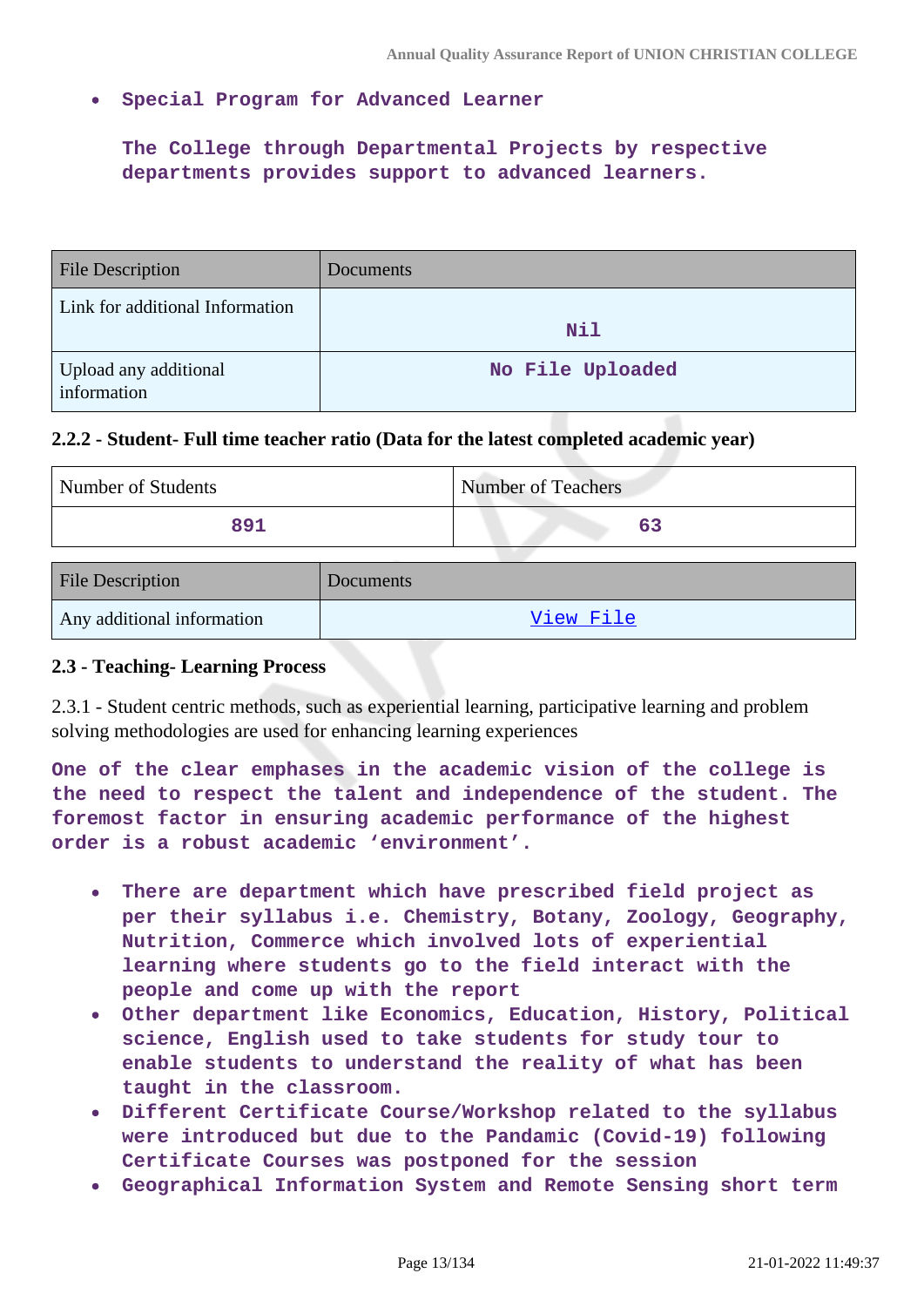**Special Program for Advanced Learner**

**The College through Departmental Projects by respective departments provides support to advanced learners.** 

| <b>File Description</b>              | Documents        |
|--------------------------------------|------------------|
| Link for additional Information      | <b>Nil</b>       |
| Upload any additional<br>information | No File Uploaded |

#### **2.2.2 - Student- Full time teacher ratio (Data for the latest completed academic year)**

| Number of Students | Number of Teachers |
|--------------------|--------------------|
| 891                |                    |

| <b>File Description</b>    | <b>Documents</b> |
|----------------------------|------------------|
| Any additional information | View File        |

#### **2.3 - Teaching- Learning Process**

2.3.1 - Student centric methods, such as experiential learning, participative learning and problem solving methodologies are used for enhancing learning experiences

**One of the clear emphases in the academic vision of the college is the need to respect the talent and independence of the student. The foremost factor in ensuring academic performance of the highest order is a robust academic 'environment'.**

- **There are department which have prescribed field project as**  $\bullet$ **per their syllabus i.e. Chemistry, Botany, Zoology, Geography, Nutrition, Commerce which involved lots of experiential learning where students go to the field interact with the people and come up with the report**
- **Other department like Economics, Education, History, Political science, English used to take students for study tour to enable students to understand the reality of what has been taught in the classroom.**
- **Different Certificate Course/Workshop related to the syllabus were introduced but due to the Pandamic (Covid-19) following Certificate Courses was postponed for the session**
- **Geographical Information System and Remote Sensing short term**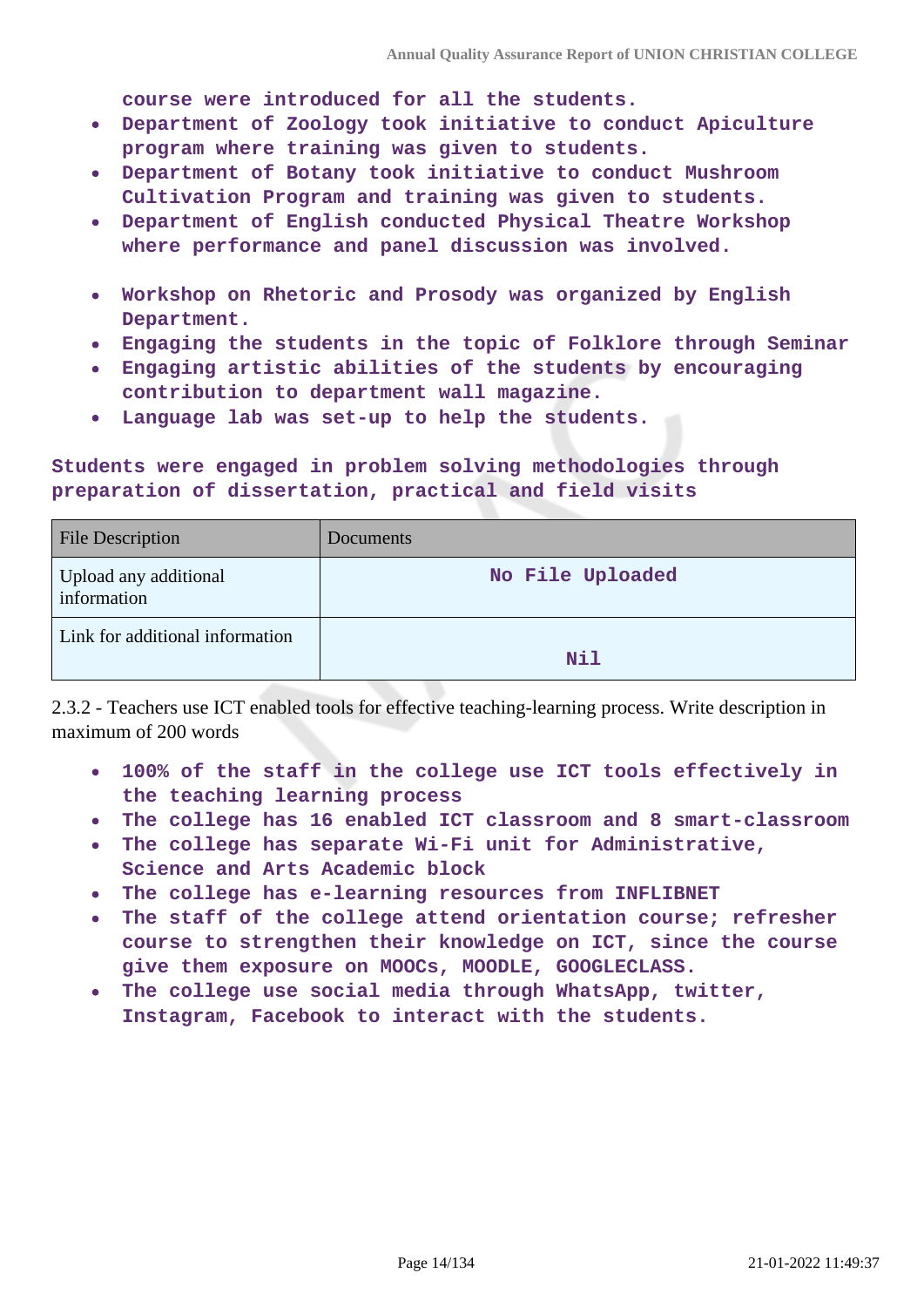**course were introduced for all the students.**

- **Department of Zoology took initiative to conduct Apiculture program where training was given to students.**
- **Department of Botany took initiative to conduct Mushroom Cultivation Program and training was given to students.**
- **Department of English conducted Physical Theatre Workshop where performance and panel discussion was involved.**
- **Workshop on Rhetoric and Prosody was organized by English Department.**
- **Engaging the students in the topic of Folklore through Seminar**
- **Engaging artistic abilities of the students by encouraging contribution to department wall magazine.**
- **Language lab was set-up to help the students.**

**Students were engaged in problem solving methodologies through preparation of dissertation, practical and field visits**

| <b>File Description</b>              | <b>Documents</b> |
|--------------------------------------|------------------|
| Upload any additional<br>information | No File Uploaded |
| Link for additional information      | Nil              |

2.3.2 - Teachers use ICT enabled tools for effective teaching-learning process. Write description in maximum of 200 words

- **100% of the staff in the college use ICT tools effectively in the teaching learning process**
- **The college has 16 enabled ICT classroom and 8 smart-classroom**
- **The college has separate Wi-Fi unit for Administrative, Science and Arts Academic block**
- **The college has e-learning resources from INFLIBNET**
- **The staff of the college attend orientation course; refresher**  $\bullet$ **course to strengthen their knowledge on ICT, since the course give them exposure on MOOCs, MOODLE, GOOGLECLASS.**
- **The college use social media through WhatsApp, twitter, Instagram, Facebook to interact with the students.**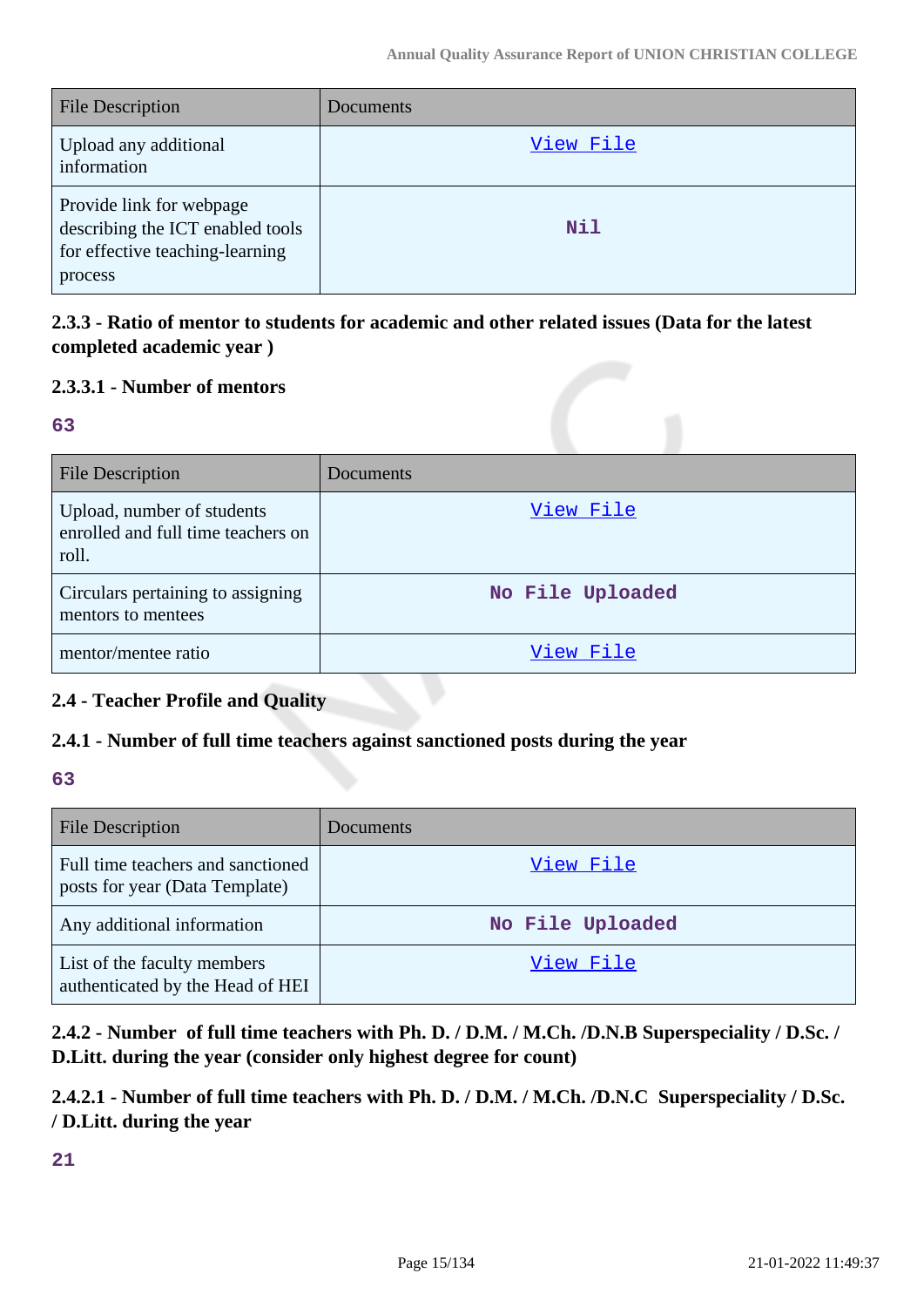| <b>File Description</b>                                                                                    | Documents |
|------------------------------------------------------------------------------------------------------------|-----------|
| Upload any additional<br>information                                                                       | View File |
| Provide link for webpage<br>describing the ICT enabled tools<br>for effective teaching-learning<br>process | Nil       |

### **2.3.3 - Ratio of mentor to students for academic and other related issues (Data for the latest completed academic year )**

### **2.3.3.1 - Number of mentors**

#### **63**

| <b>File Description</b>                                                   | Documents        |
|---------------------------------------------------------------------------|------------------|
| Upload, number of students<br>enrolled and full time teachers on<br>roll. | View File        |
| Circulars pertaining to assigning<br>mentors to mentees                   | No File Uploaded |
| mentor/mentee ratio                                                       | View File        |

### **2.4 - Teacher Profile and Quality**

### **2.4.1 - Number of full time teachers against sanctioned posts during the year**

#### **63**

| <b>File Description</b>                                             | Documents        |
|---------------------------------------------------------------------|------------------|
| Full time teachers and sanctioned<br>posts for year (Data Template) | View File        |
| Any additional information                                          | No File Uploaded |
| List of the faculty members<br>authenticated by the Head of HEI     | View File        |

**2.4.2 - Number of full time teachers with Ph. D. / D.M. / M.Ch. /D.N.B Superspeciality / D.Sc. / D.Litt. during the year (consider only highest degree for count)**

**2.4.2.1 - Number of full time teachers with Ph. D. / D.M. / M.Ch. /D.N.C Superspeciality / D.Sc. / D.Litt. during the year**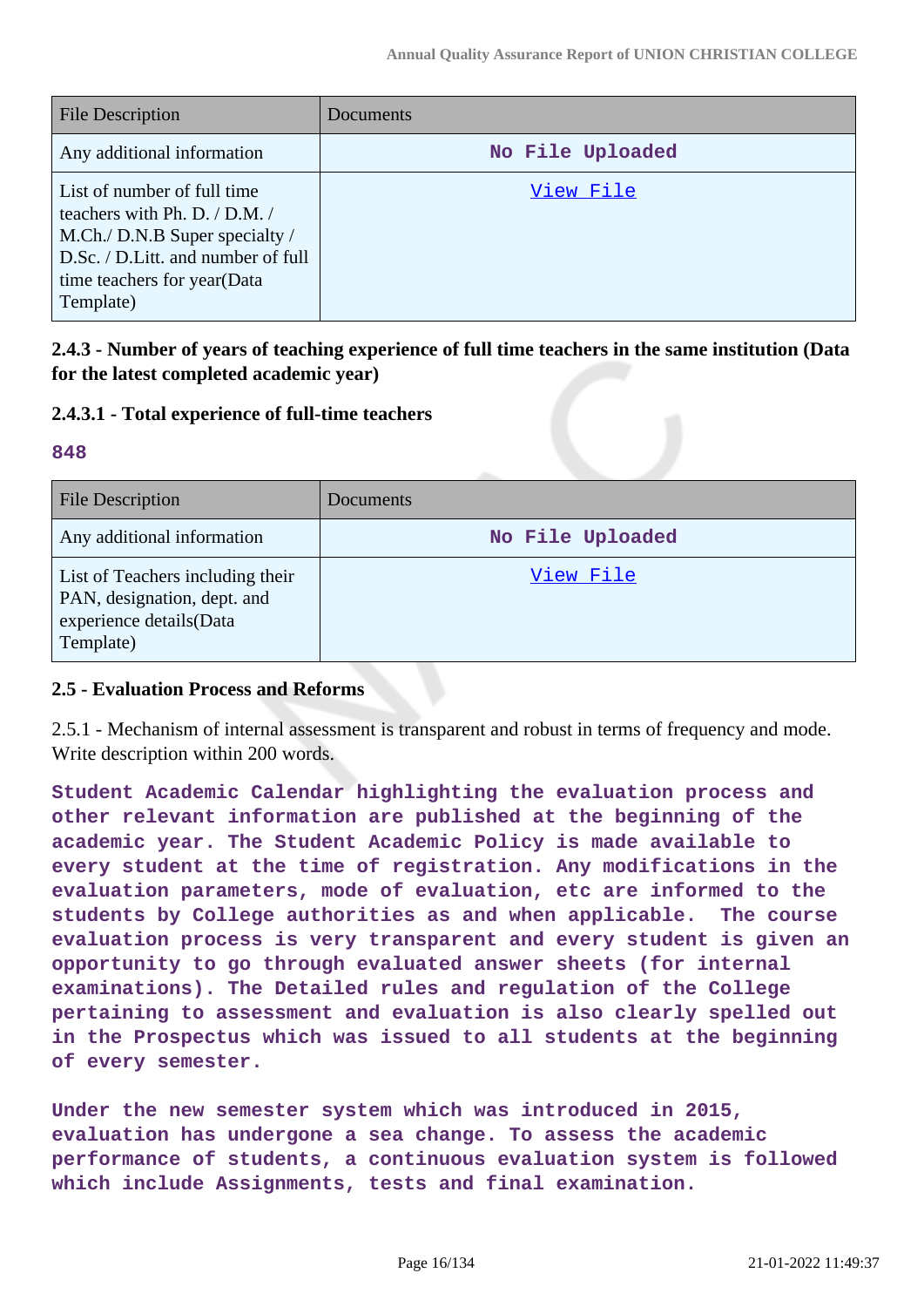| <b>File Description</b>                                                                                                                                                          | <b>Documents</b> |
|----------------------------------------------------------------------------------------------------------------------------------------------------------------------------------|------------------|
| Any additional information                                                                                                                                                       | No File Uploaded |
| List of number of full time<br>teachers with Ph. D. / D.M. /<br>M.Ch./ D.N.B Super specialty /<br>D.Sc. / D.Litt. and number of full<br>time teachers for year(Data<br>Template) | View File        |

**2.4.3 - Number of years of teaching experience of full time teachers in the same institution (Data for the latest completed academic year)**

#### **2.4.3.1 - Total experience of full-time teachers**

#### **848**

| <b>File Description</b>                                                                                 | Documents        |
|---------------------------------------------------------------------------------------------------------|------------------|
| Any additional information                                                                              | No File Uploaded |
| List of Teachers including their<br>PAN, designation, dept. and<br>experience details(Data<br>Template) | View File        |

#### **2.5 - Evaluation Process and Reforms**

2.5.1 - Mechanism of internal assessment is transparent and robust in terms of frequency and mode. Write description within 200 words.

**Student Academic Calendar highlighting the evaluation process and other relevant information are published at the beginning of the academic year. The Student Academic Policy is made available to every student at the time of registration. Any modifications in the evaluation parameters, mode of evaluation, etc are informed to the students by College authorities as and when applicable. The course evaluation process is very transparent and every student is given an opportunity to go through evaluated answer sheets (for internal examinations). The Detailed rules and regulation of the College pertaining to assessment and evaluation is also clearly spelled out in the Prospectus which was issued to all students at the beginning of every semester.**

**Under the new semester system which was introduced in 2015, evaluation has undergone a sea change. To assess the academic performance of students, a continuous evaluation system is followed which include Assignments, tests and final examination.**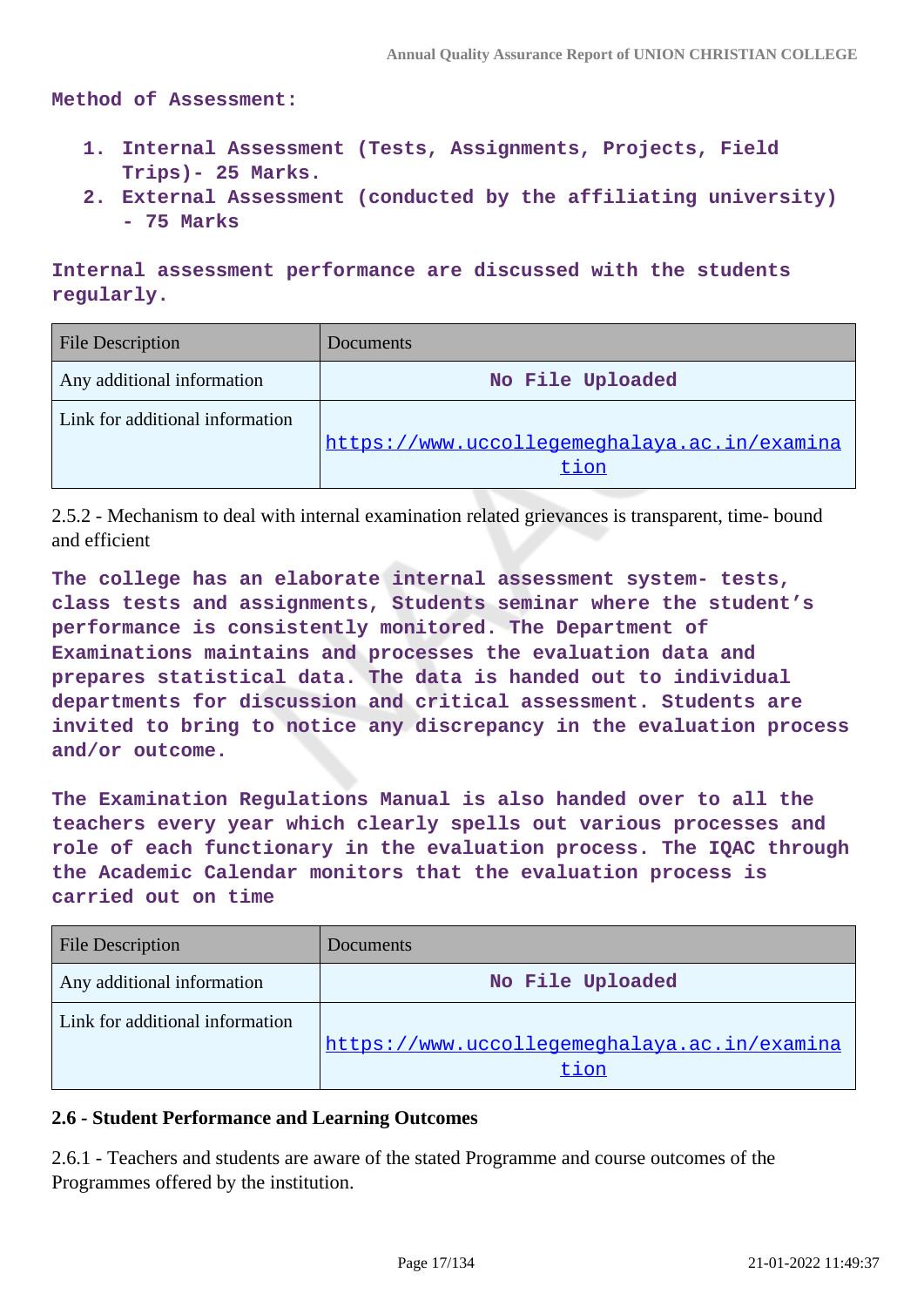**Method of Assessment:**

- **1. Internal Assessment (Tests, Assignments, Projects, Field Trips)- 25 Marks.**
- **2. External Assessment (conducted by the affiliating university) - 75 Marks**

**Internal assessment performance are discussed with the students regularly.**

| <b>File Description</b>         | Documents                                    |
|---------------------------------|----------------------------------------------|
| Any additional information      | No File Uploaded                             |
| Link for additional information |                                              |
|                                 | https://www.uccollegemeghalaya.ac.in/examina |
|                                 | tion                                         |

2.5.2 - Mechanism to deal with internal examination related grievances is transparent, time- bound and efficient

**The college has an elaborate internal assessment system- tests, class tests and assignments, Students seminar where the student's performance is consistently monitored. The Department of Examinations maintains and processes the evaluation data and prepares statistical data. The data is handed out to individual departments for discussion and critical assessment. Students are invited to bring to notice any discrepancy in the evaluation process and/or outcome.**

**The Examination Regulations Manual is also handed over to all the teachers every year which clearly spells out various processes and role of each functionary in the evaluation process. The IQAC through the Academic Calendar monitors that the evaluation process is carried out on time**

| <b>File Description</b>         | Documents                                    |
|---------------------------------|----------------------------------------------|
| Any additional information      | No File Uploaded                             |
| Link for additional information |                                              |
|                                 | https://www.uccollegemeghalaya.ac.in/examina |
|                                 | tion                                         |

#### **2.6 - Student Performance and Learning Outcomes**

2.6.1 - Teachers and students are aware of the stated Programme and course outcomes of the Programmes offered by the institution.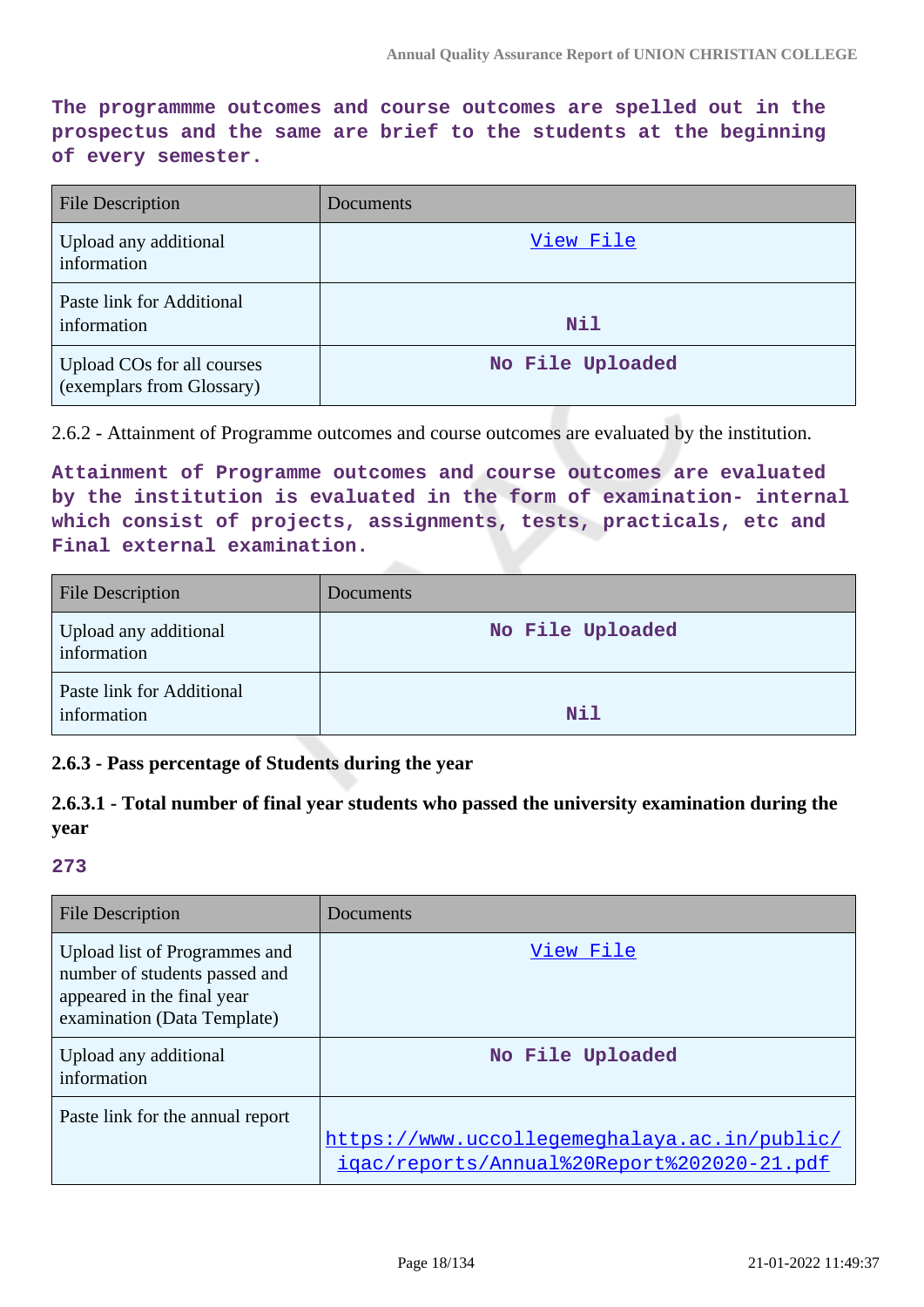**The programmme outcomes and course outcomes are spelled out in the prospectus and the same are brief to the students at the beginning of every semester.**

| <b>File Description</b>                                 | Documents        |
|---------------------------------------------------------|------------------|
| Upload any additional<br>information                    | View File        |
| Paste link for Additional<br>information                | Nil              |
| Upload COs for all courses<br>(exemplars from Glossary) | No File Uploaded |

2.6.2 - Attainment of Programme outcomes and course outcomes are evaluated by the institution.

**Attainment of Programme outcomes and course outcomes are evaluated by the institution is evaluated in the form of examination- internal which consist of projects, assignments, tests, practicals, etc and Final external examination.**

| <b>File Description</b>                  | <b>Documents</b> |
|------------------------------------------|------------------|
| Upload any additional<br>information     | No File Uploaded |
| Paste link for Additional<br>information | Nil              |

#### **2.6.3 - Pass percentage of Students during the year**

**2.6.3.1 - Total number of final year students who passed the university examination during the year**

| File Description                                                                                                            | Documents                                                                                  |
|-----------------------------------------------------------------------------------------------------------------------------|--------------------------------------------------------------------------------------------|
| Upload list of Programmes and<br>number of students passed and<br>appeared in the final year<br>examination (Data Template) | View File                                                                                  |
| Upload any additional<br>information                                                                                        | No File Uploaded                                                                           |
| Paste link for the annual report                                                                                            | https://www.uccollegemeghalaya.ac.in/public/<br>igac/reports/Annual%20Report%202020-21.pdf |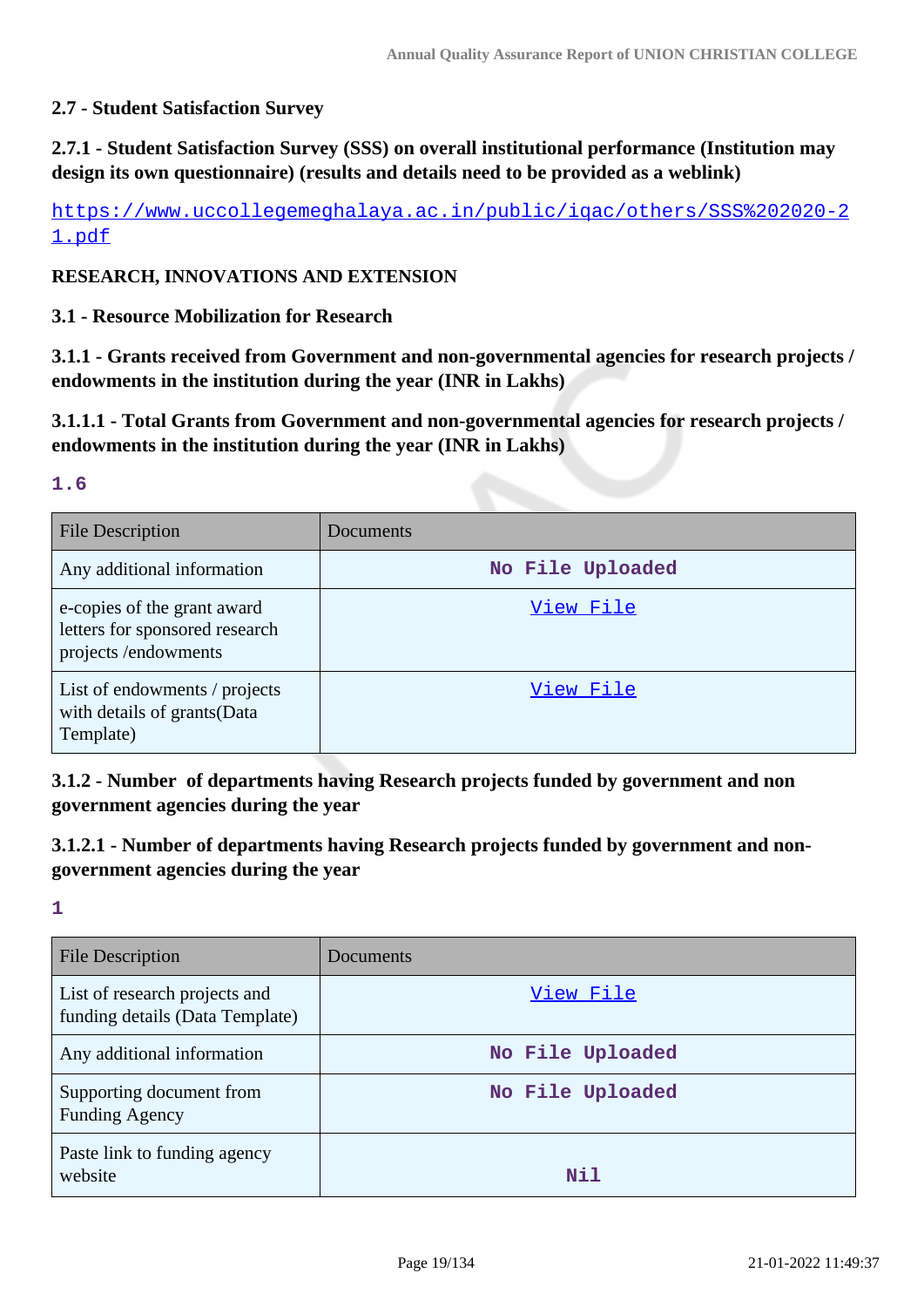### **2.7 - Student Satisfaction Survey**

**2.7.1 - Student Satisfaction Survey (SSS) on overall institutional performance (Institution may design its own questionnaire) (results and details need to be provided as a weblink)**

[https://www.uccollegemeghalaya.ac.in/public/iqac/others/SSS%202020-2](https://www.uccollegemeghalaya.ac.in/public/iqac/others/SSS%202020-21.pdf) [1.pdf](https://www.uccollegemeghalaya.ac.in/public/iqac/others/SSS%202020-21.pdf)

#### **RESEARCH, INNOVATIONS AND EXTENSION**

#### **3.1 - Resource Mobilization for Research**

**3.1.1 - Grants received from Government and non-governmental agencies for research projects / endowments in the institution during the year (INR in Lakhs)**

**3.1.1.1 - Total Grants from Government and non-governmental agencies for research projects / endowments in the institution during the year (INR in Lakhs)**

#### **1.6**

| <b>File Description</b>                                                              | Documents        |
|--------------------------------------------------------------------------------------|------------------|
| Any additional information                                                           | No File Uploaded |
| e-copies of the grant award<br>letters for sponsored research<br>projects/endowments | View File        |
| List of endowments / projects<br>with details of grants (Data<br>Template)           | View File        |

**3.1.2 - Number of departments having Research projects funded by government and non government agencies during the year**

### **3.1.2.1 - Number of departments having Research projects funded by government and nongovernment agencies during the year**

| File Description                                                 | Documents        |
|------------------------------------------------------------------|------------------|
| List of research projects and<br>funding details (Data Template) | View File        |
| Any additional information                                       | No File Uploaded |
| Supporting document from<br><b>Funding Agency</b>                | No File Uploaded |
| Paste link to funding agency<br>website                          | Nil              |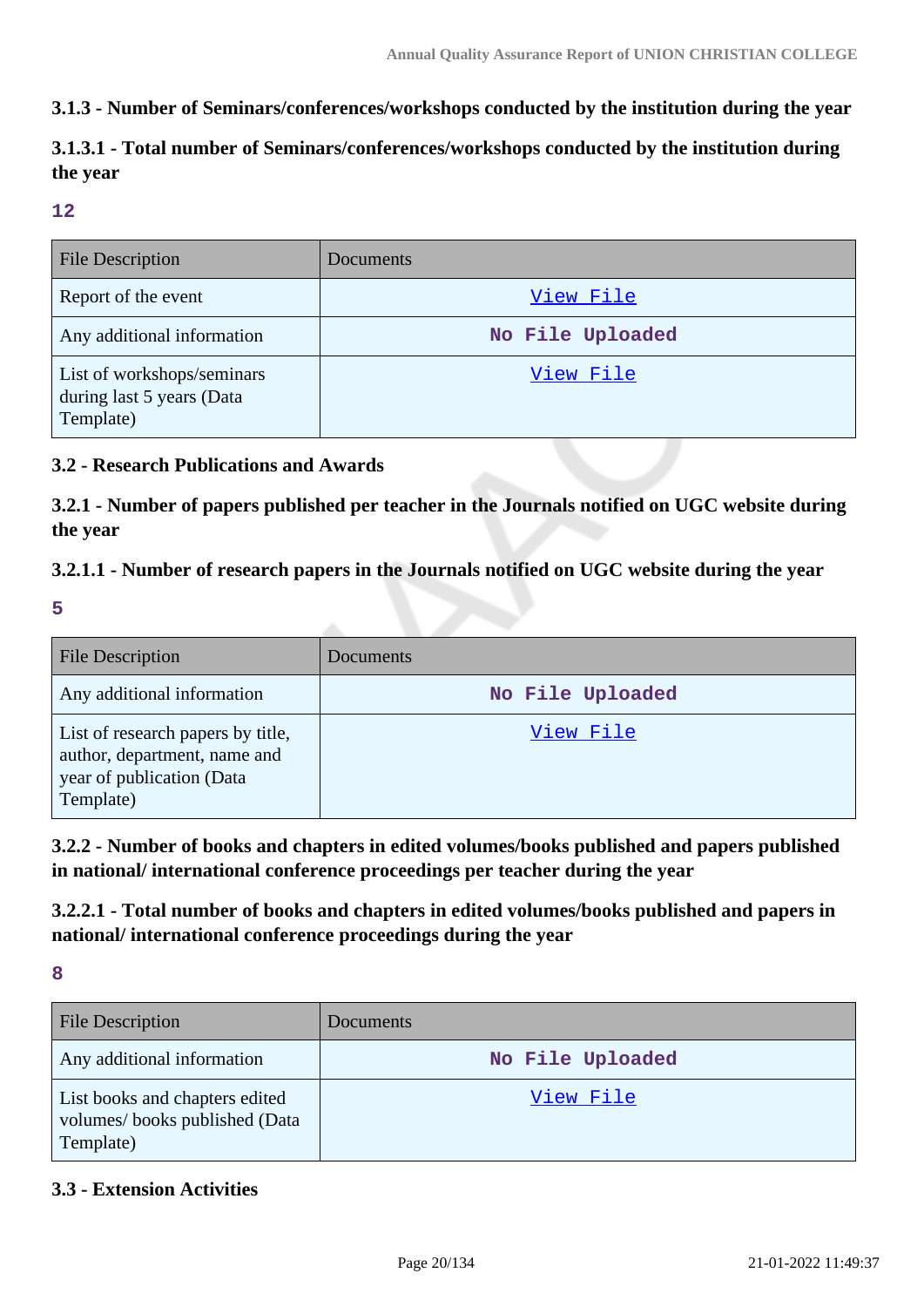### **3.1.3 - Number of Seminars/conferences/workshops conducted by the institution during the year**

## **3.1.3.1 - Total number of Seminars/conferences/workshops conducted by the institution during the year**

#### **12**

| <b>File Description</b>                                              | Documents        |
|----------------------------------------------------------------------|------------------|
| Report of the event                                                  | View File        |
| Any additional information                                           | No File Uploaded |
| List of workshops/seminars<br>during last 5 years (Data<br>Template) | View File        |

### **3.2 - Research Publications and Awards**

**3.2.1 - Number of papers published per teacher in the Journals notified on UGC website during the year**

### **3.2.1.1 - Number of research papers in the Journals notified on UGC website during the year**

**5**

| <b>File Description</b>                                                                                     | Documents        |
|-------------------------------------------------------------------------------------------------------------|------------------|
| Any additional information                                                                                  | No File Uploaded |
| List of research papers by title,<br>author, department, name and<br>year of publication (Data<br>Template) | View File        |

**3.2.2 - Number of books and chapters in edited volumes/books published and papers published in national/ international conference proceedings per teacher during the year**

**3.2.2.1 - Total number of books and chapters in edited volumes/books published and papers in national/ international conference proceedings during the year**

**8**

| <b>File Description</b>                                                      | Documents        |
|------------------------------------------------------------------------------|------------------|
| Any additional information                                                   | No File Uploaded |
| List books and chapters edited<br>volumes/books published (Data<br>Template) | View File        |

### **3.3 - Extension Activities**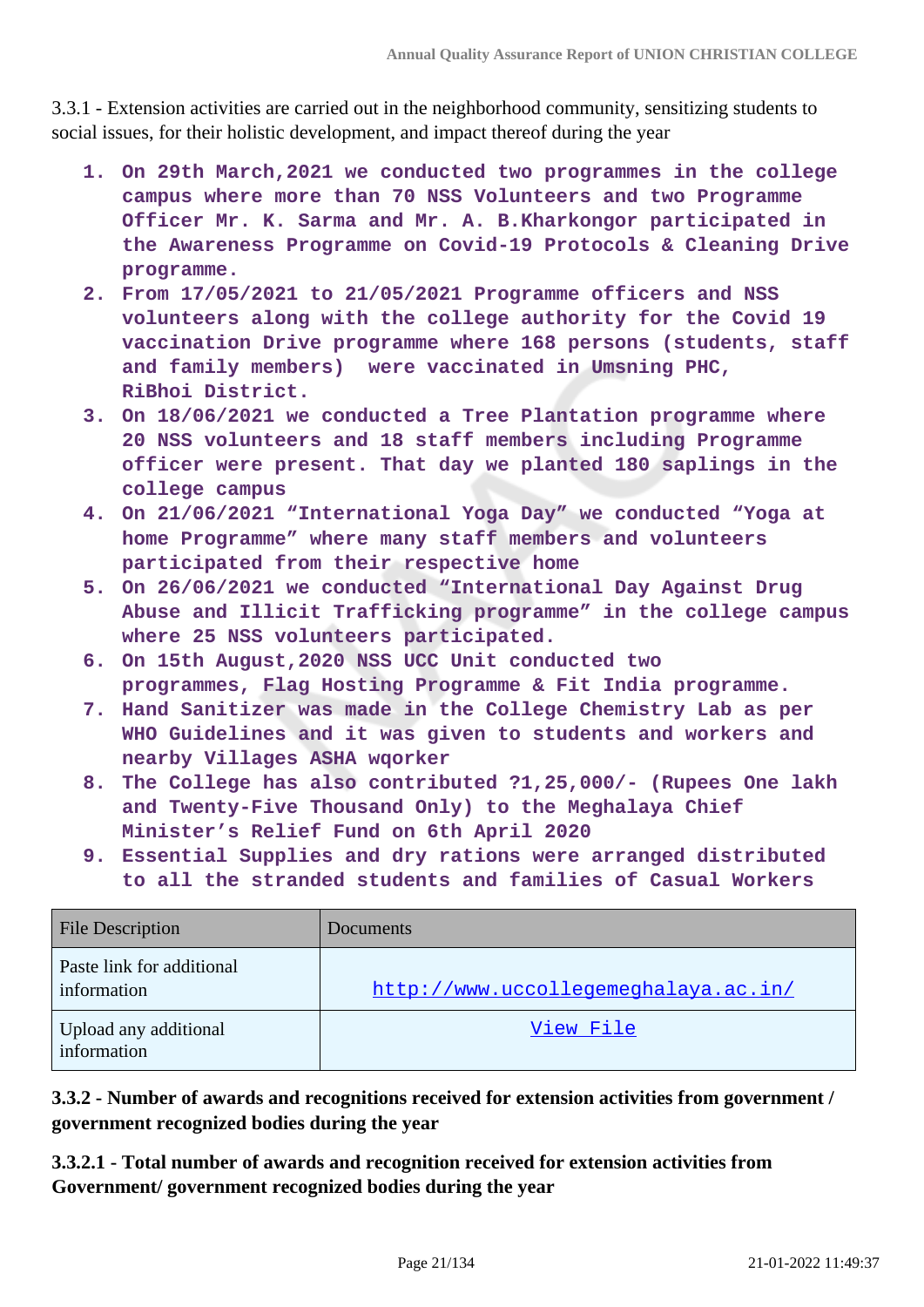3.3.1 - Extension activities are carried out in the neighborhood community, sensitizing students to social issues, for their holistic development, and impact thereof during the year

- **1. On 29th March,2021 we conducted two programmes in the college campus where more than 70 NSS Volunteers and two Programme Officer Mr. K. Sarma and Mr. A. B.Kharkongor participated in the Awareness Programme on Covid-19 Protocols & Cleaning Drive programme.**
- **2. From 17/05/2021 to 21/05/2021 Programme officers and NSS volunteers along with the college authority for the Covid 19 vaccination Drive programme where 168 persons (students, staff and family members) were vaccinated in Umsning PHC, RiBhoi District.**
- **3. On 18/06/2021 we conducted a Tree Plantation programme where 20 NSS volunteers and 18 staff members including Programme officer were present. That day we planted 180 saplings in the college campus**
- **4. On 21/06/2021 "International Yoga Day" we conducted "Yoga at home Programme" where many staff members and volunteers participated from their respective home**
- **5. On 26/06/2021 we conducted "International Day Against Drug Abuse and Illicit Trafficking programme" in the college campus where 25 NSS volunteers participated.**
- **6. On 15th August,2020 NSS UCC Unit conducted two programmes, Flag Hosting Programme & Fit India programme.**
- **7. Hand Sanitizer was made in the College Chemistry Lab as per WHO Guidelines and it was given to students and workers and nearby Villages ASHA wqorker**
- **8. The College has also contributed ?1,25,000/- (Rupees One lakh and Twenty-Five Thousand Only) to the Meghalaya Chief Minister's Relief Fund on 6th April 2020**
- **9. Essential Supplies and dry rations were arranged distributed to all the stranded students and families of Casual Workers**

| <b>File Description</b>                  | Documents                            |
|------------------------------------------|--------------------------------------|
| Paste link for additional<br>information | http://www.uccollegemeghalaya.ac.in/ |
| Upload any additional<br>information     | View File                            |

**3.3.2 - Number of awards and recognitions received for extension activities from government / government recognized bodies during the year**

**3.3.2.1 - Total number of awards and recognition received for extension activities from Government/ government recognized bodies during the year**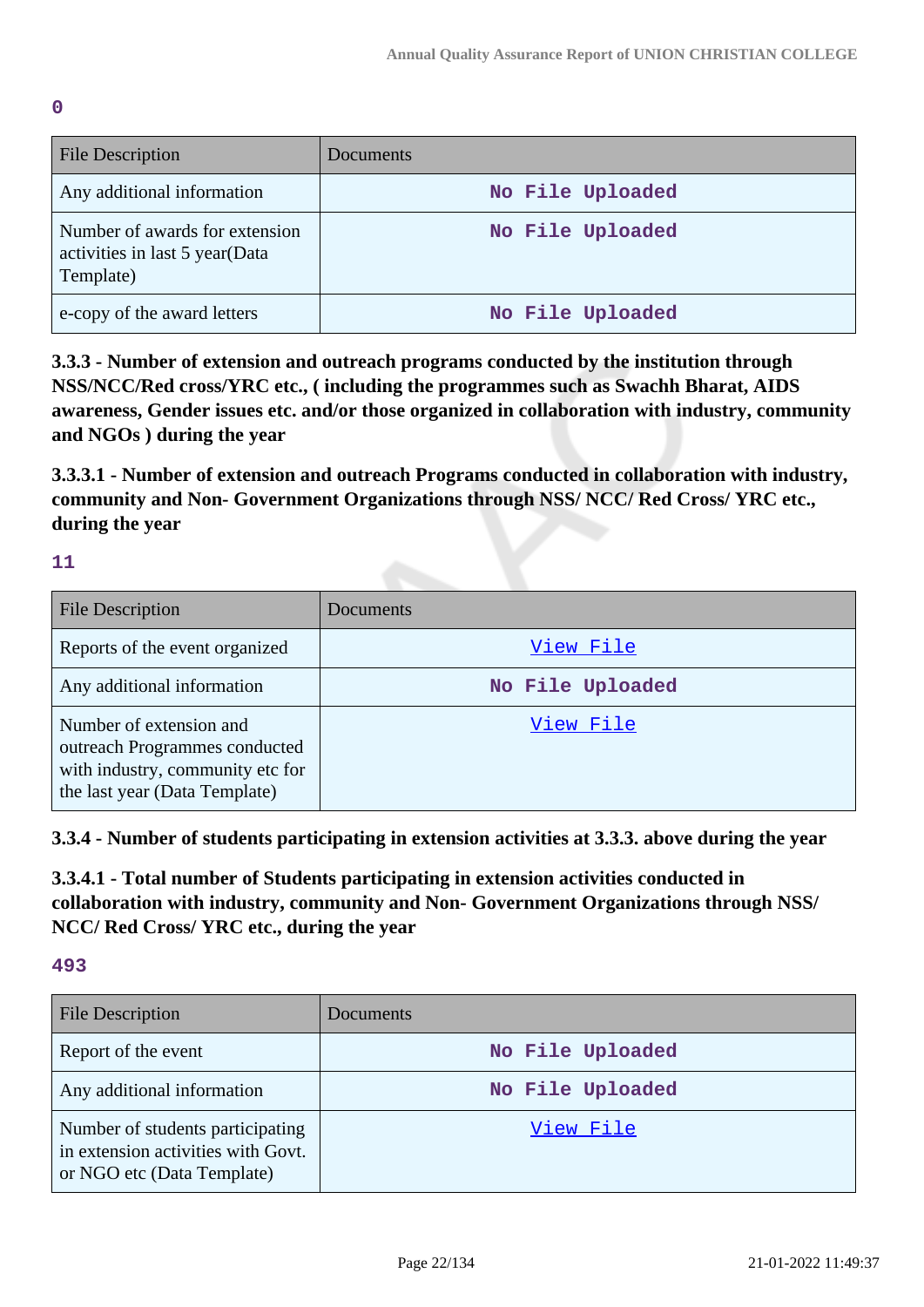**0**

| <b>File Description</b>                                                       | Documents        |
|-------------------------------------------------------------------------------|------------------|
| Any additional information                                                    | No File Uploaded |
| Number of awards for extension<br>activities in last 5 year(Data<br>Template) | No File Uploaded |
| e-copy of the award letters                                                   | No File Uploaded |

**3.3.3 - Number of extension and outreach programs conducted by the institution through NSS/NCC/Red cross/YRC etc., ( including the programmes such as Swachh Bharat, AIDS awareness, Gender issues etc. and/or those organized in collaboration with industry, community and NGOs ) during the year**

**3.3.3.1 - Number of extension and outreach Programs conducted in collaboration with industry, community and Non- Government Organizations through NSS/ NCC/ Red Cross/ YRC etc., during the year**

**11**

| File Description                                                                                                              | <b>Documents</b> |
|-------------------------------------------------------------------------------------------------------------------------------|------------------|
| Reports of the event organized                                                                                                | View File        |
| Any additional information                                                                                                    | No File Uploaded |
| Number of extension and<br>outreach Programmes conducted<br>with industry, community etc for<br>the last year (Data Template) | View File        |

**3.3.4 - Number of students participating in extension activities at 3.3.3. above during the year**

**3.3.4.1 - Total number of Students participating in extension activities conducted in collaboration with industry, community and Non- Government Organizations through NSS/ NCC/ Red Cross/ YRC etc., during the year**

| <b>File Description</b>                                                                              | <b>Documents</b> |
|------------------------------------------------------------------------------------------------------|------------------|
| Report of the event                                                                                  | No File Uploaded |
| Any additional information                                                                           | No File Uploaded |
| Number of students participating<br>in extension activities with Govt.<br>or NGO etc (Data Template) | View File        |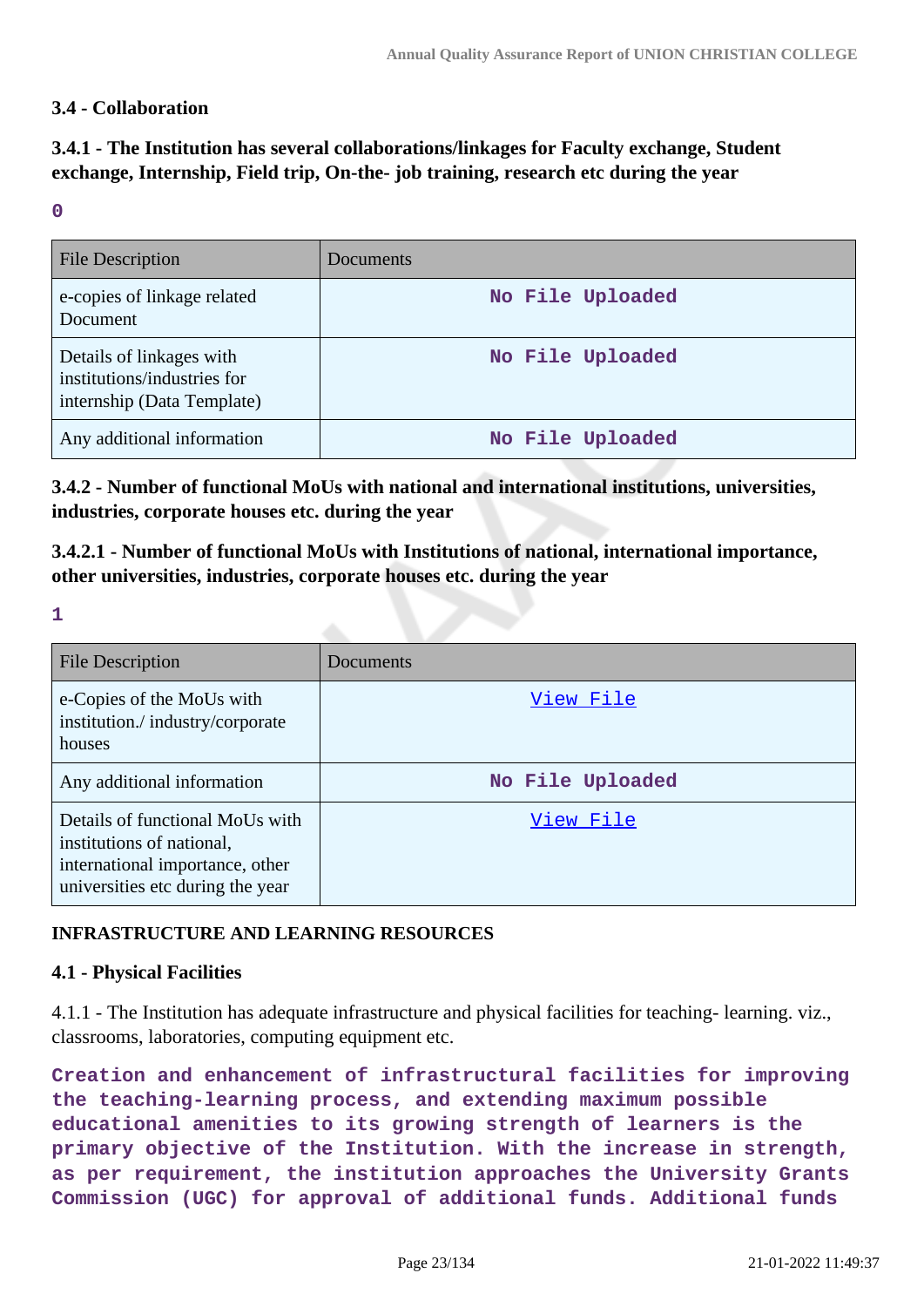### **3.4 - Collaboration**

### **3.4.1 - The Institution has several collaborations/linkages for Faculty exchange, Student exchange, Internship, Field trip, On-the- job training, research etc during the year**

#### **0**

| <b>File Description</b>                                                               | Documents        |
|---------------------------------------------------------------------------------------|------------------|
| e-copies of linkage related<br>Document                                               | No File Uploaded |
| Details of linkages with<br>institutions/industries for<br>internship (Data Template) | No File Uploaded |
| Any additional information                                                            | No File Uploaded |

**3.4.2 - Number of functional MoUs with national and international institutions, universities, industries, corporate houses etc. during the year**

**3.4.2.1 - Number of functional MoUs with Institutions of national, international importance, other universities, industries, corporate houses etc. during the year**

**1**

| File Description                                                                                                                    | Documents        |
|-------------------------------------------------------------------------------------------------------------------------------------|------------------|
| e-Copies of the MoUs with<br>institution./industry/corporate<br>houses                                                              | View File        |
| Any additional information                                                                                                          | No File Uploaded |
| Details of functional MoUs with<br>institutions of national,<br>international importance, other<br>universities etc during the year | View File        |

#### **INFRASTRUCTURE AND LEARNING RESOURCES**

#### **4.1 - Physical Facilities**

4.1.1 - The Institution has adequate infrastructure and physical facilities for teaching- learning. viz., classrooms, laboratories, computing equipment etc.

**Creation and enhancement of infrastructural facilities for improving the teaching-learning process, and extending maximum possible educational amenities to its growing strength of learners is the primary objective of the Institution. With the increase in strength, as per requirement, the institution approaches the University Grants Commission (UGC) for approval of additional funds. Additional funds**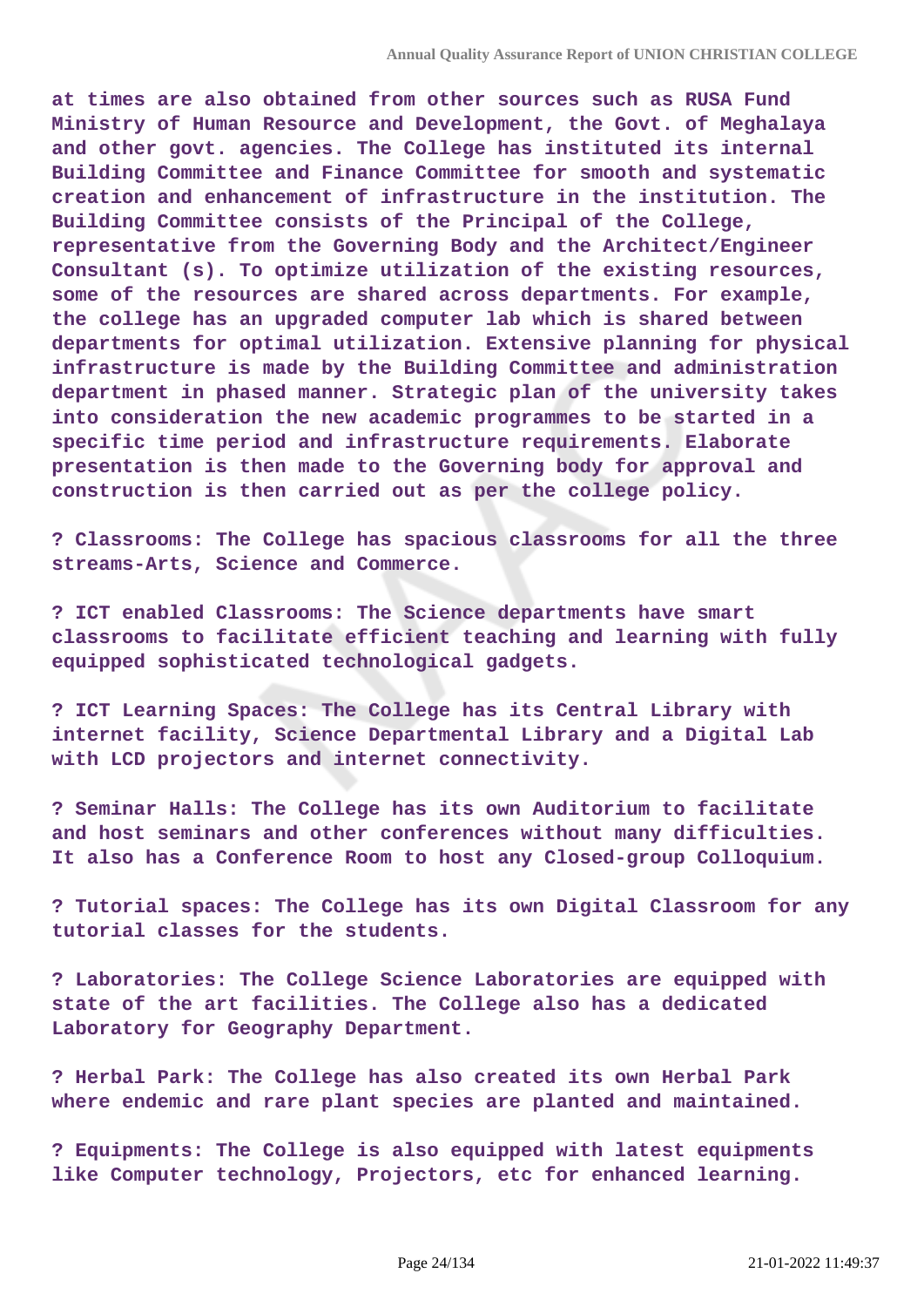**at times are also obtained from other sources such as RUSA Fund Ministry of Human Resource and Development, the Govt. of Meghalaya and other govt. agencies. The College has instituted its internal Building Committee and Finance Committee for smooth and systematic creation and enhancement of infrastructure in the institution. The Building Committee consists of the Principal of the College, representative from the Governing Body and the Architect/Engineer Consultant (s). To optimize utilization of the existing resources, some of the resources are shared across departments. For example, the college has an upgraded computer lab which is shared between departments for optimal utilization. Extensive planning for physical infrastructure is made by the Building Committee and administration department in phased manner. Strategic plan of the university takes into consideration the new academic programmes to be started in a specific time period and infrastructure requirements. Elaborate presentation is then made to the Governing body for approval and construction is then carried out as per the college policy.**

**? Classrooms: The College has spacious classrooms for all the three streams-Arts, Science and Commerce.**

**? ICT enabled Classrooms: The Science departments have smart classrooms to facilitate efficient teaching and learning with fully equipped sophisticated technological gadgets.**

**? ICT Learning Spaces: The College has its Central Library with internet facility, Science Departmental Library and a Digital Lab with LCD projectors and internet connectivity.**

**? Seminar Halls: The College has its own Auditorium to facilitate and host seminars and other conferences without many difficulties. It also has a Conference Room to host any Closed-group Colloquium.**

**? Tutorial spaces: The College has its own Digital Classroom for any tutorial classes for the students.**

**? Laboratories: The College Science Laboratories are equipped with state of the art facilities. The College also has a dedicated Laboratory for Geography Department.**

**? Herbal Park: The College has also created its own Herbal Park where endemic and rare plant species are planted and maintained.**

**? Equipments: The College is also equipped with latest equipments like Computer technology, Projectors, etc for enhanced learning.**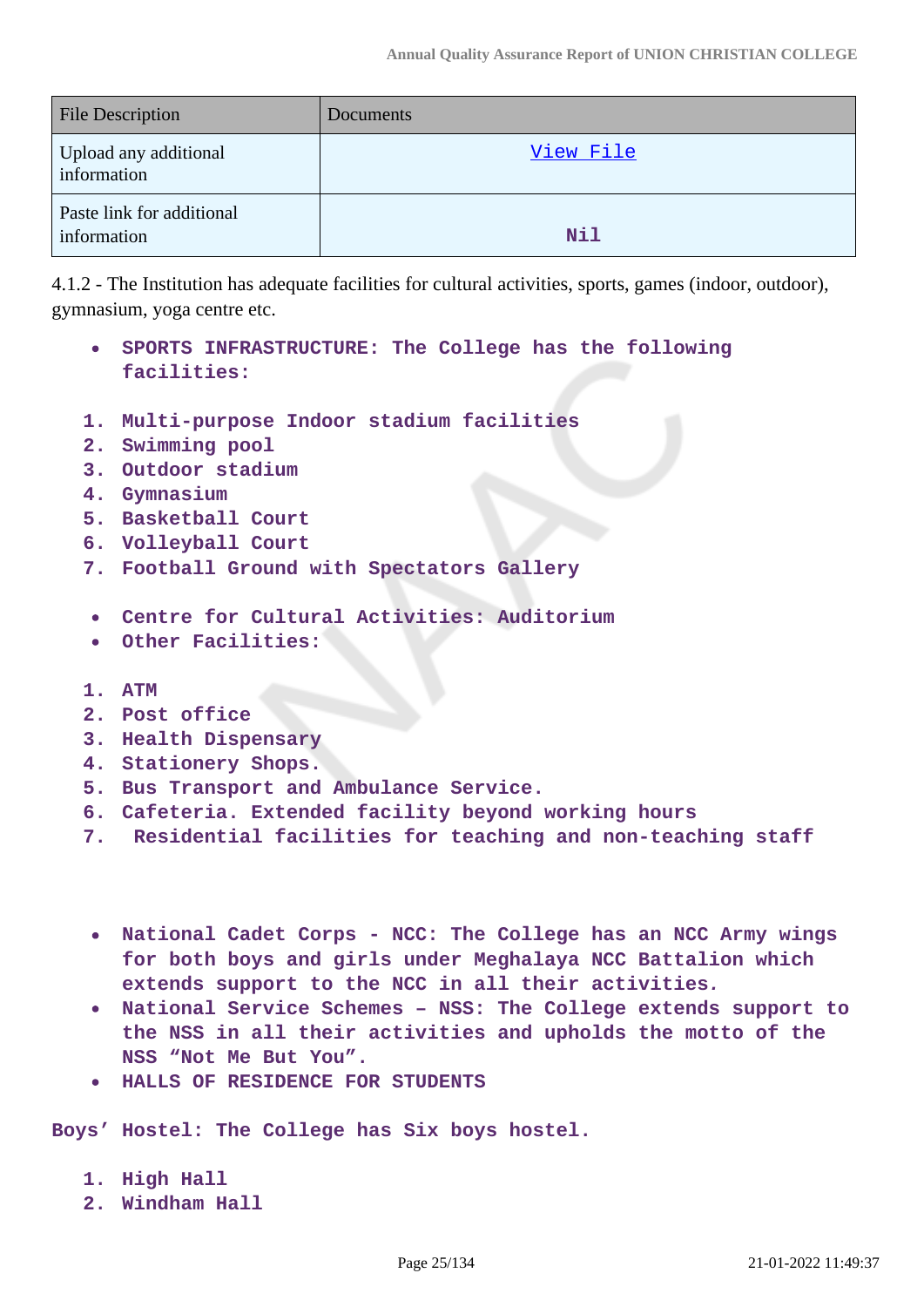| <b>File Description</b>                  | Documents  |
|------------------------------------------|------------|
| Upload any additional<br>information     | View File  |
| Paste link for additional<br>information | <b>Nil</b> |

4.1.2 - The Institution has adequate facilities for cultural activities, sports, games (indoor, outdoor), gymnasium, yoga centre etc.

- **SPORTS INFRASTRUCTURE: The College has the following facilities:**
- **1. Multi-purpose Indoor stadium facilities**
- **2. Swimming pool**
- **3. Outdoor stadium**
- **4. Gymnasium**
- **5. Basketball Court**
- **6. Volleyball Court**
- **7. Football Ground with Spectators Gallery**
- **Centre for Cultural Activities: Auditorium**
- **Other Facilities:**
- **1. ATM**
- **2. Post office**
- **3. Health Dispensary**
- **4. Stationery Shops.**
- **5. Bus Transport and Ambulance Service.**
- **6. Cafeteria. Extended facility beyond working hours**
- **7. Residential facilities for teaching and non-teaching staff**
- **National Cadet Corps NCC: The College has an NCC Army wings for both boys and girls under Meghalaya NCC Battalion which extends support to the NCC in all their activities.**
- **National Service Schemes NSS: The College extends support to the NSS in all their activities and upholds the motto of the NSS "Not Me But You".**
- **HALLS OF RESIDENCE FOR STUDENTS**

**Boys' Hostel: The College has Six boys hostel.**

- **1. High Hall**
- **2. Windham Hall**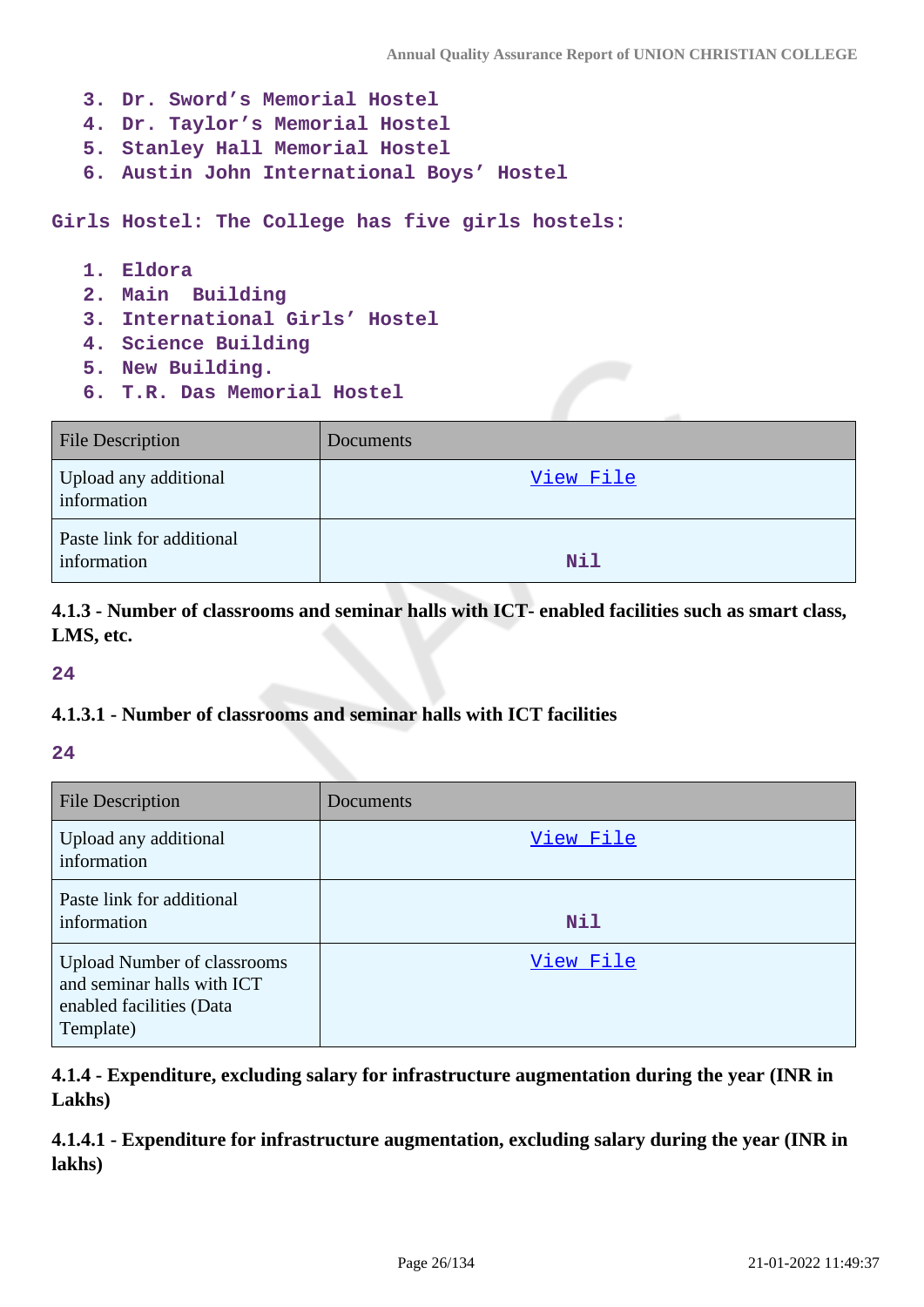- **3. Dr. Sword's Memorial Hostel 4. Dr. Taylor's Memorial Hostel 5. Stanley Hall Memorial Hostel**
- **6. Austin John International Boys' Hostel**

**Girls Hostel: The College has five girls hostels:**

- **1. Eldora**
- **2. Main Building**
- **3. International Girls' Hostel**
- **4. Science Building**
- **5. New Building.**
- **6. T.R. Das Memorial Hostel**

| <b>File Description</b>                  | Documents  |
|------------------------------------------|------------|
| Upload any additional<br>information     | View File  |
| Paste link for additional<br>information | <b>Nil</b> |

**4.1.3 - Number of classrooms and seminar halls with ICT- enabled facilities such as smart class, LMS, etc.**

**24**

#### **4.1.3.1 - Number of classrooms and seminar halls with ICT facilities**

#### **24**

| <b>File Description</b>                                                                                   | Documents |
|-----------------------------------------------------------------------------------------------------------|-----------|
| Upload any additional<br>information                                                                      | View File |
| Paste link for additional<br>information                                                                  | Nil       |
| <b>Upload Number of classrooms</b><br>and seminar halls with ICT<br>enabled facilities (Data<br>Template) | View File |

**4.1.4 - Expenditure, excluding salary for infrastructure augmentation during the year (INR in Lakhs)**

**4.1.4.1 - Expenditure for infrastructure augmentation, excluding salary during the year (INR in lakhs)**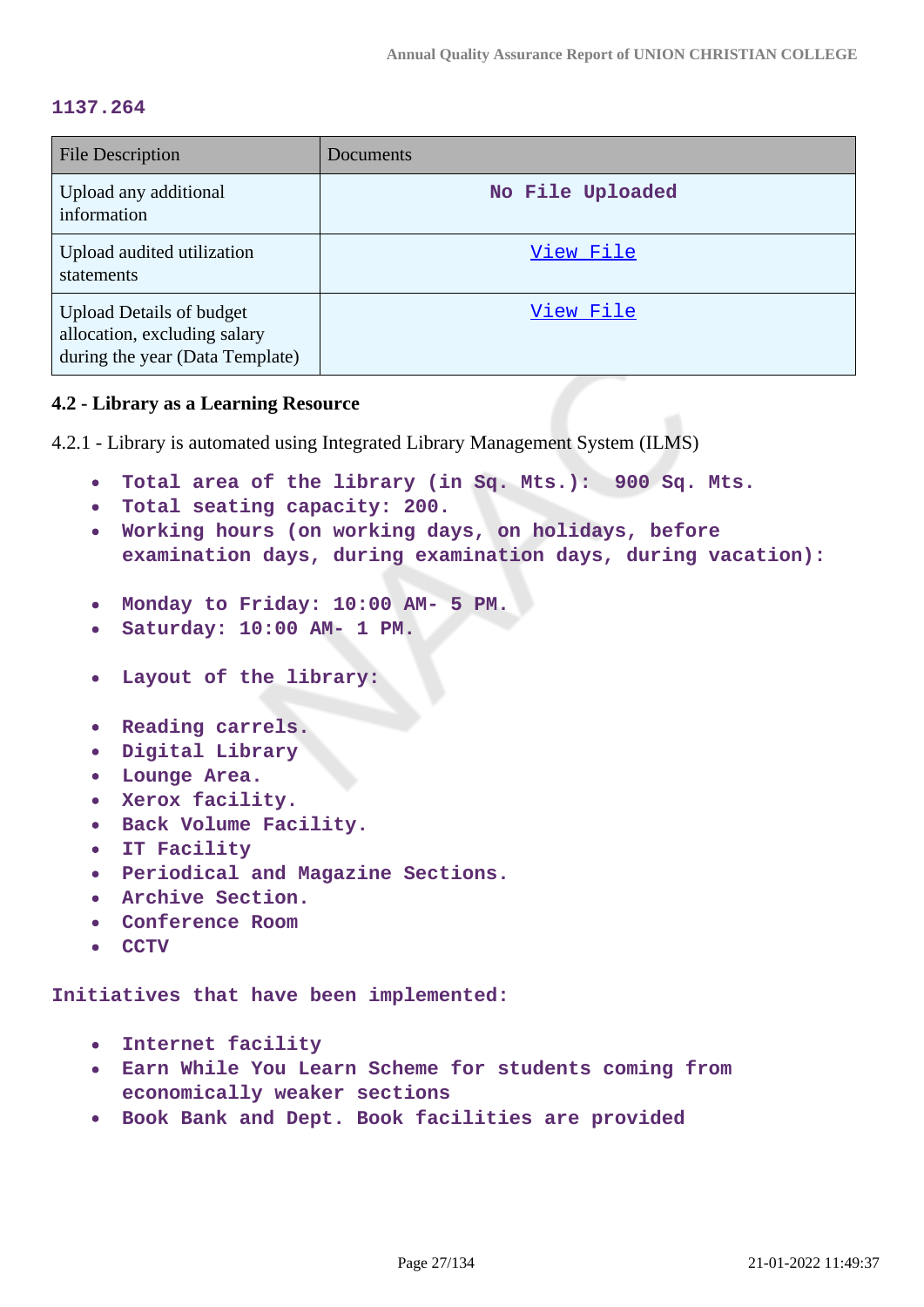#### **1137.264**

| <b>File Description</b>                                                                            | Documents        |
|----------------------------------------------------------------------------------------------------|------------------|
| Upload any additional<br>information                                                               | No File Uploaded |
| Upload audited utilization<br>statements                                                           | View File        |
| <b>Upload Details of budget</b><br>allocation, excluding salary<br>during the year (Data Template) | View File        |

#### **4.2 - Library as a Learning Resource**

4.2.1 - Library is automated using Integrated Library Management System (ILMS)

- **Total area of the library (in Sq. Mts.): 900 Sq. Mts.**
- **Total seating capacity: 200.**
- **Working hours (on working days, on holidays, before examination days, during examination days, during vacation):**
- **Monday to Friday: 10:00 AM- 5 PM.**
- **Saturday: 10:00 AM- 1 PM.**
- **Layout of the library:**
- **Reading carrels.**
- **Digital Library**
- **Lounge Area.**
- **Xerox facility.**
- **Back Volume Facility.**
- **IT Facility**  $\bullet$
- **Periodical and Magazine Sections.**
- **Archive Section.**
- **Conference Room**
- **CCTV**

**Initiatives that have been implemented:** 

- **Internet facility**
- **Earn While You Learn Scheme for students coming from economically weaker sections**
- **Book Bank and Dept. Book facilities are provided**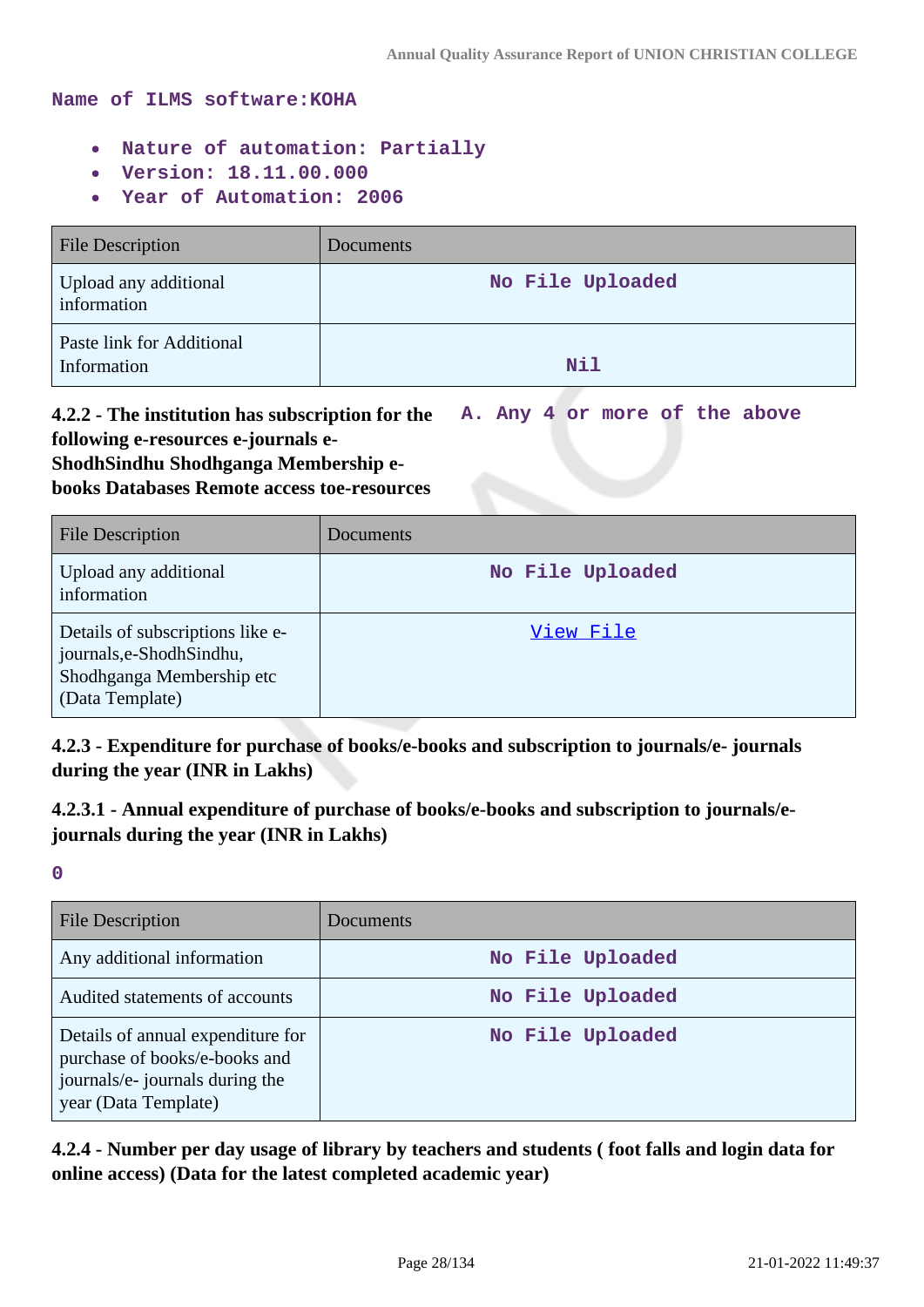#### **Name of ILMS software:KOHA**

- **Nature of automation: Partially**
- **Version: 18.11.00.000**
- **Year of Automation: 2006**  $\bullet$

| <b>File Description</b>                  | Documents        |
|------------------------------------------|------------------|
| Upload any additional<br>information     | No File Uploaded |
| Paste link for Additional<br>Information | Nil              |

**4.2.2 - The institution has subscription for the following e-resources e-journals e-ShodhSindhu Shodhganga Membership e-A. Any 4 or more of the above**

**books Databases Remote access toe-resources**

| <b>File Description</b>                                                                                       | <b>Documents</b> |
|---------------------------------------------------------------------------------------------------------------|------------------|
| Upload any additional<br>information                                                                          | No File Uploaded |
| Details of subscriptions like e-<br>journals, e-Shodh Sindhu,<br>Shodhganga Membership etc<br>(Data Template) | View File        |

**4.2.3 - Expenditure for purchase of books/e-books and subscription to journals/e- journals during the year (INR in Lakhs)**

**4.2.3.1 - Annual expenditure of purchase of books/e-books and subscription to journals/ejournals during the year (INR in Lakhs)**

**0**

| <b>File Description</b>                                                                                                       | Documents        |
|-------------------------------------------------------------------------------------------------------------------------------|------------------|
| Any additional information                                                                                                    | No File Uploaded |
| Audited statements of accounts                                                                                                | No File Uploaded |
| Details of annual expenditure for<br>purchase of books/e-books and<br>journals/e- journals during the<br>year (Data Template) | No File Uploaded |

**4.2.4 - Number per day usage of library by teachers and students ( foot falls and login data for online access) (Data for the latest completed academic year)**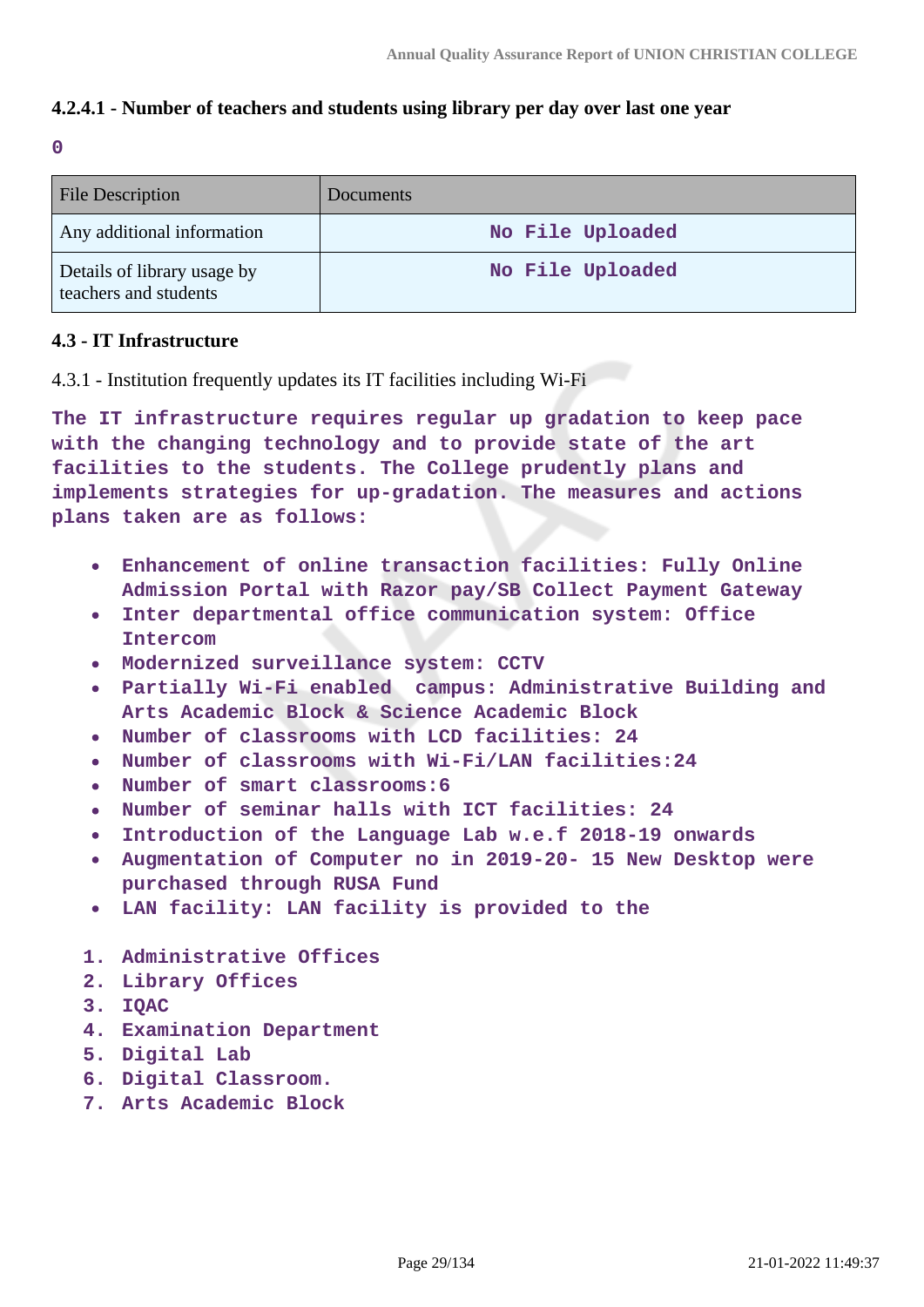### **4.2.4.1 - Number of teachers and students using library per day over last one year**

**0**

| <b>File Description</b>                              | <b>Documents</b> |
|------------------------------------------------------|------------------|
| Any additional information                           | No File Uploaded |
| Details of library usage by<br>teachers and students | No File Uploaded |

#### **4.3 - IT Infrastructure**

4.3.1 - Institution frequently updates its IT facilities including Wi-Fi

**The IT infrastructure requires regular up gradation to keep pace with the changing technology and to provide state of the art facilities to the students. The College prudently plans and implements strategies for up-gradation. The measures and actions plans taken are as follows:**

- **Enhancement of online transaction facilities: Fully Online Admission Portal with Razor pay/SB Collect Payment Gateway**
- **Inter departmental office communication system: Office Intercom**
- **Modernized surveillance system: CCTV**
- **Partially Wi-Fi enabled campus: Administrative Building and Arts Academic Block & Science Academic Block**
- **Number of classrooms with LCD facilities: 24**
- **Number of classrooms with Wi-Fi/LAN facilities:24**
- **Number of smart classrooms:6**
- **Number of seminar halls with ICT facilities: 24**
- **Introduction of the Language Lab w.e.f 2018-19 onwards**
- **Augmentation of Computer no in 2019-20- 15 New Desktop were purchased through RUSA Fund**
- **LAN facility: LAN facility is provided to the**
- **1. Administrative Offices**
- **2. Library Offices**
- **3. IQAC**
- **4. Examination Department**
- **5. Digital Lab**
- **6. Digital Classroom.**
- **7. Arts Academic Block**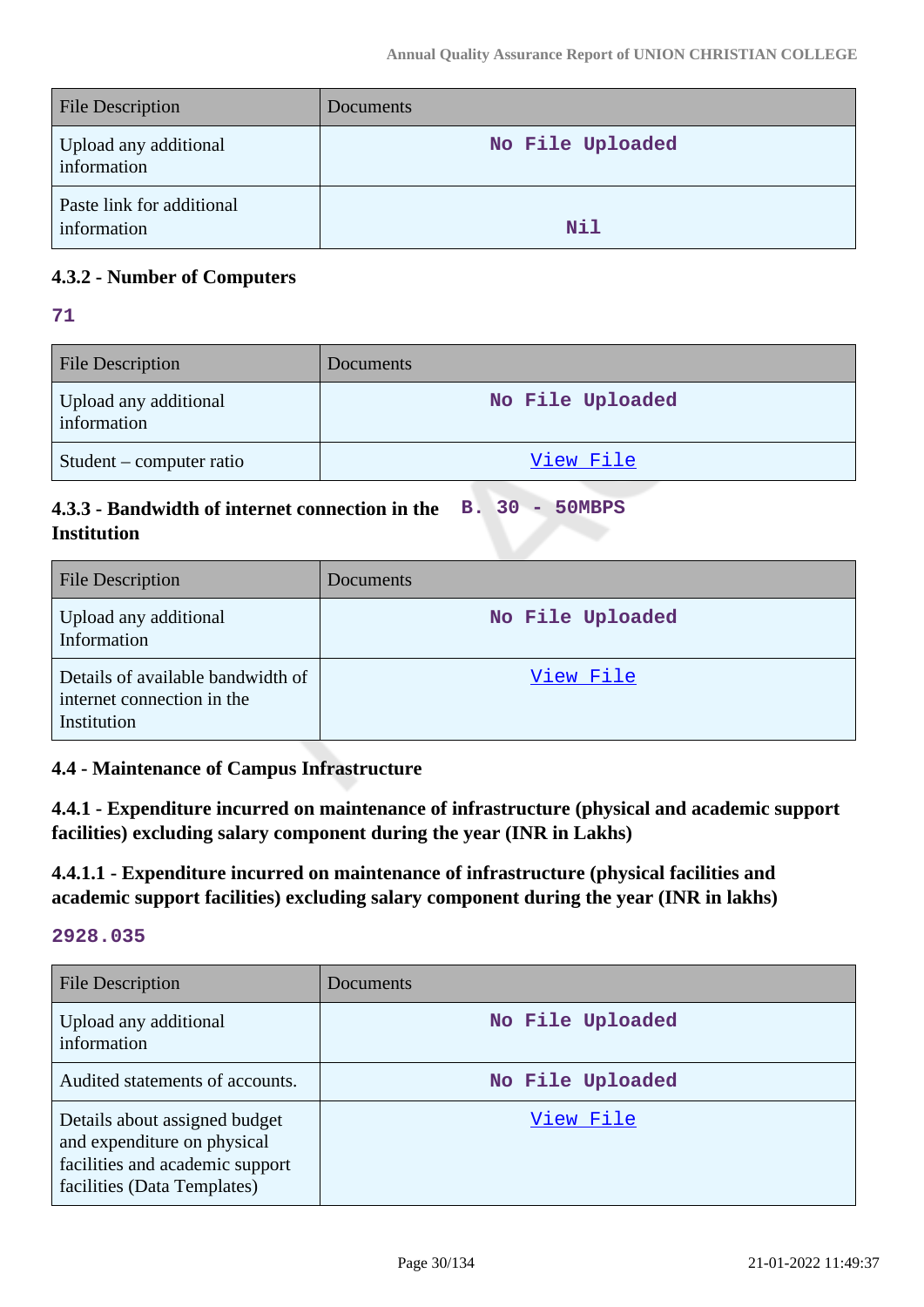| File Description                         | <b>Documents</b> |
|------------------------------------------|------------------|
| Upload any additional<br>information     | No File Uploaded |
| Paste link for additional<br>information | Nil              |

### **4.3.2 - Number of Computers**

**71**

| <b>File Description</b>              | Documents <sup>1</sup> |
|--------------------------------------|------------------------|
| Upload any additional<br>information | No File Uploaded       |
| Student – computer ratio             | View File              |

#### **4.3.3 - Bandwidth of internet connection in the Institution B. 30 - 50MBPS**

| <b>File Description</b>                                                        | <b>Documents</b> |
|--------------------------------------------------------------------------------|------------------|
| Upload any additional<br>Information                                           | No File Uploaded |
| Details of available bandwidth of<br>internet connection in the<br>Institution | View File        |

### **4.4 - Maintenance of Campus Infrastructure**

**4.4.1 - Expenditure incurred on maintenance of infrastructure (physical and academic support facilities) excluding salary component during the year (INR in Lakhs)**

**4.4.1.1 - Expenditure incurred on maintenance of infrastructure (physical facilities and academic support facilities) excluding salary component during the year (INR in lakhs)**

#### **2928.035**

| File Description                                                                                                               | Documents        |
|--------------------------------------------------------------------------------------------------------------------------------|------------------|
| Upload any additional<br>information                                                                                           | No File Uploaded |
| Audited statements of accounts.                                                                                                | No File Uploaded |
| Details about assigned budget<br>and expenditure on physical<br>facilities and academic support<br>facilities (Data Templates) | View File        |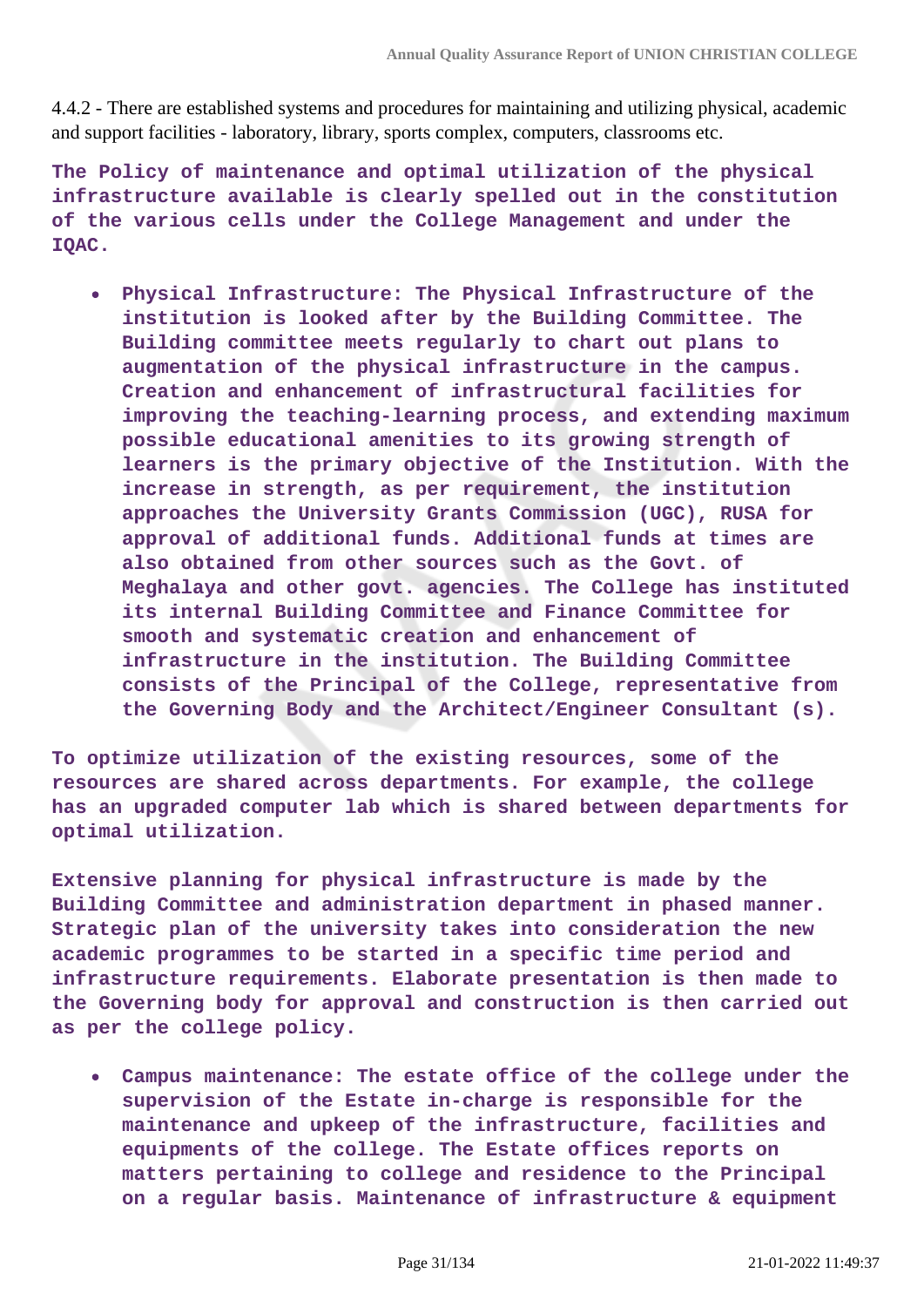4.4.2 - There are established systems and procedures for maintaining and utilizing physical, academic and support facilities - laboratory, library, sports complex, computers, classrooms etc.

**The Policy of maintenance and optimal utilization of the physical infrastructure available is clearly spelled out in the constitution of the various cells under the College Management and under the IQAC.**

**Physical Infrastructure: The Physical Infrastructure of the institution is looked after by the Building Committee. The Building committee meets regularly to chart out plans to augmentation of the physical infrastructure in the campus. Creation and enhancement of infrastructural facilities for improving the teaching-learning process, and extending maximum possible educational amenities to its growing strength of learners is the primary objective of the Institution. With the increase in strength, as per requirement, the institution approaches the University Grants Commission (UGC), RUSA for approval of additional funds. Additional funds at times are also obtained from other sources such as the Govt. of Meghalaya and other govt. agencies. The College has instituted its internal Building Committee and Finance Committee for smooth and systematic creation and enhancement of infrastructure in the institution. The Building Committee consists of the Principal of the College, representative from the Governing Body and the Architect/Engineer Consultant (s).**

**To optimize utilization of the existing resources, some of the resources are shared across departments. For example, the college has an upgraded computer lab which is shared between departments for optimal utilization.**

**Extensive planning for physical infrastructure is made by the Building Committee and administration department in phased manner. Strategic plan of the university takes into consideration the new academic programmes to be started in a specific time period and infrastructure requirements. Elaborate presentation is then made to the Governing body for approval and construction is then carried out as per the college policy.**

**Campus maintenance: The estate office of the college under the supervision of the Estate in-charge is responsible for the maintenance and upkeep of the infrastructure, facilities and equipments of the college. The Estate offices reports on matters pertaining to college and residence to the Principal on a regular basis. Maintenance of infrastructure & equipment**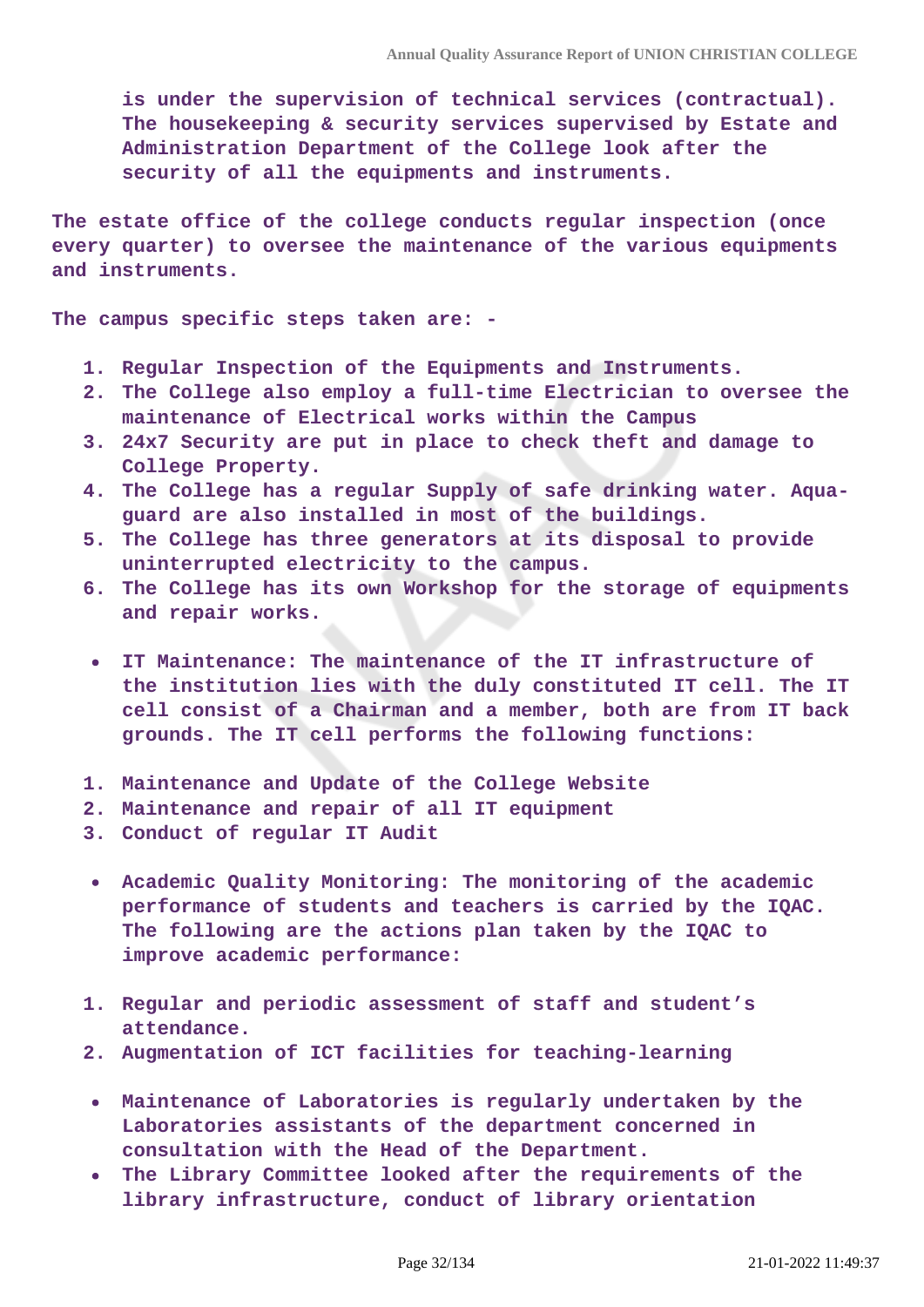**is under the supervision of technical services (contractual). The housekeeping & security services supervised by Estate and Administration Department of the College look after the security of all the equipments and instruments.**

**The estate office of the college conducts regular inspection (once every quarter) to oversee the maintenance of the various equipments and instruments.**

**The campus specific steps taken are: -**

- **1. Regular Inspection of the Equipments and Instruments.**
- **2. The College also employ a full-time Electrician to oversee the maintenance of Electrical works within the Campus**
- **3. 24x7 Security are put in place to check theft and damage to College Property.**
- **4. The College has a regular Supply of safe drinking water. Aquaguard are also installed in most of the buildings.**
- **5. The College has three generators at its disposal to provide uninterrupted electricity to the campus.**
- **6. The College has its own Workshop for the storage of equipments and repair works.**
- **IT Maintenance: The maintenance of the IT infrastructure of the institution lies with the duly constituted IT cell. The IT cell consist of a Chairman and a member, both are from IT back grounds. The IT cell performs the following functions:**
- **1. Maintenance and Update of the College Website**
- **2. Maintenance and repair of all IT equipment**

**3. Conduct of regular IT Audit**

- **Academic Quality Monitoring: The monitoring of the academic performance of students and teachers is carried by the IQAC. The following are the actions plan taken by the IQAC to improve academic performance:**
- **1. Regular and periodic assessment of staff and student's attendance.**
- **2. Augmentation of ICT facilities for teaching-learning**
- **Maintenance of Laboratories is regularly undertaken by the Laboratories assistants of the department concerned in consultation with the Head of the Department.**
- **The Library Committee looked after the requirements of the library infrastructure, conduct of library orientation**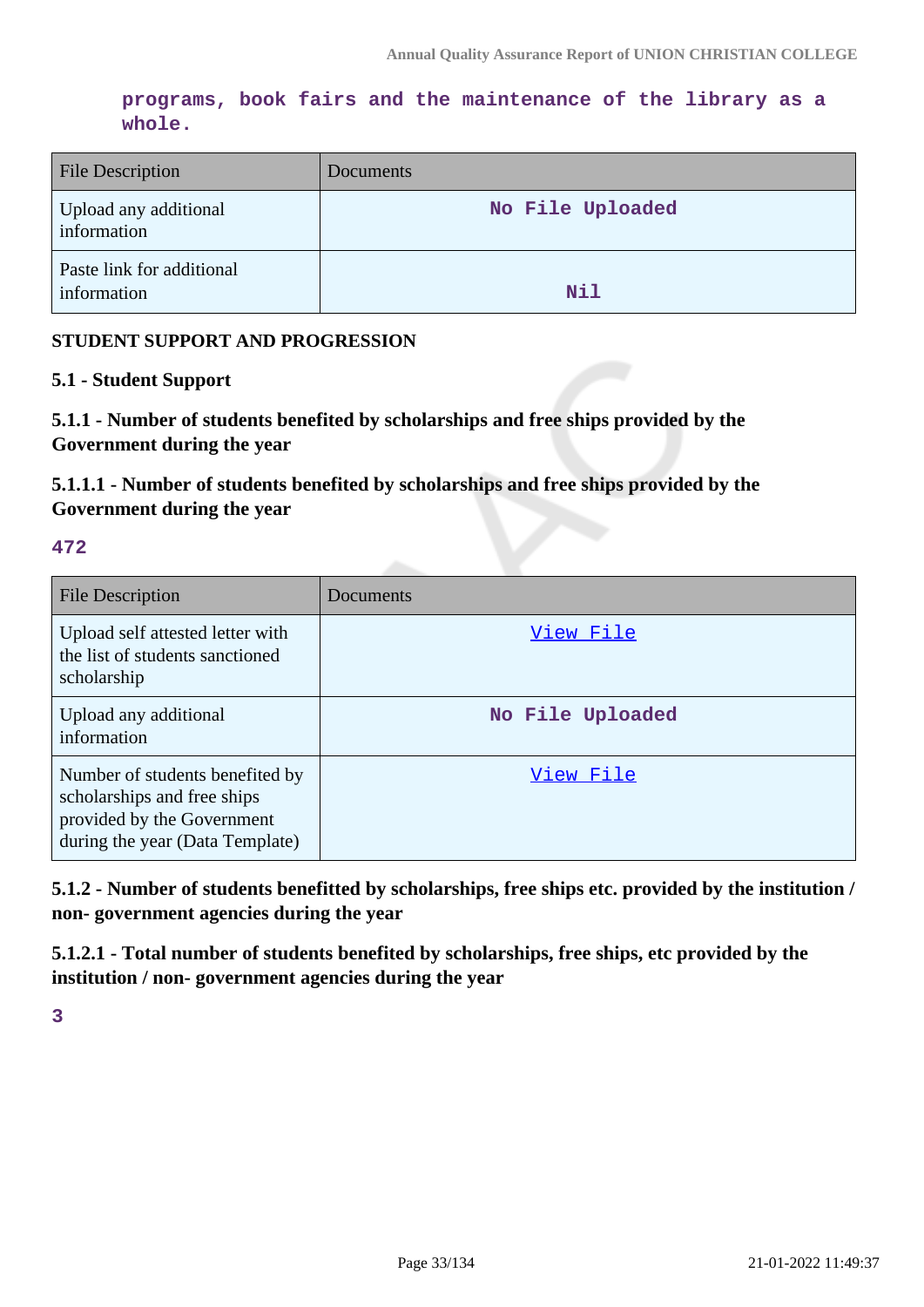**programs, book fairs and the maintenance of the library as a whole.**

| <b>File Description</b>                  | Documents        |
|------------------------------------------|------------------|
| Upload any additional<br>information     | No File Uploaded |
| Paste link for additional<br>information | Nil              |

#### **STUDENT SUPPORT AND PROGRESSION**

#### **5.1 - Student Support**

**5.1.1 - Number of students benefited by scholarships and free ships provided by the Government during the year**

**5.1.1.1 - Number of students benefited by scholarships and free ships provided by the Government during the year**

#### **472**

| File Description                                                                                                                | Documents        |
|---------------------------------------------------------------------------------------------------------------------------------|------------------|
| Upload self attested letter with<br>the list of students sanctioned<br>scholarship                                              | View File        |
| Upload any additional<br>information                                                                                            | No File Uploaded |
| Number of students benefited by<br>scholarships and free ships<br>provided by the Government<br>during the year (Data Template) | View File        |

**5.1.2 - Number of students benefitted by scholarships, free ships etc. provided by the institution / non- government agencies during the year**

**5.1.2.1 - Total number of students benefited by scholarships, free ships, etc provided by the institution / non- government agencies during the year**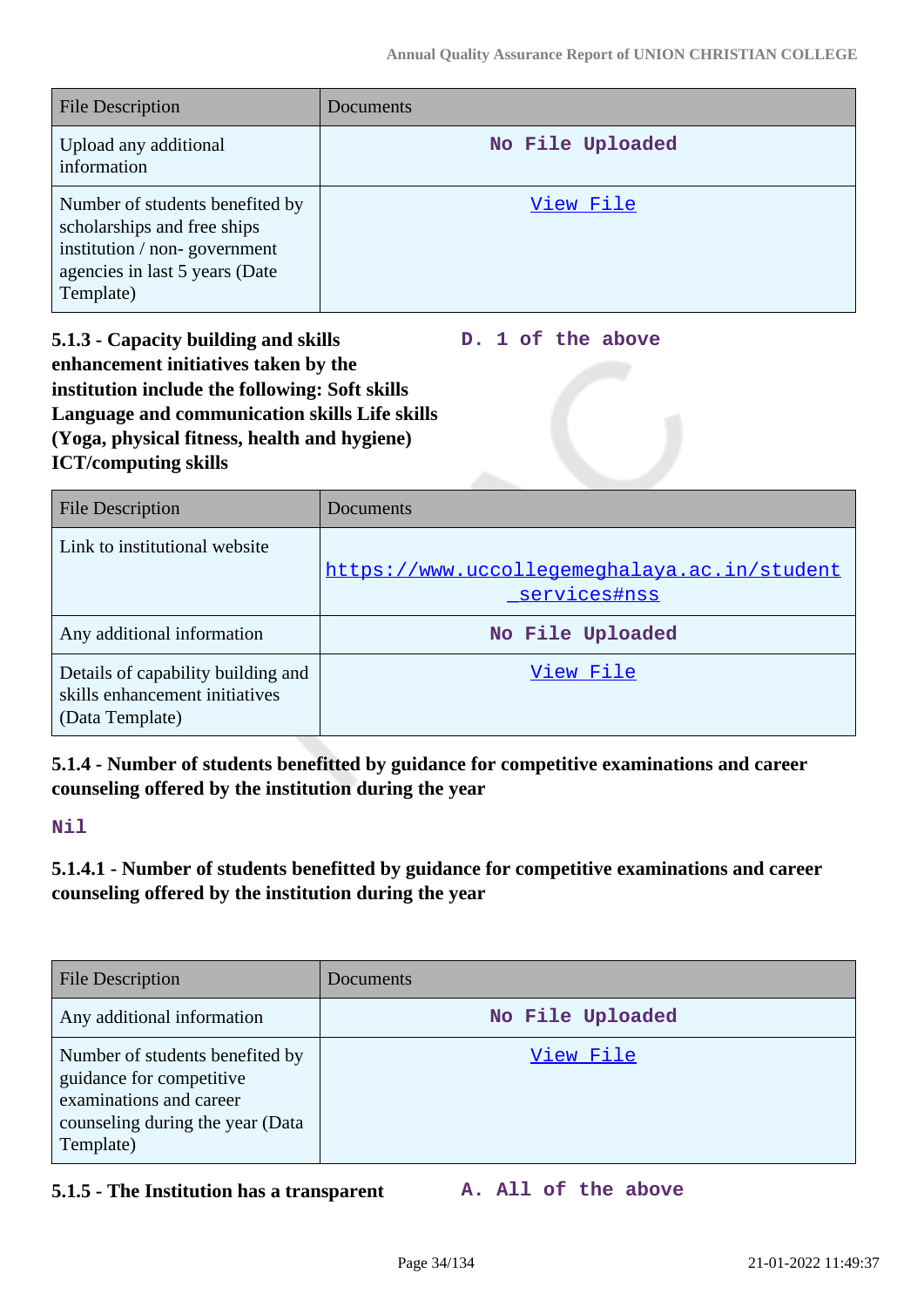**D. 1 of the above**

| <b>File Description</b>                                                                                                                       | Documents        |
|-----------------------------------------------------------------------------------------------------------------------------------------------|------------------|
| Upload any additional<br>information                                                                                                          | No File Uploaded |
| Number of students benefited by<br>scholarships and free ships<br>institution / non-government<br>agencies in last 5 years (Date<br>Template) | View File        |

**5.1.3 - Capacity building and skills enhancement initiatives taken by the institution include the following: Soft skills Language and communication skills Life skills (Yoga, physical fitness, health and hygiene) ICT/computing skills**

| <b>File Description</b>                                                                 | Documents                                                    |
|-----------------------------------------------------------------------------------------|--------------------------------------------------------------|
| Link to institutional website                                                           | https://www.uccollegemeghalaya.ac.in/student<br>services#nss |
| Any additional information                                                              | No File Uploaded                                             |
| Details of capability building and<br>skills enhancement initiatives<br>(Data Template) | View File                                                    |

**5.1.4 - Number of students benefitted by guidance for competitive examinations and career counseling offered by the institution during the year**

**Nil**

**5.1.4.1 - Number of students benefitted by guidance for competitive examinations and career counseling offered by the institution during the year**

| <b>File Description</b>                                                                                                                 | Documents        |
|-----------------------------------------------------------------------------------------------------------------------------------------|------------------|
| Any additional information                                                                                                              | No File Uploaded |
| Number of students benefited by<br>guidance for competitive<br>examinations and career<br>counseling during the year (Data<br>Template) | View File        |

**5.1.5 - The Institution has a transparent A. All of the above**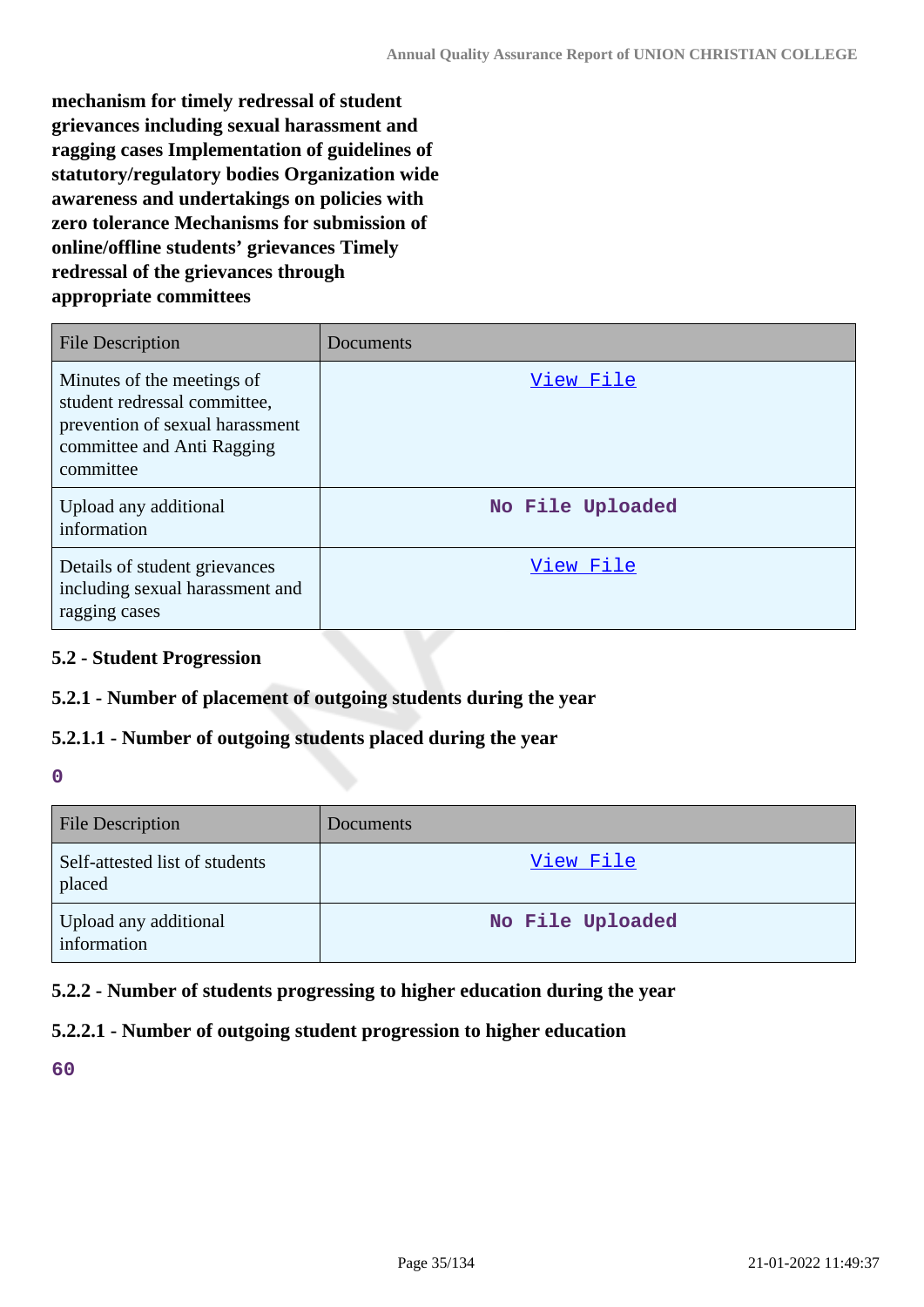**mechanism for timely redressal of student grievances including sexual harassment and ragging cases Implementation of guidelines of statutory/regulatory bodies Organization wide awareness and undertakings on policies with zero tolerance Mechanisms for submission of online/offline students' grievances Timely redressal of the grievances through appropriate committees**

| <b>File Description</b>                                                                                                                  | Documents        |
|------------------------------------------------------------------------------------------------------------------------------------------|------------------|
| Minutes of the meetings of<br>student redressal committee,<br>prevention of sexual harassment<br>committee and Anti Ragging<br>committee | View File        |
| Upload any additional<br>information                                                                                                     | No File Uploaded |
| Details of student grievances<br>including sexual harassment and<br>ragging cases                                                        | View File        |

#### **5.2 - Student Progression**

#### **5.2.1 - Number of placement of outgoing students during the year**

#### **5.2.1.1 - Number of outgoing students placed during the year**

#### **0**

| <b>File Description</b>                  | Documents        |
|------------------------------------------|------------------|
| Self-attested list of students<br>placed | View File        |
| Upload any additional<br>information     | No File Uploaded |

### **5.2.2 - Number of students progressing to higher education during the year**

### **5.2.2.1 - Number of outgoing student progression to higher education**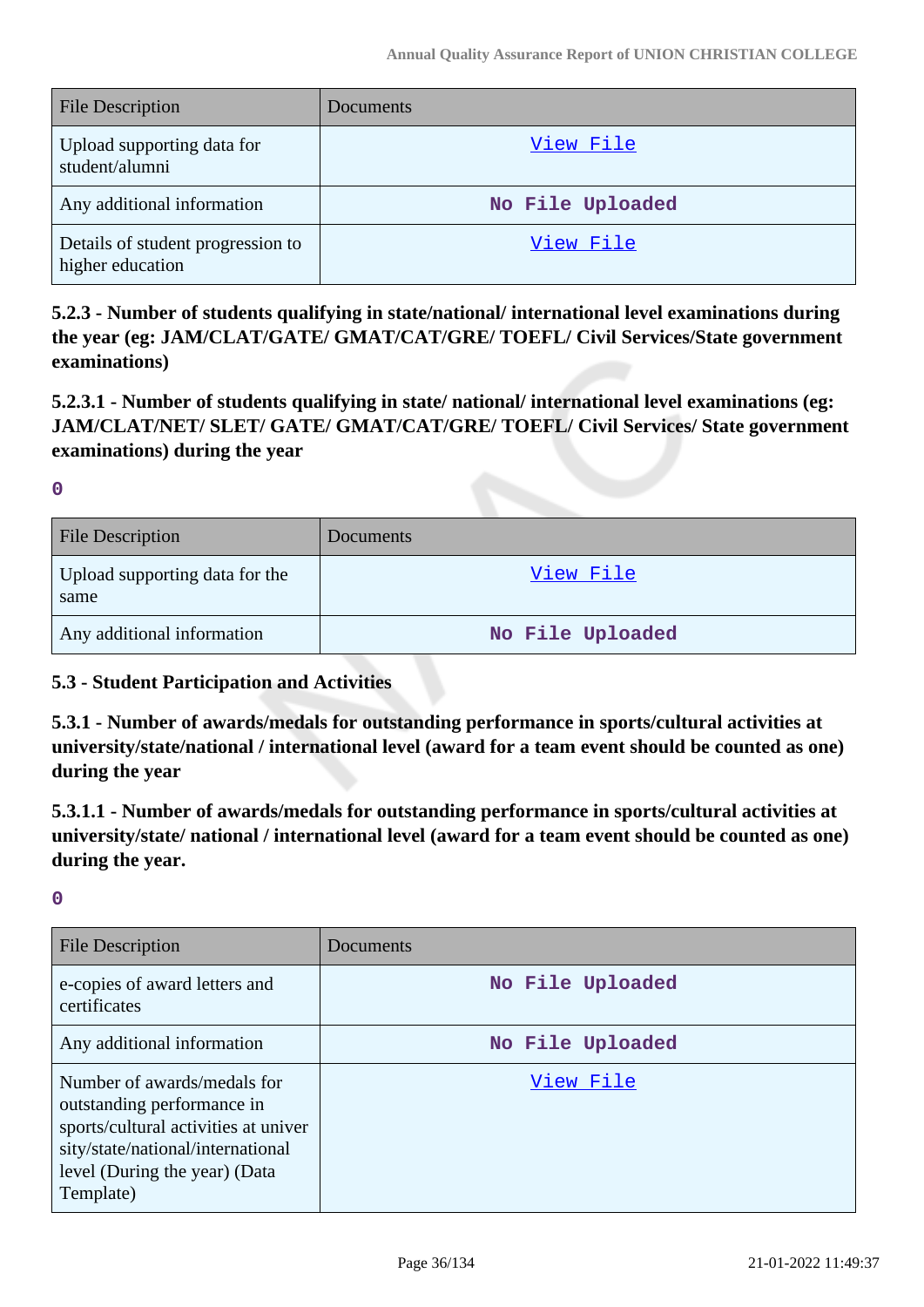| <b>File Description</b>                               | Documents        |
|-------------------------------------------------------|------------------|
| Upload supporting data for<br>student/alumni          | View File        |
| Any additional information                            | No File Uploaded |
| Details of student progression to<br>higher education | View File        |

**5.2.3 - Number of students qualifying in state/national/ international level examinations during the year (eg: JAM/CLAT/GATE/ GMAT/CAT/GRE/ TOEFL/ Civil Services/State government examinations)**

**5.2.3.1 - Number of students qualifying in state/ national/ international level examinations (eg: JAM/CLAT/NET/ SLET/ GATE/ GMAT/CAT/GRE/ TOEFL/ Civil Services/ State government examinations) during the year**

**0**

| <b>File Description</b>                | Documents        |
|----------------------------------------|------------------|
| Upload supporting data for the<br>same | View File        |
| Any additional information             | No File Uploaded |

#### **5.3 - Student Participation and Activities**

**5.3.1 - Number of awards/medals for outstanding performance in sports/cultural activities at university/state/national / international level (award for a team event should be counted as one) during the year**

**5.3.1.1 - Number of awards/medals for outstanding performance in sports/cultural activities at university/state/ national / international level (award for a team event should be counted as one) during the year.**

| File Description                                                                                                                                                                     | Documents        |
|--------------------------------------------------------------------------------------------------------------------------------------------------------------------------------------|------------------|
| e-copies of award letters and<br>certificates                                                                                                                                        | No File Uploaded |
| Any additional information                                                                                                                                                           | No File Uploaded |
| Number of awards/medals for<br>outstanding performance in<br>sports/cultural activities at univer<br>sity/state/national/international<br>level (During the year) (Data<br>Template) | View File        |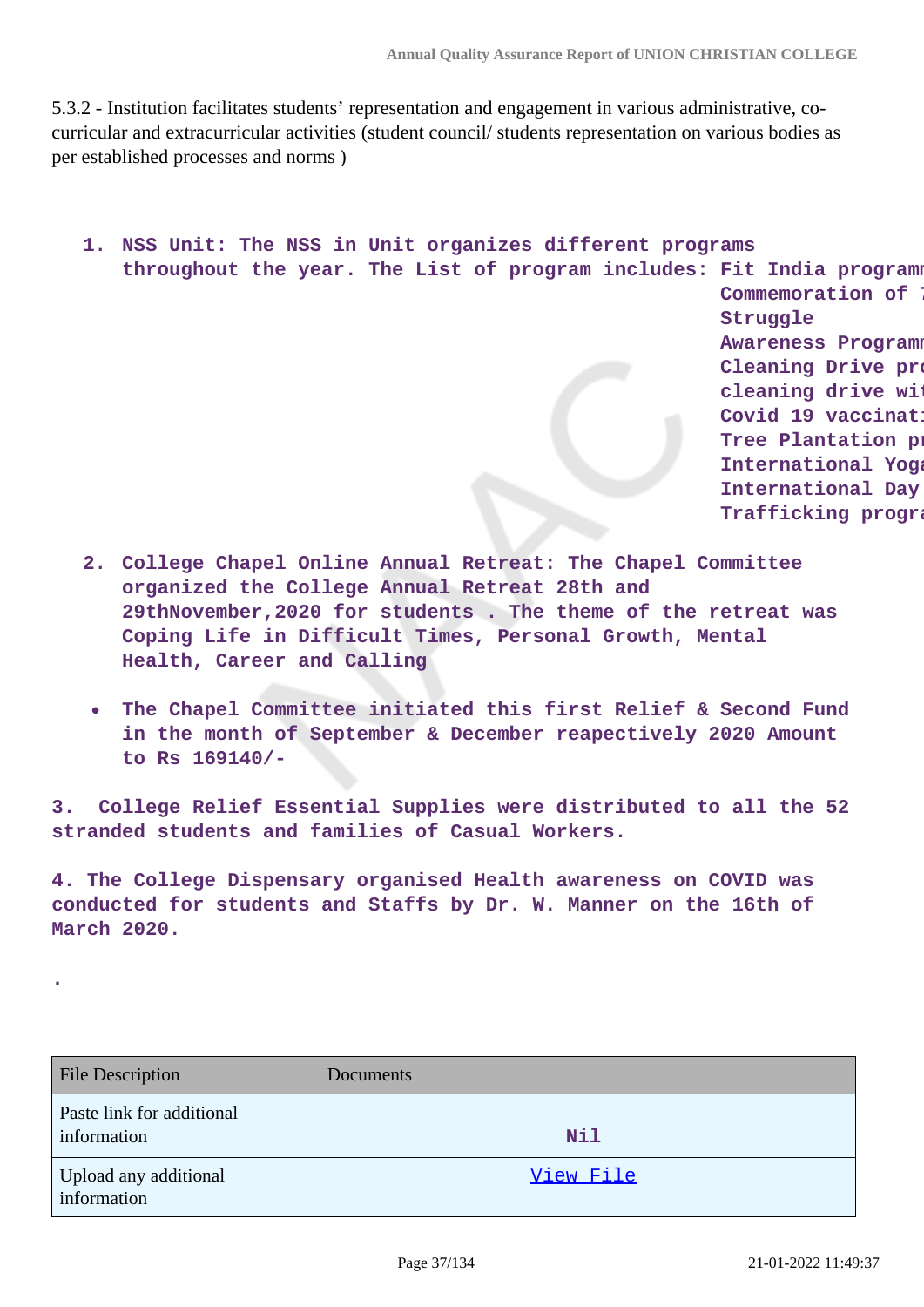5.3.2 - Institution facilitates students' representation and engagement in various administrative, cocurricular and extracurricular activities (student council/ students representation on various bodies as per established processes and norms )

```
1. NSS Unit: The NSS in Unit organizes different programs
throughout the year. The List of program includes: Fit India programme.
                                                     Commemoration of
                                                     Struggle 
                                                     Awareness Program
                                                     Cleaning Drive pro
                                                     cleaning drive with
                                                     Covid 19 vaccinat
                                                     Tree Plantation p
                                                     International Yoga
                                                     International Day
```
- **2. College Chapel Online Annual Retreat: The Chapel Committee organized the College Annual Retreat 28th and 29thNovember,2020 for students . The theme of the retreat was Coping Life in Difficult Times, Personal Growth, Mental Health, Career and Calling**
- **The Chapel Committee initiated this first Relief & Second Fund in the month of September & December reapectively 2020 Amount to Rs 169140/-**

**3. College Relief Essential Supplies were distributed to all the 52 stranded students and families of Casual Workers.**

**4. The College Dispensary organised Health awareness on COVID was conducted for students and Staffs by Dr. W. Manner on the 16th of March 2020.**

**.**

| <b>File Description</b>                  | Documents |
|------------------------------------------|-----------|
| Paste link for additional<br>information | Nil       |
| Upload any additional<br>information     | View File |

**Trafficking program**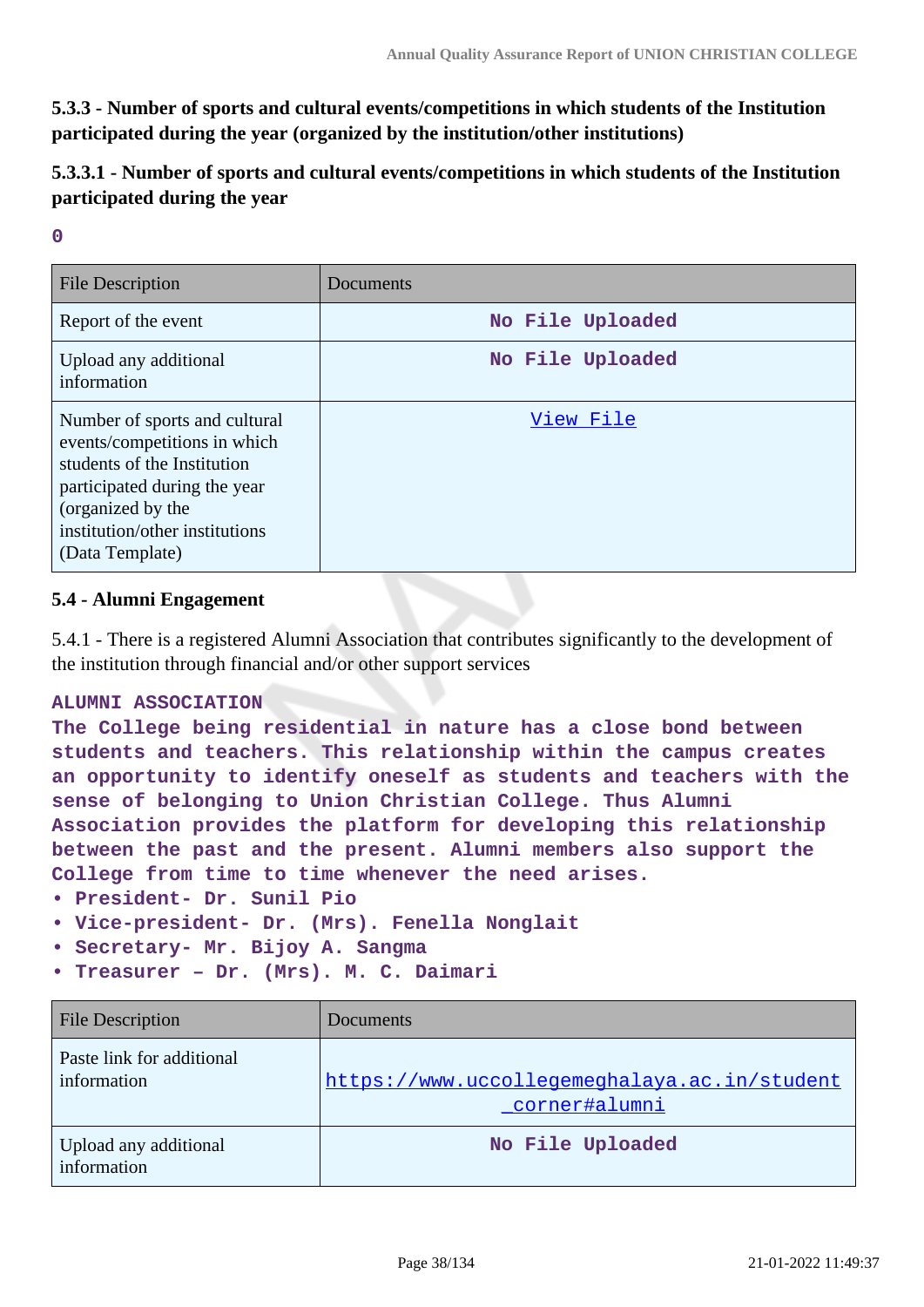**5.3.3 - Number of sports and cultural events/competitions in which students of the Institution participated during the year (organized by the institution/other institutions)**

**5.3.3.1 - Number of sports and cultural events/competitions in which students of the Institution participated during the year**

|   | P. |          |   |  |
|---|----|----------|---|--|
|   | ٠  |          |   |  |
|   |    |          |   |  |
| I |    | ۰.<br>۰. | ı |  |

| <b>File Description</b>                                                                                                                                                                                | Documents        |
|--------------------------------------------------------------------------------------------------------------------------------------------------------------------------------------------------------|------------------|
| Report of the event                                                                                                                                                                                    | No File Uploaded |
| Upload any additional<br>information                                                                                                                                                                   | No File Uploaded |
| Number of sports and cultural<br>events/competitions in which<br>students of the Institution<br>participated during the year<br>(organized by the<br>institution/other institutions<br>(Data Template) | View File        |

# **5.4 - Alumni Engagement**

5.4.1 - There is a registered Alumni Association that contributes significantly to the development of the institution through financial and/or other support services

### **ALUMNI ASSOCIATION**

**The College being residential in nature has a close bond between students and teachers. This relationship within the campus creates an opportunity to identify oneself as students and teachers with the sense of belonging to Union Christian College. Thus Alumni Association provides the platform for developing this relationship between the past and the present. Alumni members also support the College from time to time whenever the need arises.**

- **President- Dr. Sunil Pio**
- **Vice-president- Dr. (Mrs). Fenella Nonglait**
- **Secretary- Mr. Bijoy A. Sangma**
- **Treasurer Dr. (Mrs). M. C. Daimari**

| <b>File Description</b>                  | Documents                                                     |
|------------------------------------------|---------------------------------------------------------------|
| Paste link for additional<br>information | https://www.uccollegemeghalaya.ac.in/student<br>corner#alumni |
| Upload any additional<br>information     | No File Uploaded                                              |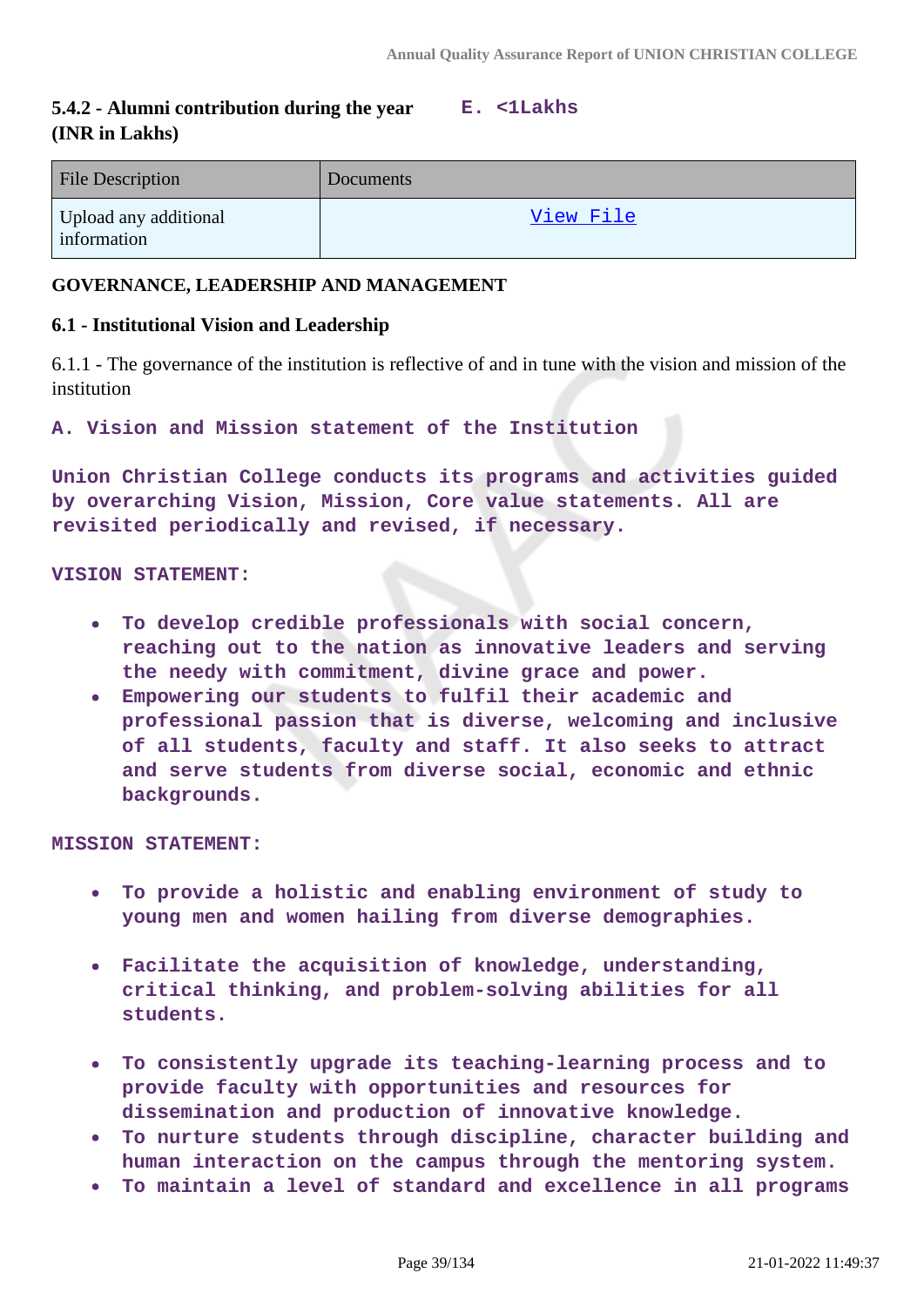#### **5.4.2 - Alumni contribution during the year (INR in Lakhs) E. <1Lakhs**

| <b>File Description</b>              | Documents |
|--------------------------------------|-----------|
| Upload any additional<br>information | View File |

# **GOVERNANCE, LEADERSHIP AND MANAGEMENT**

# **6.1 - Institutional Vision and Leadership**

6.1.1 - The governance of the institution is reflective of and in tune with the vision and mission of the institution

**A. Vision and Mission statement of the Institution**

**Union Christian College conducts its programs and activities guided by overarching Vision, Mission, Core value statements. All are revisited periodically and revised, if necessary.**

### **VISION STATEMENT:**

- **To develop credible professionals with social concern,**  $\bullet$ **reaching out to the nation as innovative leaders and serving the needy with commitment, divine grace and power.**
- **Empowering our students to fulfil their academic and professional passion that is diverse, welcoming and inclusive of all students, faculty and staff. It also seeks to attract and serve students from diverse social, economic and ethnic backgrounds.**

#### **MISSION STATEMENT:**

- **To provide a holistic and enabling environment of study to young men and women hailing from diverse demographies.**
- **Facilitate the acquisition of knowledge, understanding,**  $\bullet$ **critical thinking, and problem-solving abilities for all students.**
- **To consistently upgrade its teaching-learning process and to**  $\bullet$ **provide faculty with opportunities and resources for dissemination and production of innovative knowledge.**
- **To nurture students through discipline, character building and human interaction on the campus through the mentoring system.**
- **To maintain a level of standard and excellence in all programs**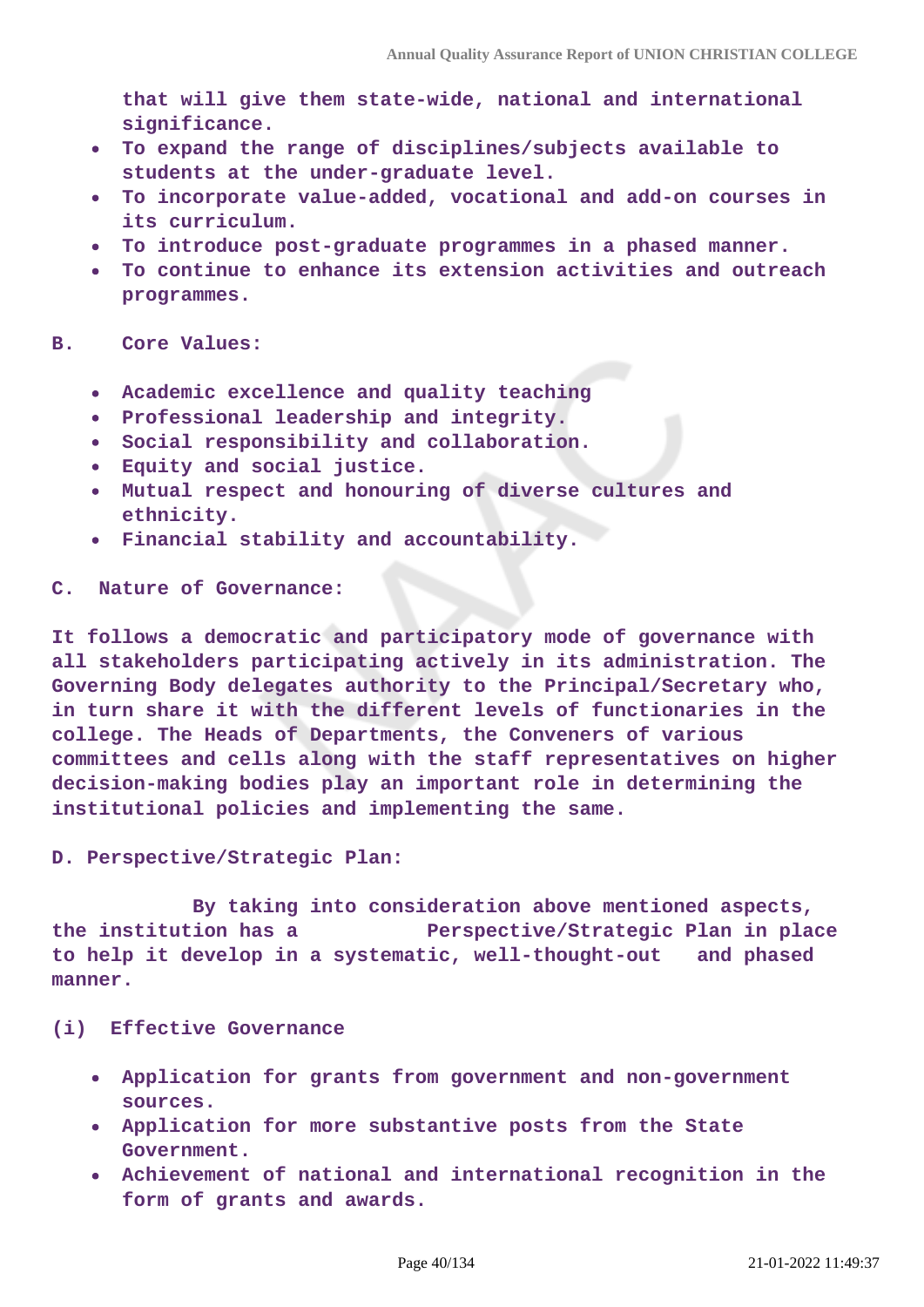**that will give them state-wide, national and international significance.**

- **To expand the range of disciplines/subjects available to students at the under-graduate level.**
- **To incorporate value-added, vocational and add-on courses in**  $\bullet$ **its curriculum.**
- **To introduce post-graduate programmes in a phased manner.**
- **To continue to enhance its extension activities and outreach**  $\bullet$ **programmes.**

### **B. Core Values:**

- $\bullet$ **Academic excellence and quality teaching**
- **Professional leadership and integrity.**
- **Social responsibility and collaboration.**
- **Equity and social justice.**
- **Mutual respect and honouring of diverse cultures and ethnicity.**
- **Financial stability and accountability.**

#### **C. Nature of Governance:**

**It follows a democratic and participatory mode of governance with all stakeholders participating actively in its administration. The Governing Body delegates authority to the Principal/Secretary who, in turn share it with the different levels of functionaries in the college. The Heads of Departments, the Conveners of various committees and cells along with the staff representatives on higher decision-making bodies play an important role in determining the institutional policies and implementing the same.**

**D. Perspective/Strategic Plan:**

 **By taking into consideration above mentioned aspects, the institution has a Perspective/Strategic Plan in place to help it develop in a systematic, well-thought-out and phased manner.**

#### **(i) Effective Governance**

- **Application for grants from government and non-government sources.**
- **Application for more substantive posts from the State Government.**
- **Achievement of national and international recognition in the form of grants and awards.**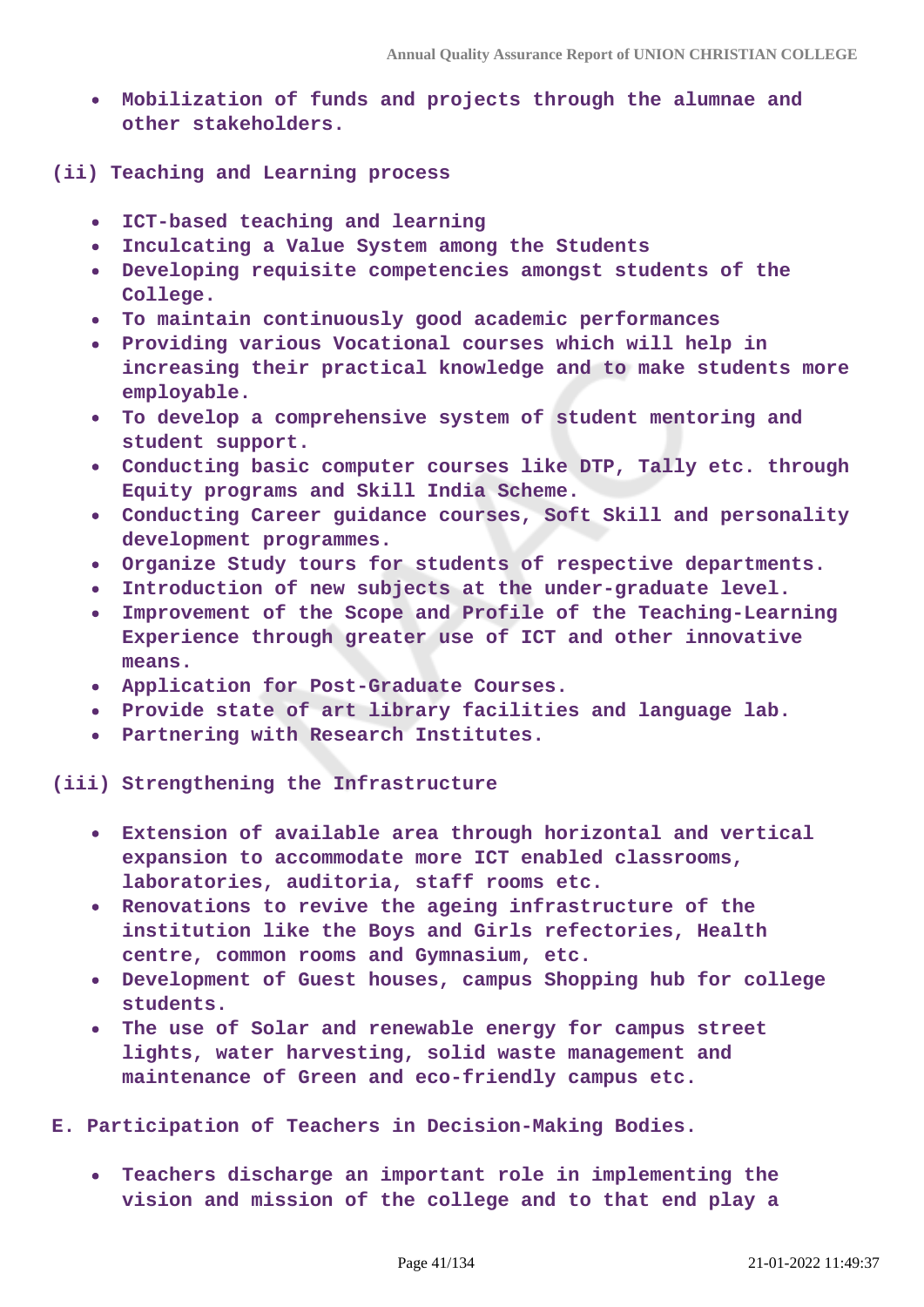- **Mobilization of funds and projects through the alumnae and other stakeholders.**
- **(ii) Teaching and Learning process**
	- **ICT-based teaching and learning**
	- **Inculcating a Value System among the Students**  $\bullet$
	- **Developing requisite competencies amongst students of the College.**
	- **To maintain continuously good academic performances**
	- **Providing various Vocational courses which will help in increasing their practical knowledge and to make students more employable.**
	- **To develop a comprehensive system of student mentoring and student support.**
	- **Conducting basic computer courses like DTP, Tally etc. through Equity programs and Skill India Scheme.**
	- **Conducting Career guidance courses, Soft Skill and personality development programmes.**
	- **Organize Study tours for students of respective departments.**
	- **Introduction of new subjects at the under-graduate level.**
	- **Improvement of the Scope and Profile of the Teaching-Learning**  $\bullet$ **Experience through greater use of ICT and other innovative means.**
	- **Application for Post-Graduate Courses.**
	- **Provide state of art library facilities and language lab.**
	- **Partnering with Research Institutes.**

**(iii) Strengthening the Infrastructure**

- **Extension of available area through horizontal and vertical expansion to accommodate more ICT enabled classrooms, laboratories, auditoria, staff rooms etc.**
- **Renovations to revive the ageing infrastructure of the institution like the Boys and Girls refectories, Health centre, common rooms and Gymnasium, etc.**
- **Development of Guest houses, campus Shopping hub for college students.**
- **The use of Solar and renewable energy for campus street lights, water harvesting, solid waste management and maintenance of Green and eco-friendly campus etc.**

**E. Participation of Teachers in Decision-Making Bodies.**

 $\bullet$ **Teachers discharge an important role in implementing the vision and mission of the college and to that end play a**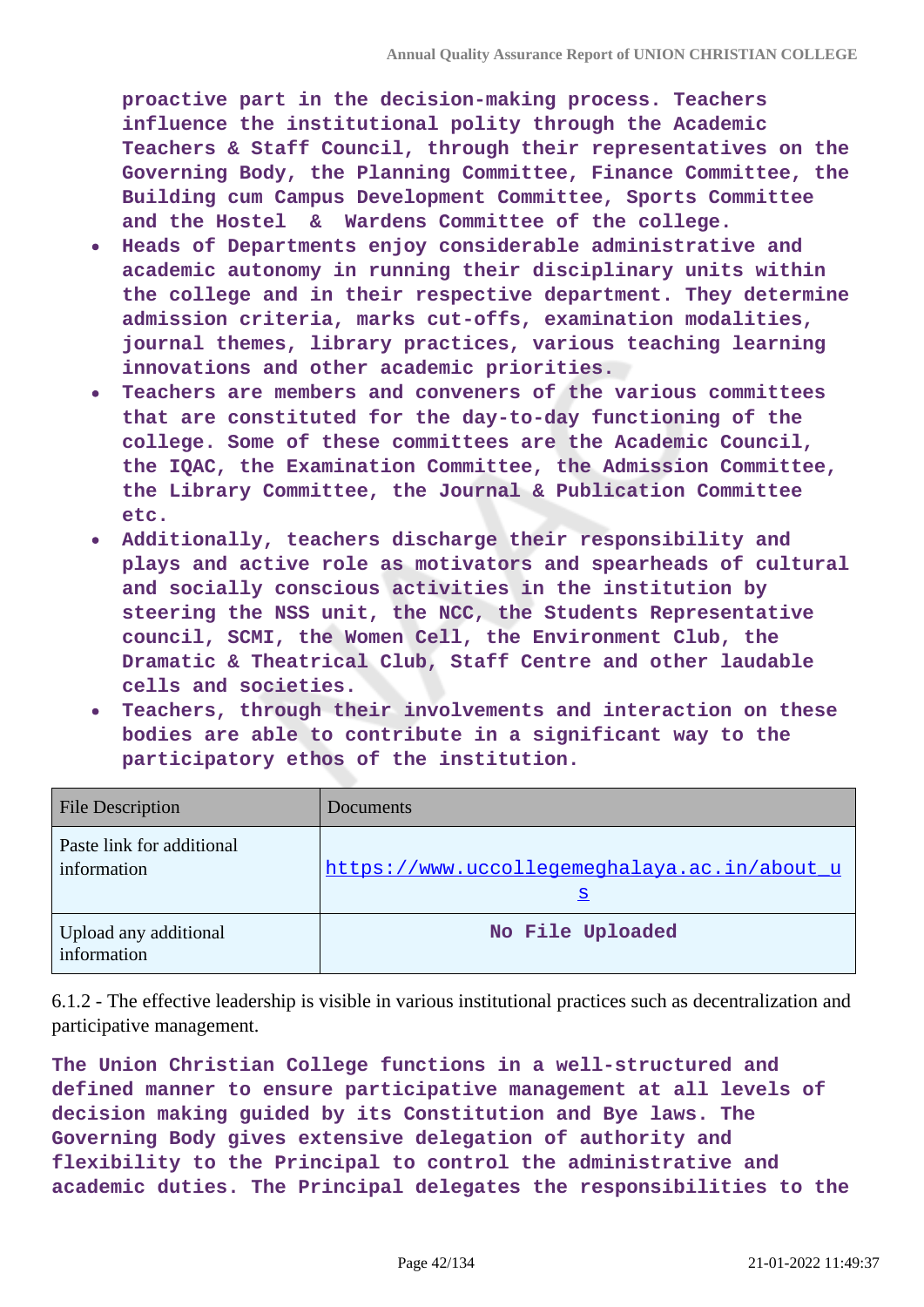**proactive part in the decision-making process. Teachers influence the institutional polity through the Academic Teachers & Staff Council, through their representatives on the Governing Body, the Planning Committee, Finance Committee, the Building cum Campus Development Committee, Sports Committee and the Hostel & Wardens Committee of the college.**

- **Heads of Departments enjoy considerable administrative and**  $\bullet$ **academic autonomy in running their disciplinary units within the college and in their respective department. They determine admission criteria, marks cut-offs, examination modalities, journal themes, library practices, various teaching learning innovations and other academic priorities.**
- **Teachers are members and conveners of the various committees that are constituted for the day-to-day functioning of the college. Some of these committees are the Academic Council, the IQAC, the Examination Committee, the Admission Committee, the Library Committee, the Journal & Publication Committee etc.**
- **Additionally, teachers discharge their responsibility and plays and active role as motivators and spearheads of cultural and socially conscious activities in the institution by steering the NSS unit, the NCC, the Students Representative council, SCMI, the Women Cell, the Environment Club, the Dramatic & Theatrical Club, Staff Centre and other laudable cells and societies.**
- **Teachers, through their involvements and interaction on these bodies are able to contribute in a significant way to the participatory ethos of the institution.**

| <b>File Description</b>                  | Documents                                                |
|------------------------------------------|----------------------------------------------------------|
| Paste link for additional<br>information | https://www.uccollegemeghalaya.ac.in/about_u<br><u>ន</u> |
| Upload any additional<br>information     | No File Uploaded                                         |

6.1.2 - The effective leadership is visible in various institutional practices such as decentralization and participative management.

**The Union Christian College functions in a well-structured and defined manner to ensure participative management at all levels of decision making guided by its Constitution and Bye laws. The Governing Body gives extensive delegation of authority and flexibility to the Principal to control the administrative and academic duties. The Principal delegates the responsibilities to the**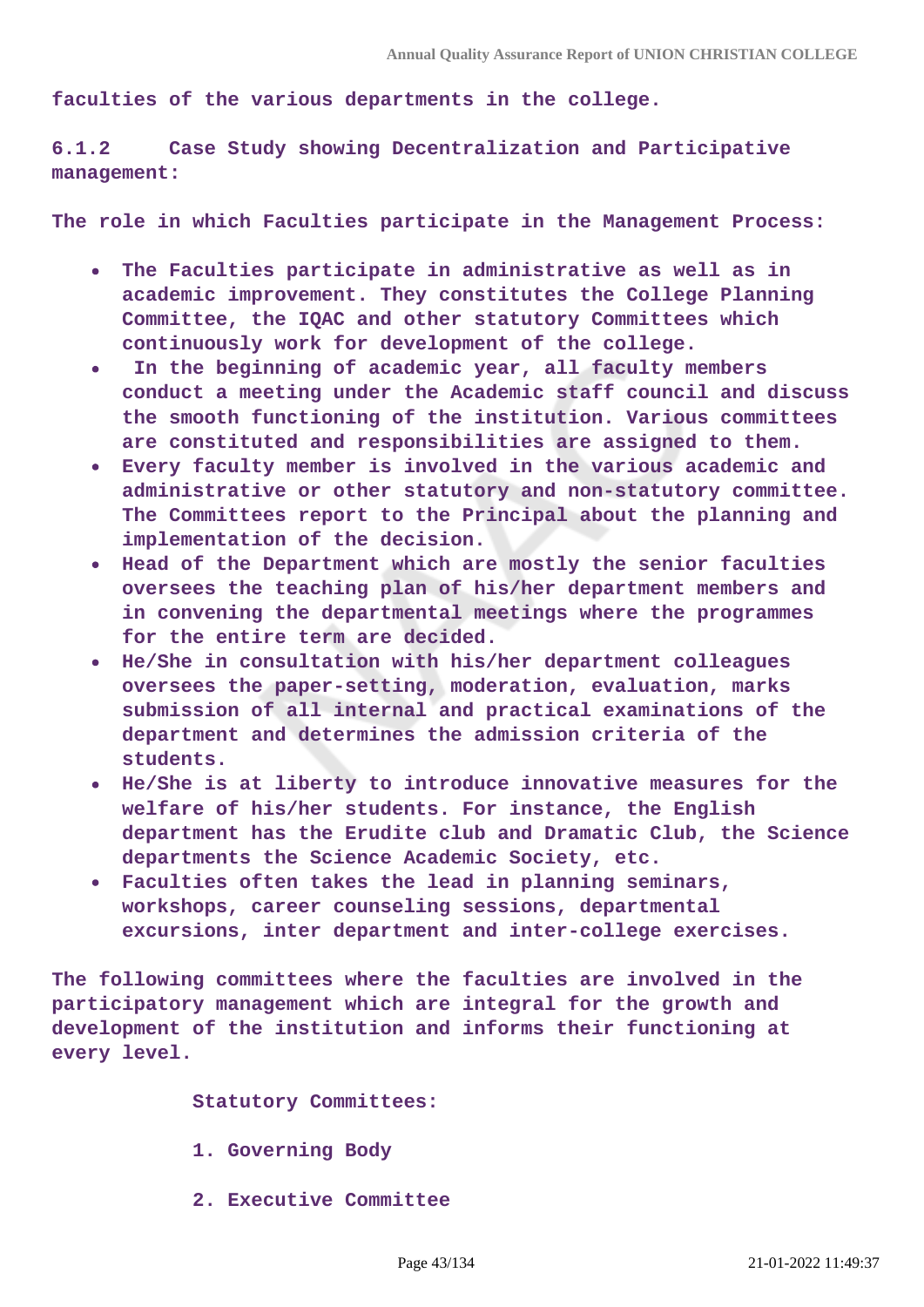**faculties of the various departments in the college.**

**6.1.2 Case Study showing Decentralization and Participative management:**

**The role in which Faculties participate in the Management Process:**

- **The Faculties participate in administrative as well as in**  $\bullet$ **academic improvement. They constitutes the College Planning Committee, the IQAC and other statutory Committees which continuously work for development of the college.**
- **In the beginning of academic year, all faculty members**  $\bullet$  . **conduct a meeting under the Academic staff council and discuss the smooth functioning of the institution. Various committees are constituted and responsibilities are assigned to them.**
- **Every faculty member is involved in the various academic and administrative or other statutory and non-statutory committee. The Committees report to the Principal about the planning and implementation of the decision.**
- **Head of the Department which are mostly the senior faculties oversees the teaching plan of his/her department members and in convening the departmental meetings where the programmes for the entire term are decided.**
- **He/She in consultation with his/her department colleagues oversees the paper-setting, moderation, evaluation, marks submission of all internal and practical examinations of the department and determines the admission criteria of the students.**
- **He/She is at liberty to introduce innovative measures for the welfare of his/her students. For instance, the English department has the Erudite club and Dramatic Club, the Science departments the Science Academic Society, etc.**
- **Faculties often takes the lead in planning seminars, workshops, career counseling sessions, departmental excursions, inter department and inter-college exercises.**

**The following committees where the faculties are involved in the participatory management which are integral for the growth and development of the institution and informs their functioning at every level.**

 **Statutory Committees:**

- **1. Governing Body**
- **2. Executive Committee**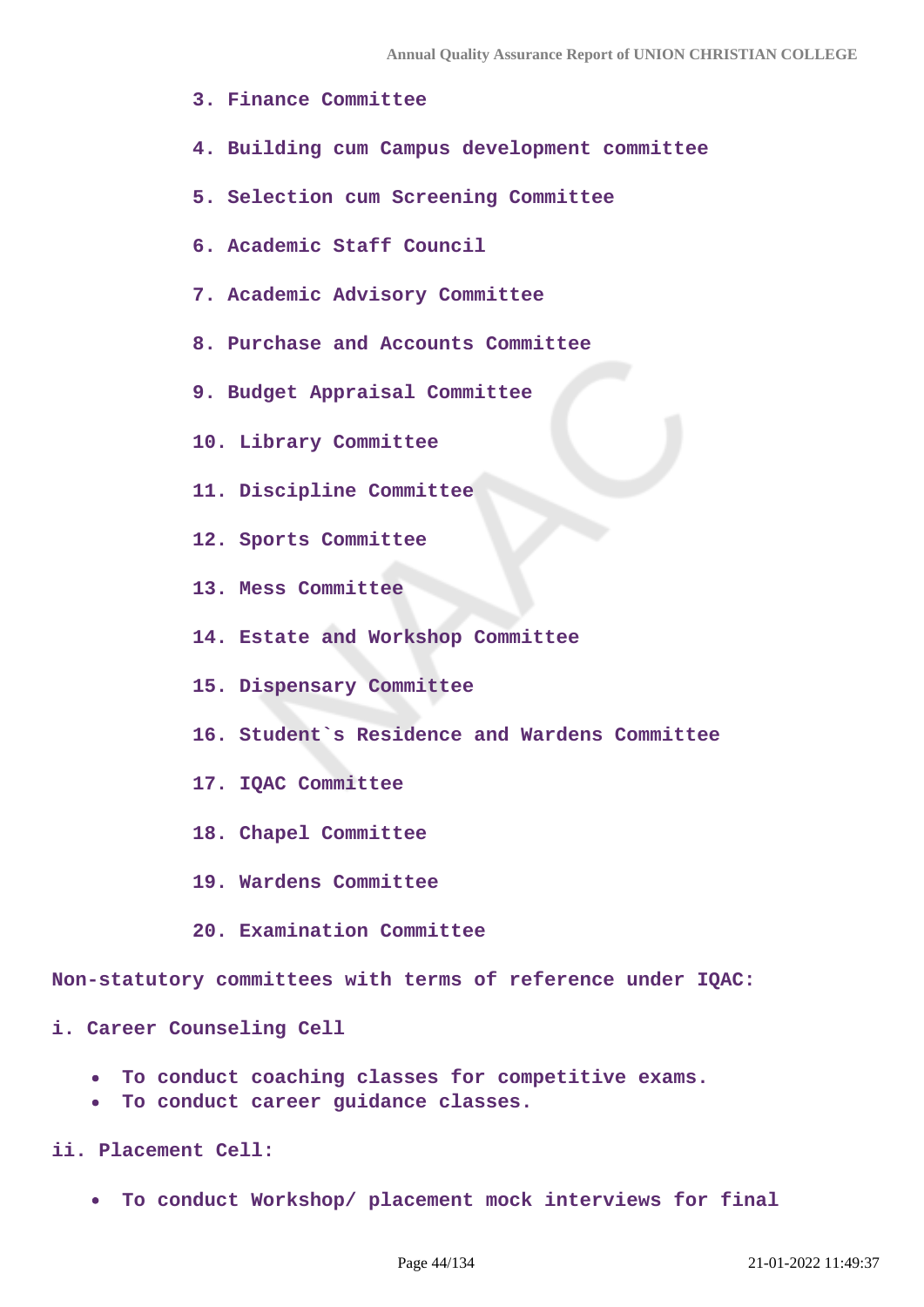- **3. Finance Committee**
- **4. Building cum Campus development committee**
- **5. Selection cum Screening Committee**
- **6. Academic Staff Council**
- **7. Academic Advisory Committee**
- **8. Purchase and Accounts Committee**
- **9. Budget Appraisal Committee**
- **10. Library Committee**
- **11. Discipline Committee**
- **12. Sports Committee**
- **13. Mess Committee**
- **14. Estate and Workshop Committee**
- **15. Dispensary Committee**
- **16. Student`s Residence and Wardens Committee**
- **17. IQAC Committee**
- **18. Chapel Committee**
- **19. Wardens Committee**
- **20. Examination Committee**

**Non-statutory committees with terms of reference under IQAC:**

**i. Career Counseling Cell** 

- **To conduct coaching classes for competitive exams.**
- **To conduct career guidance classes.**
- **ii. Placement Cell:** 
	- **To conduct Workshop/ placement mock interviews for final**  $\bullet$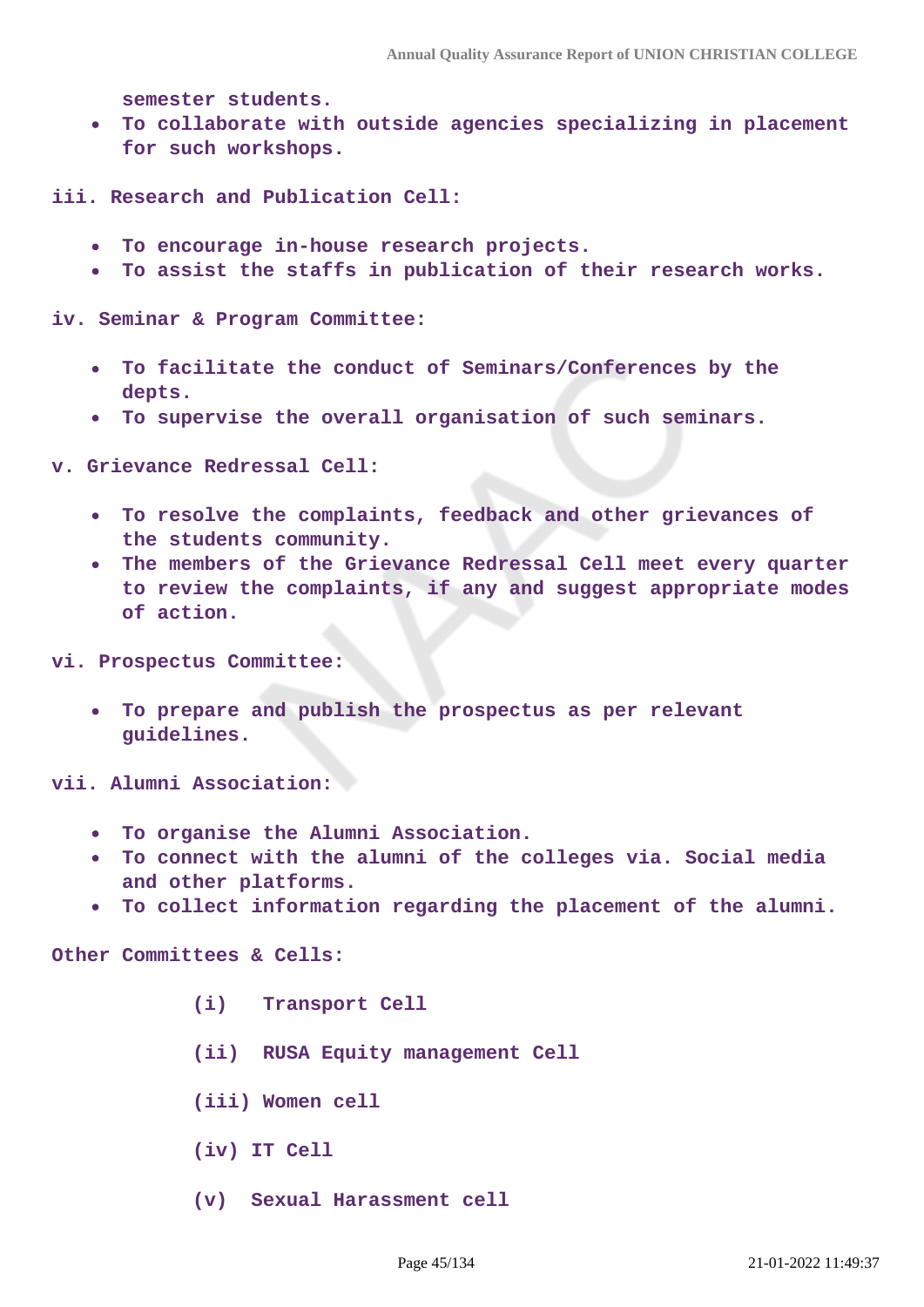**semester students.**

**To collaborate with outside agencies specializing in placement for such workshops.**

**iii. Research and Publication Cell:** 

- **To encourage in-house research projects.**
- **To assist the staffs in publication of their research works.**  $\bullet$

**iv. Seminar & Program Committee:** 

- **To facilitate the conduct of Seminars/Conferences by the depts.**
- **To supervise the overall organisation of such seminars.**

**v. Grievance Redressal Cell:** 

- **To resolve the complaints, feedback and other grievances of**  $\bullet$ **the students community.**
- **The members of the Grievance Redressal Cell meet every quarter to review the complaints, if any and suggest appropriate modes of action.**
- **vi. Prospectus Committee:**
	- **To prepare and publish the prospectus as per relevant guidelines.**

**vii. Alumni Association:** 

- **To organise the Alumni Association.**
- **To connect with the alumni of the colleges via. Social media and other platforms.**
- **To collect information regarding the placement of the alumni.**  $\bullet$

**Other Committees & Cells:**

- **(i) Transport Cell**
- **(ii) RUSA Equity management Cell**
- **(iii) Women cell**
- **(iv) IT Cell**
- **(v) Sexual Harassment cell**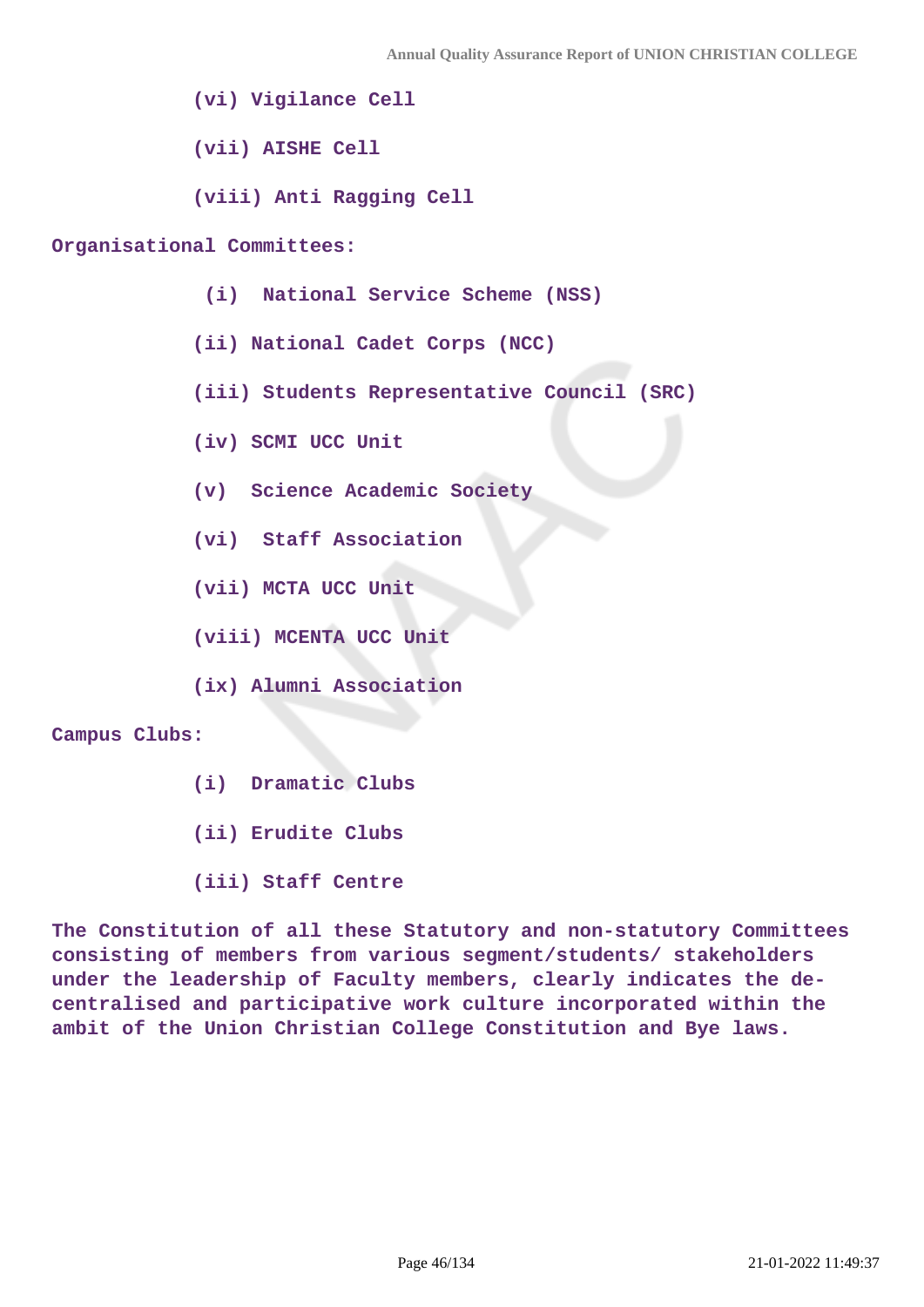**(vi) Vigilance Cell**

 **(vii) AISHE Cell**

 **(viii) Anti Ragging Cell**

#### **Organisational Committees:**

- **(i) National Service Scheme (NSS)**
- **(ii) National Cadet Corps (NCC)**
- **(iii) Students Representative Council (SRC)**
- **(iv) SCMI UCC Unit**
- **(v) Science Academic Society**
- **(vi) Staff Association**
- **(vii) MCTA UCC Unit**
- **(viii) MCENTA UCC Unit**
- **(ix) Alumni Association**

#### **Campus Clubs:**

- **(i) Dramatic Clubs**
- **(ii) Erudite Clubs**
- **(iii) Staff Centre**

**The Constitution of all these Statutory and non-statutory Committees consisting of members from various segment/students/ stakeholders under the leadership of Faculty members, clearly indicates the decentralised and participative work culture incorporated within the ambit of the Union Christian College Constitution and Bye laws.**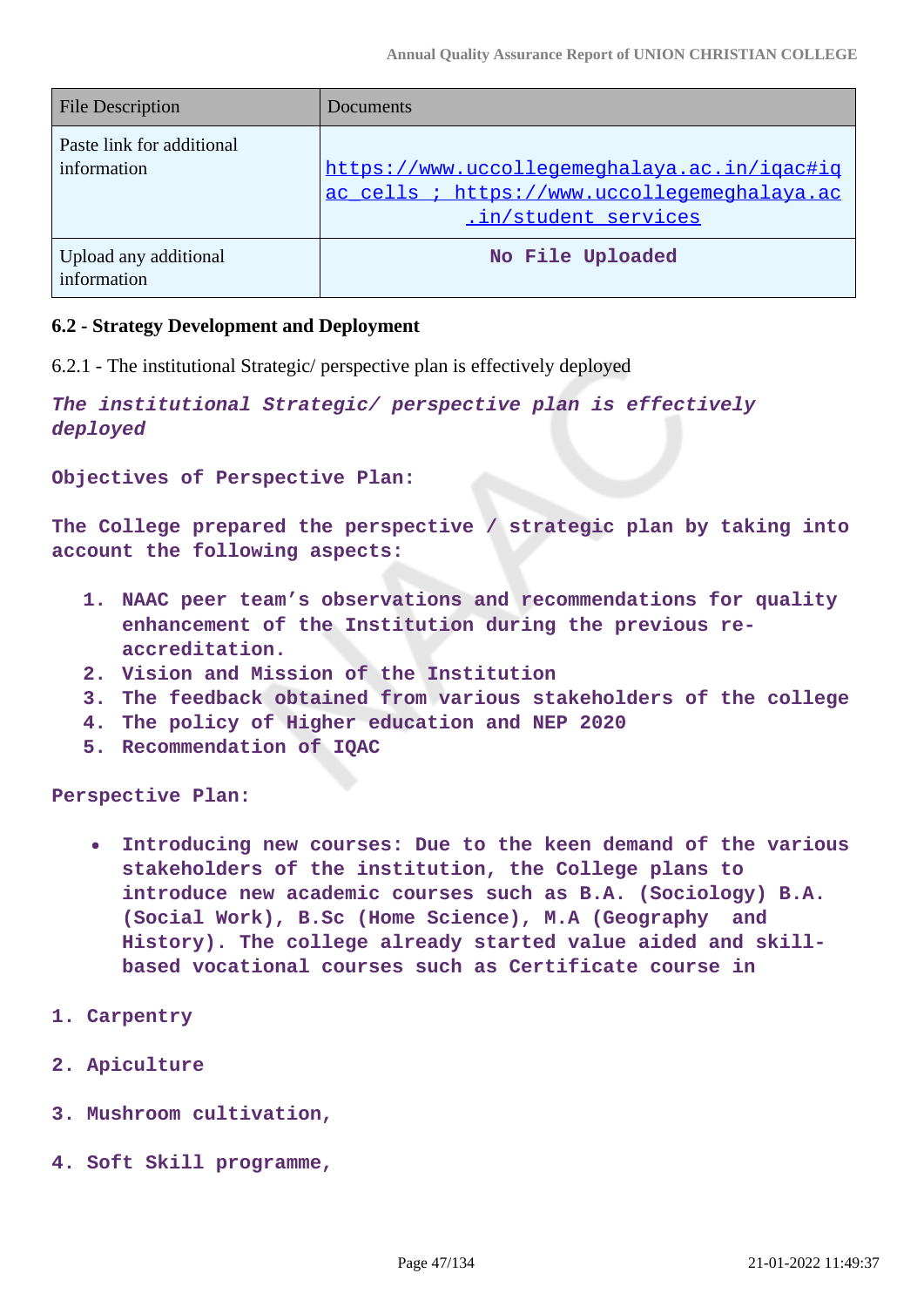| <b>File Description</b>                  | <b>Documents</b>                                                                                                     |
|------------------------------------------|----------------------------------------------------------------------------------------------------------------------|
| Paste link for additional<br>information | https://www.uccollegemeghalaya.ac.in/igac#ig<br>ac cells ; https://www.uccollegemeghalaya.ac<br>.in/student services |
| Upload any additional<br>information     | No File Uploaded                                                                                                     |

# **6.2 - Strategy Development and Deployment**

6.2.1 - The institutional Strategic/ perspective plan is effectively deployed

**The institutional Strategic/ perspective plan is effectively deployed**

**Objectives of Perspective Plan:**

**The College prepared the perspective / strategic plan by taking into account the following aspects:**

- **1. NAAC peer team's observations and recommendations for quality enhancement of the Institution during the previous reaccreditation.**
- **2. Vision and Mission of the Institution**
- **3. The feedback obtained from various stakeholders of the college**
- **4. The policy of Higher education and NEP 2020**
- **5. Recommendation of IQAC**

**Perspective Plan:**

- **Introducing new courses: Due to the keen demand of the various**  $\bullet$ **stakeholders of the institution, the College plans to introduce new academic courses such as B.A. (Sociology) B.A. (Social Work), B.Sc (Home Science), M.A (Geography and History). The college already started value aided and skillbased vocational courses such as Certificate course in**
- **1. Carpentry**
- **2. Apiculture**
- **3. Mushroom cultivation,**
- **4. Soft Skill programme,**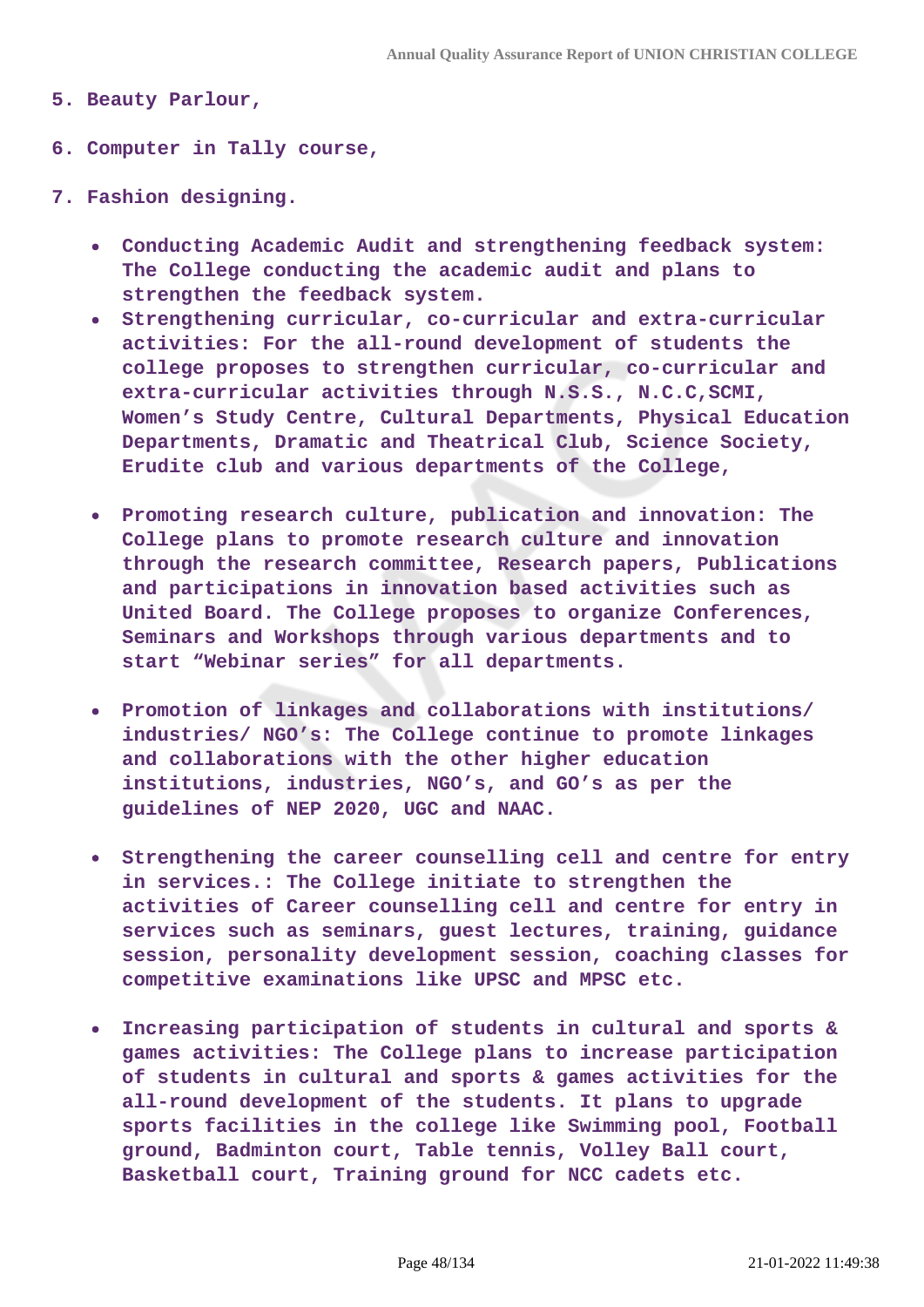- **5. Beauty Parlour,**
- **6. Computer in Tally course,**
- **7. Fashion designing.**
	- **Conducting Academic Audit and strengthening feedback system: The College conducting the academic audit and plans to strengthen the feedback system.**
	- **Strengthening curricular, co-curricular and extra-curricular activities: For the all-round development of students the college proposes to strengthen curricular, co-curricular and extra-curricular activities through N.S.S., N.C.C,SCMI, Women's Study Centre, Cultural Departments, Physical Education Departments, Dramatic and Theatrical Club, Science Society, Erudite club and various departments of the College,**
	- **Promoting research culture, publication and innovation: The College plans to promote research culture and innovation through the research committee, Research papers, Publications and participations in innovation based activities such as United Board. The College proposes to organize Conferences, Seminars and Workshops through various departments and to start "Webinar series" for all departments.**
	- **Promotion of linkages and collaborations with institutions/ industries/ NGO's: The College continue to promote linkages and collaborations with the other higher education institutions, industries, NGO's, and GO's as per the guidelines of NEP 2020, UGC and NAAC.**
	- **Strengthening the career counselling cell and centre for entry in services.: The College initiate to strengthen the activities of Career counselling cell and centre for entry in services such as seminars, guest lectures, training, guidance session, personality development session, coaching classes for competitive examinations like UPSC and MPSC etc.**
	- **Increasing participation of students in cultural and sports &**  $\bullet$ **games activities: The College plans to increase participation of students in cultural and sports & games activities for the all-round development of the students. It plans to upgrade sports facilities in the college like Swimming pool, Football ground, Badminton court, Table tennis, Volley Ball court, Basketball court, Training ground for NCC cadets etc.**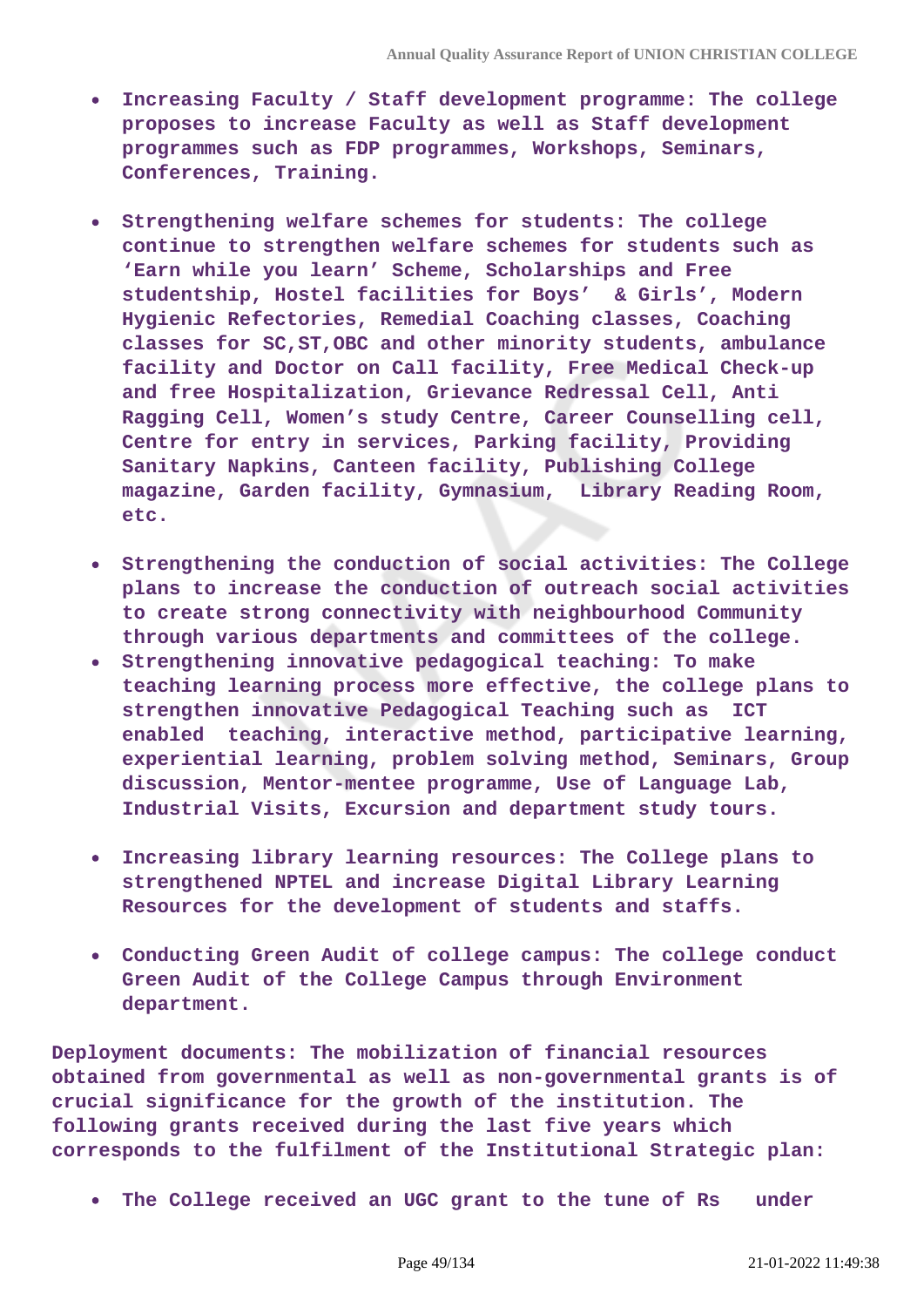- **Increasing Faculty / Staff development programme: The college proposes to increase Faculty as well as Staff development programmes such as FDP programmes, Workshops, Seminars, Conferences, Training.**
- **Strengthening welfare schemes for students: The college continue to strengthen welfare schemes for students such as 'Earn while you learn' Scheme, Scholarships and Free studentship, Hostel facilities for Boys' & Girls', Modern Hygienic Refectories, Remedial Coaching classes, Coaching classes for SC,ST,OBC and other minority students, ambulance facility and Doctor on Call facility, Free Medical Check-up and free Hospitalization, Grievance Redressal Cell, Anti Ragging Cell, Women's study Centre, Career Counselling cell, Centre for entry in services, Parking facility, Providing Sanitary Napkins, Canteen facility, Publishing College magazine, Garden facility, Gymnasium, Library Reading Room, etc.**
- **Strengthening the conduction of social activities: The College plans to increase the conduction of outreach social activities to create strong connectivity with neighbourhood Community through various departments and committees of the college.**
- **Strengthening innovative pedagogical teaching: To make teaching learning process more effective, the college plans to strengthen innovative Pedagogical Teaching such as ICT enabled teaching, interactive method, participative learning, experiential learning, problem solving method, Seminars, Group discussion, Mentor-mentee programme, Use of Language Lab, Industrial Visits, Excursion and department study tours.**
- **Increasing library learning resources: The College plans to strengthened NPTEL and increase Digital Library Learning Resources for the development of students and staffs.**
- **Conducting Green Audit of college campus: The college conduct Green Audit of the College Campus through Environment department.**

**Deployment documents: The mobilization of financial resources obtained from governmental as well as non-governmental grants is of crucial significance for the growth of the institution. The following grants received during the last five years which corresponds to the fulfilment of the Institutional Strategic plan:**

**The College received an UGC grant to the tune of Rs under**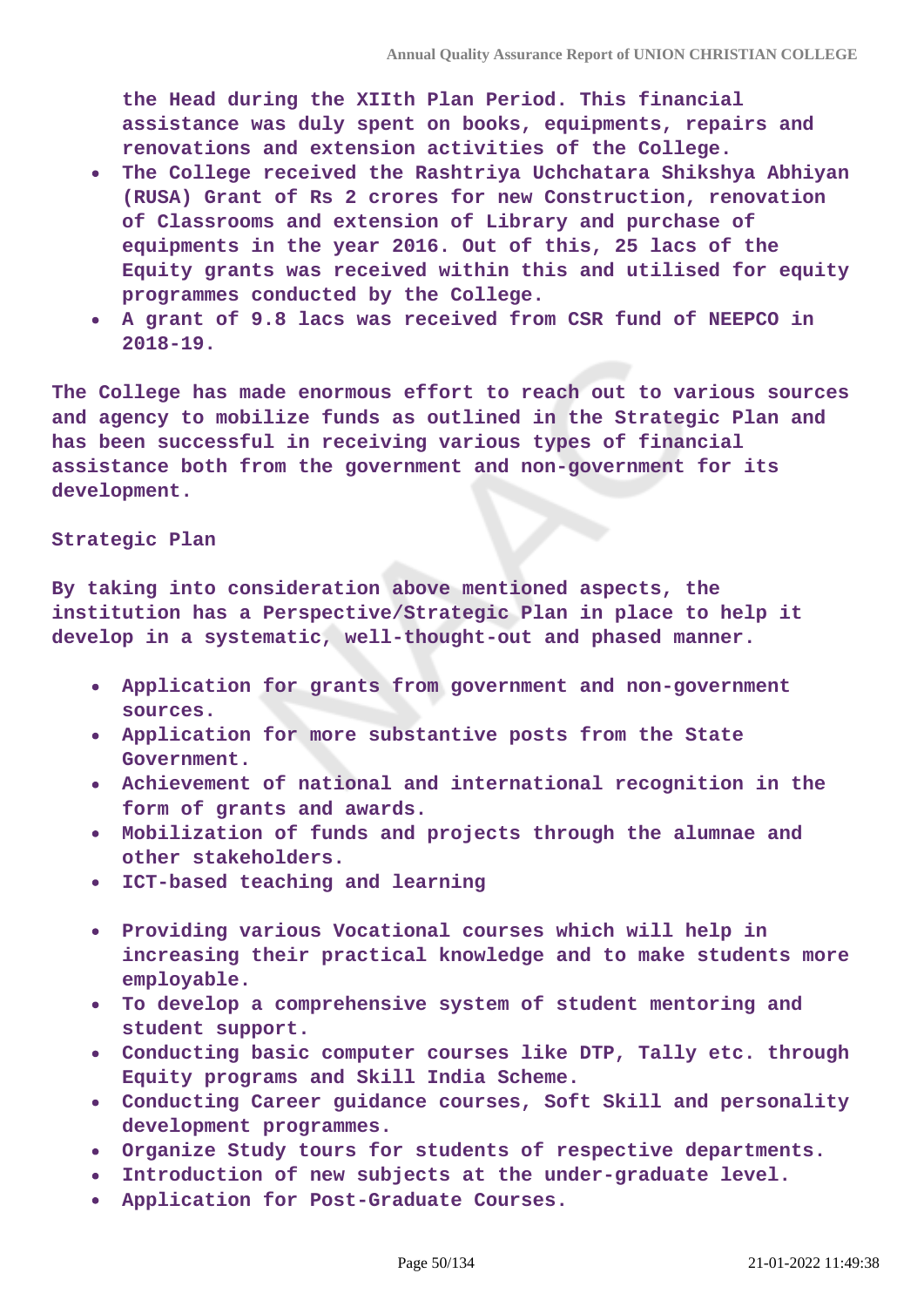**the Head during the XIIth Plan Period. This financial assistance was duly spent on books, equipments, repairs and renovations and extension activities of the College.**

- **The College received the Rashtriya Uchchatara Shikshya Abhiyan (RUSA) Grant of Rs 2 crores for new Construction, renovation of Classrooms and extension of Library and purchase of equipments in the year 2016. Out of this, 25 lacs of the Equity grants was received within this and utilised for equity programmes conducted by the College.**
- **A grant of 9.8 lacs was received from CSR fund of NEEPCO in 2018-19.**

**The College has made enormous effort to reach out to various sources and agency to mobilize funds as outlined in the Strategic Plan and has been successful in receiving various types of financial assistance both from the government and non-government for its development.**

#### **Strategic Plan**

**By taking into consideration above mentioned aspects, the institution has a Perspective/Strategic Plan in place to help it develop in a systematic, well-thought-out and phased manner.**

- **Application for grants from government and non-government sources.**
- **Application for more substantive posts from the State Government.**
- **Achievement of national and international recognition in the form of grants and awards.**
- **Mobilization of funds and projects through the alumnae and other stakeholders.**
- **ICT-based teaching and learning**
- **Providing various Vocational courses which will help in increasing their practical knowledge and to make students more employable.**
- **To develop a comprehensive system of student mentoring and student support.**
- **Conducting basic computer courses like DTP, Tally etc. through Equity programs and Skill India Scheme.**
- **Conducting Career guidance courses, Soft Skill and personality development programmes.**
- **Organize Study tours for students of respective departments.**
- **Introduction of new subjects at the under-graduate level.**
- **Application for Post-Graduate Courses.**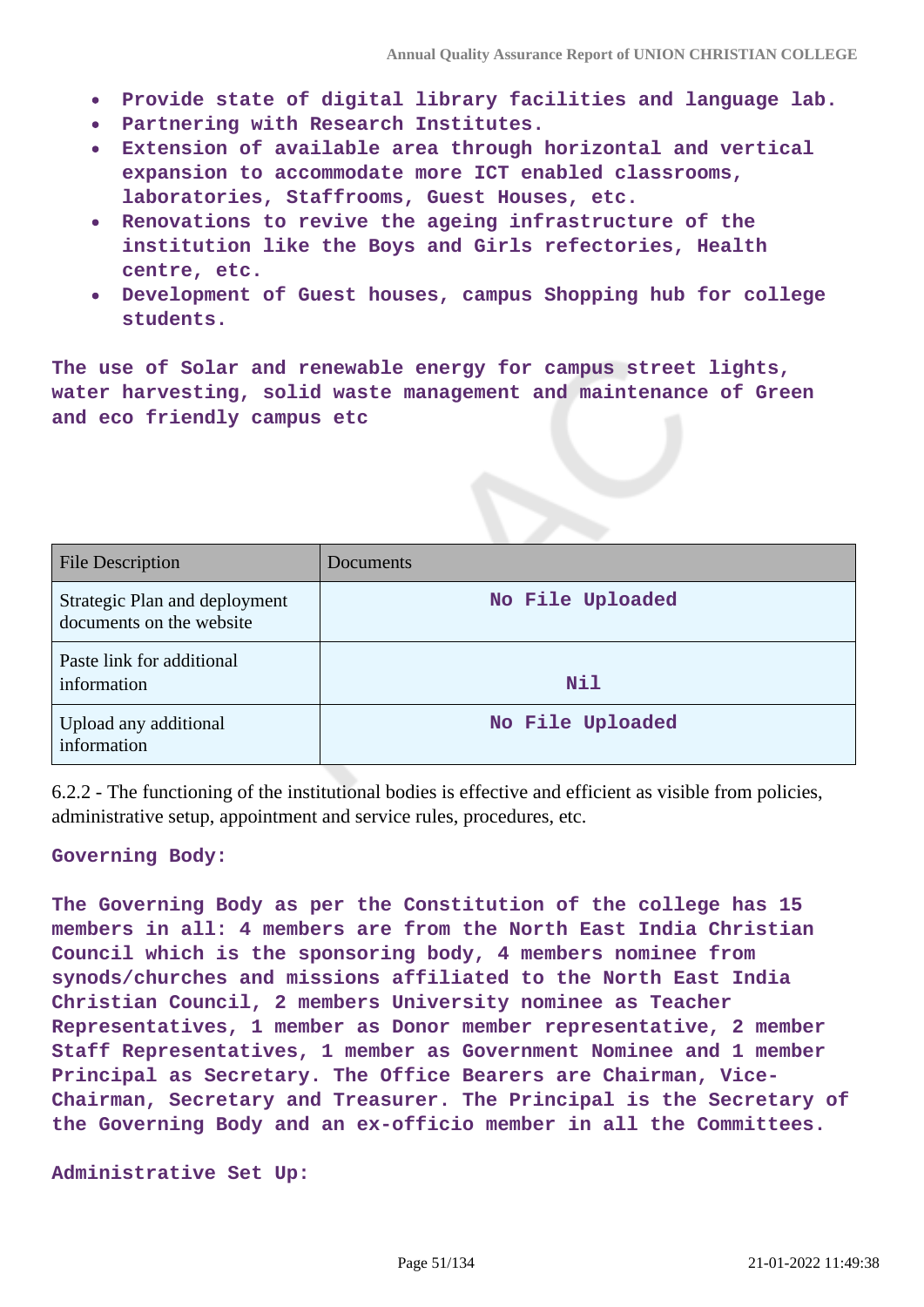- **Provide state of digital library facilities and language lab.**
- **Partnering with Research Institutes.**
- **Extension of available area through horizontal and vertical expansion to accommodate more ICT enabled classrooms, laboratories, Staffrooms, Guest Houses, etc.**
- **Renovations to revive the ageing infrastructure of the institution like the Boys and Girls refectories, Health centre, etc.**
- **Development of Guest houses, campus Shopping hub for college students.**

**The use of Solar and renewable energy for campus street lights, water harvesting, solid waste management and maintenance of Green and eco friendly campus etc**

| <b>File Description</b>                                   | Documents        |
|-----------------------------------------------------------|------------------|
| Strategic Plan and deployment<br>documents on the website | No File Uploaded |
| Paste link for additional<br>information                  | Nil              |
| Upload any additional<br>information                      | No File Uploaded |

6.2.2 - The functioning of the institutional bodies is effective and efficient as visible from policies, administrative setup, appointment and service rules, procedures, etc.

**Governing Body:**

**The Governing Body as per the Constitution of the college has 15 members in all: 4 members are from the North East India Christian Council which is the sponsoring body, 4 members nominee from synods/churches and missions affiliated to the North East India Christian Council, 2 members University nominee as Teacher Representatives, 1 member as Donor member representative, 2 member Staff Representatives, 1 member as Government Nominee and 1 member Principal as Secretary. The Office Bearers are Chairman, Vice-Chairman, Secretary and Treasurer. The Principal is the Secretary of the Governing Body and an ex-officio member in all the Committees.**

**Administrative Set Up:**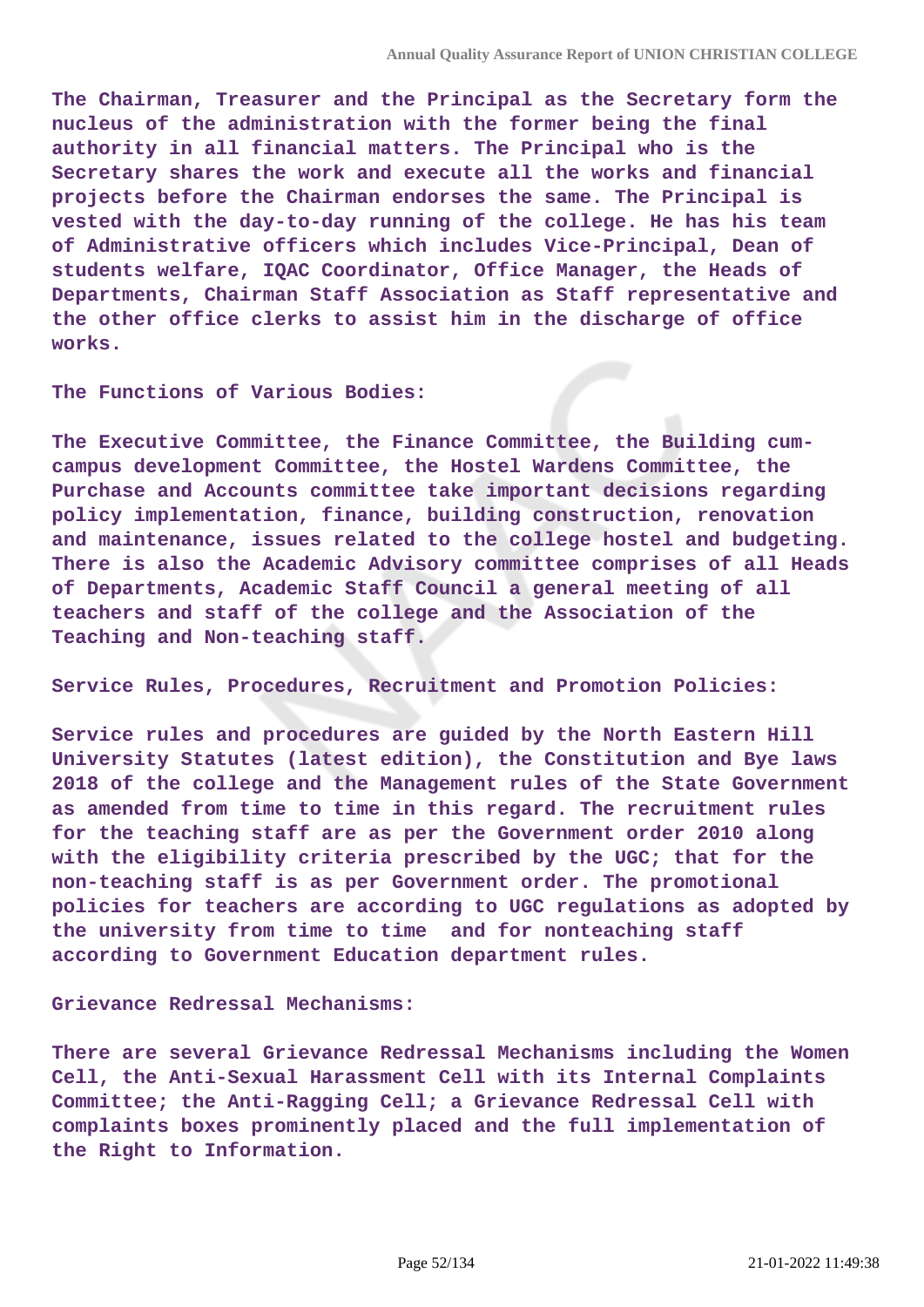**The Chairman, Treasurer and the Principal as the Secretary form the nucleus of the administration with the former being the final authority in all financial matters. The Principal who is the Secretary shares the work and execute all the works and financial projects before the Chairman endorses the same. The Principal is vested with the day-to-day running of the college. He has his team of Administrative officers which includes Vice-Principal, Dean of students welfare, IQAC Coordinator, Office Manager, the Heads of Departments, Chairman Staff Association as Staff representative and the other office clerks to assist him in the discharge of office works.**

**The Functions of Various Bodies:**

**The Executive Committee, the Finance Committee, the Building cumcampus development Committee, the Hostel Wardens Committee, the Purchase and Accounts committee take important decisions regarding policy implementation, finance, building construction, renovation and maintenance, issues related to the college hostel and budgeting. There is also the Academic Advisory committee comprises of all Heads of Departments, Academic Staff Council a general meeting of all teachers and staff of the college and the Association of the Teaching and Non-teaching staff.**

**Service Rules, Procedures, Recruitment and Promotion Policies:**

**Service rules and procedures are guided by the North Eastern Hill University Statutes (latest edition), the Constitution and Bye laws 2018 of the college and the Management rules of the State Government as amended from time to time in this regard. The recruitment rules for the teaching staff are as per the Government order 2010 along with the eligibility criteria prescribed by the UGC; that for the non-teaching staff is as per Government order. The promotional policies for teachers are according to UGC regulations as adopted by the university from time to time and for nonteaching staff according to Government Education department rules.**

**Grievance Redressal Mechanisms:**

**There are several Grievance Redressal Mechanisms including the Women Cell, the Anti-Sexual Harassment Cell with its Internal Complaints Committee; the Anti-Ragging Cell; a Grievance Redressal Cell with complaints boxes prominently placed and the full implementation of the Right to Information.**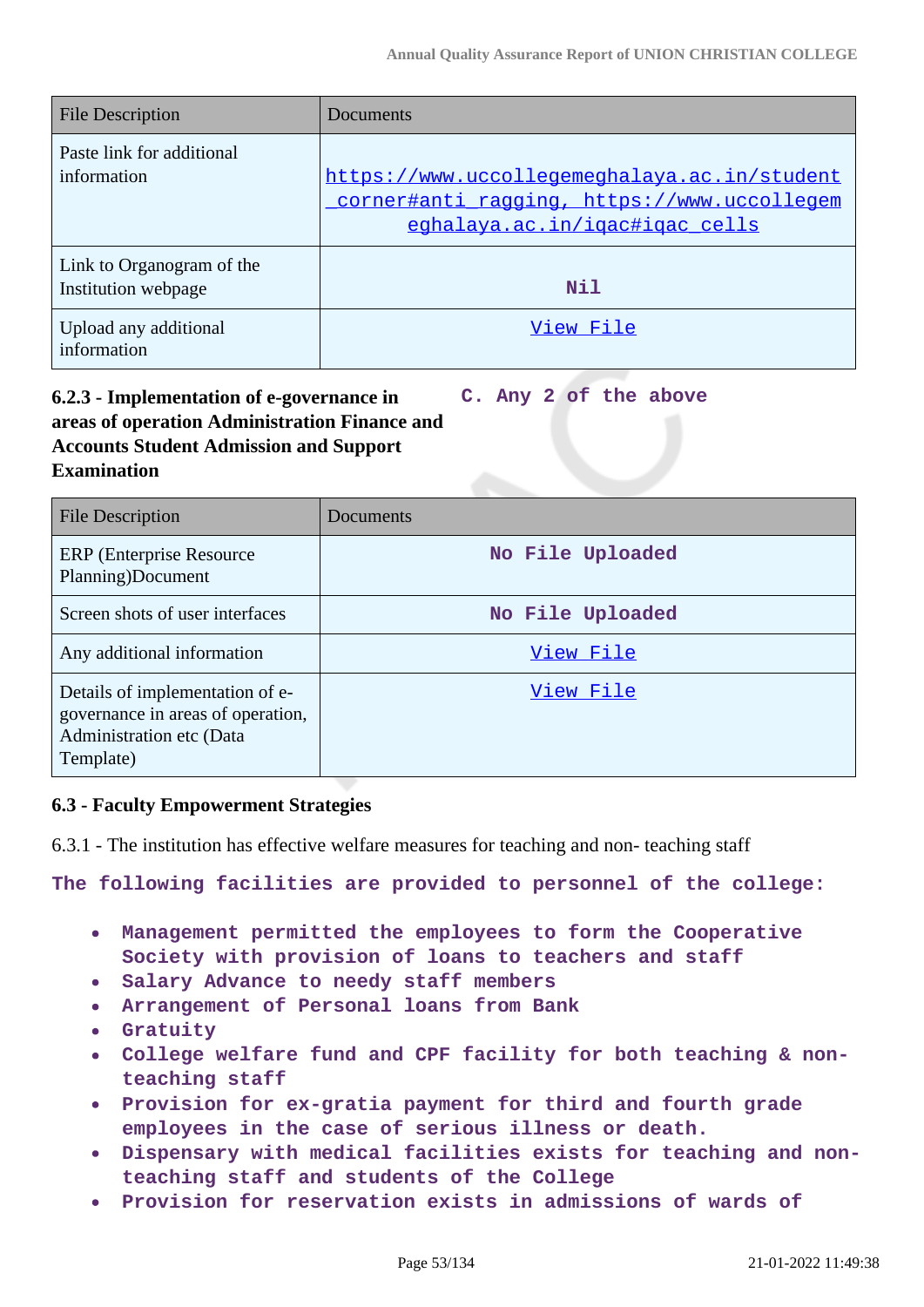| File Description                                 | Documents                                                                                                                     |
|--------------------------------------------------|-------------------------------------------------------------------------------------------------------------------------------|
| Paste link for additional<br>information         | https://www.uccollegemeghalaya.ac.in/student<br>corner#anti ragging, https://www.uccollegem<br>eghalaya.ac.in/igac#igac cells |
| Link to Organogram of the<br>Institution webpage | Nil                                                                                                                           |
| Upload any additional<br>information             | View File                                                                                                                     |

#### **6.2.3 - Implementation of e-governance in areas of operation Administration Finance and Accounts Student Admission and Support Examination C. Any 2 of the above**

| <b>File Description</b>                                                                                       | Documents        |
|---------------------------------------------------------------------------------------------------------------|------------------|
| <b>ERP</b> (Enterprise Resource)<br>Planning)Document                                                         | No File Uploaded |
| Screen shots of user interfaces                                                                               | No File Uploaded |
| Any additional information                                                                                    | View File        |
| Details of implementation of e-<br>governance in areas of operation,<br>Administration etc (Data<br>Template) | View File        |

# **6.3 - Faculty Empowerment Strategies**

6.3.1 - The institution has effective welfare measures for teaching and non- teaching staff

**The following facilities are provided to personnel of the college:**

- **Management permitted the employees to form the Cooperative Society with provision of loans to teachers and staff**
- **Salary Advance to needy staff members**
- **Arrangement of Personal loans from Bank**
- **Gratuity**  $\bullet$
- **College welfare fund and CPF facility for both teaching & non-** $\bullet$ **teaching staff**
- **Provision for ex-gratia payment for third and fourth grade employees in the case of serious illness or death.**
- **Dispensary with medical facilities exists for teaching and non-** $\bullet$ **teaching staff and students of the College**
- **Provision for reservation exists in admissions of wards of**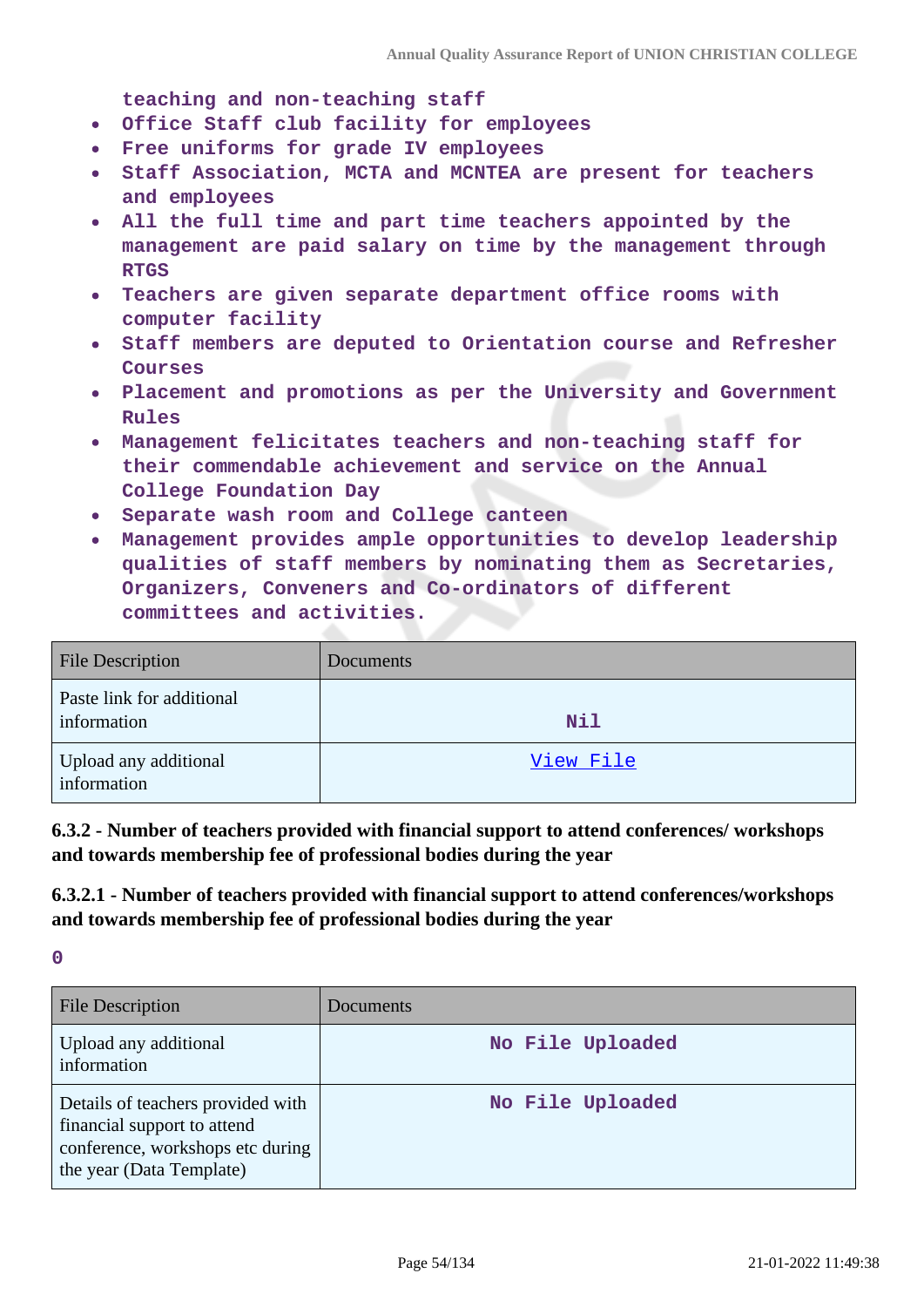**teaching and non-teaching staff**

- **Office Staff club facility for employees**  $\bullet$
- **Free uniforms for grade IV employees**  $\bullet$
- **Staff Association, MCTA and MCNTEA are present for teachers and employees**
- **All the full time and part time teachers appointed by the management are paid salary on time by the management through RTGS**
- **Teachers are given separate department office rooms with computer facility**
- **Staff members are deputed to Orientation course and Refresher Courses**
- **Placement and promotions as per the University and Government Rules**
- **Management felicitates teachers and non-teaching staff for their commendable achievement and service on the Annual College Foundation Day**
- **Separate wash room and College canteen**
- **Management provides ample opportunities to develop leadership qualities of staff members by nominating them as Secretaries, Organizers, Conveners and Co-ordinators of different committees and activities.**

| <b>File Description</b>                  | Documents  |
|------------------------------------------|------------|
| Paste link for additional<br>information | <b>Nil</b> |
| Upload any additional<br>information     | View File  |

**6.3.2 - Number of teachers provided with financial support to attend conferences/ workshops and towards membership fee of professional bodies during the year**

**6.3.2.1 - Number of teachers provided with financial support to attend conferences/workshops and towards membership fee of professional bodies during the year**

**0**

| <b>File Description</b>                                                                                                          | Documents        |
|----------------------------------------------------------------------------------------------------------------------------------|------------------|
| Upload any additional<br>information                                                                                             | No File Uploaded |
| Details of teachers provided with<br>financial support to attend<br>conference, workshops etc during<br>the year (Data Template) | No File Uploaded |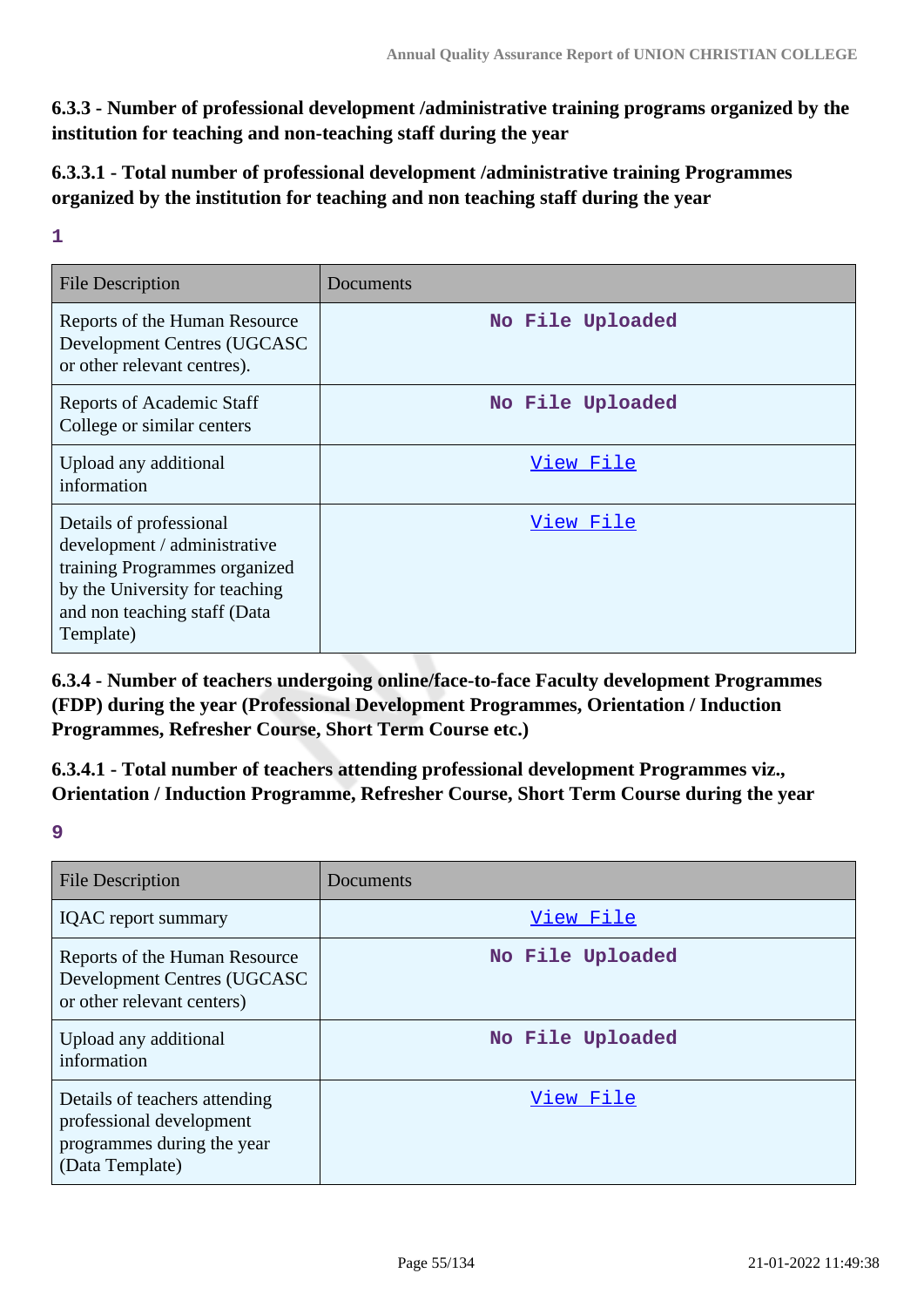**6.3.3 - Number of professional development /administrative training programs organized by the institution for teaching and non-teaching staff during the year**

**6.3.3.1 - Total number of professional development /administrative training Programmes organized by the institution for teaching and non teaching staff during the year**

**1**

| <b>File Description</b>                                                                                                                                                 | Documents        |
|-------------------------------------------------------------------------------------------------------------------------------------------------------------------------|------------------|
| Reports of the Human Resource<br>Development Centres (UGCASC<br>or other relevant centres).                                                                             | No File Uploaded |
| Reports of Academic Staff<br>College or similar centers                                                                                                                 | No File Uploaded |
| Upload any additional<br>information                                                                                                                                    | View File        |
| Details of professional<br>development / administrative<br>training Programmes organized<br>by the University for teaching<br>and non teaching staff (Data<br>Template) | View File        |

**6.3.4 - Number of teachers undergoing online/face-to-face Faculty development Programmes (FDP) during the year (Professional Development Programmes, Orientation / Induction Programmes, Refresher Course, Short Term Course etc.)**

**6.3.4.1 - Total number of teachers attending professional development Programmes viz., Orientation / Induction Programme, Refresher Course, Short Term Course during the year**

**9**

| <b>File Description</b>                                                                                    | Documents        |
|------------------------------------------------------------------------------------------------------------|------------------|
| <b>IQAC</b> report summary                                                                                 | View File        |
| Reports of the Human Resource<br>Development Centres (UGCASC<br>or other relevant centers)                 | No File Uploaded |
| Upload any additional<br>information                                                                       | No File Uploaded |
| Details of teachers attending<br>professional development<br>programmes during the year<br>(Data Template) | View File        |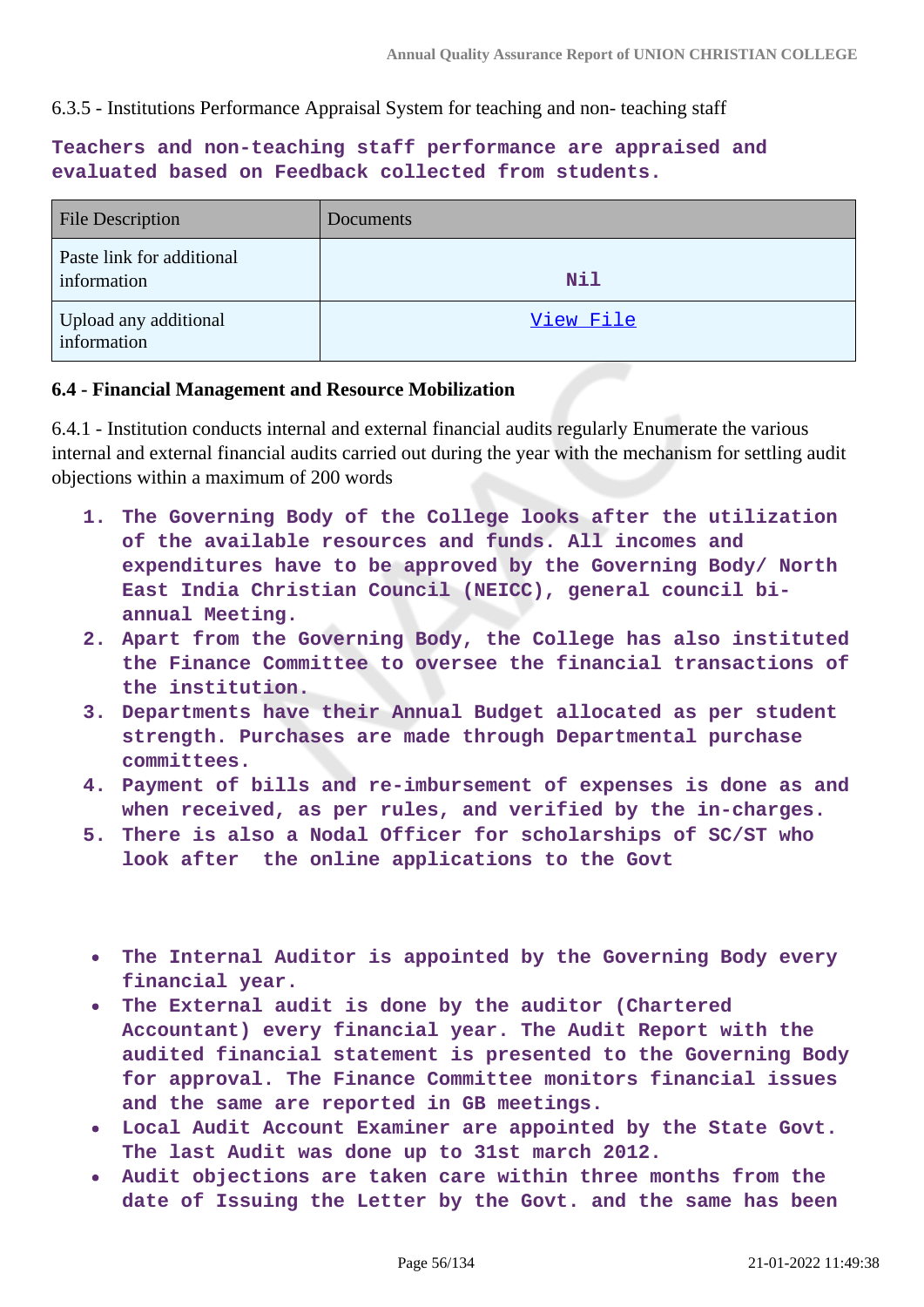6.3.5 - Institutions Performance Appraisal System for teaching and non- teaching staff

**Teachers and non-teaching staff performance are appraised and evaluated based on Feedback collected from students.**

| <b>File Description</b>                  | Documents |
|------------------------------------------|-----------|
| Paste link for additional<br>information | Nil       |
| Upload any additional<br>information     | View File |

## **6.4 - Financial Management and Resource Mobilization**

6.4.1 - Institution conducts internal and external financial audits regularly Enumerate the various internal and external financial audits carried out during the year with the mechanism for settling audit objections within a maximum of 200 words

- **1. The Governing Body of the College looks after the utilization of the available resources and funds. All incomes and expenditures have to be approved by the Governing Body/ North East India Christian Council (NEICC), general council biannual Meeting.**
- **2. Apart from the Governing Body, the College has also instituted the Finance Committee to oversee the financial transactions of the institution.**
- **3. Departments have their Annual Budget allocated as per student strength. Purchases are made through Departmental purchase committees.**
- **4. Payment of bills and re-imbursement of expenses is done as and when received, as per rules, and verified by the in-charges.**
- **5. There is also a Nodal Officer for scholarships of SC/ST who look after the online applications to the Govt**
- **The Internal Auditor is appointed by the Governing Body every financial year.**
- **The External audit is done by the auditor (Chartered Accountant) every financial year. The Audit Report with the audited financial statement is presented to the Governing Body for approval. The Finance Committee monitors financial issues and the same are reported in GB meetings.**
- **Local Audit Account Examiner are appointed by the State Govt. The last Audit was done up to 31st march 2012.**
- **Audit objections are taken care within three months from the date of Issuing the Letter by the Govt. and the same has been**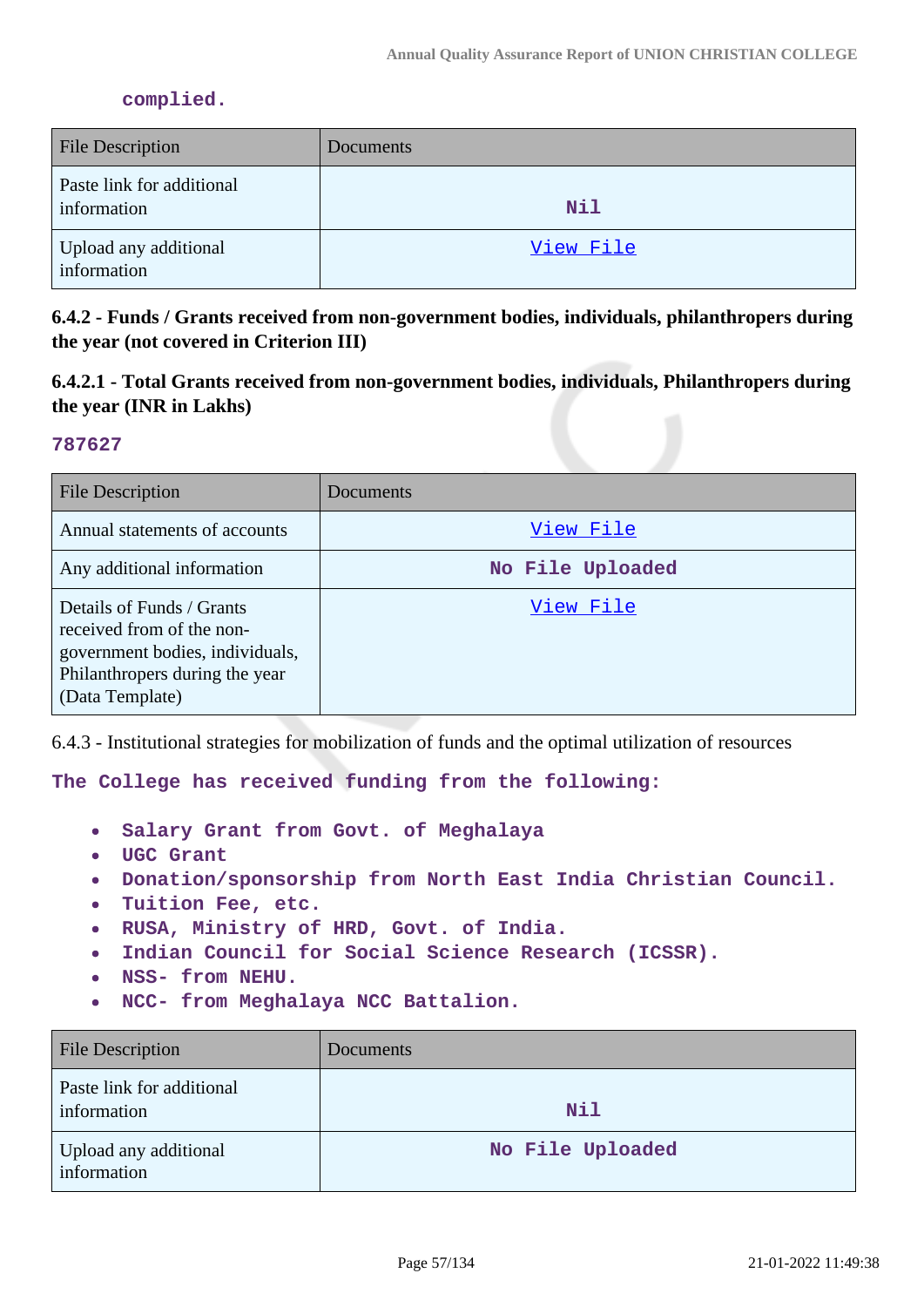### **complied.**

| <b>File Description</b>                  | Documents |
|------------------------------------------|-----------|
| Paste link for additional<br>information | Nil       |
| Upload any additional<br>information     | View File |

# **6.4.2 - Funds / Grants received from non-government bodies, individuals, philanthropers during the year (not covered in Criterion III)**

**6.4.2.1 - Total Grants received from non-government bodies, individuals, Philanthropers during the year (INR in Lakhs)**

### **787627**

| <b>File Description</b>                                                                                                                        | Documents        |
|------------------------------------------------------------------------------------------------------------------------------------------------|------------------|
| Annual statements of accounts                                                                                                                  | View File        |
| Any additional information                                                                                                                     | No File Uploaded |
| Details of Funds / Grants<br>received from of the non-<br>government bodies, individuals,<br>Philanthropers during the year<br>(Data Template) | View File        |

6.4.3 - Institutional strategies for mobilization of funds and the optimal utilization of resources

**The College has received funding from the following:**

- **Salary Grant from Govt. of Meghalaya**  $\bullet$
- **UGC Grant**
- **Donation/sponsorship from North East India Christian Council.**  $\bullet$
- **Tuition Fee, etc.**  $\bullet$
- **RUSA, Ministry of HRD, Govt. of India.**  $\bullet$
- **Indian Council for Social Science Research (ICSSR).**  $\bullet$
- **NSS- from NEHU.**  $\bullet$
- **NCC- from Meghalaya NCC Battalion.**  $\bullet$

| <b>File Description</b>                  | <b>Documents</b> |
|------------------------------------------|------------------|
| Paste link for additional<br>information | <b>Nil</b>       |
| Upload any additional<br>information     | No File Uploaded |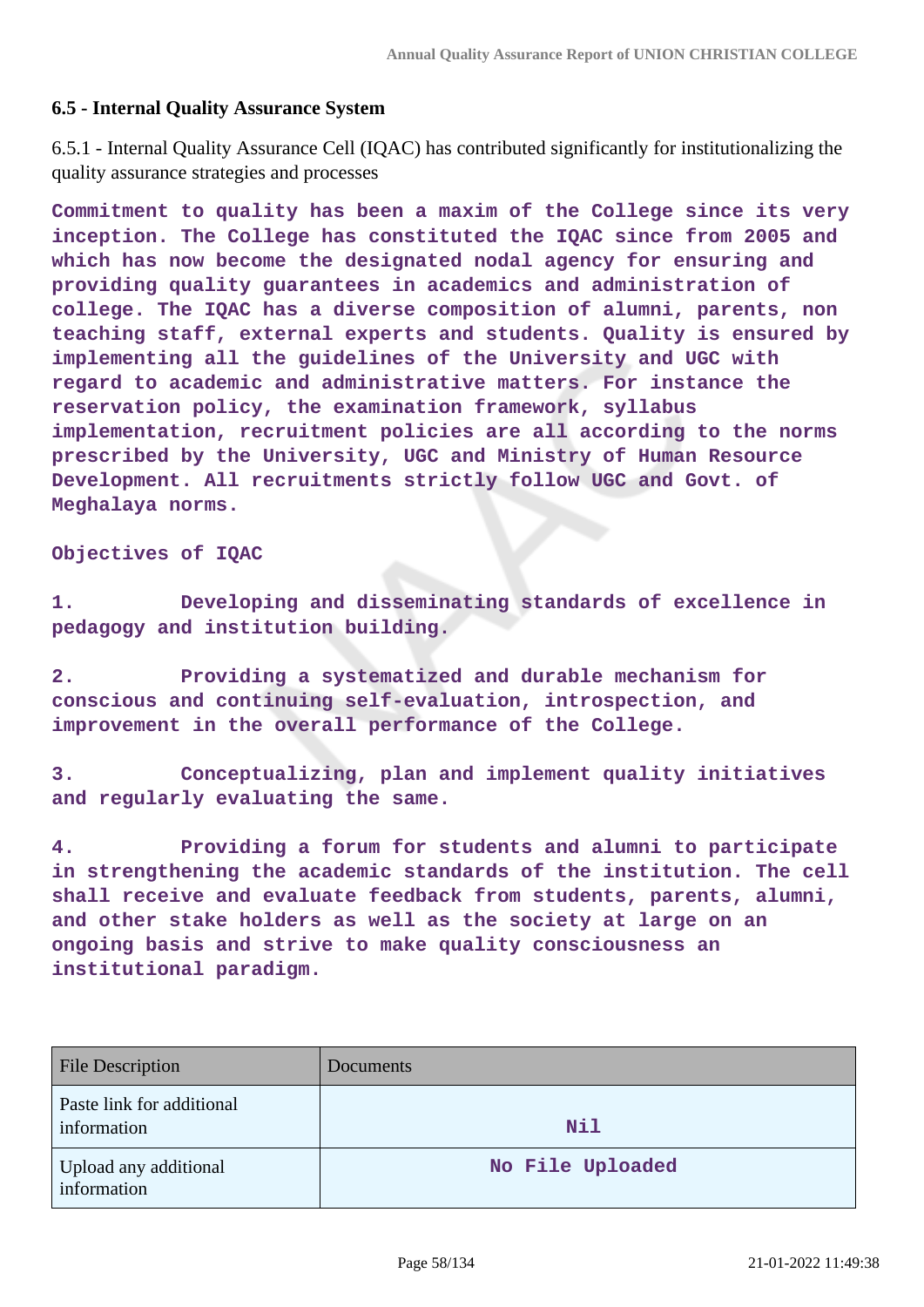## **6.5 - Internal Quality Assurance System**

6.5.1 - Internal Quality Assurance Cell (IQAC) has contributed significantly for institutionalizing the quality assurance strategies and processes

**Commitment to quality has been a maxim of the College since its very inception. The College has constituted the IQAC since from 2005 and which has now become the designated nodal agency for ensuring and providing quality guarantees in academics and administration of college. The IQAC has a diverse composition of alumni, parents, non teaching staff, external experts and students. Quality is ensured by implementing all the guidelines of the University and UGC with regard to academic and administrative matters. For instance the reservation policy, the examination framework, syllabus implementation, recruitment policies are all according to the norms prescribed by the University, UGC and Ministry of Human Resource Development. All recruitments strictly follow UGC and Govt. of Meghalaya norms.**

### **Objectives of IQAC**

**1. Developing and disseminating standards of excellence in pedagogy and institution building.**

**2. Providing a systematized and durable mechanism for conscious and continuing self-evaluation, introspection, and improvement in the overall performance of the College.**

**3. Conceptualizing, plan and implement quality initiatives and regularly evaluating the same.**

**4. Providing a forum for students and alumni to participate in strengthening the academic standards of the institution. The cell shall receive and evaluate feedback from students, parents, alumni, and other stake holders as well as the society at large on an ongoing basis and strive to make quality consciousness an institutional paradigm.**

| <b>File Description</b>                  | Documents        |
|------------------------------------------|------------------|
| Paste link for additional<br>information | <b>Nil</b>       |
| Upload any additional<br>information     | No File Uploaded |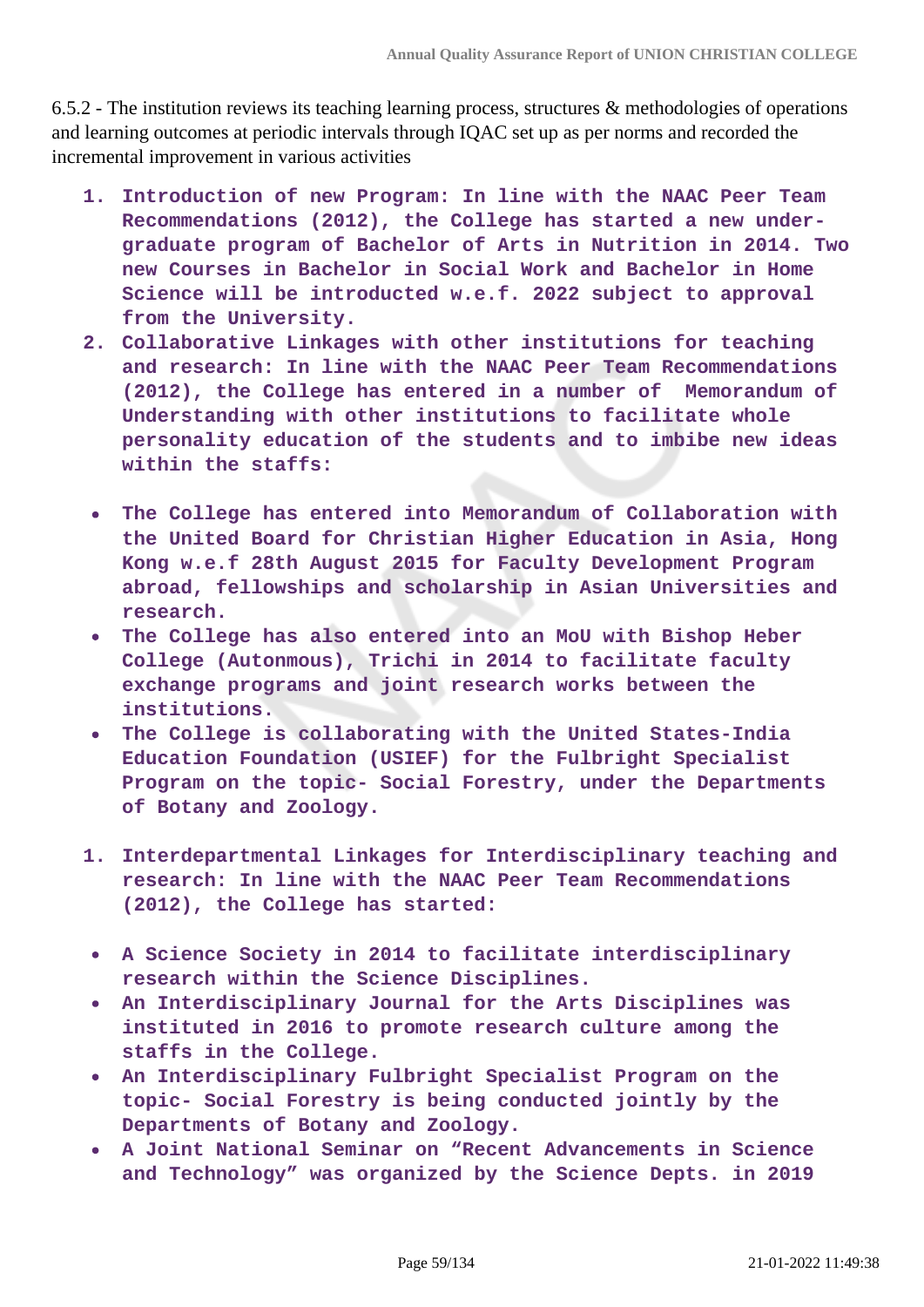6.5.2 - The institution reviews its teaching learning process, structures & methodologies of operations and learning outcomes at periodic intervals through IQAC set up as per norms and recorded the incremental improvement in various activities

- **1. Introduction of new Program: In line with the NAAC Peer Team Recommendations (2012), the College has started a new undergraduate program of Bachelor of Arts in Nutrition in 2014. Two new Courses in Bachelor in Social Work and Bachelor in Home Science will be introducted w.e.f. 2022 subject to approval from the University.**
- **2. Collaborative Linkages with other institutions for teaching and research: In line with the NAAC Peer Team Recommendations (2012), the College has entered in a number of Memorandum of Understanding with other institutions to facilitate whole personality education of the students and to imbibe new ideas within the staffs:**
- **The College has entered into Memorandum of Collaboration with**  $\bullet$ **the United Board for Christian Higher Education in Asia, Hong Kong w.e.f 28th August 2015 for Faculty Development Program abroad, fellowships and scholarship in Asian Universities and research.**
- **The College has also entered into an MoU with Bishop Heber**  $\bullet$ **College (Autonmous), Trichi in 2014 to facilitate faculty exchange programs and joint research works between the institutions.**
- **The College is collaborating with the United States-India**  $\bullet$ **Education Foundation (USIEF) for the Fulbright Specialist Program on the topic- Social Forestry, under the Departments of Botany and Zoology.**
- **1. Interdepartmental Linkages for Interdisciplinary teaching and research: In line with the NAAC Peer Team Recommendations (2012), the College has started:**
- **A Science Society in 2014 to facilitate interdisciplinary research within the Science Disciplines.**
- **An Interdisciplinary Journal for the Arts Disciplines was**  $\bullet$ **instituted in 2016 to promote research culture among the staffs in the College.**
- **An Interdisciplinary Fulbright Specialist Program on the topic- Social Forestry is being conducted jointly by the Departments of Botany and Zoology.**
- **A Joint National Seminar on "Recent Advancements in Science and Technology" was organized by the Science Depts. in 2019**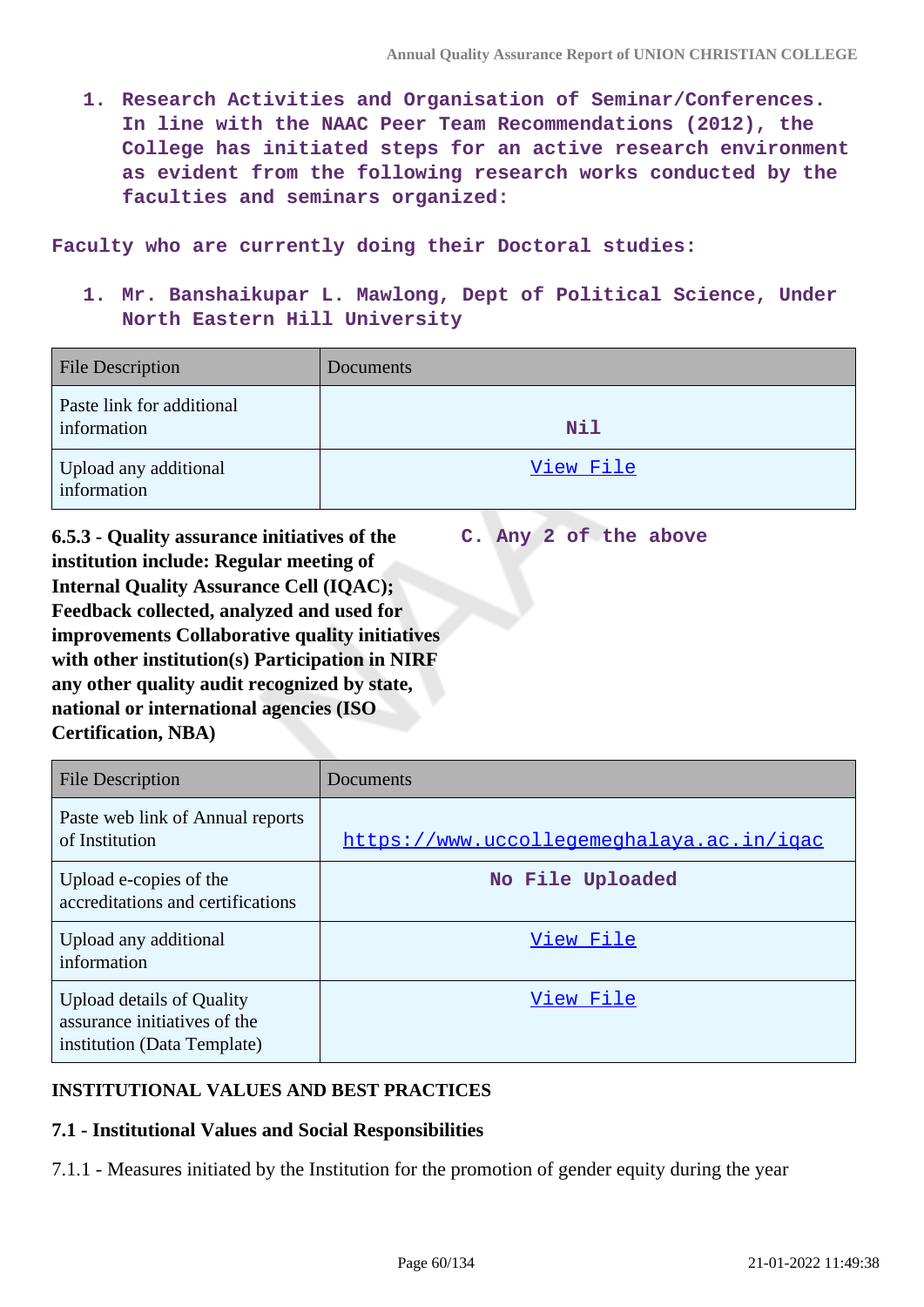**1. Research Activities and Organisation of Seminar/Conferences. In line with the NAAC Peer Team Recommendations (2012), the College has initiated steps for an active research environment as evident from the following research works conducted by the faculties and seminars organized:**

**Faculty who are currently doing their Doctoral studies:**

**1. Mr. Banshaikupar L. Mawlong, Dept of Political Science, Under North Eastern Hill University**

| <b>File Description</b>                  | Documents  |
|------------------------------------------|------------|
| Paste link for additional<br>information | <b>Nil</b> |
| Upload any additional<br>information     | View File  |

**6.5.3 - Quality assurance initiatives of the institution include: Regular meeting of Internal Quality Assurance Cell (IQAC); Feedback collected, analyzed and used for improvements Collaborative quality initiatives with other institution(s) Participation in NIRF any other quality audit recognized by state, national or international agencies (ISO Certification, NBA) C. Any 2 of the above**

| <b>File Description</b>                                                                         | Documents                                 |
|-------------------------------------------------------------------------------------------------|-------------------------------------------|
| Paste web link of Annual reports<br>of Institution                                              | https://www.uccollegemeghalaya.ac.in/igac |
| Upload e-copies of the<br>accreditations and certifications                                     | No File Uploaded                          |
| Upload any additional<br>information                                                            | View File                                 |
| <b>Upload details of Quality</b><br>assurance initiatives of the<br>institution (Data Template) | View File                                 |

# **INSTITUTIONAL VALUES AND BEST PRACTICES**

# **7.1 - Institutional Values and Social Responsibilities**

7.1.1 - Measures initiated by the Institution for the promotion of gender equity during the year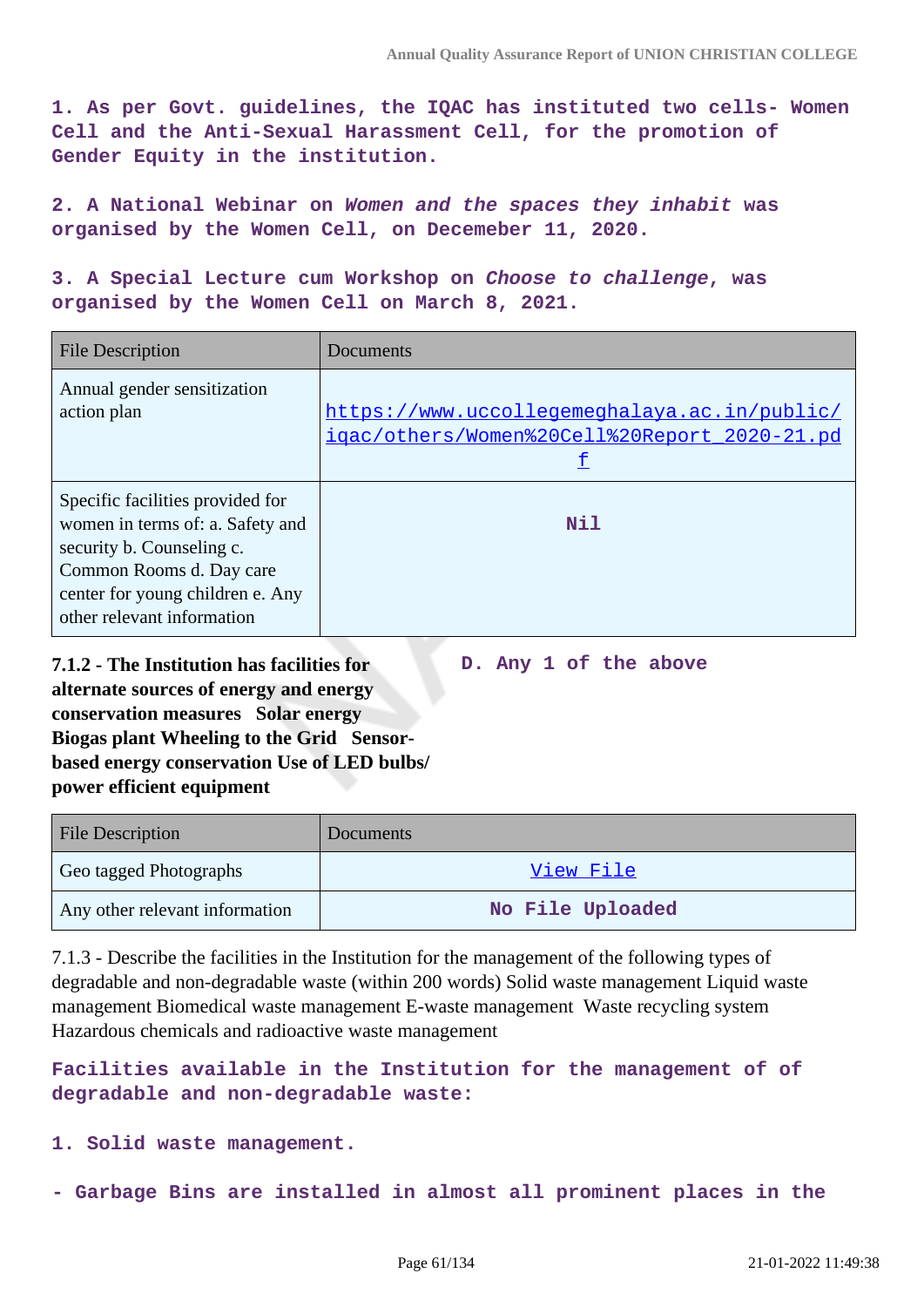**D. Any 1 of the above**

**1. As per Govt. guidelines, the IQAC has instituted two cells- Women Cell and the Anti-Sexual Harassment Cell, for the promotion of Gender Equity in the institution.**

**2. A National Webinar on Women and the spaces they inhabit was organised by the Women Cell, on Decemeber 11, 2020.**

**3. A Special Lecture cum Workshop on Choose to challenge, was organised by the Women Cell on March 8, 2021.**

| <b>File Description</b>                                                                                                                                                                         | Documents                                                                                    |
|-------------------------------------------------------------------------------------------------------------------------------------------------------------------------------------------------|----------------------------------------------------------------------------------------------|
| Annual gender sensitization<br>action plan                                                                                                                                                      | https://www.uccollegemeghalaya.ac.in/public/<br>igac/others/Women%20Cell%20Report_2020-21.pd |
| Specific facilities provided for<br>women in terms of: a. Safety and<br>security b. Counseling c.<br>Common Rooms d. Day care<br>center for young children e. Any<br>other relevant information | Nil                                                                                          |

**7.1.2 - The Institution has facilities for alternate sources of energy and energy conservation measures Solar energy Biogas plant Wheeling to the Grid Sensorbased energy conservation Use of LED bulbs/ power efficient equipment** 

| <b>File Description</b>        | Documents        |
|--------------------------------|------------------|
| Geo tagged Photographs         | View File        |
| Any other relevant information | No File Uploaded |

7.1.3 - Describe the facilities in the Institution for the management of the following types of degradable and non-degradable waste (within 200 words) Solid waste management Liquid waste management Biomedical waste management E-waste management Waste recycling system Hazardous chemicals and radioactive waste management

**Facilities available in the Institution for the management of of degradable and non-degradable waste:**

**1. Solid waste management.**

**- Garbage Bins are installed in almost all prominent places in the**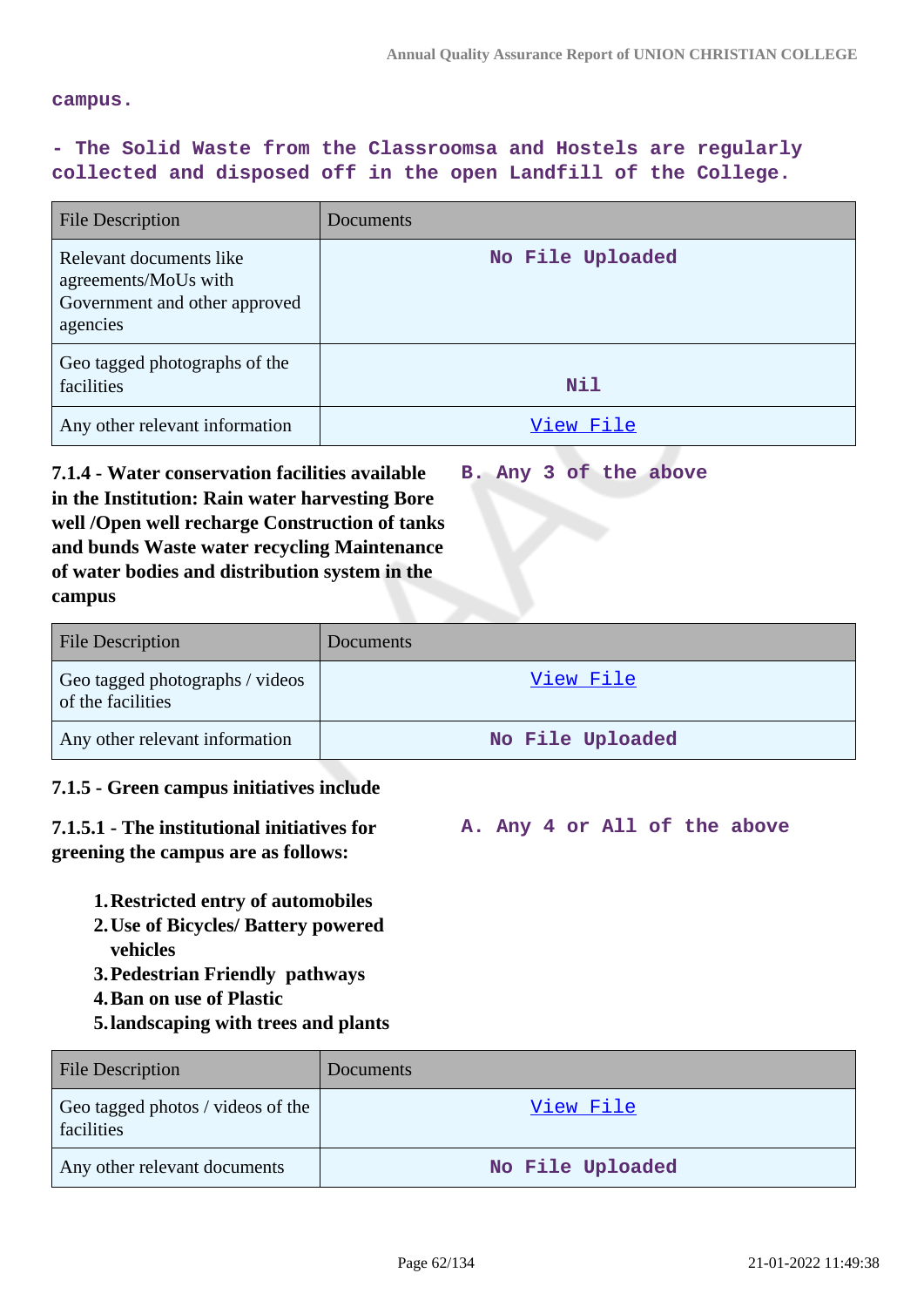**A. Any 4 or All of the above**

#### **campus.**

# **- The Solid Waste from the Classroomsa and Hostels are regularly collected and disposed off in the open Landfill of the College.**

| <b>File Description</b>                                                                      | Documents        |
|----------------------------------------------------------------------------------------------|------------------|
| Relevant documents like<br>agreements/MoUs with<br>Government and other approved<br>agencies | No File Uploaded |
| Geo tagged photographs of the<br>facilities                                                  | Nil              |
| Any other relevant information                                                               | View File        |

**7.1.4 - Water conservation facilities available in the Institution: Rain water harvesting Bore well /Open well recharge Construction of tanks and bunds Waste water recycling Maintenance of water bodies and distribution system in the campus B. Any 3 of the above**

| <b>File Description</b>                              | <b>Documents</b> |
|------------------------------------------------------|------------------|
| Geo tagged photographs / videos<br>of the facilities | View File        |
| Any other relevant information                       | No File Uploaded |

### **7.1.5 - Green campus initiatives include**

# **7.1.5.1 - The institutional initiatives for greening the campus are as follows:**

- 
- **1.Restricted entry of automobiles**
- **2.Use of Bicycles/ Battery powered vehicles**
- **3.Pedestrian Friendly pathways**
- **4.Ban on use of Plastic**
- **5.landscaping with trees and plants**

| <b>File Description</b>                         | <b>Documents</b> |
|-------------------------------------------------|------------------|
| Geo tagged photos / videos of the<br>facilities | View File        |
| Any other relevant documents                    | No File Uploaded |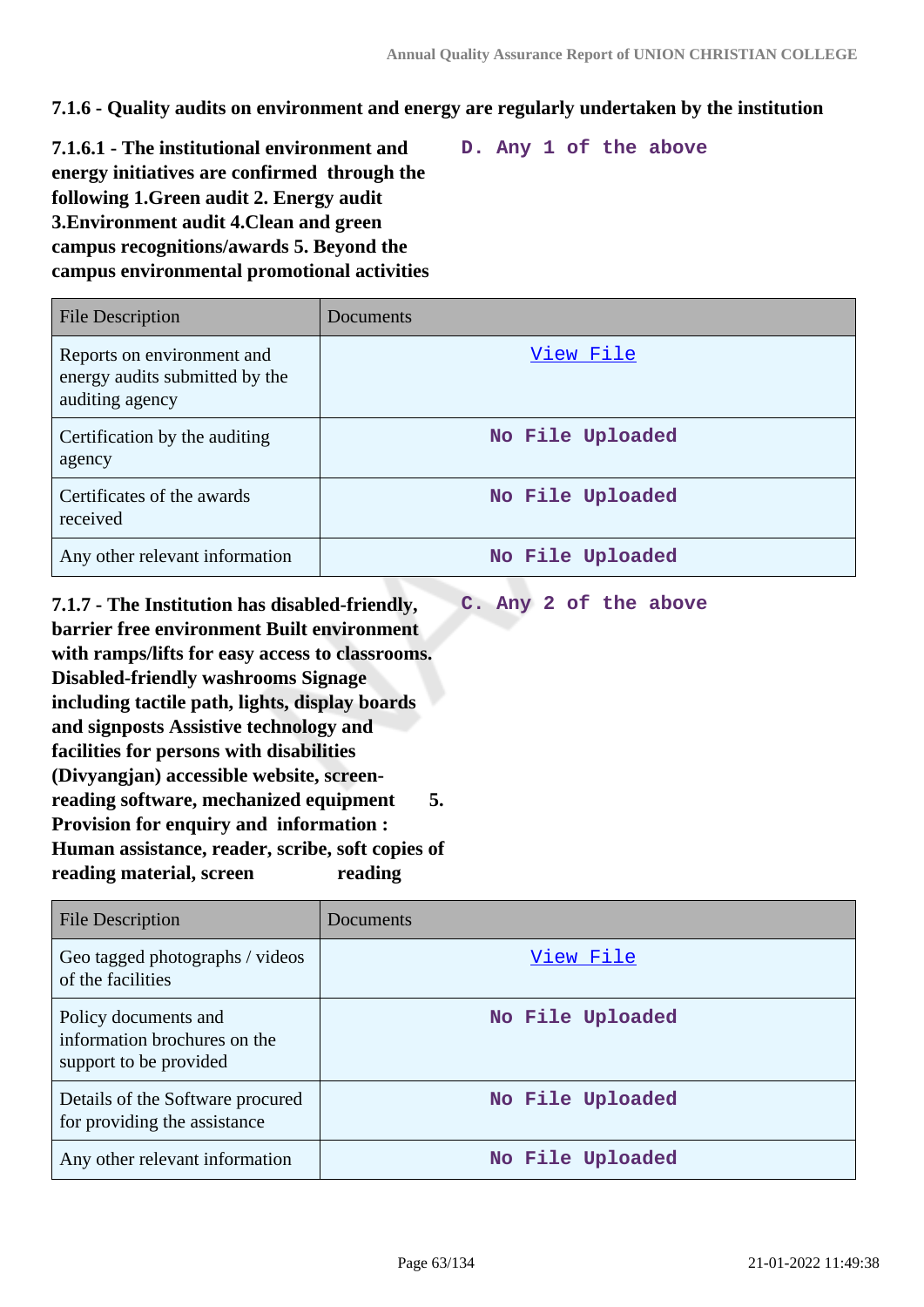**C. Any 2 of the above**

**7.1.6 - Quality audits on environment and energy are regularly undertaken by the institution**

**7.1.6.1 - The institutional environment and energy initiatives are confirmed through the following 1.Green audit 2. Energy audit 3.Environment audit 4.Clean and green campus recognitions/awards 5. Beyond the campus environmental promotional activities D. Any 1 of the above**

File Description Documents Reports on environment and energy audits submitted by the auditing agency [View File](https://assessmentonline.naac.gov.in/storage/app/public/aqar/14817/14817_87_203.pdf) Certification by the auditing agency **No File Uploaded** Certificates of the awards received **No File Uploaded** Any other relevant information **No File Uploaded** 

**7.1.7 - The Institution has disabled-friendly, barrier free environment Built environment with ramps/lifts for easy access to classrooms. Disabled-friendly washrooms Signage including tactile path, lights, display boards and signposts Assistive technology and facilities for persons with disabilities (Divyangjan) accessible website, screenreading software, mechanized equipment 5. Provision for enquiry and information : Human assistance, reader, scribe, soft copies of** reading material, screen reading

| <b>File Description</b>                                                        | Documents        |
|--------------------------------------------------------------------------------|------------------|
| Geo tagged photographs / videos<br>of the facilities                           | View File        |
| Policy documents and<br>information brochures on the<br>support to be provided | No File Uploaded |
| Details of the Software procured<br>for providing the assistance               | No File Uploaded |
| Any other relevant information                                                 | No File Uploaded |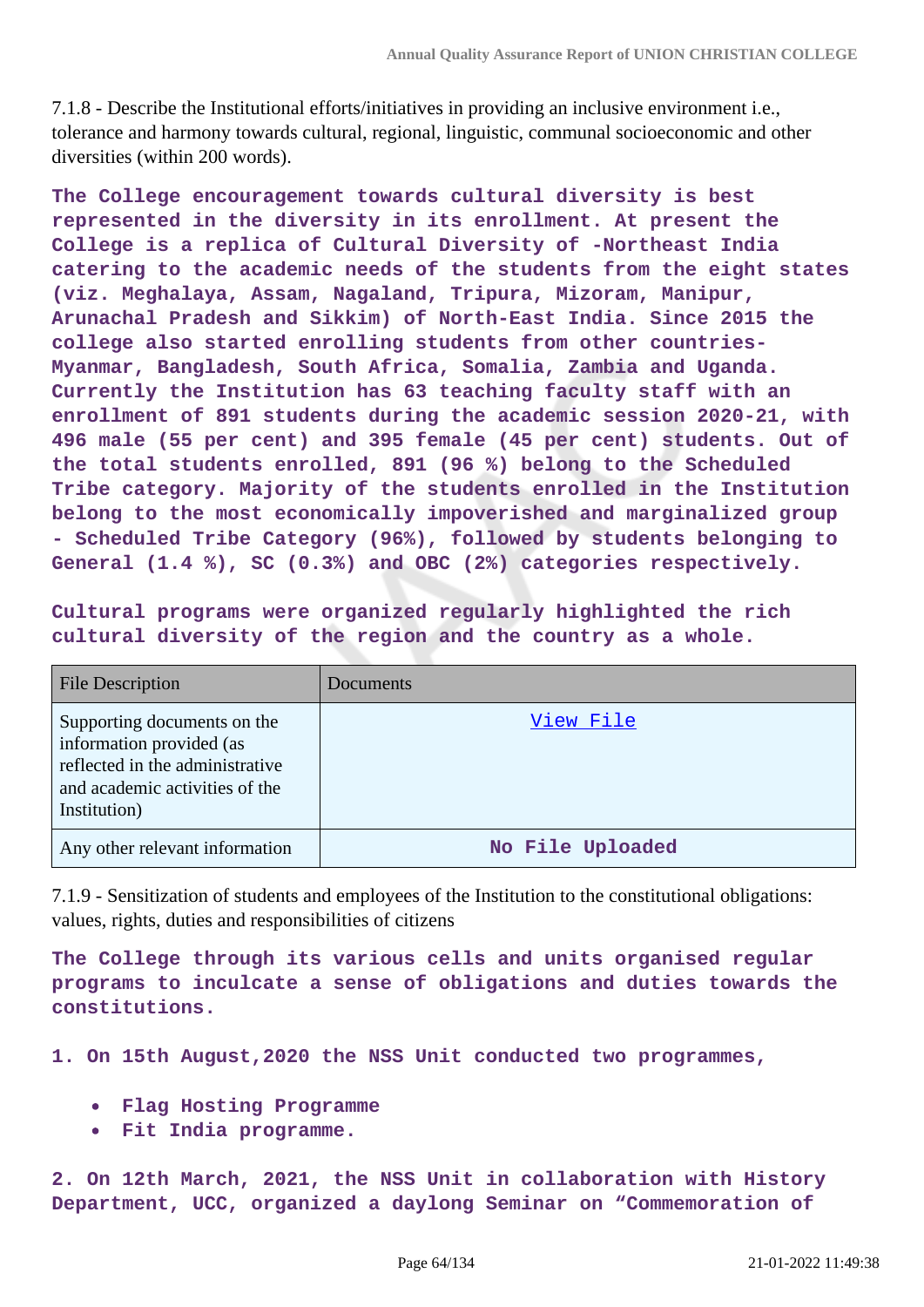7.1.8 - Describe the Institutional efforts/initiatives in providing an inclusive environment i.e., tolerance and harmony towards cultural, regional, linguistic, communal socioeconomic and other diversities (within 200 words).

**The College encouragement towards cultural diversity is best represented in the diversity in its enrollment. At present the College is a replica of Cultural Diversity of -Northeast India catering to the academic needs of the students from the eight states (viz. Meghalaya, Assam, Nagaland, Tripura, Mizoram, Manipur, Arunachal Pradesh and Sikkim) of North-East India. Since 2015 the college also started enrolling students from other countries-Myanmar, Bangladesh, South Africa, Somalia, Zambia and Uganda. Currently the Institution has 63 teaching faculty staff with an enrollment of 891 students during the academic session 2020-21, with 496 male (55 per cent) and 395 female (45 per cent) students. Out of the total students enrolled, 891 (96 %) belong to the Scheduled Tribe category. Majority of the students enrolled in the Institution belong to the most economically impoverished and marginalized group - Scheduled Tribe Category (96%), followed by students belonging to General (1.4 %), SC (0.3%) and OBC (2%) categories respectively.**

**Cultural programs were organized regularly highlighted the rich cultural diversity of the region and the country as a whole.**

| <b>File Description</b>                                                                                                                      | <b>Documents</b> |
|----------------------------------------------------------------------------------------------------------------------------------------------|------------------|
| Supporting documents on the<br>information provided (as<br>reflected in the administrative<br>and academic activities of the<br>Institution) | View File        |
| Any other relevant information                                                                                                               | No File Uploaded |

7.1.9 - Sensitization of students and employees of the Institution to the constitutional obligations: values, rights, duties and responsibilities of citizens

**The College through its various cells and units organised regular programs to inculcate a sense of obligations and duties towards the constitutions.**

**1. On 15th August,2020 the NSS Unit conducted two programmes,**

- **Flag Hosting Programme**
- **Fit India programme.**

**2. On 12th March, 2021, the NSS Unit in collaboration with History Department, UCC, organized a daylong Seminar on "Commemoration of**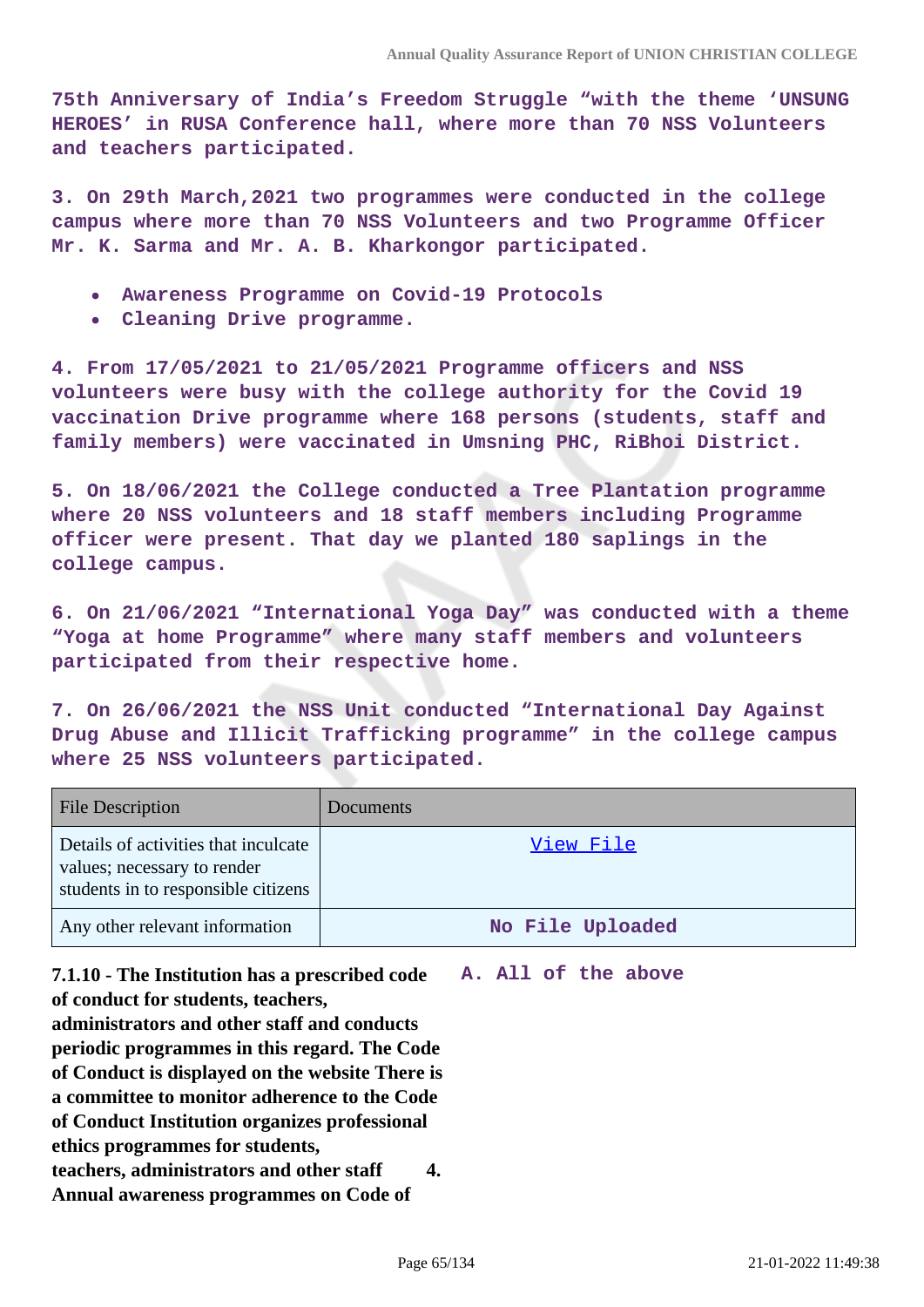**75th Anniversary of India's Freedom Struggle "with the theme 'UNSUNG HEROES' in RUSA Conference hall, where more than 70 NSS Volunteers and teachers participated.**

**3. On 29th March,2021 two programmes were conducted in the college campus where more than 70 NSS Volunteers and two Programme Officer Mr. K. Sarma and Mr. A. B. Kharkongor participated.**

- **Awareness Programme on Covid-19 Protocols**
- **Cleaning Drive programme.**

**4. From 17/05/2021 to 21/05/2021 Programme officers and NSS volunteers were busy with the college authority for the Covid 19 vaccination Drive programme where 168 persons (students, staff and family members) were vaccinated in Umsning PHC, RiBhoi District.**

**5. On 18/06/2021 the College conducted a Tree Plantation programme where 20 NSS volunteers and 18 staff members including Programme officer were present. That day we planted 180 saplings in the college campus.**

**6. On 21/06/2021 "International Yoga Day" was conducted with a theme "Yoga at home Programme" where many staff members and volunteers participated from their respective home.**

**7. On 26/06/2021 the NSS Unit conducted "International Day Against Drug Abuse and Illicit Trafficking programme" in the college campus where 25 NSS volunteers participated.**

| <b>File Description</b>                                                                                    | <b>Documents</b> |
|------------------------------------------------------------------------------------------------------------|------------------|
| Details of activities that inculcate<br>values; necessary to render<br>students in to responsible citizens | View File        |
| Any other relevant information                                                                             | No File Uploaded |

**7.1.10 - The Institution has a prescribed code A. All of the above of conduct for students, teachers, administrators and other staff and conducts periodic programmes in this regard. The Code of Conduct is displayed on the website There is a committee to monitor adherence to the Code of Conduct Institution organizes professional ethics programmes for students, teachers, administrators and other staff 4. Annual awareness programmes on Code of**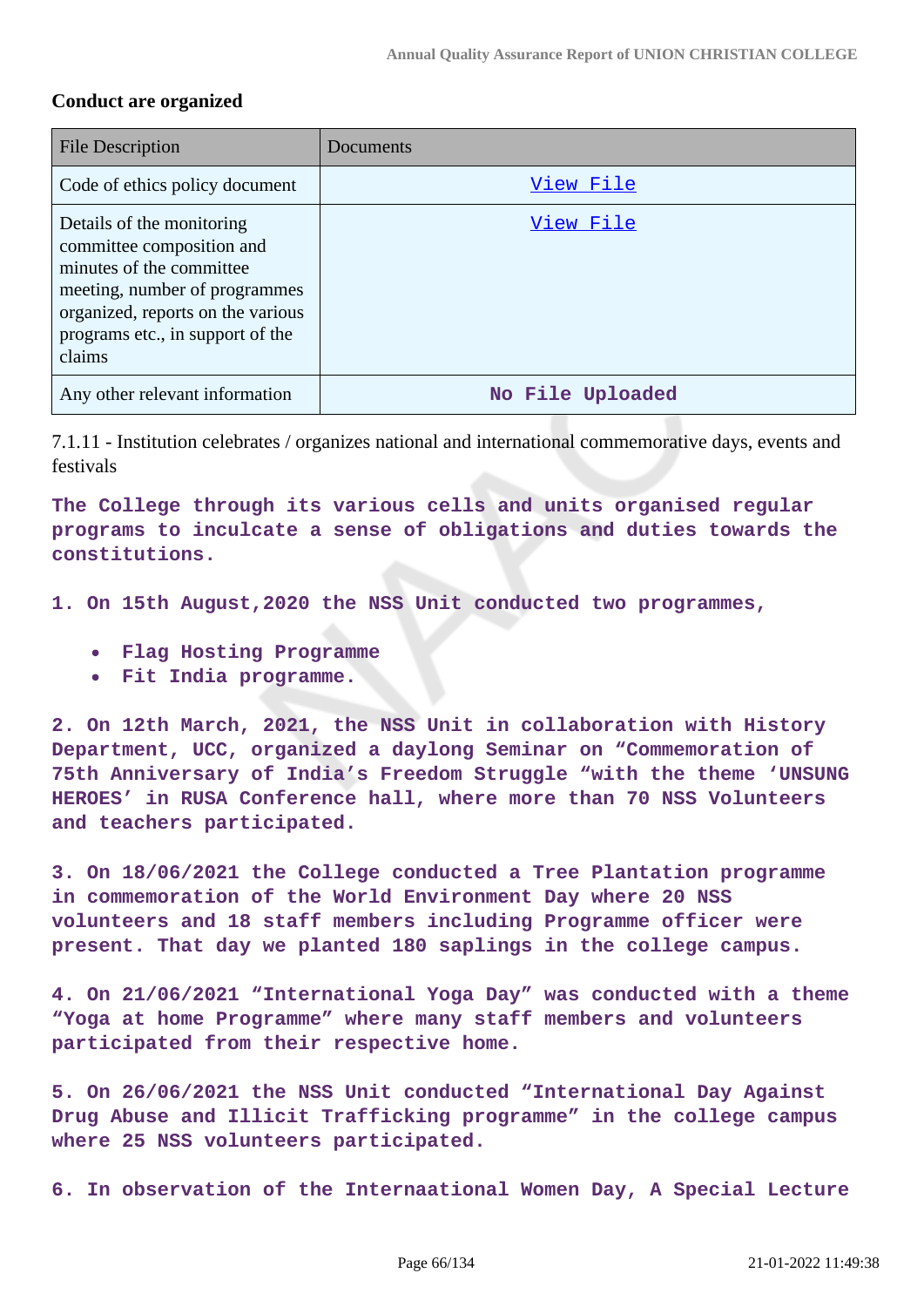# **Conduct are organized**

| <b>File Description</b>                                                                                                                                                                                | Documents        |
|--------------------------------------------------------------------------------------------------------------------------------------------------------------------------------------------------------|------------------|
| Code of ethics policy document                                                                                                                                                                         | View File        |
| Details of the monitoring<br>committee composition and<br>minutes of the committee<br>meeting, number of programmes<br>organized, reports on the various<br>programs etc., in support of the<br>claims | View File        |
| Any other relevant information                                                                                                                                                                         | No File Uploaded |

7.1.11 - Institution celebrates / organizes national and international commemorative days, events and festivals

**The College through its various cells and units organised regular programs to inculcate a sense of obligations and duties towards the constitutions.**

**1. On 15th August,2020 the NSS Unit conducted two programmes,**

- **Flag Hosting Programme**
- **Fit India programme.**

**2. On 12th March, 2021, the NSS Unit in collaboration with History Department, UCC, organized a daylong Seminar on "Commemoration of 75th Anniversary of India's Freedom Struggle "with the theme 'UNSUNG HEROES' in RUSA Conference hall, where more than 70 NSS Volunteers and teachers participated.**

**3. On 18/06/2021 the College conducted a Tree Plantation programme in commemoration of the World Environment Day where 20 NSS volunteers and 18 staff members including Programme officer were present. That day we planted 180 saplings in the college campus.**

**4. On 21/06/2021 "International Yoga Day" was conducted with a theme "Yoga at home Programme" where many staff members and volunteers participated from their respective home.**

**5. On 26/06/2021 the NSS Unit conducted "International Day Against Drug Abuse and Illicit Trafficking programme" in the college campus where 25 NSS volunteers participated.**

**6. In observation of the Internaational Women Day, A Special Lecture**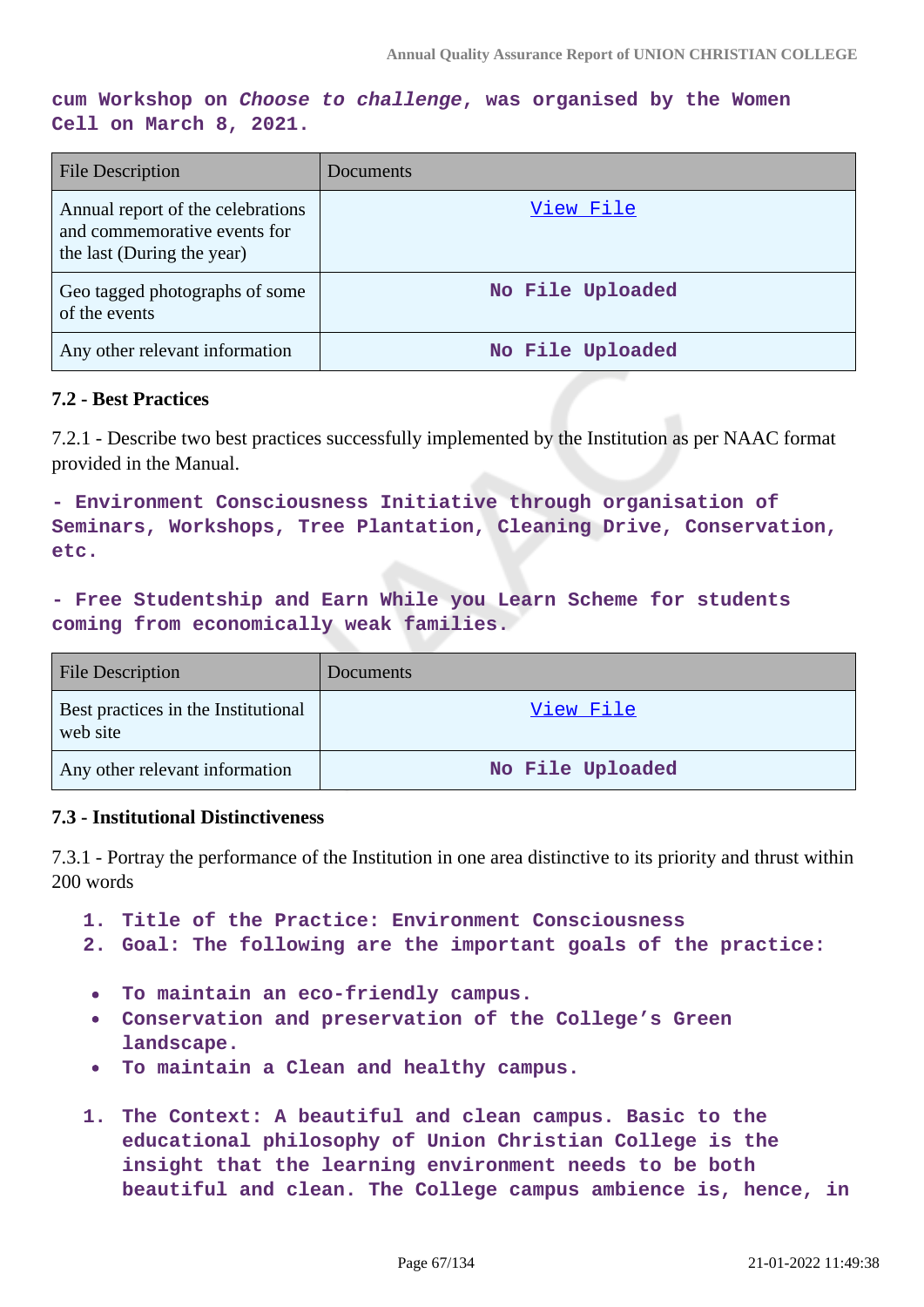**cum Workshop on Choose to challenge, was organised by the Women Cell on March 8, 2021.**

| <b>File Description</b>                                                                         | Documents        |
|-------------------------------------------------------------------------------------------------|------------------|
| Annual report of the celebrations<br>and commemorative events for<br>the last (During the year) | View File        |
| Geo tagged photographs of some<br>of the events                                                 | No File Uploaded |
| Any other relevant information                                                                  | No File Uploaded |

### **7.2 - Best Practices**

7.2.1 - Describe two best practices successfully implemented by the Institution as per NAAC format provided in the Manual.

**- Environment Consciousness Initiative through organisation of Seminars, Workshops, Tree Plantation, Cleaning Drive, Conservation, etc.**

**- Free Studentship and Earn While you Learn Scheme for students coming from economically weak families.**

| <b>File Description</b>                         | <b>Documents</b> |
|-------------------------------------------------|------------------|
| Best practices in the Institutional<br>web site | View File        |
| Any other relevant information                  | No File Uploaded |

## **7.3 - Institutional Distinctiveness**

7.3.1 - Portray the performance of the Institution in one area distinctive to its priority and thrust within 200 words

- **1. Title of the Practice: Environment Consciousness**
- **2. Goal: The following are the important goals of the practice:**
- **To maintain an eco-friendly campus.**  $\bullet$
- **Conservation and preservation of the College's Green**  $\bullet$ **landscape.**
- **To maintain a Clean and healthy campus.**  $\bullet$
- **1. The Context: A beautiful and clean campus. Basic to the educational philosophy of Union Christian College is the insight that the learning environment needs to be both beautiful and clean. The College campus ambience is, hence, in**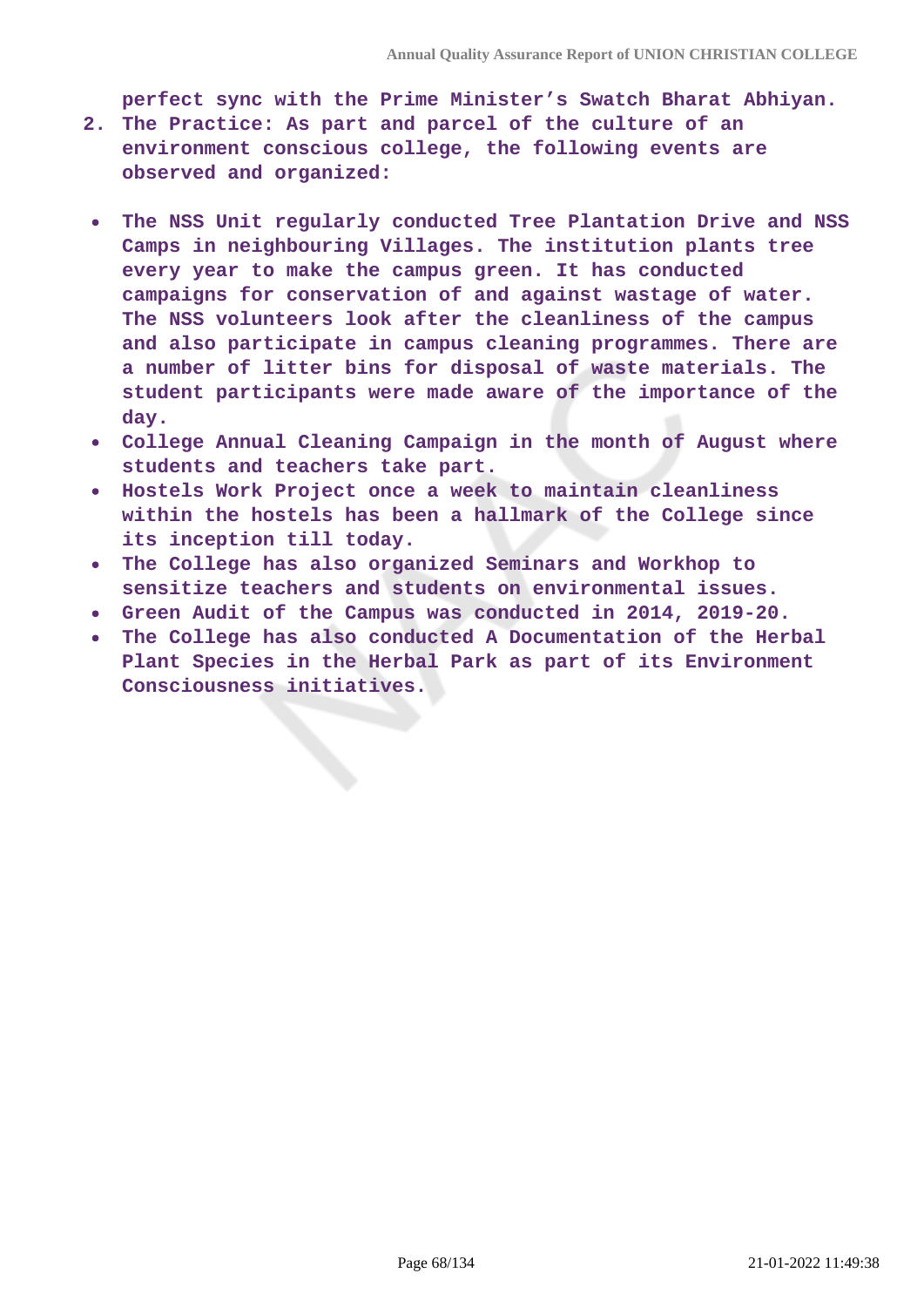**perfect sync with the Prime Minister's Swatch Bharat Abhiyan.**

- **2. The Practice: As part and parcel of the culture of an environment conscious college, the following events are observed and organized:**
- **The NSS Unit regularly conducted Tree Plantation Drive and NSS Camps in neighbouring Villages. The institution plants tree every year to make the campus green. It has conducted campaigns for conservation of and against wastage of water. The NSS volunteers look after the cleanliness of the campus and also participate in campus cleaning programmes. There are a number of litter bins for disposal of waste materials. The student participants were made aware of the importance of the day.**
- **College Annual Cleaning Campaign in the month of August where students and teachers take part.**
- **Hostels Work Project once a week to maintain cleanliness**  $\bullet$ **within the hostels has been a hallmark of the College since its inception till today.**
- **The College has also organized Seminars and Workhop to**  $\bullet$ **sensitize teachers and students on environmental issues.**
- **Green Audit of the Campus was conducted in 2014, 2019-20.**
- **The College has also conducted A Documentation of the Herbal Plant Species in the Herbal Park as part of its Environment Consciousness initiatives.**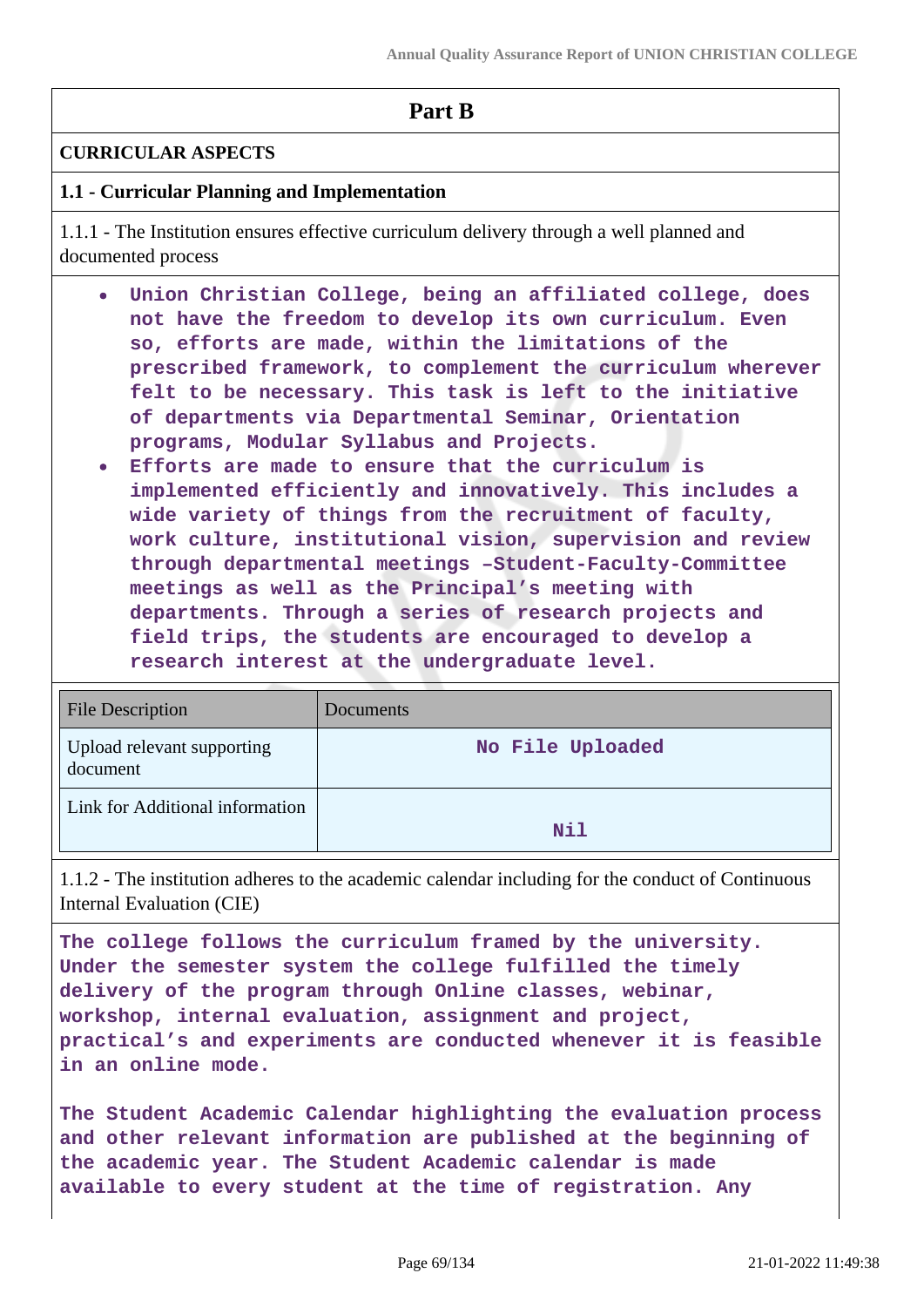# **Part B**

# **CURRICULAR ASPECTS**

# **1.1 - Curricular Planning and Implementation**

1.1.1 - The Institution ensures effective curriculum delivery through a well planned and documented process

- **Union Christian College, being an affiliated college, does not have the freedom to develop its own curriculum. Even so, efforts are made, within the limitations of the prescribed framework, to complement the curriculum wherever felt to be necessary. This task is left to the initiative of departments via Departmental Seminar, Orientation programs, Modular Syllabus and Projects.**
- **Efforts are made to ensure that the curriculum is implemented efficiently and innovatively. This includes a wide variety of things from the recruitment of faculty, work culture, institutional vision, supervision and review through departmental meetings –Student-Faculty-Committee meetings as well as the Principal's meeting with departments. Through a series of research projects and field trips, the students are encouraged to develop a research interest at the undergraduate level.**

| <b>File Description</b>                | Documents        |
|----------------------------------------|------------------|
| Upload relevant supporting<br>document | No File Uploaded |
| Link for Additional information        | Nil              |

1.1.2 - The institution adheres to the academic calendar including for the conduct of Continuous Internal Evaluation (CIE)

**The college follows the curriculum framed by the university. Under the semester system the college fulfilled the timely delivery of the program through Online classes, webinar, workshop, internal evaluation, assignment and project, practical's and experiments are conducted whenever it is feasible in an online mode.**

**The Student Academic Calendar highlighting the evaluation process and other relevant information are published at the beginning of the academic year. The Student Academic calendar is made available to every student at the time of registration. Any**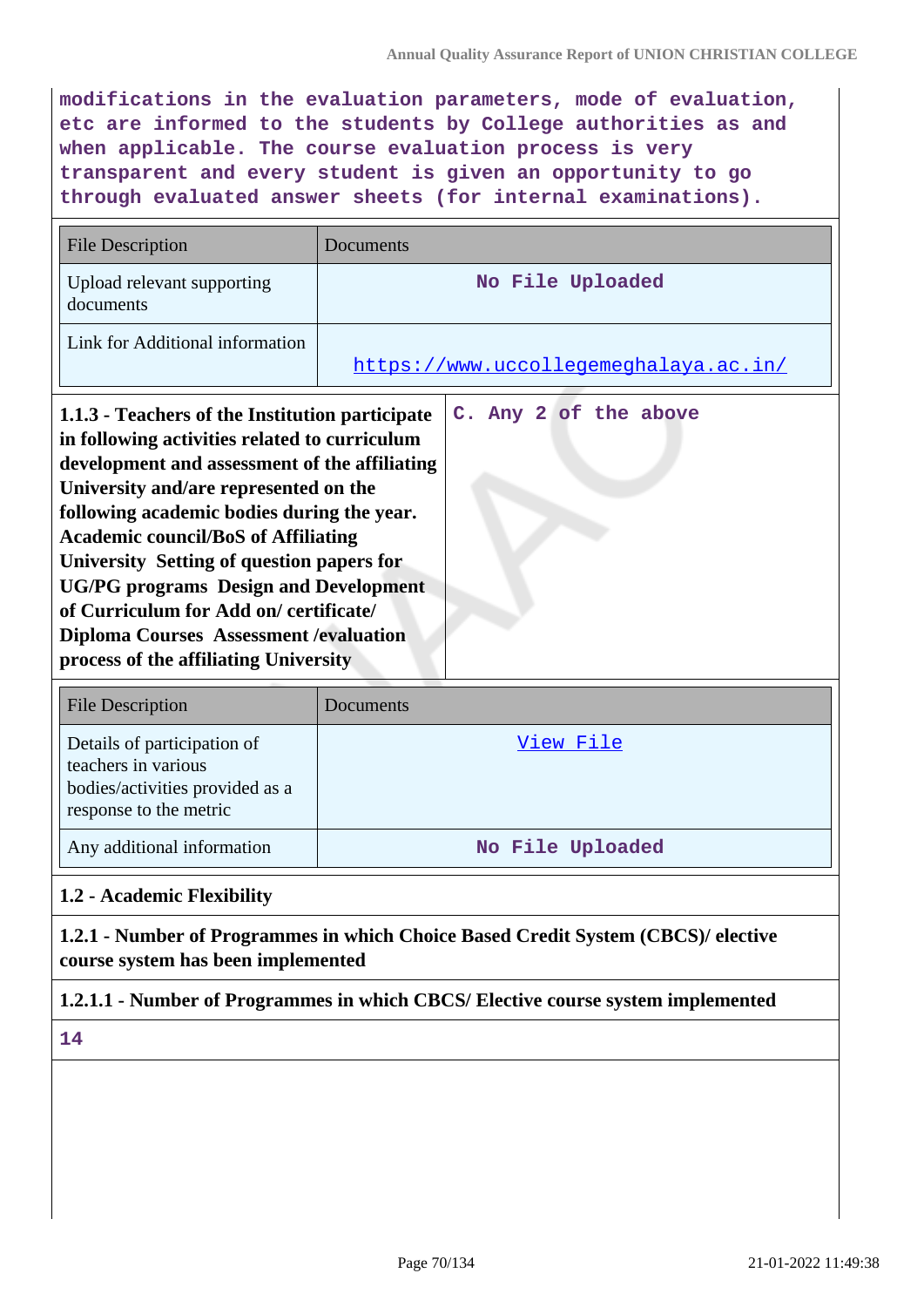**modifications in the evaluation parameters, mode of evaluation, etc are informed to the students by College authorities as and when applicable. The course evaluation process is very transparent and every student is given an opportunity to go through evaluated answer sheets (for internal examinations).**

| <b>File Description</b>                                                                                                                                                                                                                                                                                                                                                                                                                                                                                                                                 | Documents                             |  |
|---------------------------------------------------------------------------------------------------------------------------------------------------------------------------------------------------------------------------------------------------------------------------------------------------------------------------------------------------------------------------------------------------------------------------------------------------------------------------------------------------------------------------------------------------------|---------------------------------------|--|
| Upload relevant supporting<br>documents                                                                                                                                                                                                                                                                                                                                                                                                                                                                                                                 | No File Uploaded                      |  |
| Link for Additional information                                                                                                                                                                                                                                                                                                                                                                                                                                                                                                                         | https://www.uccollegemeghalaya.ac.in/ |  |
| C. Any 2 of the above<br>1.1.3 - Teachers of the Institution participate<br>in following activities related to curriculum<br>development and assessment of the affiliating<br>University and/are represented on the<br>following academic bodies during the year.<br><b>Academic council/BoS of Affiliating</b><br><b>University Setting of question papers for</b><br><b>UG/PG</b> programs Design and Development<br>of Curriculum for Add on/ certificate/<br><b>Diploma Courses Assessment /evaluation</b><br>process of the affiliating University |                                       |  |
| <b>File Description</b>                                                                                                                                                                                                                                                                                                                                                                                                                                                                                                                                 | Documents                             |  |
| Details of participation of<br>teachers in various<br>bodies/activities provided as a<br>response to the metric                                                                                                                                                                                                                                                                                                                                                                                                                                         | View File                             |  |
| Any additional information                                                                                                                                                                                                                                                                                                                                                                                                                                                                                                                              | No File Uploaded                      |  |
| 1.2 - Academic Flexibility                                                                                                                                                                                                                                                                                                                                                                                                                                                                                                                              |                                       |  |
| 1.2.1 - Number of Programmes in which Choice Based Credit System (CBCS)/ elective<br>course system has been implemented                                                                                                                                                                                                                                                                                                                                                                                                                                 |                                       |  |
| 1.2.1.1 - Number of Programmes in which CBCS/ Elective course system implemented                                                                                                                                                                                                                                                                                                                                                                                                                                                                        |                                       |  |

**14**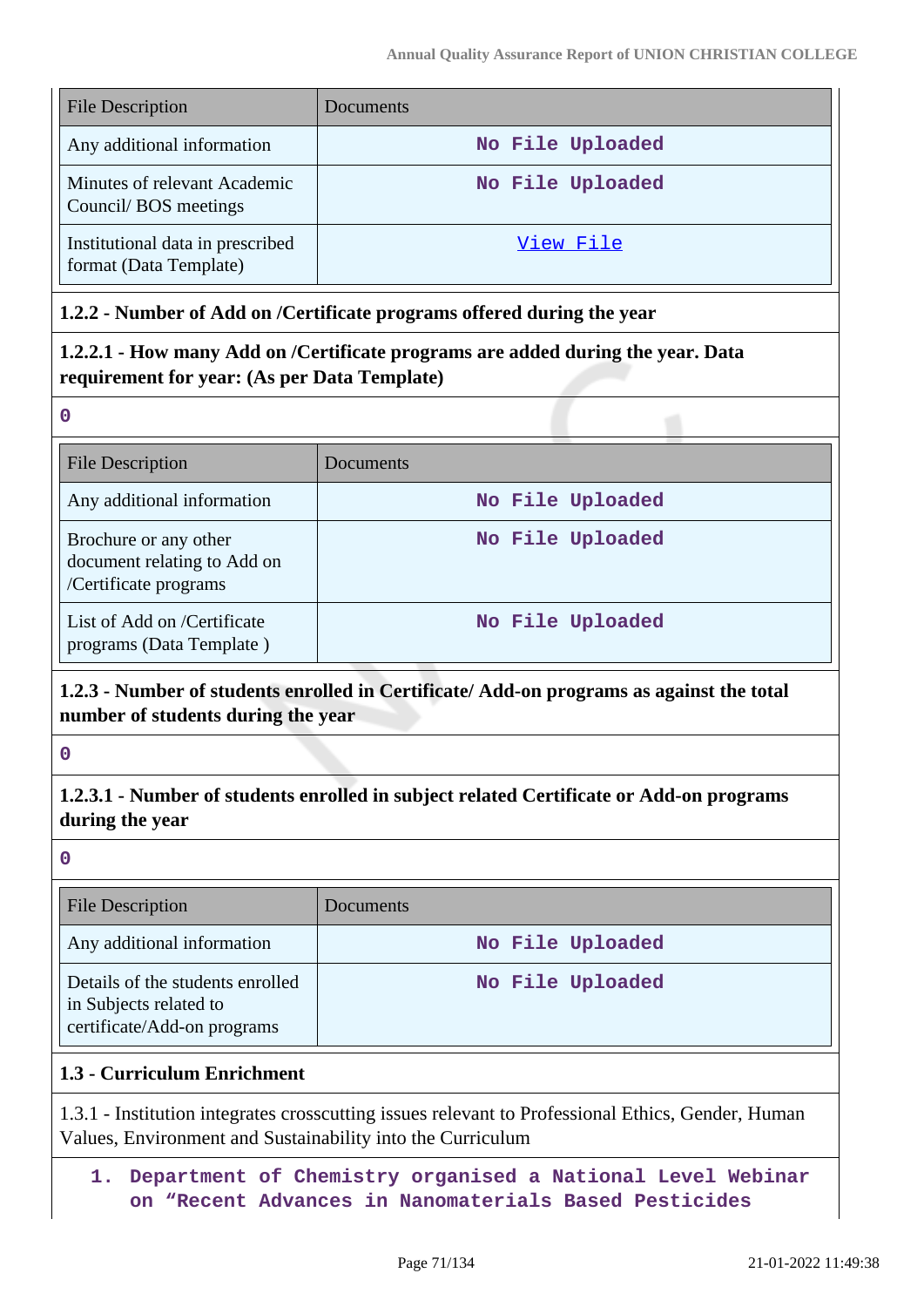| <b>File Description</b>                                    | Documents        |
|------------------------------------------------------------|------------------|
| Any additional information                                 | No File Uploaded |
| Minutes of relevant Academic<br>Council/BOS meetings       | No File Uploaded |
| Institutional data in prescribed<br>format (Data Template) | View File        |

# **1.2.2 - Number of Add on /Certificate programs offered during the year**

**1.2.2.1 - How many Add on /Certificate programs are added during the year. Data requirement for year: (As per Data Template)**

**0**

| <b>File Description</b>                                                       | Documents        |
|-------------------------------------------------------------------------------|------------------|
| Any additional information                                                    | No File Uploaded |
| Brochure or any other<br>document relating to Add on<br>/Certificate programs | No File Uploaded |
| List of Add on /Certificate<br>programs (Data Template)                       | No File Uploaded |

# **1.2.3 - Number of students enrolled in Certificate/ Add-on programs as against the total number of students during the year**

**0**

# **1.2.3.1 - Number of students enrolled in subject related Certificate or Add-on programs during the year**

**0**

| File Description                                                                          | Documents        |
|-------------------------------------------------------------------------------------------|------------------|
| Any additional information                                                                | No File Uploaded |
| Details of the students enrolled<br>in Subjects related to<br>certificate/Add-on programs | No File Uploaded |

# **1.3 - Curriculum Enrichment**

1.3.1 - Institution integrates crosscutting issues relevant to Professional Ethics, Gender, Human Values, Environment and Sustainability into the Curriculum

# **1. Department of Chemistry organised a National Level Webinar on "Recent Advances in Nanomaterials Based Pesticides**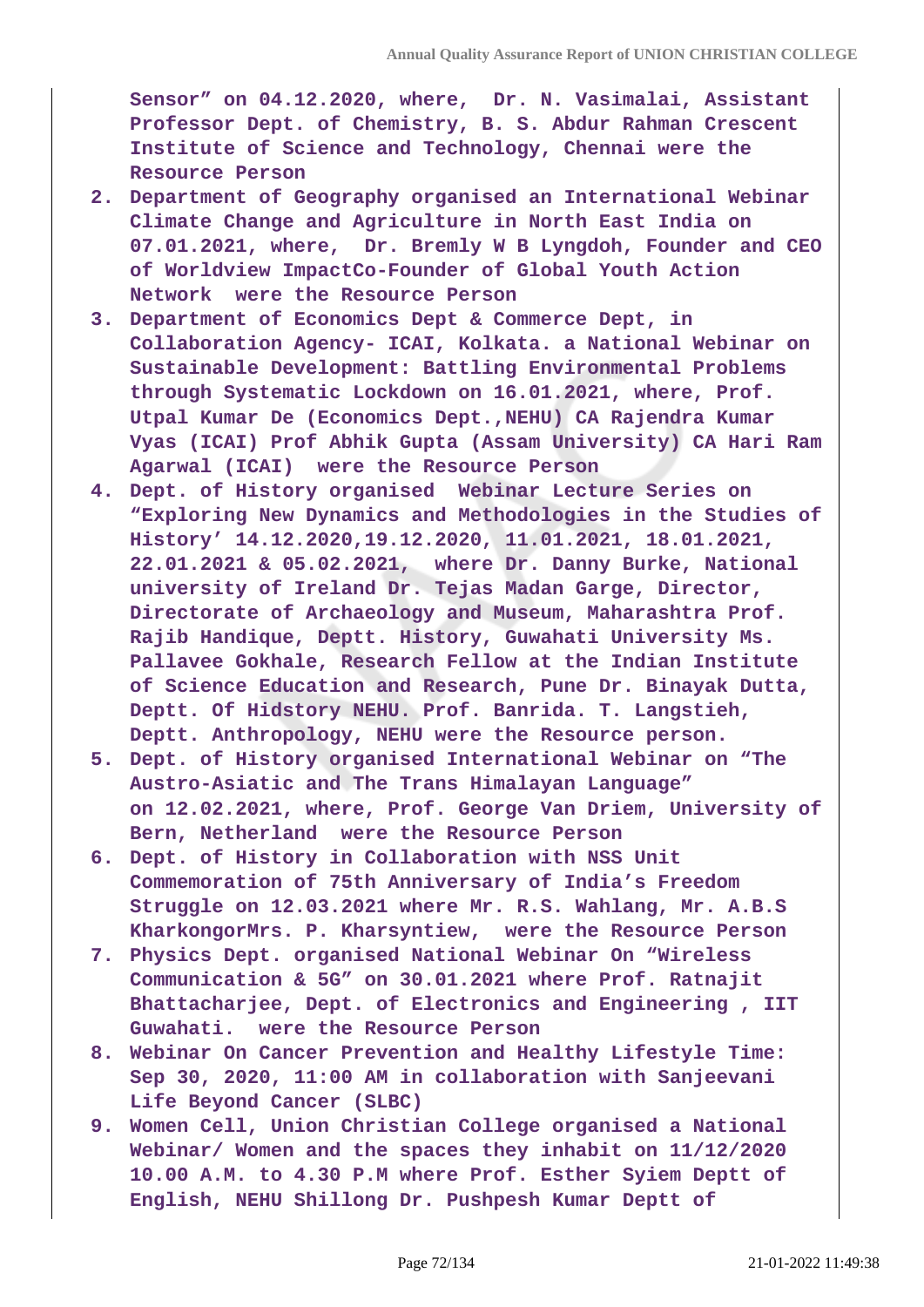**Sensor" on 04.12.2020, where, Dr. N. Vasimalai, Assistant Professor Dept. of Chemistry, B. S. Abdur Rahman Crescent Institute of Science and Technology, Chennai were the Resource Person**

- **2. Department of Geography organised an International Webinar Climate Change and Agriculture in North East India on 07.01.2021, where, Dr. Bremly W B Lyngdoh, Founder and CEO of Worldview ImpactCo-Founder of Global Youth Action Network were the Resource Person**
- **3. Department of Economics Dept & Commerce Dept, in Collaboration Agency- ICAI, Kolkata. a National Webinar on Sustainable Development: Battling Environmental Problems through Systematic Lockdown on 16.01.2021, where, Prof. Utpal Kumar De (Economics Dept.,NEHU) CA Rajendra Kumar Vyas (ICAI) Prof Abhik Gupta (Assam University) CA Hari Ram Agarwal (ICAI) were the Resource Person**
- **4. Dept. of History organised Webinar Lecture Series on "Exploring New Dynamics and Methodologies in the Studies of History' 14.12.2020,19.12.2020, 11.01.2021, 18.01.2021, 22.01.2021 & 05.02.2021, where Dr. Danny Burke, National university of Ireland Dr. Tejas Madan Garge, Director, Directorate of Archaeology and Museum, Maharashtra Prof. Rajib Handique, Deptt. History, Guwahati University Ms. Pallavee Gokhale, Research Fellow at the Indian Institute of Science Education and Research, Pune Dr. Binayak Dutta, Deptt. Of Hidstory NEHU. Prof. Banrida. T. Langstieh, Deptt. Anthropology, NEHU were the Resource person.**
- **5. Dept. of History organised International Webinar on "The Austro-Asiatic and The Trans Himalayan Language" on 12.02.2021, where, Prof. George Van Driem, University of Bern, Netherland were the Resource Person**
- **6. Dept. of History in Collaboration with NSS Unit Commemoration of 75th Anniversary of India's Freedom Struggle on 12.03.2021 where Mr. R.S. Wahlang, Mr. A.B.S KharkongorMrs. P. Kharsyntiew, were the Resource Person**
- **7. Physics Dept. organised National Webinar On "Wireless Communication & 5G" on 30.01.2021 where Prof. Ratnajit Bhattacharjee, Dept. of Electronics and Engineering , IIT Guwahati. were the Resource Person**
- **8. Webinar On Cancer Prevention and Healthy Lifestyle Time: Sep 30, 2020, 11:00 AM in collaboration with Sanjeevani Life Beyond Cancer (SLBC)**
- **9. Women Cell, Union Christian College organised a National Webinar/ Women and the spaces they inhabit on 11/12/2020 10.00 A.M. to 4.30 P.M where Prof. Esther Syiem Deptt of English, NEHU Shillong Dr. Pushpesh Kumar Deptt of**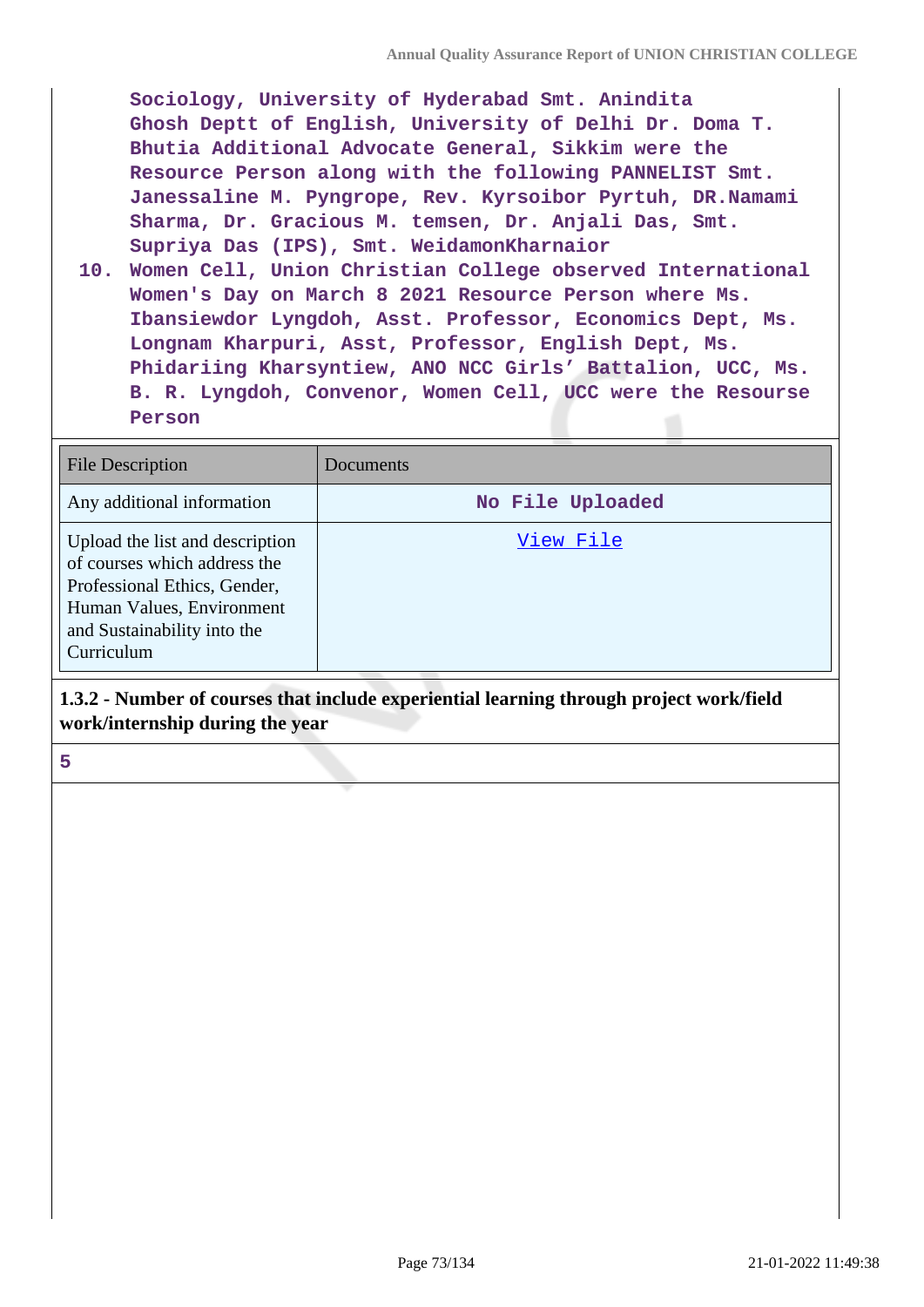**Sociology, University of Hyderabad Smt. Anindita Ghosh Deptt of English, University of Delhi Dr. Doma T. Bhutia Additional Advocate General, Sikkim were the Resource Person along with the following PANNELIST Smt. Janessaline M. Pyngrope, Rev. Kyrsoibor Pyrtuh, DR.Namami Sharma, Dr. Gracious M. temsen, Dr. Anjali Das, Smt. Supriya Das (IPS), Smt. WeidamonKharnaior**

**10. Women Cell, Union Christian College observed International Women's Day on March 8 2021 Resource Person where Ms. Ibansiewdor Lyngdoh, Asst. Professor, Economics Dept, Ms. Longnam Kharpuri, Asst, Professor, English Dept, Ms. Phidariing Kharsyntiew, ANO NCC Girls' Battalion, UCC, Ms. B. R. Lyngdoh, Convenor, Women Cell, UCC were the Resourse Person**

| <b>File Description</b>                                                                                                                                                   | Documents        |
|---------------------------------------------------------------------------------------------------------------------------------------------------------------------------|------------------|
| Any additional information                                                                                                                                                | No File Uploaded |
| Upload the list and description<br>of courses which address the<br>Professional Ethics, Gender,<br>Human Values, Environment<br>and Sustainability into the<br>Curriculum | View File        |

## **1.3.2 - Number of courses that include experiential learning through project work/field work/internship during the year**

**5**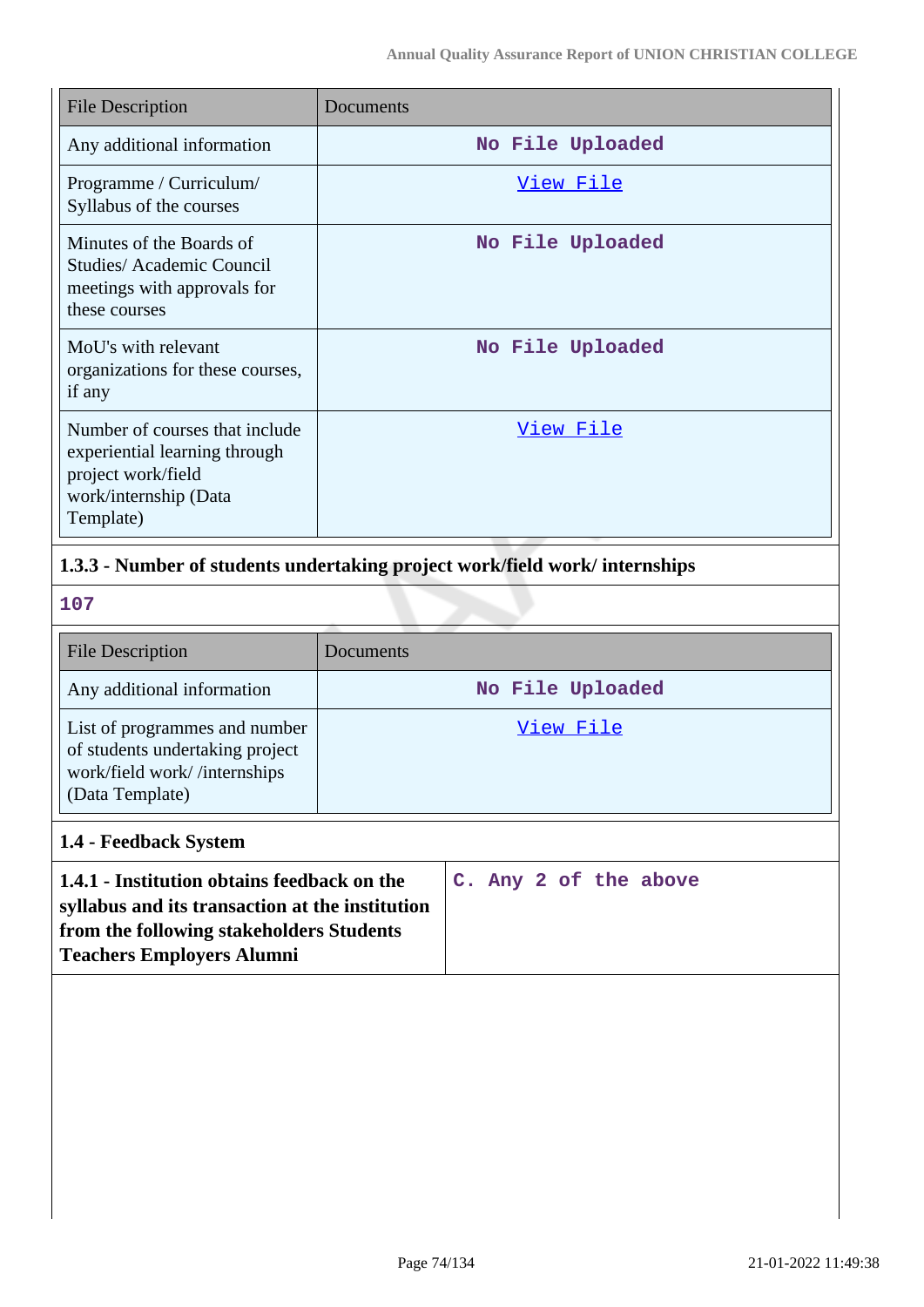| <b>File Description</b>                                                                                                     | Documents        |
|-----------------------------------------------------------------------------------------------------------------------------|------------------|
| Any additional information                                                                                                  | No File Uploaded |
| Programme / Curriculum/<br>Syllabus of the courses                                                                          | <u>View File</u> |
| Minutes of the Boards of<br>Studies/Academic Council<br>meetings with approvals for<br>these courses                        | No File Uploaded |
| MoU's with relevant<br>organizations for these courses,<br>if any                                                           | No File Uploaded |
| Number of courses that include<br>experiential learning through<br>project work/field<br>work/internship (Data<br>Template) | View File        |

## **1.3.3 - Number of students undertaking project work/field work/ internships**

**107**

| <b>File Description</b>                                                                                             | Documents        |
|---------------------------------------------------------------------------------------------------------------------|------------------|
| Any additional information                                                                                          | No File Uploaded |
| List of programmes and number<br>of students undertaking project<br>work/field work//internships<br>(Data Template) | View File        |

## **1.4 - Feedback System**

| 1.4.1 - Institution obtains feedback on the     |  |  | C. Any 2 of the above |
|-------------------------------------------------|--|--|-----------------------|
| syllabus and its transaction at the institution |  |  |                       |
| from the following stakeholders Students        |  |  |                       |
| <b>Teachers Employers Alumni</b>                |  |  |                       |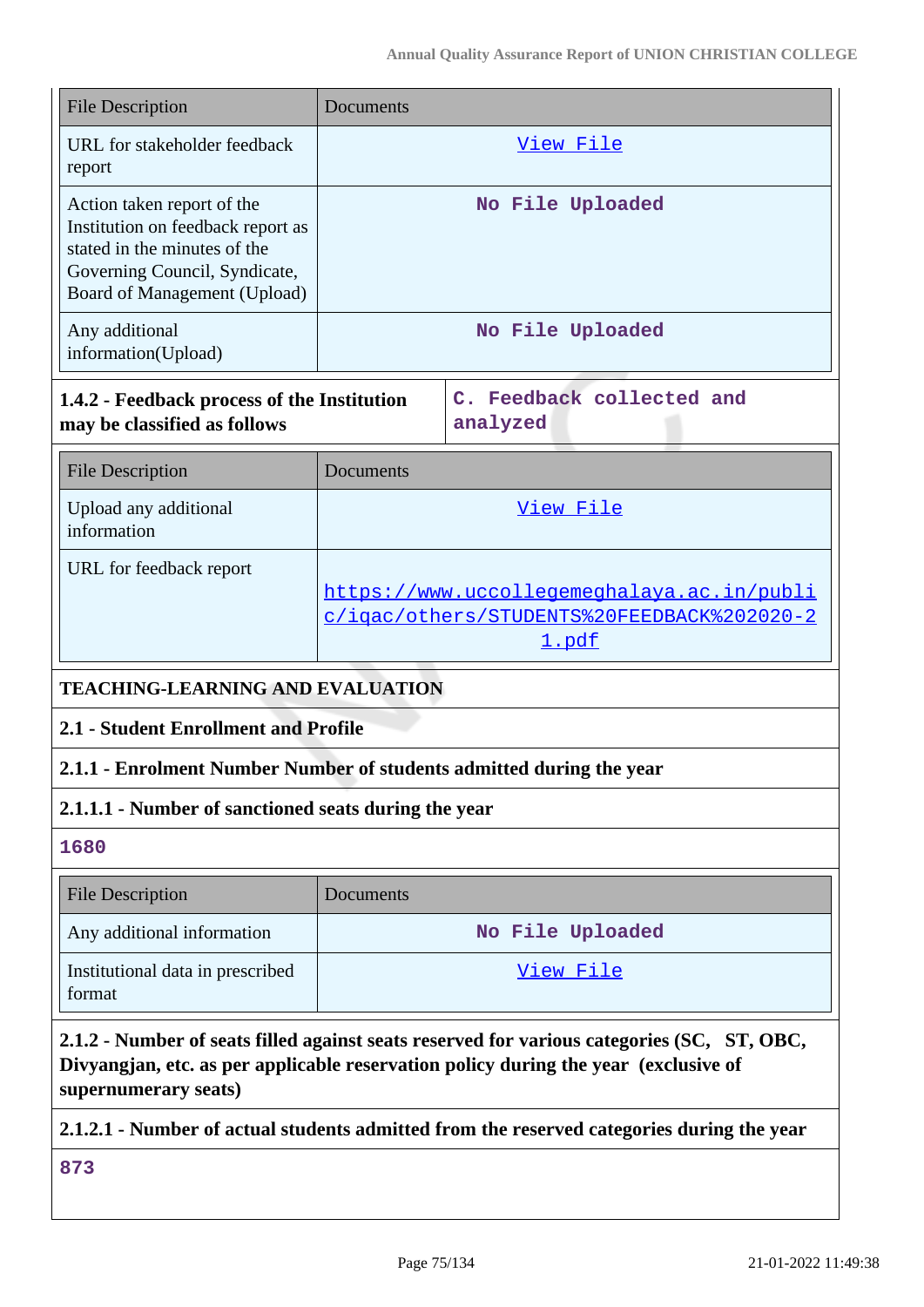| <b>File Description</b>                                                                                                                                          | Documents        |
|------------------------------------------------------------------------------------------------------------------------------------------------------------------|------------------|
| URL for stakeholder feedback<br>report                                                                                                                           | View File        |
| Action taken report of the<br>Institution on feedback report as<br>stated in the minutes of the<br>Governing Council, Syndicate,<br>Board of Management (Upload) | No File Uploaded |
| Any additional<br>information(Upload)                                                                                                                            | No File Uploaded |

| 1.4.2 - Feedback process of the Institution | C. Feedback collected and |
|---------------------------------------------|---------------------------|
| may be classified as follows                | analyzed                  |

| <b>File Description</b>              | Documents                                  |
|--------------------------------------|--------------------------------------------|
| Upload any additional<br>information | View File                                  |
| URL for feedback report              |                                            |
|                                      | https://www.uccollegemeghalaya.ac.in/publi |
|                                      | c/igac/others/STUDENTS%20FEEDBACK%202020-2 |
|                                      | 1.pdf                                      |

## **TEACHING-LEARNING AND EVALUATION**

## **2.1 - Student Enrollment and Profile**

## **2.1.1 - Enrolment Number Number of students admitted during the year**

## **2.1.1.1 - Number of sanctioned seats during the year**

**1680**

| <b>File Description</b>                    | Documents        |
|--------------------------------------------|------------------|
| Any additional information                 | No File Uploaded |
| Institutional data in prescribed<br>format | View File        |

## **2.1.2 - Number of seats filled against seats reserved for various categories (SC, ST, OBC, Divyangjan, etc. as per applicable reservation policy during the year (exclusive of supernumerary seats)**

## **2.1.2.1 - Number of actual students admitted from the reserved categories during the year**

**873**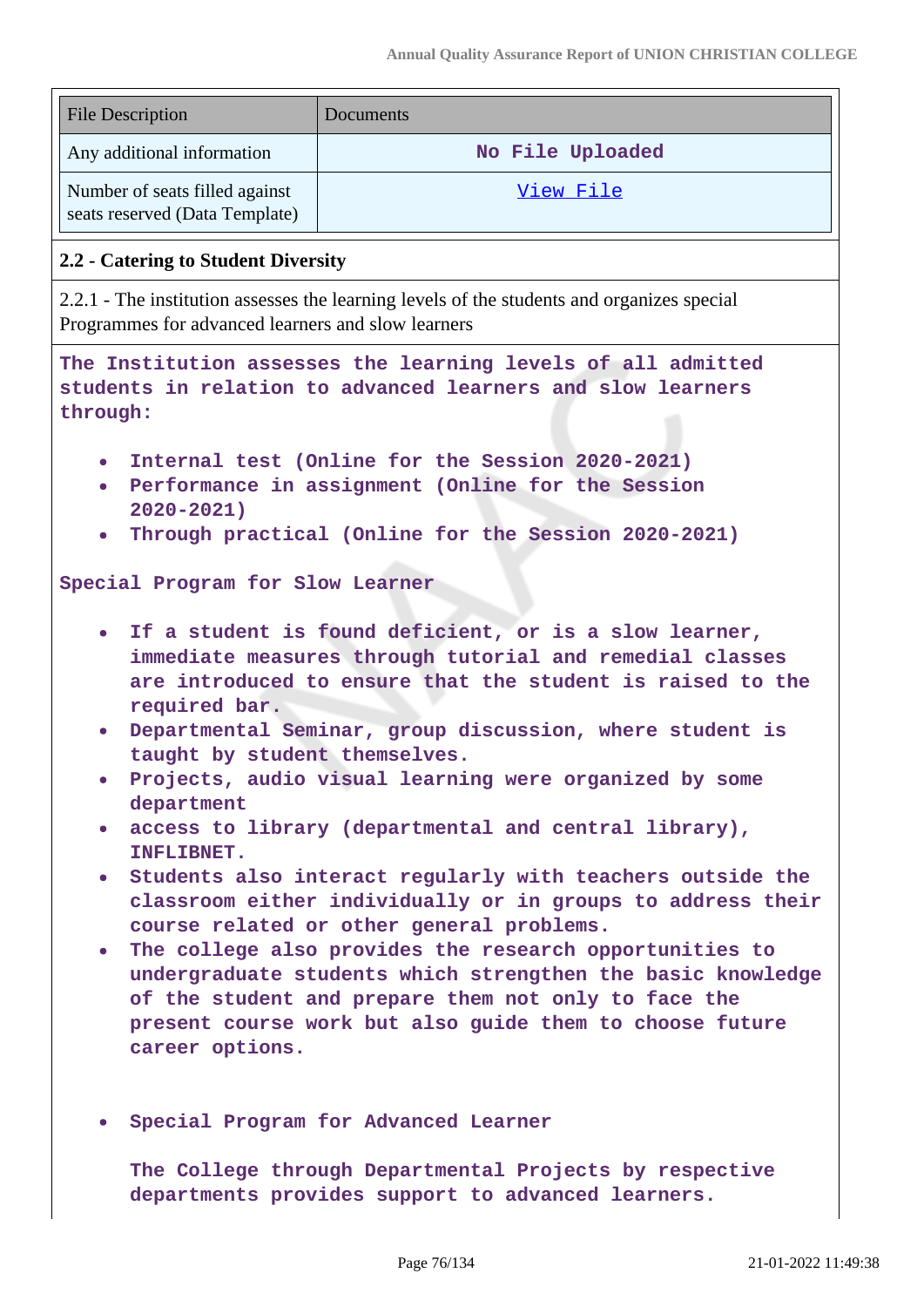| <b>File Description</b>                                          | Documents        |
|------------------------------------------------------------------|------------------|
| Any additional information                                       | No File Uploaded |
| Number of seats filled against<br>seats reserved (Data Template) | View File        |

### **2.2 - Catering to Student Diversity**

2.2.1 - The institution assesses the learning levels of the students and organizes special Programmes for advanced learners and slow learners

**The Institution assesses the learning levels of all admitted students in relation to advanced learners and slow learners through:**

- **Internal test (Online for the Session 2020-2021)**
- **Performance in assignment (Online for the Session 2020-2021)**
- **Through practical (Online for the Session 2020-2021)**

#### **Special Program for Slow Learner**

- **If a student is found deficient, or is a slow learner, immediate measures through tutorial and remedial classes are introduced to ensure that the student is raised to the required bar.**
- **Departmental Seminar, group discussion, where student is taught by student themselves.**
- **Projects, audio visual learning were organized by some department**
- **access to library (departmental and central library), INFLIBNET.**
- **Students also interact regularly with teachers outside the classroom either individually or in groups to address their course related or other general problems.**
- **The college also provides the research opportunities to undergraduate students which strengthen the basic knowledge of the student and prepare them not only to face the present course work but also guide them to choose future career options.**
- **Special Program for Advanced Learner**

**The College through Departmental Projects by respective departments provides support to advanced learners.**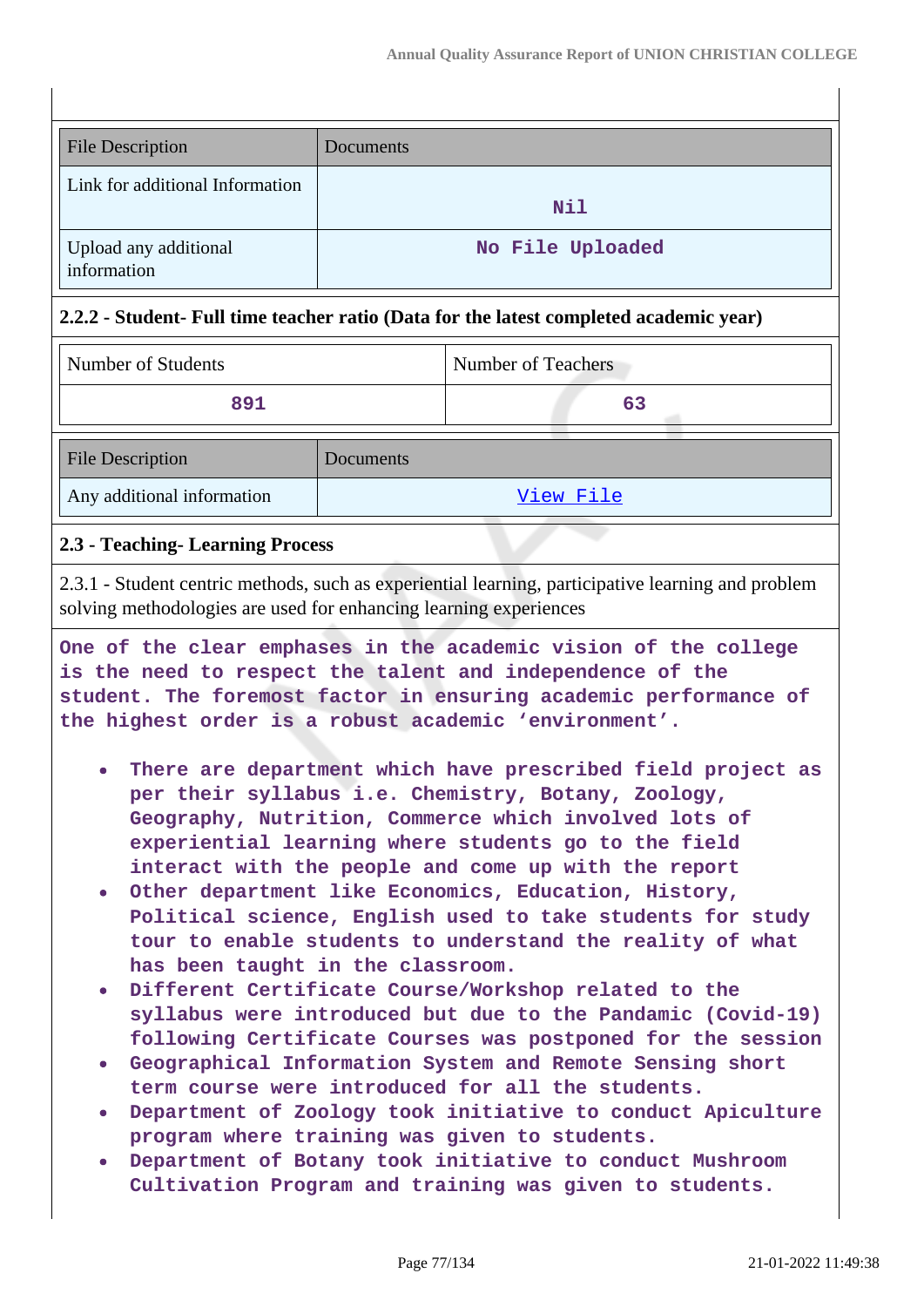| <b>File Description</b>              | Documents        |
|--------------------------------------|------------------|
| Link for additional Information      | Nil              |
| Upload any additional<br>information | No File Uploaded |

## **2.2.2 - Student- Full time teacher ratio (Data for the latest completed academic year)**

| Number of Students | Number of Teachers |
|--------------------|--------------------|
| 891                |                    |
|                    |                    |

| <b>File Description</b>    | Documents |
|----------------------------|-----------|
| Any additional information | View File |

## **2.3 - Teaching- Learning Process**

2.3.1 - Student centric methods, such as experiential learning, participative learning and problem solving methodologies are used for enhancing learning experiences

**One of the clear emphases in the academic vision of the college is the need to respect the talent and independence of the student. The foremost factor in ensuring academic performance of the highest order is a robust academic 'environment'.**

- **There are department which have prescribed field project as per their syllabus i.e. Chemistry, Botany, Zoology, Geography, Nutrition, Commerce which involved lots of experiential learning where students go to the field interact with the people and come up with the report**
- **Other department like Economics, Education, History, Political science, English used to take students for study tour to enable students to understand the reality of what has been taught in the classroom.**
- **Different Certificate Course/Workshop related to the syllabus were introduced but due to the Pandamic (Covid-19) following Certificate Courses was postponed for the session**
- **Geographical Information System and Remote Sensing short term course were introduced for all the students.**
- **Department of Zoology took initiative to conduct Apiculture program where training was given to students.**
- **Department of Botany took initiative to conduct Mushroom Cultivation Program and training was given to students.**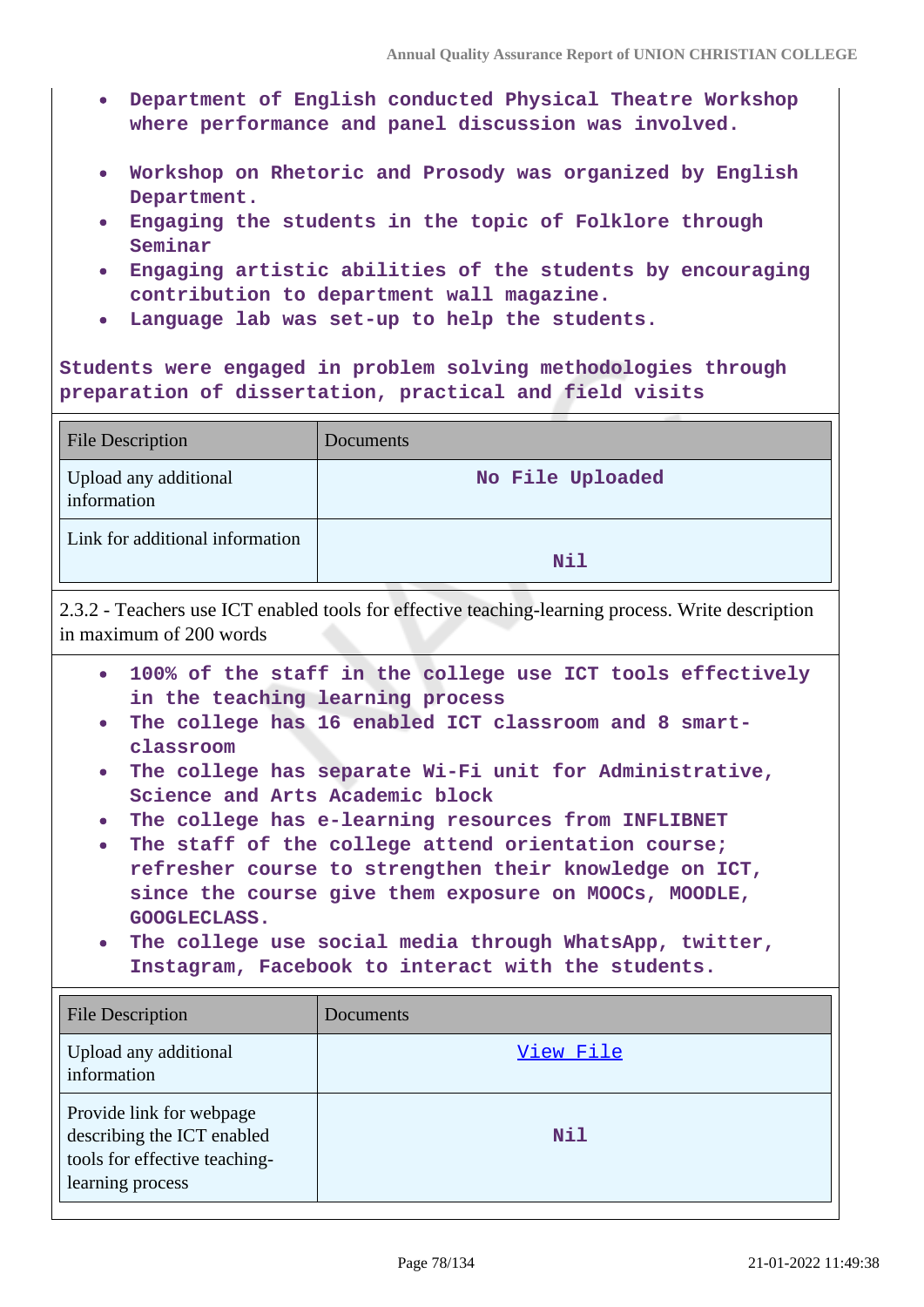- **Department of English conducted Physical Theatre Workshop where performance and panel discussion was involved.**
- **Workshop on Rhetoric and Prosody was organized by English Department.**
- **Engaging the students in the topic of Folklore through Seminar**
- **Engaging artistic abilities of the students by encouraging contribution to department wall magazine.**
- **Language lab was set-up to help the students.**

**Students were engaged in problem solving methodologies through preparation of dissertation, practical and field visits**

| <b>File Description</b>              | Documents        |
|--------------------------------------|------------------|
| Upload any additional<br>information | No File Uploaded |
| Link for additional information      | <b>Nil</b>       |

2.3.2 - Teachers use ICT enabled tools for effective teaching-learning process. Write description in maximum of 200 words

- **100% of the staff in the college use ICT tools effectively in the teaching learning process**
- **The college has 16 enabled ICT classroom and 8 smartclassroom**
- **The college has separate Wi-Fi unit for Administrative, Science and Arts Academic block**
- **The college has e-learning resources from INFLIBNET**
- **The staff of the college attend orientation course; refresher course to strengthen their knowledge on ICT, since the course give them exposure on MOOCs, MOODLE, GOOGLECLASS.**
- **The college use social media through WhatsApp, twitter, Instagram, Facebook to interact with the students.**

| <b>File Description</b>                                                                                     | <b>Documents</b> |
|-------------------------------------------------------------------------------------------------------------|------------------|
| Upload any additional<br>information                                                                        | View File        |
| Provide link for webpage<br>describing the ICT enabled<br>tools for effective teaching-<br>learning process | <b>Nil</b>       |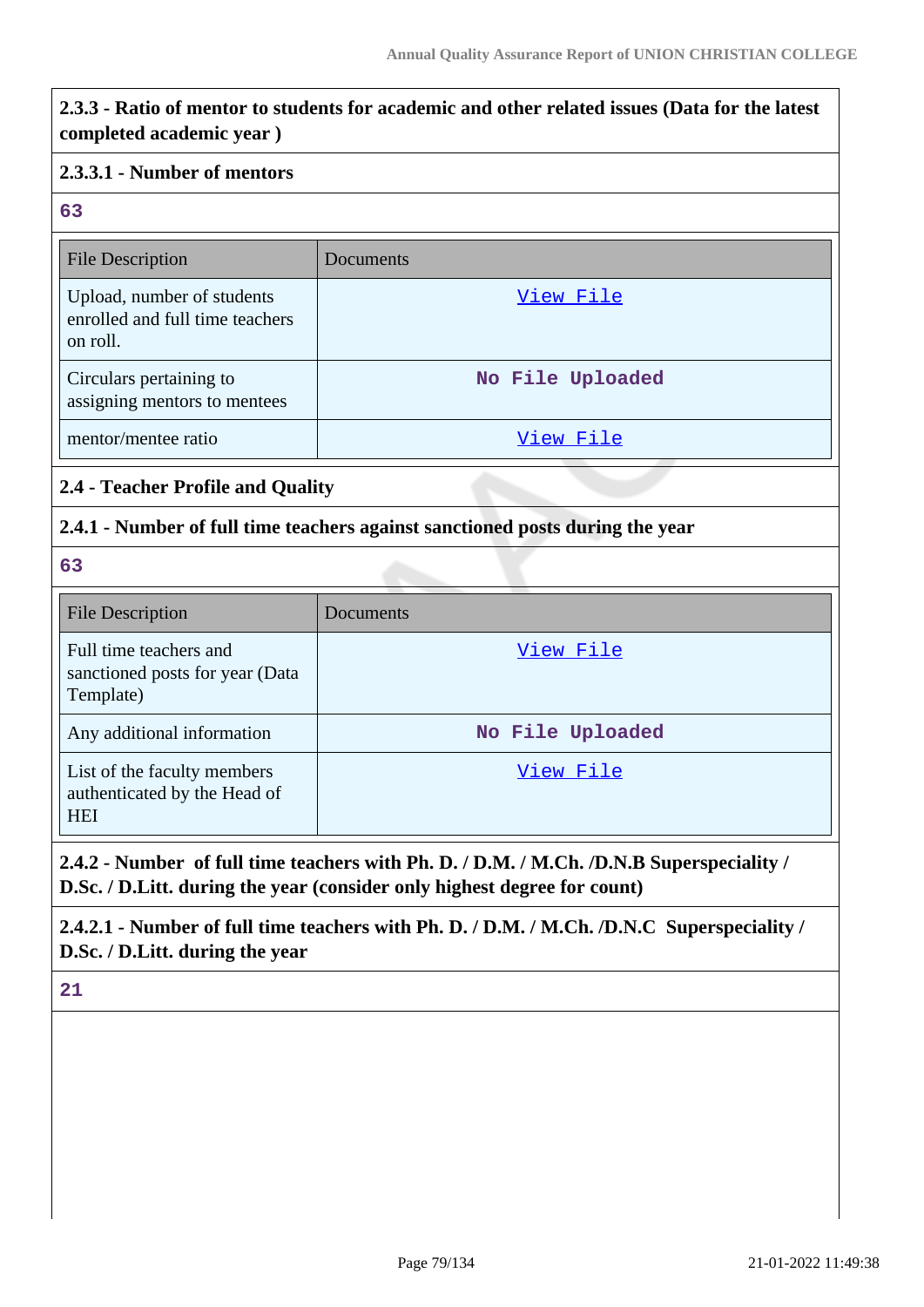# **2.3.3 - Ratio of mentor to students for academic and other related issues (Data for the latest completed academic year ) 2.3.3.1 - Number of mentors 63** File Description Documents Upload, number of students enrolled and full time teachers on roll. [View File](https://assessmentonline.naac.gov.in/storage/app/public/aqar/14817/14817_19_38.pdf) Circulars pertaining to assigning mentors to mentees **No File Uploaded** mentor/mentee ratio [View File](https://assessmentonline.naac.gov.in/storage/app/public/aqar/14817/14817_19_40.pdf) **2.4 - Teacher Profile and Quality 2.4.1 - Number of full time teachers against sanctioned posts during the year 63** File Description Documents Full time teachers and sanctioned posts for year (Data Template) [View File](https://assessmentonline.naac.gov.in/storage/app/public/aqar/14817/14817_20_41.xlsx) Any additional information **No File Uploaded** List of the faculty members authenticated by the Head of [View File](https://assessmentonline.naac.gov.in/storage/app/public/aqar/14817/14817_20_43.pdf)

**2.4.2 - Number of full time teachers with Ph. D. / D.M. / M.Ch. /D.N.B Superspeciality / D.Sc. / D.Litt. during the year (consider only highest degree for count)**

**2.4.2.1 - Number of full time teachers with Ph. D. / D.M. / M.Ch. /D.N.C Superspeciality / D.Sc. / D.Litt. during the year**

**21**

**HEI**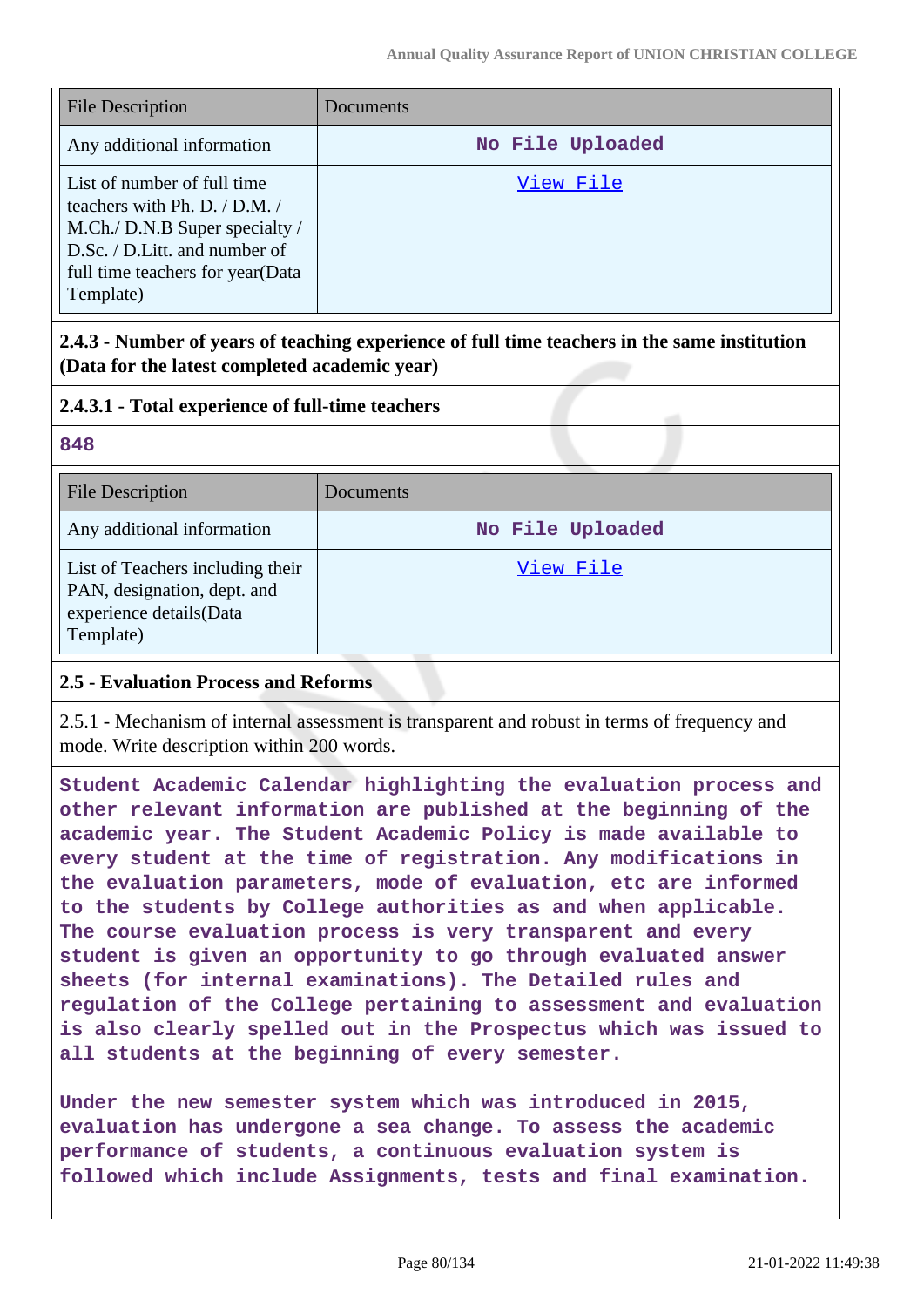| <b>File Description</b>                                                                                                                                                               | Documents        |
|---------------------------------------------------------------------------------------------------------------------------------------------------------------------------------------|------------------|
| Any additional information                                                                                                                                                            | No File Uploaded |
| List of number of full time<br>teachers with Ph. D. $/$ D.M. $/$<br>M.Ch./ D.N.B Super specialty /<br>D.Sc. / D.Litt. and number of<br>full time teachers for year (Data<br>Template) | View File        |

**2.4.3 - Number of years of teaching experience of full time teachers in the same institution (Data for the latest completed academic year)**

## **2.4.3.1 - Total experience of full-time teachers**

#### **848**

| <b>File Description</b>                                                                                 | Documents        |
|---------------------------------------------------------------------------------------------------------|------------------|
| Any additional information                                                                              | No File Uploaded |
| List of Teachers including their<br>PAN, designation, dept. and<br>experience details(Data<br>Template) | View File        |

## **2.5 - Evaluation Process and Reforms**

2.5.1 - Mechanism of internal assessment is transparent and robust in terms of frequency and mode. Write description within 200 words.

**Student Academic Calendar highlighting the evaluation process and other relevant information are published at the beginning of the academic year. The Student Academic Policy is made available to every student at the time of registration. Any modifications in the evaluation parameters, mode of evaluation, etc are informed to the students by College authorities as and when applicable. The course evaluation process is very transparent and every student is given an opportunity to go through evaluated answer sheets (for internal examinations). The Detailed rules and regulation of the College pertaining to assessment and evaluation is also clearly spelled out in the Prospectus which was issued to all students at the beginning of every semester.**

**Under the new semester system which was introduced in 2015, evaluation has undergone a sea change. To assess the academic performance of students, a continuous evaluation system is followed which include Assignments, tests and final examination.**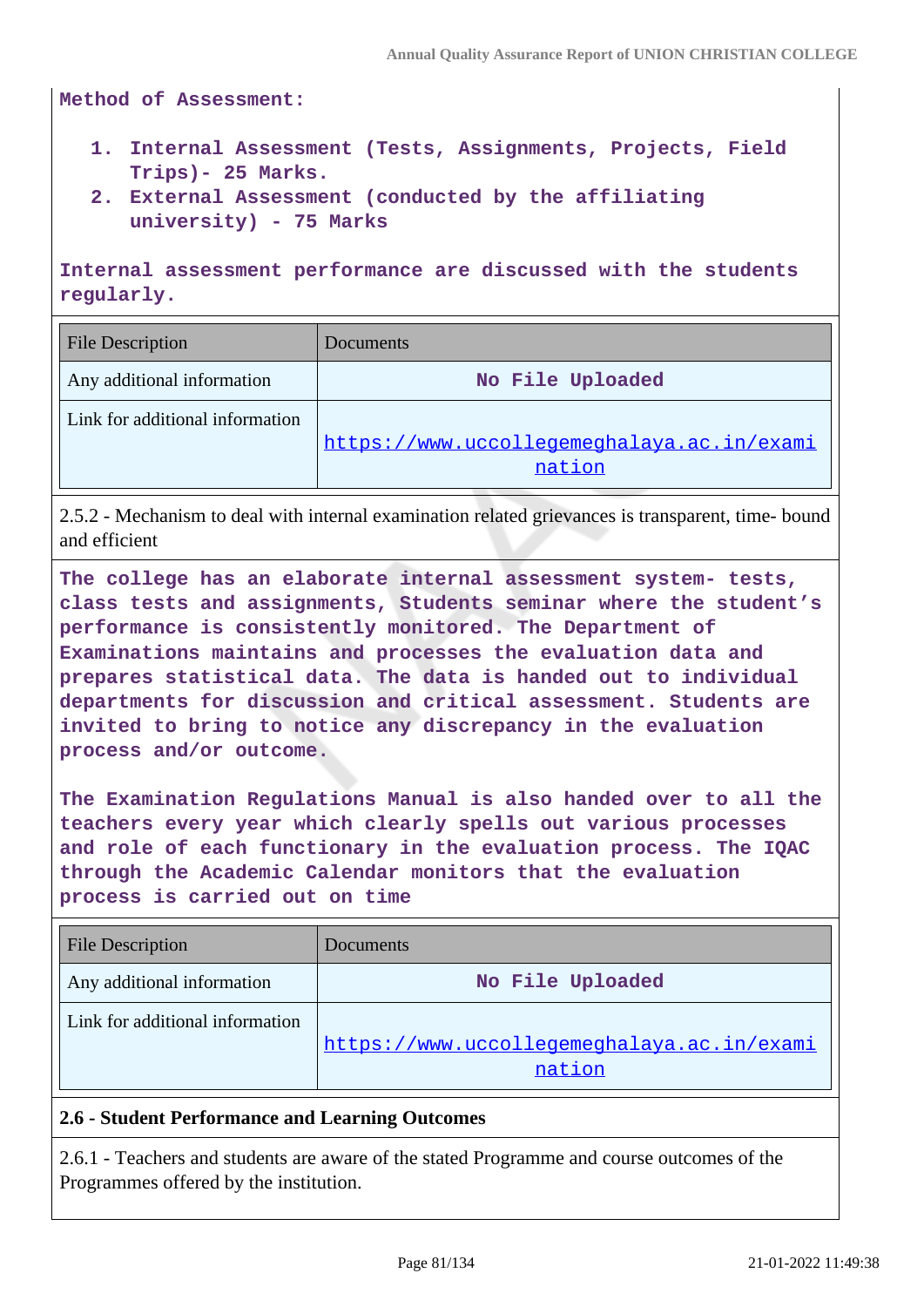**Method of Assessment:**

- **1. Internal Assessment (Tests, Assignments, Projects, Field Trips)- 25 Marks.**
- **2. External Assessment (conducted by the affiliating university) - 75 Marks**

**Internal assessment performance are discussed with the students regularly.**

| <b>File Description</b>         | Documents                                  |
|---------------------------------|--------------------------------------------|
| Any additional information      | No File Uploaded                           |
| Link for additional information |                                            |
|                                 | https://www.uccollegemeghalaya.ac.in/exami |
|                                 | nation                                     |

2.5.2 - Mechanism to deal with internal examination related grievances is transparent, time- bound and efficient

**The college has an elaborate internal assessment system- tests, class tests and assignments, Students seminar where the student's performance is consistently monitored. The Department of Examinations maintains and processes the evaluation data and prepares statistical data. The data is handed out to individual departments for discussion and critical assessment. Students are invited to bring to notice any discrepancy in the evaluation process and/or outcome.**

**The Examination Regulations Manual is also handed over to all the teachers every year which clearly spells out various processes and role of each functionary in the evaluation process. The IQAC through the Academic Calendar monitors that the evaluation process is carried out on time**

| <b>File Description</b>         | Documents                                            |
|---------------------------------|------------------------------------------------------|
| Any additional information      | No File Uploaded                                     |
| Link for additional information | https://www.uccollegemeghalaya.ac.in/exami<br>nation |

## **2.6 - Student Performance and Learning Outcomes**

2.6.1 - Teachers and students are aware of the stated Programme and course outcomes of the Programmes offered by the institution.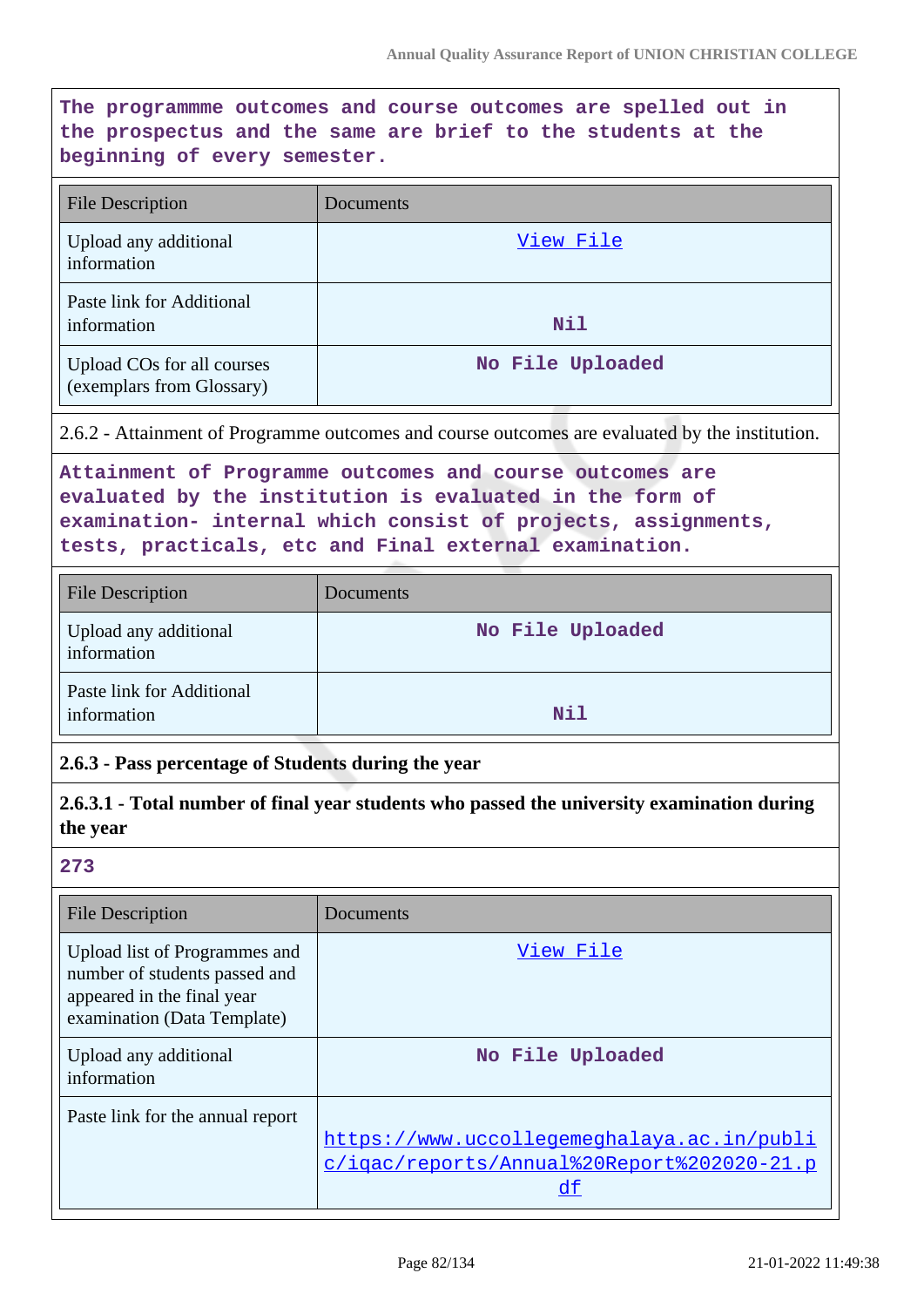$\overline{\phantom{a}}$ 

| The programmme outcomes and course outcomes are spelled out in<br>the prospectus and the same are brief to the students at the<br>beginning of every semester. |                                                                                                                                                                                                                                                 |  |
|----------------------------------------------------------------------------------------------------------------------------------------------------------------|-------------------------------------------------------------------------------------------------------------------------------------------------------------------------------------------------------------------------------------------------|--|
| <b>File Description</b>                                                                                                                                        | Documents                                                                                                                                                                                                                                       |  |
| Upload any additional<br>information                                                                                                                           | <u>View File</u>                                                                                                                                                                                                                                |  |
| Paste link for Additional<br>information                                                                                                                       | <b>Nil</b>                                                                                                                                                                                                                                      |  |
| Upload COs for all courses<br>(exemplars from Glossary)                                                                                                        | No File Uploaded                                                                                                                                                                                                                                |  |
|                                                                                                                                                                | 2.6.2 - Attainment of Programme outcomes and course outcomes are evaluated by the institution.                                                                                                                                                  |  |
|                                                                                                                                                                | Attainment of Programme outcomes and course outcomes are<br>evaluated by the institution is evaluated in the form of<br>examination- internal which consist of projects, assignments,<br>tests, practicals, etc and Final external examination. |  |
| <b>File Description</b>                                                                                                                                        | Documents                                                                                                                                                                                                                                       |  |
| Upload any additional<br>information                                                                                                                           | No File Uploaded                                                                                                                                                                                                                                |  |
| Paste link for Additional<br>information                                                                                                                       | Nil                                                                                                                                                                                                                                             |  |
| 2.6.3 - Pass percentage of Students during the year                                                                                                            |                                                                                                                                                                                                                                                 |  |
| 2.6.3.1 - Total number of final year students who passed the university examination during<br>the year                                                         |                                                                                                                                                                                                                                                 |  |
| 273                                                                                                                                                            |                                                                                                                                                                                                                                                 |  |
| <b>File Description</b>                                                                                                                                        | Documents                                                                                                                                                                                                                                       |  |
| Upload list of Programmes and<br>number of students passed and<br>appeared in the final year<br>examination (Data Template)                                    | View File                                                                                                                                                                                                                                       |  |
| Upload any additional<br>information                                                                                                                           | No File Uploaded                                                                                                                                                                                                                                |  |
| Paste link for the annual report                                                                                                                               | https://www.uccollegemeghalaya.ac.in/publi<br>c/igac/reports/Annual%20Report%202020-21.p<br>df                                                                                                                                                  |  |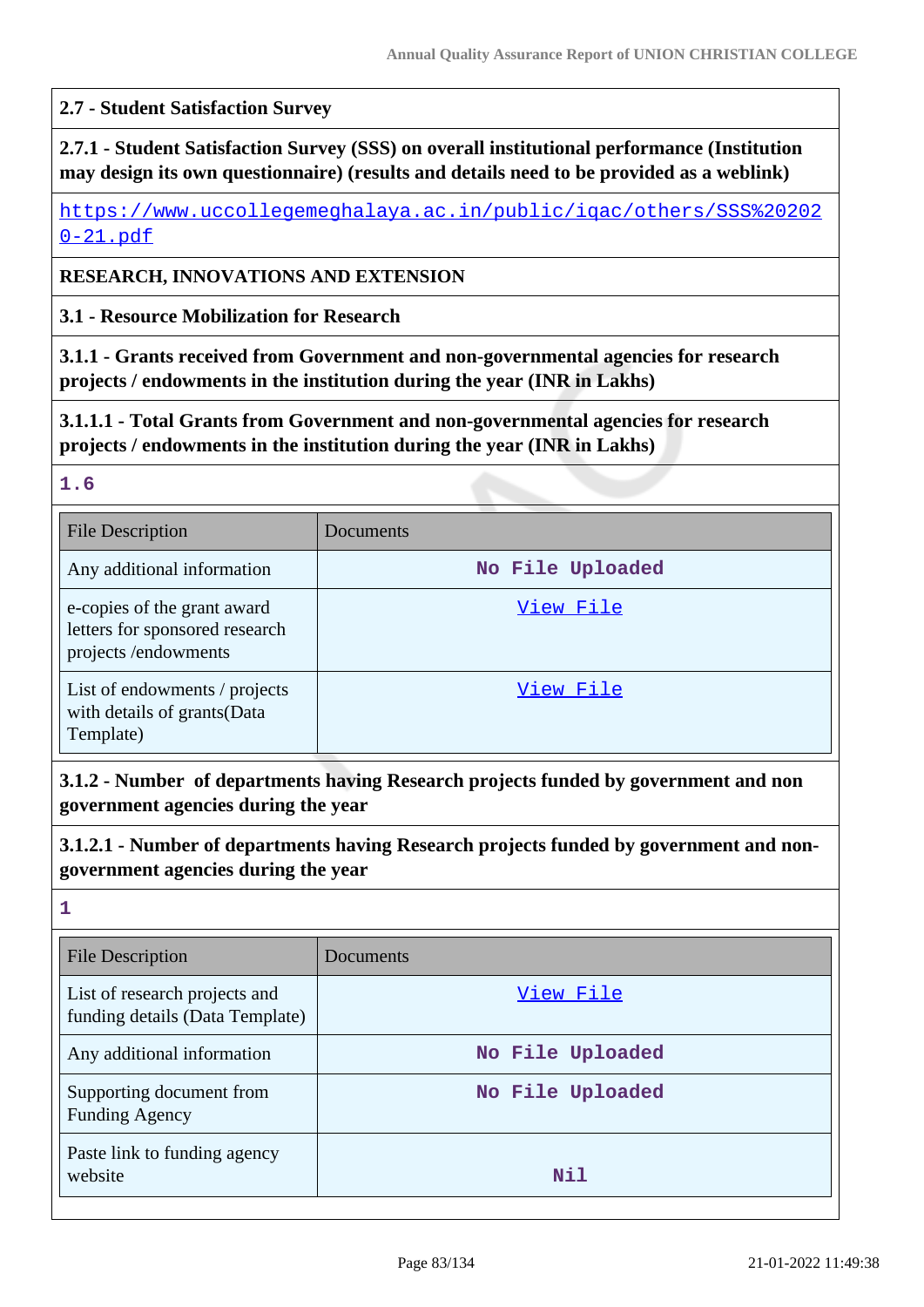### **2.7 - Student Satisfaction Survey**

## **2.7.1 - Student Satisfaction Survey (SSS) on overall institutional performance (Institution may design its own questionnaire) (results and details need to be provided as a weblink)**

[https://www.uccollegemeghalaya.ac.in/public/iqac/others/SSS%20202](https://www.uccollegemeghalaya.ac.in/public/iqac/others/SSS%202020-21.pdf) [0-21.pdf](https://www.uccollegemeghalaya.ac.in/public/iqac/others/SSS%202020-21.pdf)

### **RESEARCH, INNOVATIONS AND EXTENSION**

**3.1 - Resource Mobilization for Research**

**3.1.1 - Grants received from Government and non-governmental agencies for research projects / endowments in the institution during the year (INR in Lakhs)**

**3.1.1.1 - Total Grants from Government and non-governmental agencies for research projects / endowments in the institution during the year (INR in Lakhs)**

### **1.6**

| <b>File Description</b>                                                              | Documents        |
|--------------------------------------------------------------------------------------|------------------|
| Any additional information                                                           | No File Uploaded |
| e-copies of the grant award<br>letters for sponsored research<br>projects/endowments | View File        |
| List of endowments / projects<br>with details of grants(Data<br>Template)            | View File        |

**3.1.2 - Number of departments having Research projects funded by government and non government agencies during the year**

**3.1.2.1 - Number of departments having Research projects funded by government and nongovernment agencies during the year**

| - 1 |  |
|-----|--|
|     |  |
|     |  |

| <b>File Description</b>                                          | Documents        |
|------------------------------------------------------------------|------------------|
| List of research projects and<br>funding details (Data Template) | View File        |
| Any additional information                                       | No File Uploaded |
| Supporting document from<br><b>Funding Agency</b>                | No File Uploaded |
| Paste link to funding agency<br>website                          | Nil              |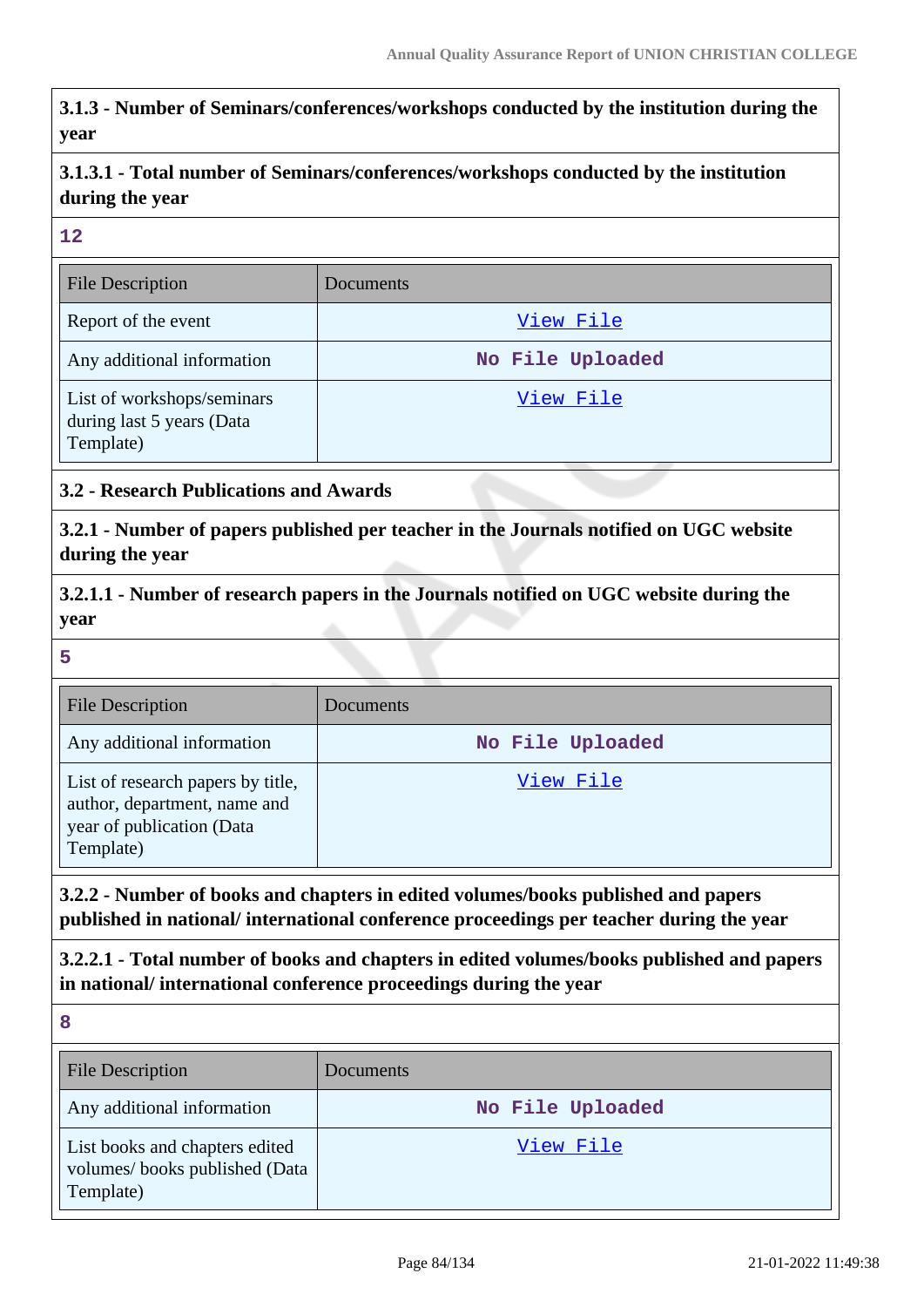**3.1.3 - Number of Seminars/conferences/workshops conducted by the institution during the year**

**3.1.3.1 - Total number of Seminars/conferences/workshops conducted by the institution during the year**

**12**

| <b>File Description</b>                                              | Documents        |
|----------------------------------------------------------------------|------------------|
| Report of the event                                                  | View File        |
| Any additional information                                           | No File Uploaded |
| List of workshops/seminars<br>during last 5 years (Data<br>Template) | View File        |

## **3.2 - Research Publications and Awards**

**3.2.1 - Number of papers published per teacher in the Journals notified on UGC website during the year**

**3.2.1.1 - Number of research papers in the Journals notified on UGC website during the year**

**5**

| File Description                                                                                            | Documents        |
|-------------------------------------------------------------------------------------------------------------|------------------|
| Any additional information                                                                                  | No File Uploaded |
| List of research papers by title,<br>author, department, name and<br>year of publication (Data<br>Template) | View File        |

**3.2.2 - Number of books and chapters in edited volumes/books published and papers published in national/ international conference proceedings per teacher during the year**

**3.2.2.1 - Total number of books and chapters in edited volumes/books published and papers in national/ international conference proceedings during the year**

**8** File Description Documents Any additional information **No File Uploaded** List books and chapters edited volumes/ books published (Data Template) [View File](https://assessmentonline.naac.gov.in/storage/app/public/aqar/14817/14817_33_73.xlsx)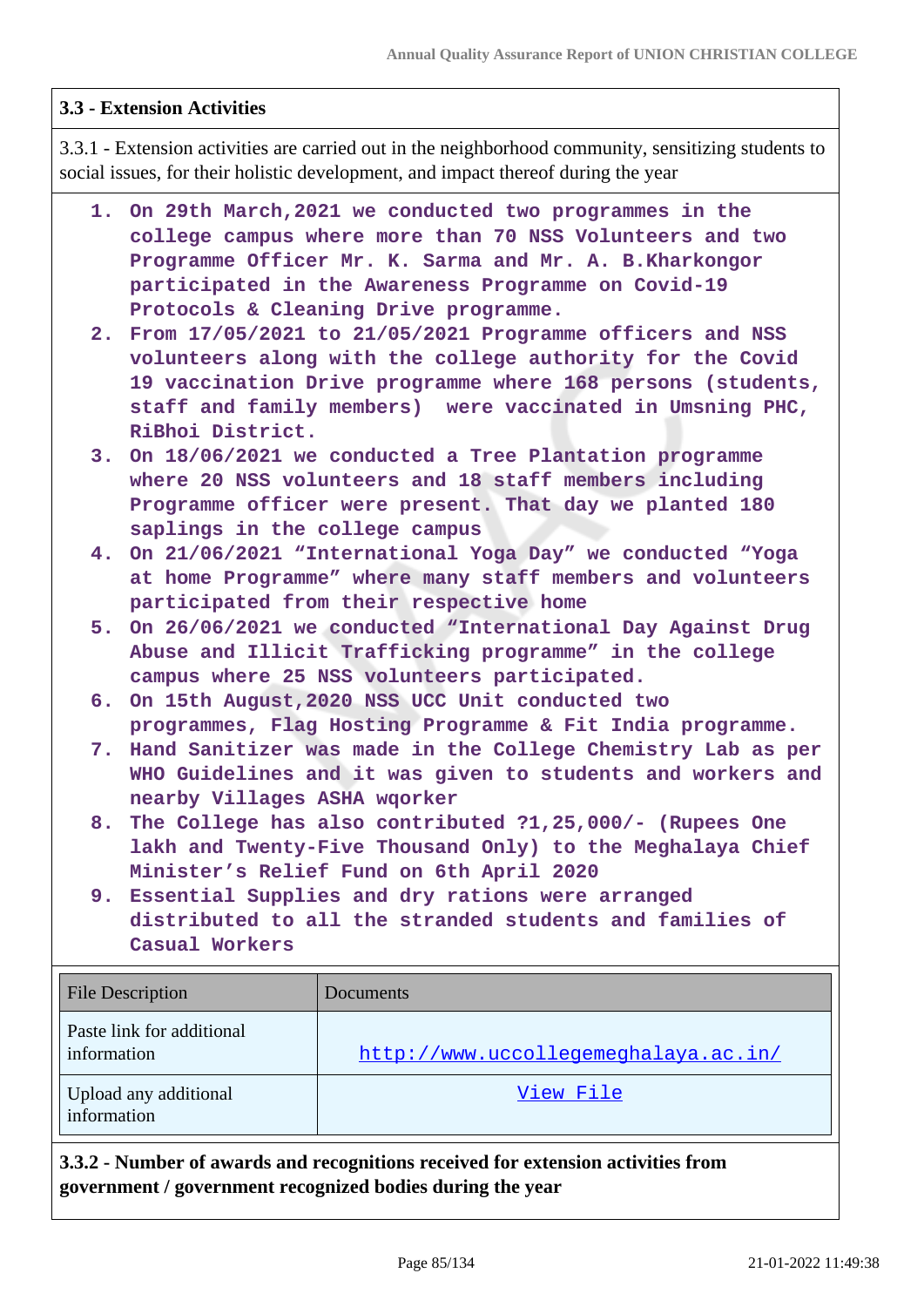### **3.3 - Extension Activities**

3.3.1 - Extension activities are carried out in the neighborhood community, sensitizing students to social issues, for their holistic development, and impact thereof during the year

- **1. On 29th March,2021 we conducted two programmes in the college campus where more than 70 NSS Volunteers and two Programme Officer Mr. K. Sarma and Mr. A. B.Kharkongor participated in the Awareness Programme on Covid-19 Protocols & Cleaning Drive programme.**
- **2. From 17/05/2021 to 21/05/2021 Programme officers and NSS volunteers along with the college authority for the Covid 19 vaccination Drive programme where 168 persons (students, staff and family members) were vaccinated in Umsning PHC, RiBhoi District.**
- **3. On 18/06/2021 we conducted a Tree Plantation programme where 20 NSS volunteers and 18 staff members including Programme officer were present. That day we planted 180 saplings in the college campus**
- **4. On 21/06/2021 "International Yoga Day" we conducted "Yoga at home Programme" where many staff members and volunteers participated from their respective home**
- **5. On 26/06/2021 we conducted "International Day Against Drug Abuse and Illicit Trafficking programme" in the college campus where 25 NSS volunteers participated.**
- **6. On 15th August,2020 NSS UCC Unit conducted two programmes, Flag Hosting Programme & Fit India programme.**
- **7. Hand Sanitizer was made in the College Chemistry Lab as per WHO Guidelines and it was given to students and workers and nearby Villages ASHA wqorker**
- **8. The College has also contributed ?1,25,000/- (Rupees One lakh and Twenty-Five Thousand Only) to the Meghalaya Chief Minister's Relief Fund on 6th April 2020**
- **9. Essential Supplies and dry rations were arranged distributed to all the stranded students and families of Casual Workers**

| <b>File Description</b>                  | Documents                            |
|------------------------------------------|--------------------------------------|
| Paste link for additional<br>information | http://www.uccollegemeghalaya.ac.in/ |
| Upload any additional<br>information     | View File                            |

**3.3.2 - Number of awards and recognitions received for extension activities from government / government recognized bodies during the year**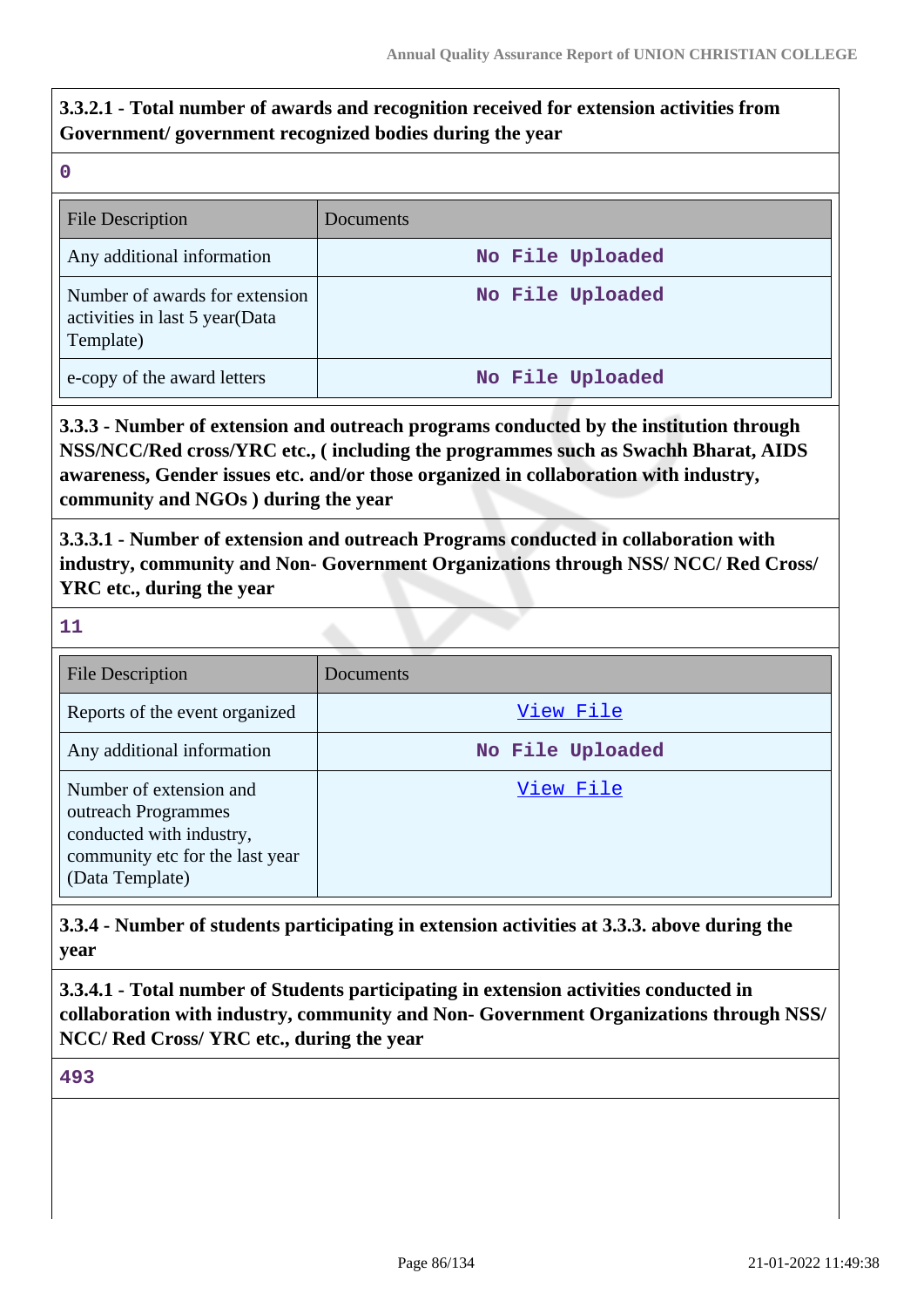## **3.3.2.1 - Total number of awards and recognition received for extension activities from Government/ government recognized bodies during the year**

**0**

| <b>File Description</b>                                                       | Documents        |
|-------------------------------------------------------------------------------|------------------|
| Any additional information                                                    | No File Uploaded |
| Number of awards for extension<br>activities in last 5 year(Data<br>Template) | No File Uploaded |
| e-copy of the award letters                                                   | No File Uploaded |

**3.3.3 - Number of extension and outreach programs conducted by the institution through NSS/NCC/Red cross/YRC etc., ( including the programmes such as Swachh Bharat, AIDS awareness, Gender issues etc. and/or those organized in collaboration with industry, community and NGOs ) during the year**

**3.3.3.1 - Number of extension and outreach Programs conducted in collaboration with industry, community and Non- Government Organizations through NSS/ NCC/ Red Cross/ YRC etc., during the year**

**11**

| <b>File Description</b>                                                                                                          | Documents        |
|----------------------------------------------------------------------------------------------------------------------------------|------------------|
| Reports of the event organized                                                                                                   | View File        |
| Any additional information                                                                                                       | No File Uploaded |
| Number of extension and<br>outreach Programmes<br>conducted with industry,<br>community etc for the last year<br>(Data Template) | View File        |

**3.3.4 - Number of students participating in extension activities at 3.3.3. above during the year**

**3.3.4.1 - Total number of Students participating in extension activities conducted in collaboration with industry, community and Non- Government Organizations through NSS/ NCC/ Red Cross/ YRC etc., during the year**

**493**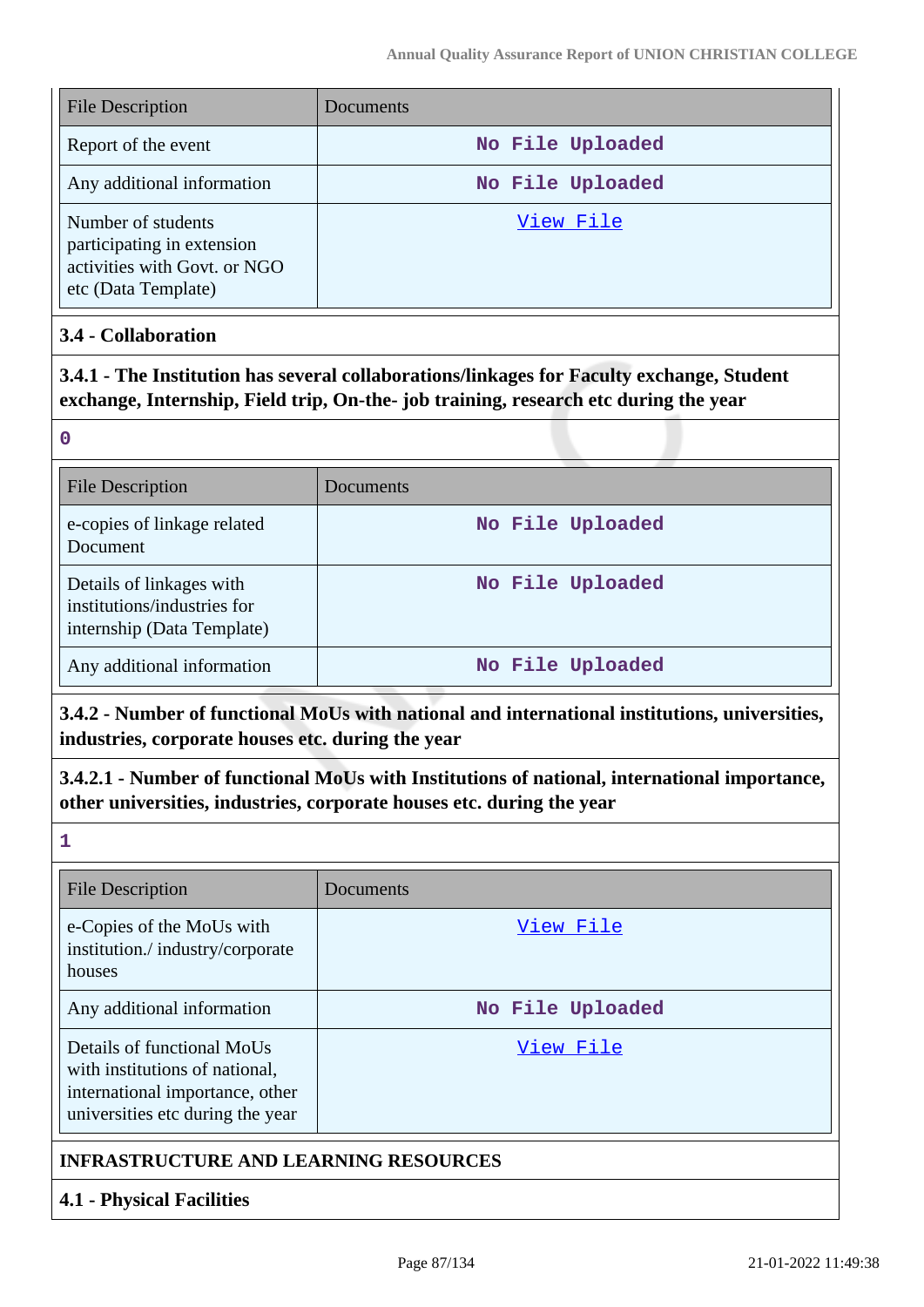| <b>File Description</b>                                                                                 | Documents        |
|---------------------------------------------------------------------------------------------------------|------------------|
| Report of the event                                                                                     | No File Uploaded |
| Any additional information                                                                              | No File Uploaded |
| Number of students<br>participating in extension<br>activities with Govt. or NGO<br>etc (Data Template) | View File        |

## **3.4 - Collaboration**

**3.4.1 - The Institution has several collaborations/linkages for Faculty exchange, Student exchange, Internship, Field trip, On-the- job training, research etc during the year**

**0**

| <b>File Description</b>                                                               | Documents        |
|---------------------------------------------------------------------------------------|------------------|
| e-copies of linkage related<br><b>Document</b>                                        | No File Uploaded |
| Details of linkages with<br>institutions/industries for<br>internship (Data Template) | No File Uploaded |
| Any additional information                                                            | No File Uploaded |

**3.4.2 - Number of functional MoUs with national and international institutions, universities, industries, corporate houses etc. during the year**

**3.4.2.1 - Number of functional MoUs with Institutions of national, international importance, other universities, industries, corporate houses etc. during the year**

**1**

| <b>File Description</b>                                                                                                             | Documents        |
|-------------------------------------------------------------------------------------------------------------------------------------|------------------|
| e-Copies of the MoUs with<br>institution./industry/corporate<br>houses                                                              | View File        |
| Any additional information                                                                                                          | No File Uploaded |
| Details of functional MoUs<br>with institutions of national,<br>international importance, other<br>universities etc during the year | View File        |

## **INFRASTRUCTURE AND LEARNING RESOURCES**

## **4.1 - Physical Facilities**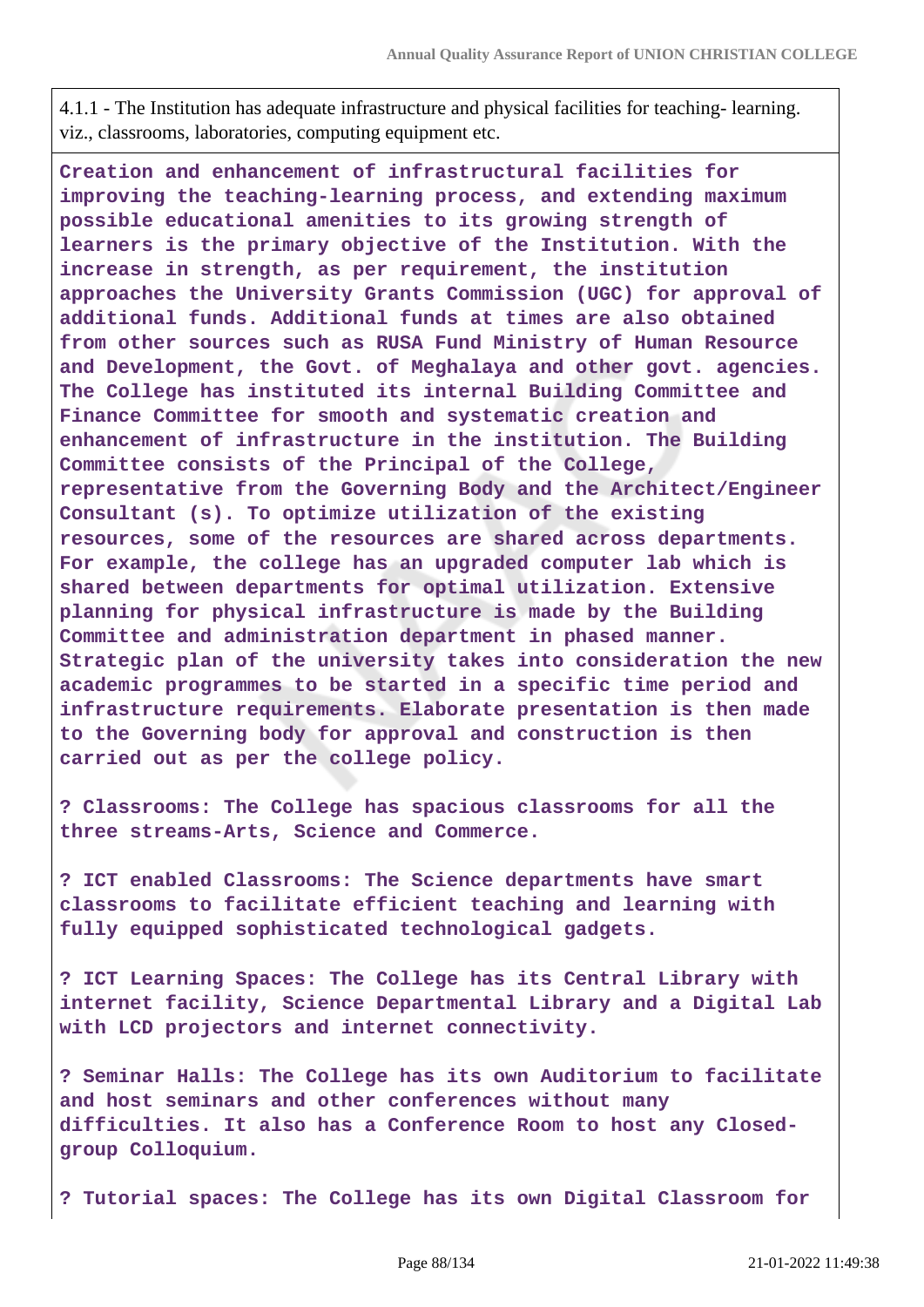4.1.1 - The Institution has adequate infrastructure and physical facilities for teaching- learning. viz., classrooms, laboratories, computing equipment etc.

**Creation and enhancement of infrastructural facilities for improving the teaching-learning process, and extending maximum possible educational amenities to its growing strength of learners is the primary objective of the Institution. With the increase in strength, as per requirement, the institution approaches the University Grants Commission (UGC) for approval of additional funds. Additional funds at times are also obtained from other sources such as RUSA Fund Ministry of Human Resource and Development, the Govt. of Meghalaya and other govt. agencies. The College has instituted its internal Building Committee and Finance Committee for smooth and systematic creation and enhancement of infrastructure in the institution. The Building Committee consists of the Principal of the College, representative from the Governing Body and the Architect/Engineer Consultant (s). To optimize utilization of the existing resources, some of the resources are shared across departments. For example, the college has an upgraded computer lab which is shared between departments for optimal utilization. Extensive planning for physical infrastructure is made by the Building Committee and administration department in phased manner. Strategic plan of the university takes into consideration the new academic programmes to be started in a specific time period and infrastructure requirements. Elaborate presentation is then made to the Governing body for approval and construction is then carried out as per the college policy.**

**? Classrooms: The College has spacious classrooms for all the three streams-Arts, Science and Commerce.**

**? ICT enabled Classrooms: The Science departments have smart classrooms to facilitate efficient teaching and learning with fully equipped sophisticated technological gadgets.**

**? ICT Learning Spaces: The College has its Central Library with internet facility, Science Departmental Library and a Digital Lab with LCD projectors and internet connectivity.**

**? Seminar Halls: The College has its own Auditorium to facilitate and host seminars and other conferences without many difficulties. It also has a Conference Room to host any Closedgroup Colloquium.**

**? Tutorial spaces: The College has its own Digital Classroom for**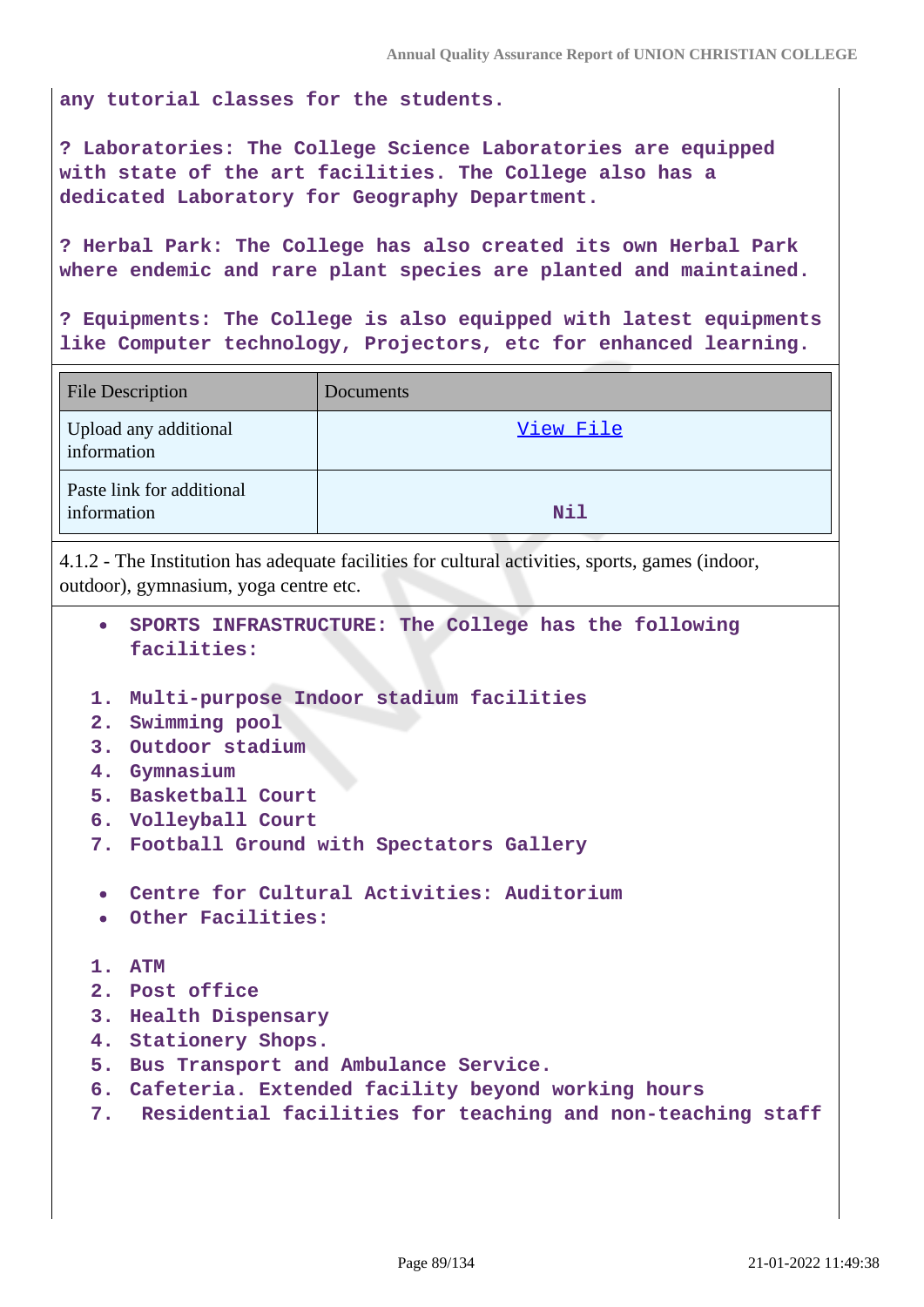**any tutorial classes for the students.**

**? Laboratories: The College Science Laboratories are equipped with state of the art facilities. The College also has a dedicated Laboratory for Geography Department.**

**? Herbal Park: The College has also created its own Herbal Park where endemic and rare plant species are planted and maintained.**

**? Equipments: The College is also equipped with latest equipments like Computer technology, Projectors, etc for enhanced learning.**

| <b>File Description</b>                  | Documents |
|------------------------------------------|-----------|
| Upload any additional<br>information     | View File |
| Paste link for additional<br>information | Nil       |

4.1.2 - The Institution has adequate facilities for cultural activities, sports, games (indoor, outdoor), gymnasium, yoga centre etc.

- **SPORTS INFRASTRUCTURE: The College has the following facilities:**
- **1. Multi-purpose Indoor stadium facilities**
- **2. Swimming pool**
- **3. Outdoor stadium**
- **4. Gymnasium**
- **5. Basketball Court**
- **6. Volleyball Court**
- **7. Football Ground with Spectators Gallery**
- **Centre for Cultural Activities: Auditorium**
- **Other Facilities:**
- **1. ATM**
- **2. Post office**
- **3. Health Dispensary**
- **4. Stationery Shops.**
- **5. Bus Transport and Ambulance Service.**
- **6. Cafeteria. Extended facility beyond working hours**
- **7. Residential facilities for teaching and non-teaching staff**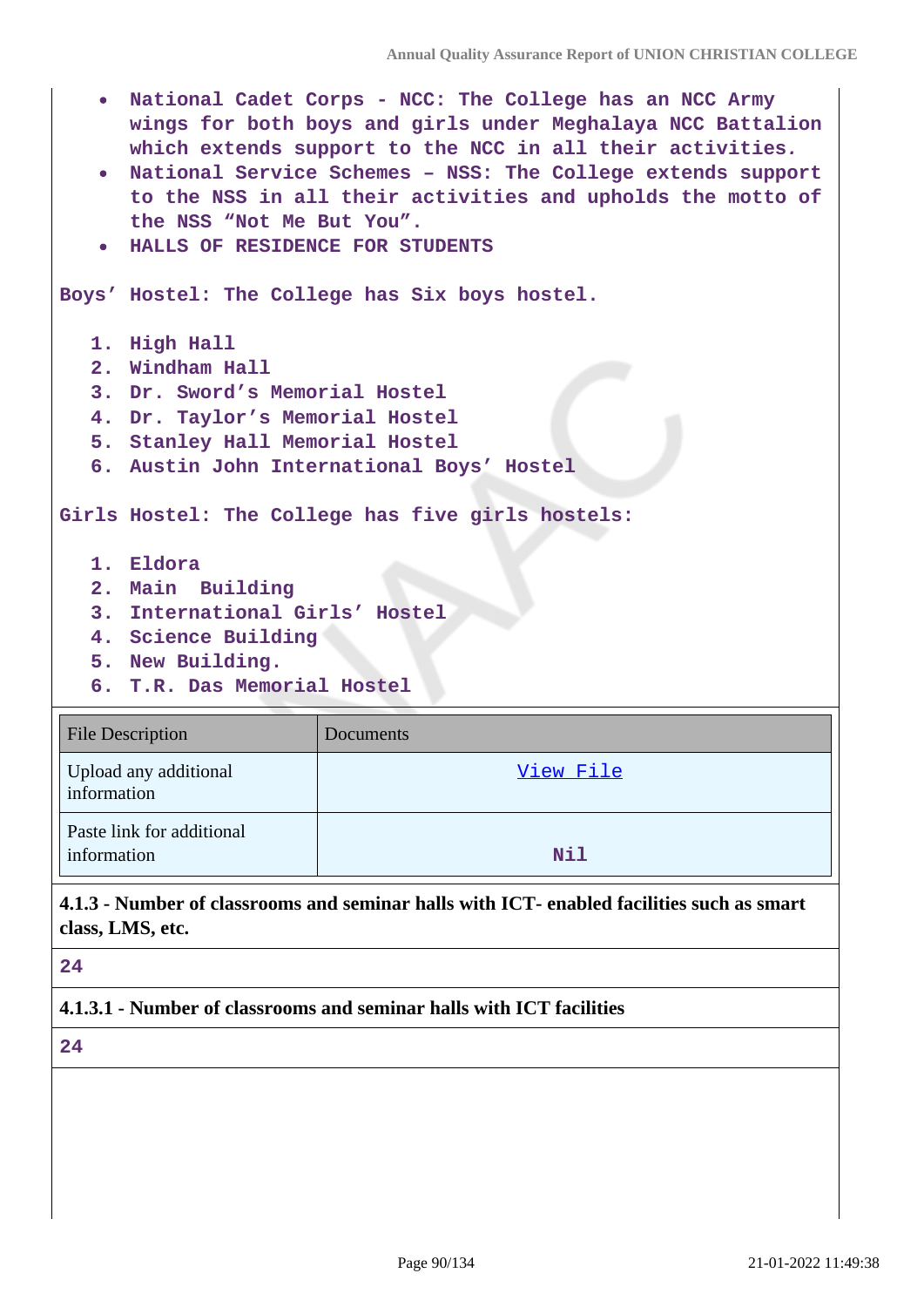- **National Cadet Corps NCC: The College has an NCC Army wings for both boys and girls under Meghalaya NCC Battalion which extends support to the NCC in all their activities.**
- **National Service Schemes NSS: The College extends support to the NSS in all their activities and upholds the motto of the NSS "Not Me But You".**
- **HALLS OF RESIDENCE FOR STUDENTS**

**Boys' Hostel: The College has Six boys hostel.**

- **1. High Hall**
- **2. Windham Hall**
- **3. Dr. Sword's Memorial Hostel**
- **4. Dr. Taylor's Memorial Hostel**
- **5. Stanley Hall Memorial Hostel**
- **6. Austin John International Boys' Hostel**

**Girls Hostel: The College has five girls hostels:**

- **1. Eldora**
- **2. Main Building**
- **3. International Girls' Hostel**
- **4. Science Building**
- **5. New Building.**
- **6. T.R. Das Memorial Hostel**

| File Description                         | Documents  |
|------------------------------------------|------------|
| Upload any additional<br>information     | View File  |
| Paste link for additional<br>information | <b>Nil</b> |

**4.1.3 - Number of classrooms and seminar halls with ICT- enabled facilities such as smart class, LMS, etc.**

#### **24**

**4.1.3.1 - Number of classrooms and seminar halls with ICT facilities**

**24**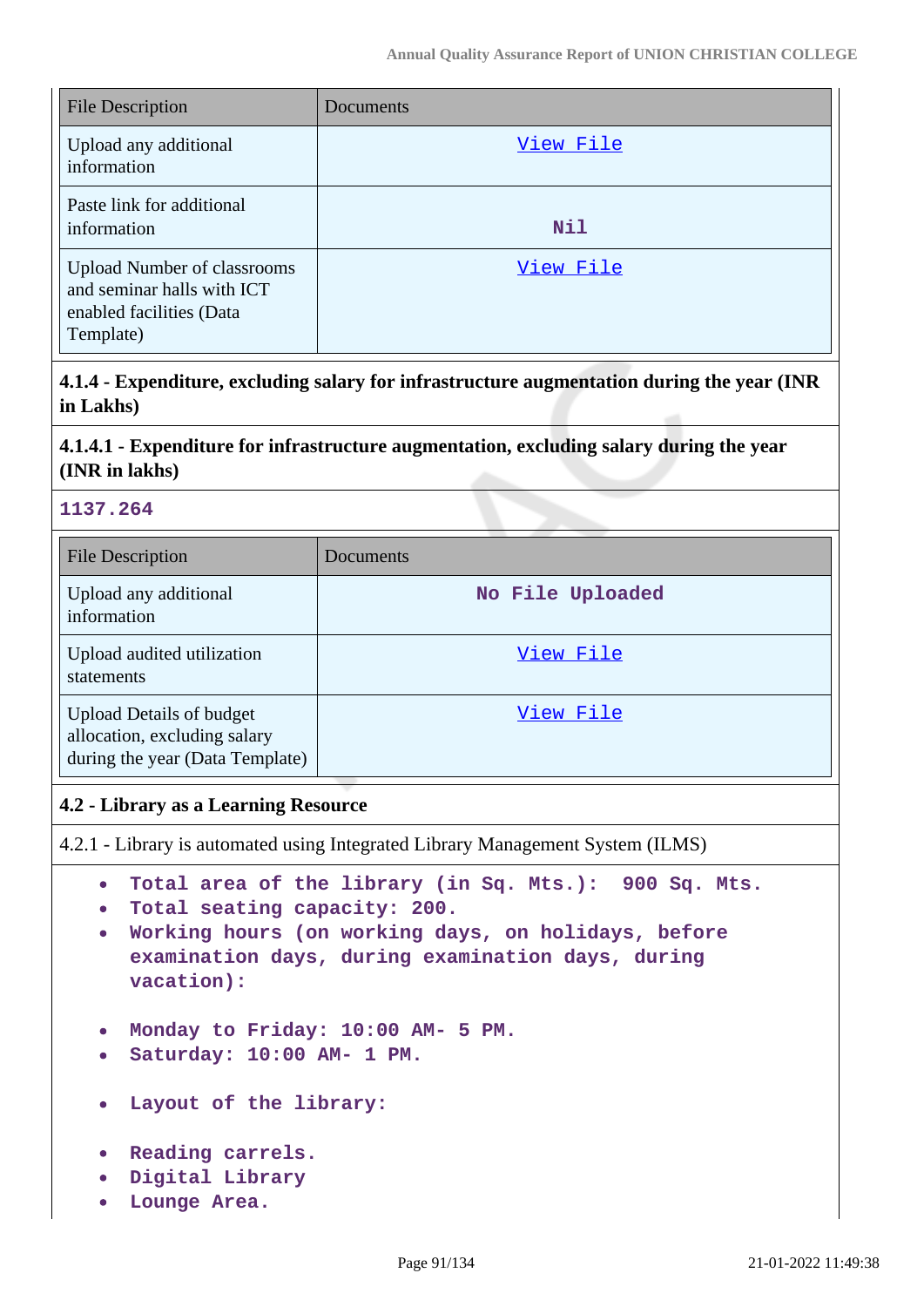| <b>File Description</b>                                                                                   | Documents |
|-----------------------------------------------------------------------------------------------------------|-----------|
| Upload any additional<br>information                                                                      | View File |
| Paste link for additional<br>information                                                                  | Nil       |
| <b>Upload Number of classrooms</b><br>and seminar halls with ICT<br>enabled facilities (Data<br>Template) | View File |

**4.1.4 - Expenditure, excluding salary for infrastructure augmentation during the year (INR in Lakhs)**

## **4.1.4.1 - Expenditure for infrastructure augmentation, excluding salary during the year (INR in lakhs)**

## **1137.264**

| <b>File Description</b>                                                                            | <b>Documents</b> |
|----------------------------------------------------------------------------------------------------|------------------|
| Upload any additional<br>information                                                               | No File Uploaded |
| Upload audited utilization<br>statements                                                           | View File        |
| <b>Upload Details of budget</b><br>allocation, excluding salary<br>during the year (Data Template) | View File        |

## **4.2 - Library as a Learning Resource**

4.2.1 - Library is automated using Integrated Library Management System (ILMS)

- **Total area of the library (in Sq. Mts.): 900 Sq. Mts.**
- **Total seating capacity: 200.**
- **Working hours (on working days, on holidays, before examination days, during examination days, during vacation):**
- **Monday to Friday: 10:00 AM- 5 PM.**
- **Saturday: 10:00 AM- 1 PM.**
- **Layout of the library:**
- **Reading carrels.**
- **Digital Library**
- **Lounge Area.**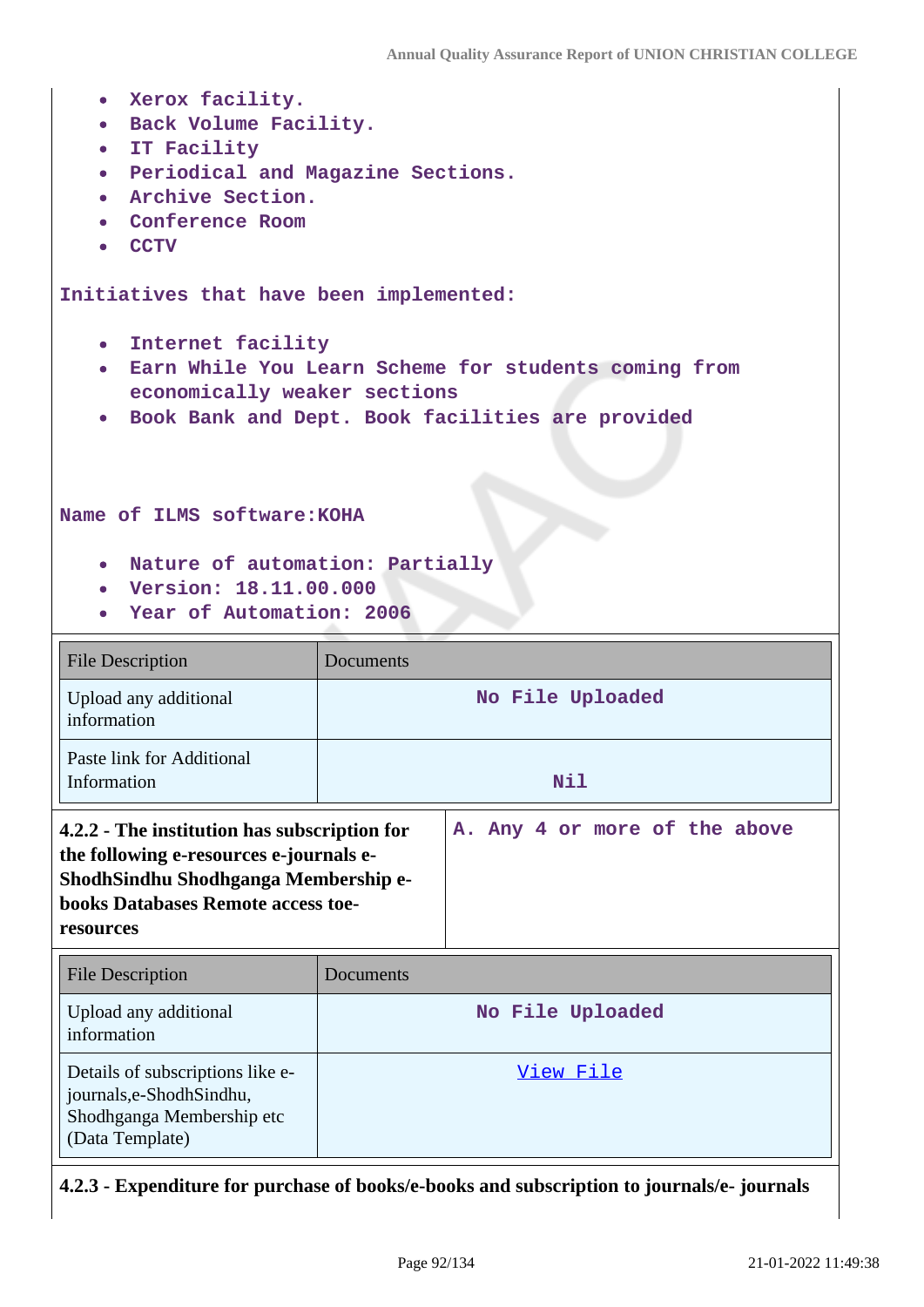| Xerox facility.<br>$\bullet$ .<br>· Back Volume Facility.<br>• IT Facility<br>• Periodical and Magazine Sections.<br>· Archive Section.<br>Conference Room<br><b>CCTV</b><br>$\bullet$      |                                                                                                            |  |  |
|---------------------------------------------------------------------------------------------------------------------------------------------------------------------------------------------|------------------------------------------------------------------------------------------------------------|--|--|
| Initiatives that have been implemented:                                                                                                                                                     |                                                                                                            |  |  |
| • Internet facility<br>economically weaker sections<br>$\bullet$<br>Name of ILMS software: KOHA<br>. Nature of automation: Partially<br>• Version: 18.11.00.000<br>Year of Automation: 2006 | . Earn While You Learn Scheme for students coming from<br>Book Bank and Dept. Book facilities are provided |  |  |
| <b>File Description</b>                                                                                                                                                                     | Documents                                                                                                  |  |  |
| Upload any additional<br>information                                                                                                                                                        | No File Uploaded                                                                                           |  |  |
| Paste link for Additional<br>Information                                                                                                                                                    | Nil                                                                                                        |  |  |
| 4.2.2 - The institution has subscription for<br>the following e-resources e-journals e-<br>ShodhSindhu Shodhganga Membership e-<br>books Databases Remote access toe-<br>resources          | A. Any 4 or more of the above                                                                              |  |  |
| <b>File Description</b>                                                                                                                                                                     | Documents                                                                                                  |  |  |
| Upload any additional<br>information                                                                                                                                                        | No File Uploaded                                                                                           |  |  |
| Details of subscriptions like e-<br>journals,e-ShodhSindhu,<br>Shodhganga Membership etc                                                                                                    | <u>View File</u>                                                                                           |  |  |

**4.2.3 - Expenditure for purchase of books/e-books and subscription to journals/e- journals**

(Data Template)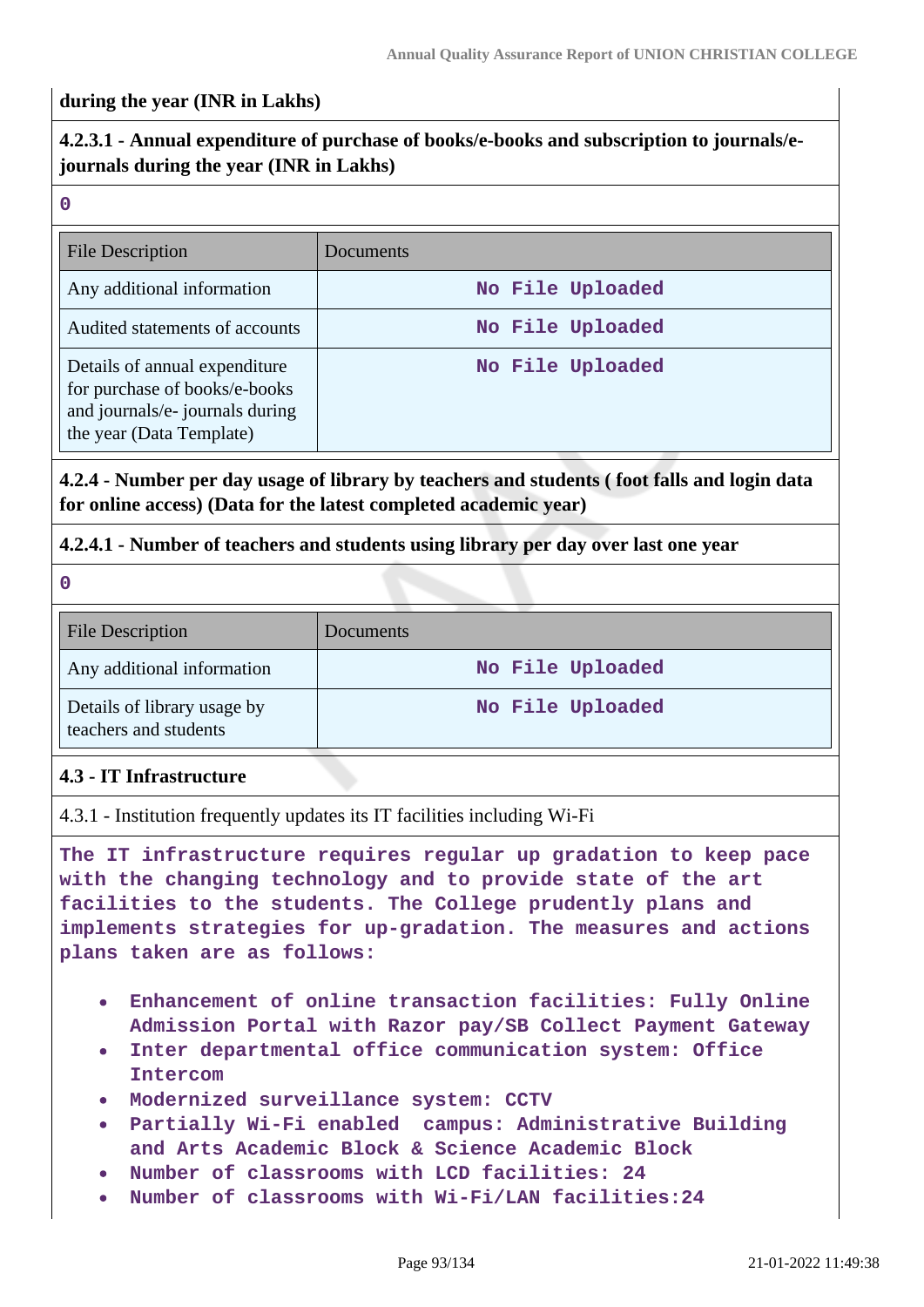### **during the year (INR in Lakhs)**

## **4.2.3.1 - Annual expenditure of purchase of books/e-books and subscription to journals/ejournals during the year (INR in Lakhs)**

|   | w  |   |   |  |
|---|----|---|---|--|
|   |    |   |   |  |
| × | M. | ٧ | ۰ |  |

| File Description                                                                                                              | Documents        |
|-------------------------------------------------------------------------------------------------------------------------------|------------------|
| Any additional information                                                                                                    | No File Uploaded |
| Audited statements of accounts                                                                                                | No File Uploaded |
| Details of annual expenditure<br>for purchase of books/e-books<br>and journals/e- journals during<br>the year (Data Template) | No File Uploaded |

## **4.2.4 - Number per day usage of library by teachers and students ( foot falls and login data for online access) (Data for the latest completed academic year)**

## **4.2.4.1 - Number of teachers and students using library per day over last one year**

**0**

| <b>File Description</b>                              | Documents        |
|------------------------------------------------------|------------------|
| Any additional information                           | No File Uploaded |
| Details of library usage by<br>teachers and students | No File Uploaded |

### **4.3 - IT Infrastructure**

4.3.1 - Institution frequently updates its IT facilities including Wi-Fi

**The IT infrastructure requires regular up gradation to keep pace with the changing technology and to provide state of the art facilities to the students. The College prudently plans and implements strategies for up-gradation. The measures and actions plans taken are as follows:**

- **Enhancement of online transaction facilities: Fully Online Admission Portal with Razor pay/SB Collect Payment Gateway**
- **Inter departmental office communication system: Office Intercom**
- **Modernized surveillance system: CCTV**
- **Partially Wi-Fi enabled campus: Administrative Building and Arts Academic Block & Science Academic Block**
- **Number of classrooms with LCD facilities: 24**
- **Number of classrooms with Wi-Fi/LAN facilities:24**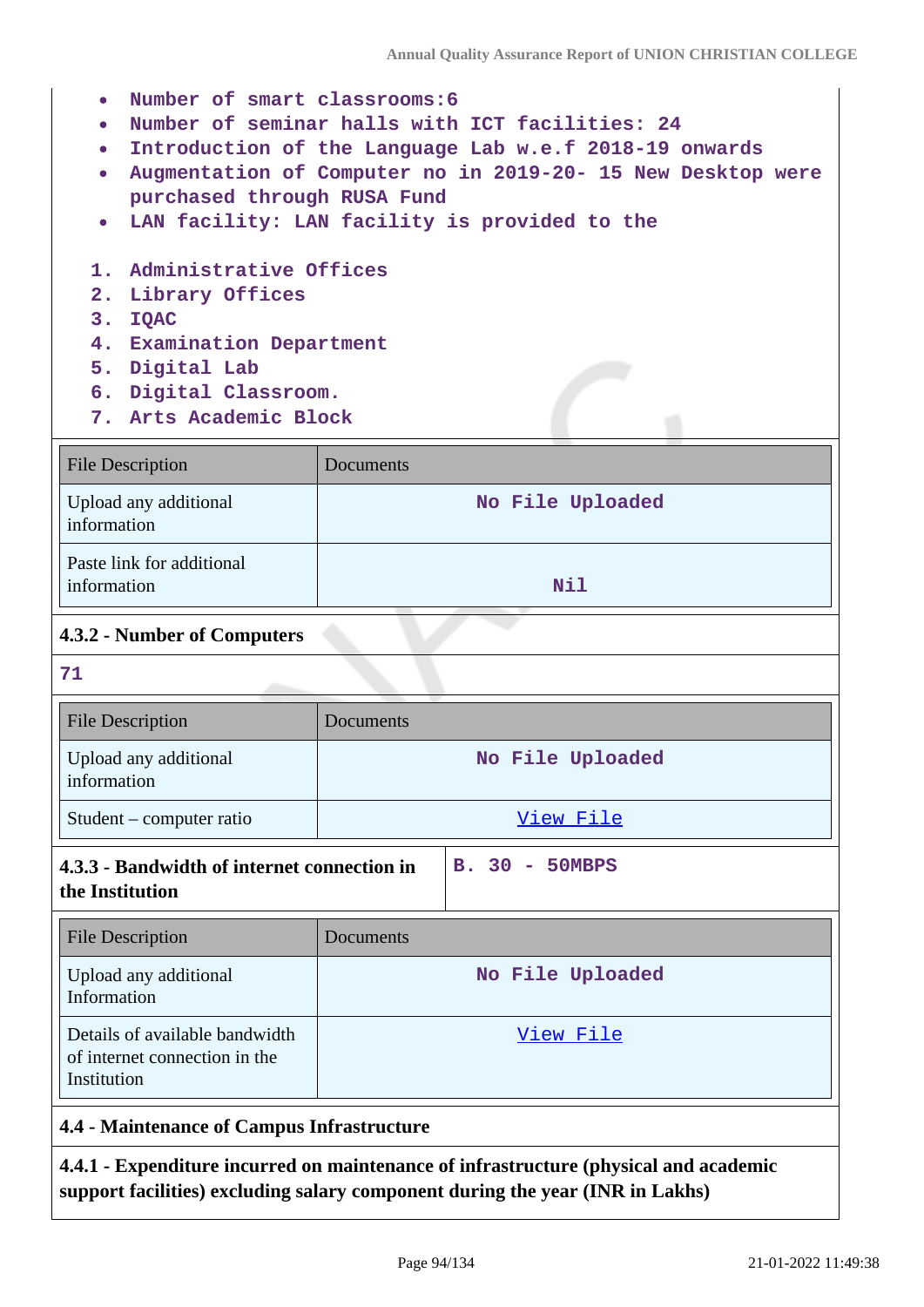- **Number of smart classrooms:6**
- **Number of seminar halls with ICT facilities: 24**
- **Introduction of the Language Lab w.e.f 2018-19 onwards**
- **Augmentation of Computer no in 2019-20- 15 New Desktop were purchased through RUSA Fund**
- **LAN facility: LAN facility is provided to the**
- **1. Administrative Offices**
- **2. Library Offices**
- **3. IQAC**
- **4. Examination Department**
- **5. Digital Lab**
- **6. Digital Classroom.**
- **7. Arts Academic Block**

| <b>File Description</b>                  | Documents        |
|------------------------------------------|------------------|
| Upload any additional<br>information     | No File Uploaded |
| Paste link for additional<br>information | Nil              |

## **4.3.2 - Number of Computers**

**71**

| <b>File Description</b>              | Documents        |
|--------------------------------------|------------------|
| Upload any additional<br>information | No File Uploaded |
| Student – computer ratio             | View File        |
|                                      |                  |

#### **4.3.3 - Bandwidth of internet connection in the Institution B. 30 - 50MBPS**

| File Description                                                               | Documents        |
|--------------------------------------------------------------------------------|------------------|
| Upload any additional<br>Information                                           | No File Uploaded |
| Details of available bandwidth<br>of internet connection in the<br>Institution | View File        |

## **4.4 - Maintenance of Campus Infrastructure**

**4.4.1 - Expenditure incurred on maintenance of infrastructure (physical and academic support facilities) excluding salary component during the year (INR in Lakhs)**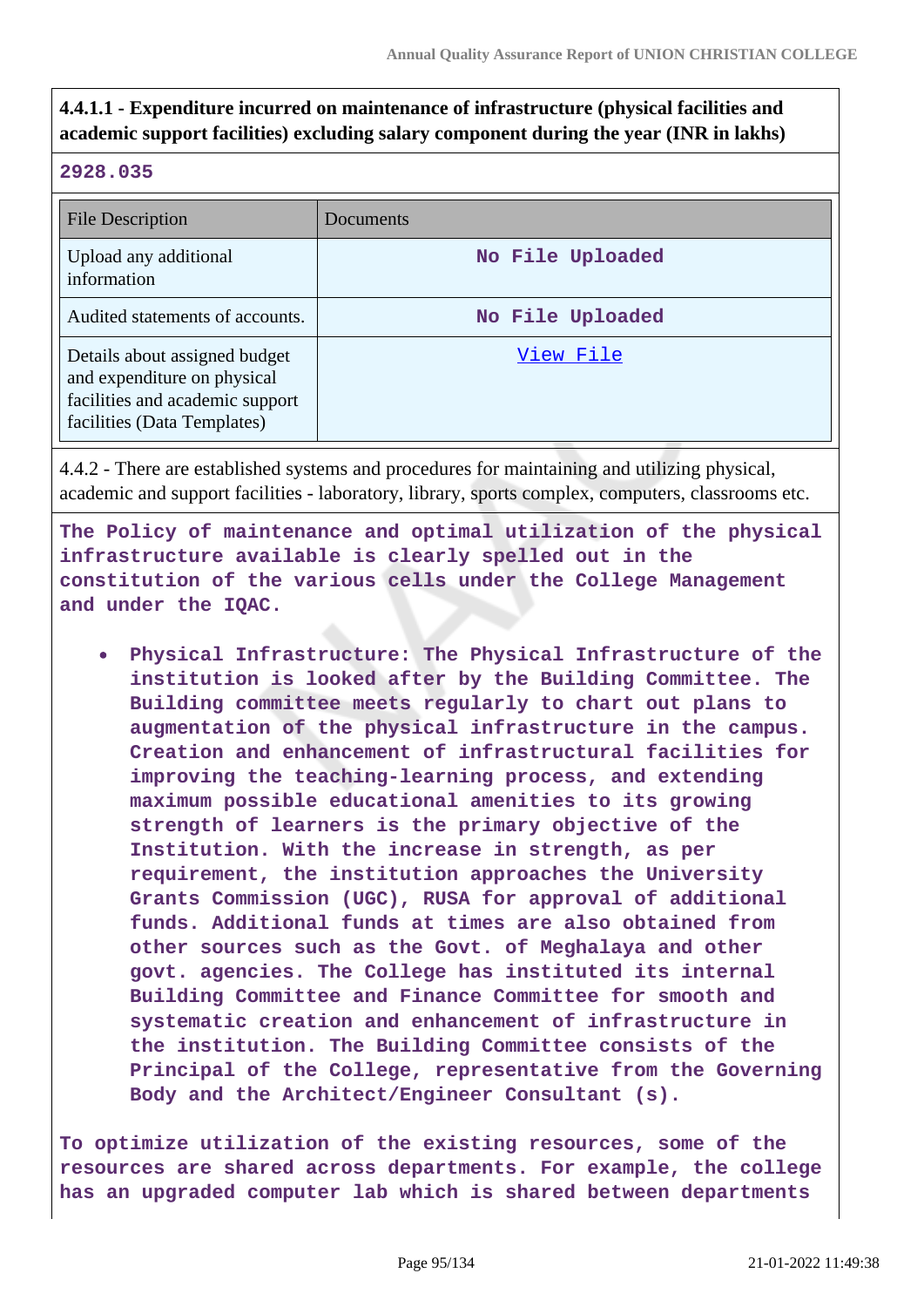## **4.4.1.1 - Expenditure incurred on maintenance of infrastructure (physical facilities and academic support facilities) excluding salary component during the year (INR in lakhs)**

## **2928.035**

| <b>File Description</b>                                                                                                        | Documents        |
|--------------------------------------------------------------------------------------------------------------------------------|------------------|
| Upload any additional<br>information                                                                                           | No File Uploaded |
| Audited statements of accounts.                                                                                                | No File Uploaded |
| Details about assigned budget<br>and expenditure on physical<br>facilities and academic support<br>facilities (Data Templates) | View File        |

4.4.2 - There are established systems and procedures for maintaining and utilizing physical, academic and support facilities - laboratory, library, sports complex, computers, classrooms etc.

**The Policy of maintenance and optimal utilization of the physical infrastructure available is clearly spelled out in the constitution of the various cells under the College Management and under the IQAC.**

**Physical Infrastructure: The Physical Infrastructure of the institution is looked after by the Building Committee. The Building committee meets regularly to chart out plans to augmentation of the physical infrastructure in the campus. Creation and enhancement of infrastructural facilities for improving the teaching-learning process, and extending maximum possible educational amenities to its growing strength of learners is the primary objective of the Institution. With the increase in strength, as per requirement, the institution approaches the University Grants Commission (UGC), RUSA for approval of additional funds. Additional funds at times are also obtained from other sources such as the Govt. of Meghalaya and other govt. agencies. The College has instituted its internal Building Committee and Finance Committee for smooth and systematic creation and enhancement of infrastructure in the institution. The Building Committee consists of the Principal of the College, representative from the Governing Body and the Architect/Engineer Consultant (s).**

**To optimize utilization of the existing resources, some of the resources are shared across departments. For example, the college has an upgraded computer lab which is shared between departments**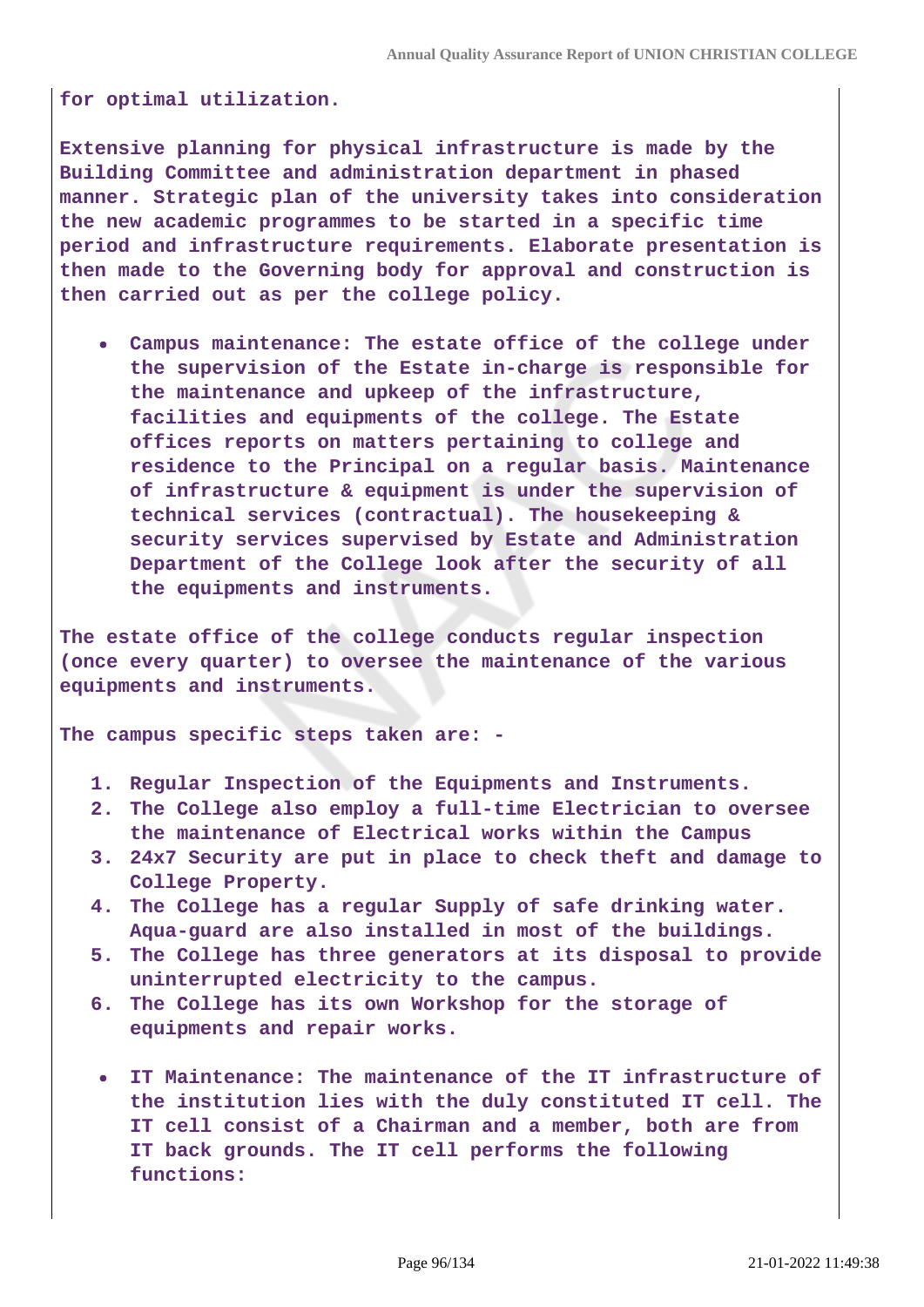**for optimal utilization.**

**Extensive planning for physical infrastructure is made by the Building Committee and administration department in phased manner. Strategic plan of the university takes into consideration the new academic programmes to be started in a specific time period and infrastructure requirements. Elaborate presentation is then made to the Governing body for approval and construction is then carried out as per the college policy.**

**Campus maintenance: The estate office of the college under the supervision of the Estate in-charge is responsible for the maintenance and upkeep of the infrastructure, facilities and equipments of the college. The Estate offices reports on matters pertaining to college and residence to the Principal on a regular basis. Maintenance of infrastructure & equipment is under the supervision of technical services (contractual). The housekeeping & security services supervised by Estate and Administration Department of the College look after the security of all the equipments and instruments.**

**The estate office of the college conducts regular inspection (once every quarter) to oversee the maintenance of the various equipments and instruments.**

**The campus specific steps taken are: -**

- **1. Regular Inspection of the Equipments and Instruments.**
- **2. The College also employ a full-time Electrician to oversee the maintenance of Electrical works within the Campus**
- **3. 24x7 Security are put in place to check theft and damage to College Property.**
- **4. The College has a regular Supply of safe drinking water. Aqua-guard are also installed in most of the buildings.**
- **5. The College has three generators at its disposal to provide uninterrupted electricity to the campus.**
- **6. The College has its own Workshop for the storage of equipments and repair works.**
- **IT Maintenance: The maintenance of the IT infrastructure of the institution lies with the duly constituted IT cell. The IT cell consist of a Chairman and a member, both are from IT back grounds. The IT cell performs the following functions:**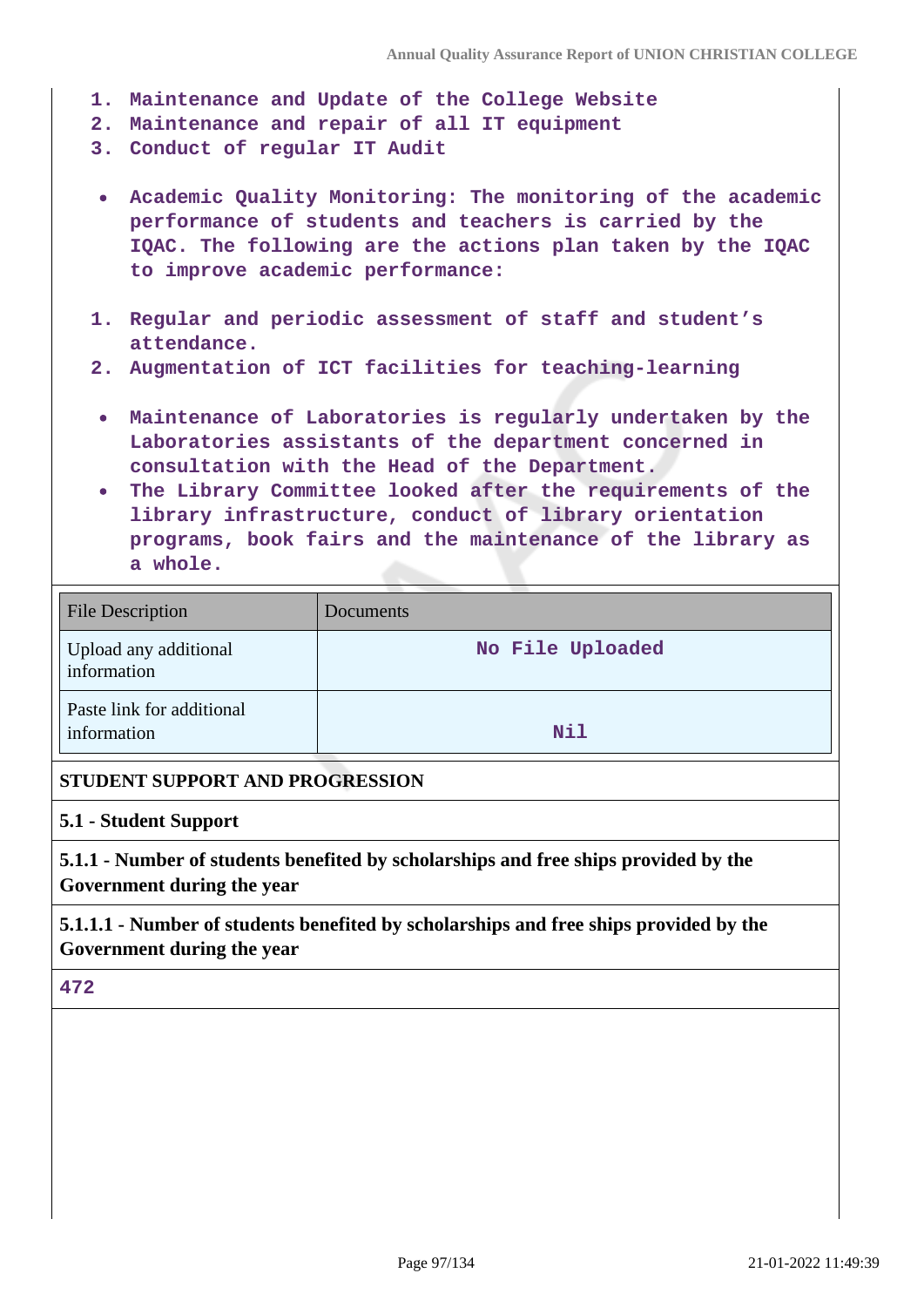- **1. Maintenance and Update of the College Website**
- **2. Maintenance and repair of all IT equipment**
- **3. Conduct of regular IT Audit**
- **Academic Quality Monitoring: The monitoring of the academic performance of students and teachers is carried by the IQAC. The following are the actions plan taken by the IQAC to improve academic performance:**
- **1. Regular and periodic assessment of staff and student's attendance.**
- **2. Augmentation of ICT facilities for teaching-learning**
- **Maintenance of Laboratories is regularly undertaken by the Laboratories assistants of the department concerned in consultation with the Head of the Department.**
- **The Library Committee looked after the requirements of the library infrastructure, conduct of library orientation programs, book fairs and the maintenance of the library as a whole.**

| <b>File Description</b>                  | Documents        |
|------------------------------------------|------------------|
| Upload any additional<br>information     | No File Uploaded |
| Paste link for additional<br>information | Nil              |

### **STUDENT SUPPORT AND PROGRESSION**

#### **5.1 - Student Support**

**5.1.1 - Number of students benefited by scholarships and free ships provided by the Government during the year**

**5.1.1.1 - Number of students benefited by scholarships and free ships provided by the Government during the year**

#### **472**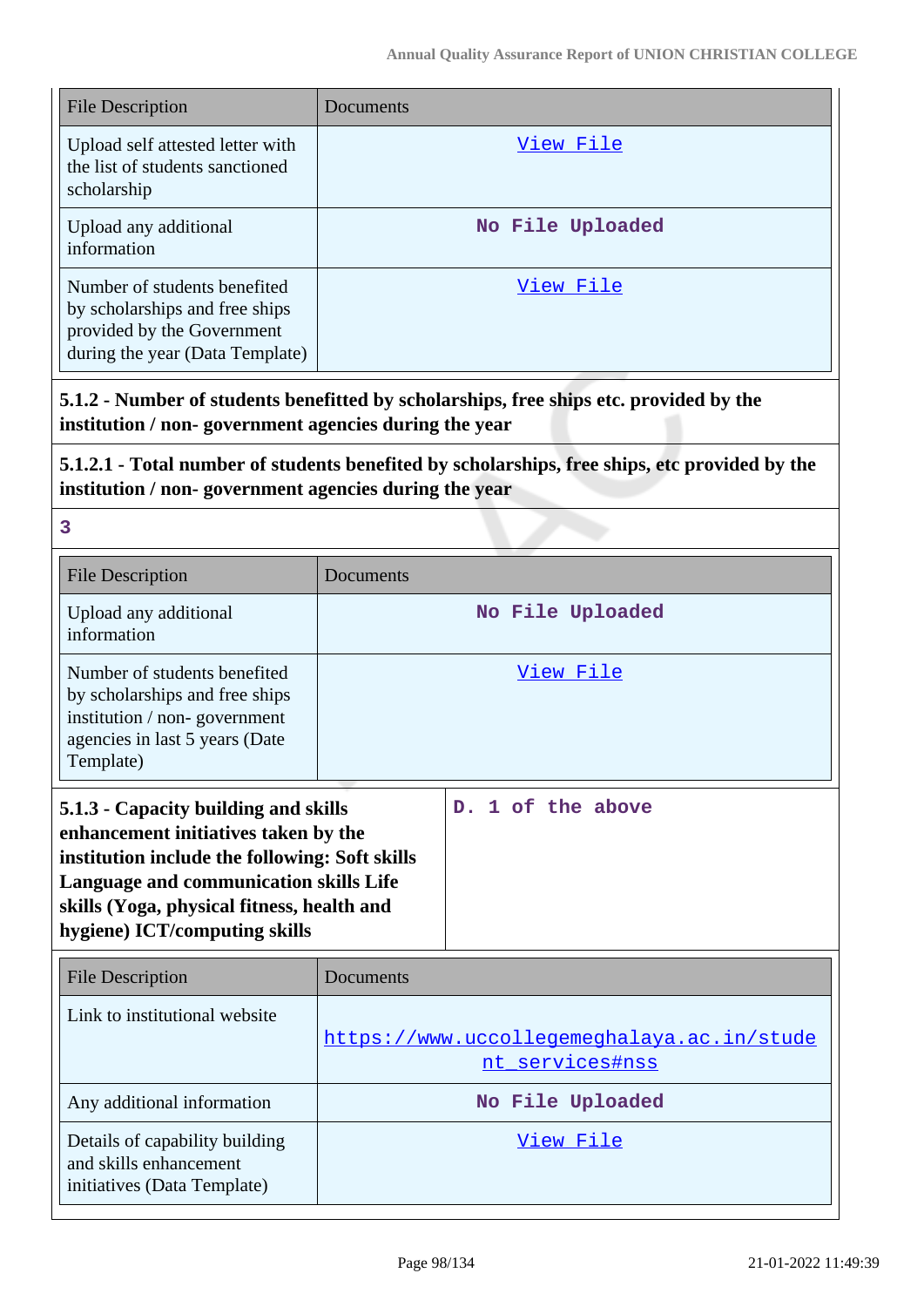| <b>File Description</b>                                                                                                         | Documents        |
|---------------------------------------------------------------------------------------------------------------------------------|------------------|
| Upload self attested letter with<br>the list of students sanctioned<br>scholarship                                              | View File        |
| Upload any additional<br>information                                                                                            | No File Uploaded |
| Number of students benefited<br>by scholarships and free ships<br>provided by the Government<br>during the year (Data Template) | View File        |

**5.1.2 - Number of students benefitted by scholarships, free ships etc. provided by the institution / non- government agencies during the year**

**5.1.2.1 - Total number of students benefited by scholarships, free ships, etc provided by the institution / non- government agencies during the year**

**3**

| <b>File Description</b>                                                                                                                                                                                                                                        | Documents                                                     |                                  |
|----------------------------------------------------------------------------------------------------------------------------------------------------------------------------------------------------------------------------------------------------------------|---------------------------------------------------------------|----------------------------------|
| Upload any additional<br>information                                                                                                                                                                                                                           |                                                               | No File Uploaded                 |
| Number of students benefited<br>by scholarships and free ships<br>institution / non-government<br>agencies in last 5 years (Date<br>Template)                                                                                                                  |                                                               | View File                        |
| 5.1.3 - Capacity building and skills<br>enhancement initiatives taken by the<br>institution include the following: Soft skills<br><b>Language and communication skills Life</b><br>skills (Yoga, physical fitness, health and<br>hygiene) ICT/computing skills |                                                               | 1 of the above<br>D <sub>1</sub> |
| <b>File Description</b>                                                                                                                                                                                                                                        | Documents                                                     |                                  |
| Link to institutional website                                                                                                                                                                                                                                  | https://www.uccollegemeghalaya.ac.in/stude<br>nt services#nss |                                  |
| Any additional information                                                                                                                                                                                                                                     | No File Uploaded                                              |                                  |
| Details of capability building<br>and skills enhancement<br>initiatives (Data Template)                                                                                                                                                                        |                                                               | View File                        |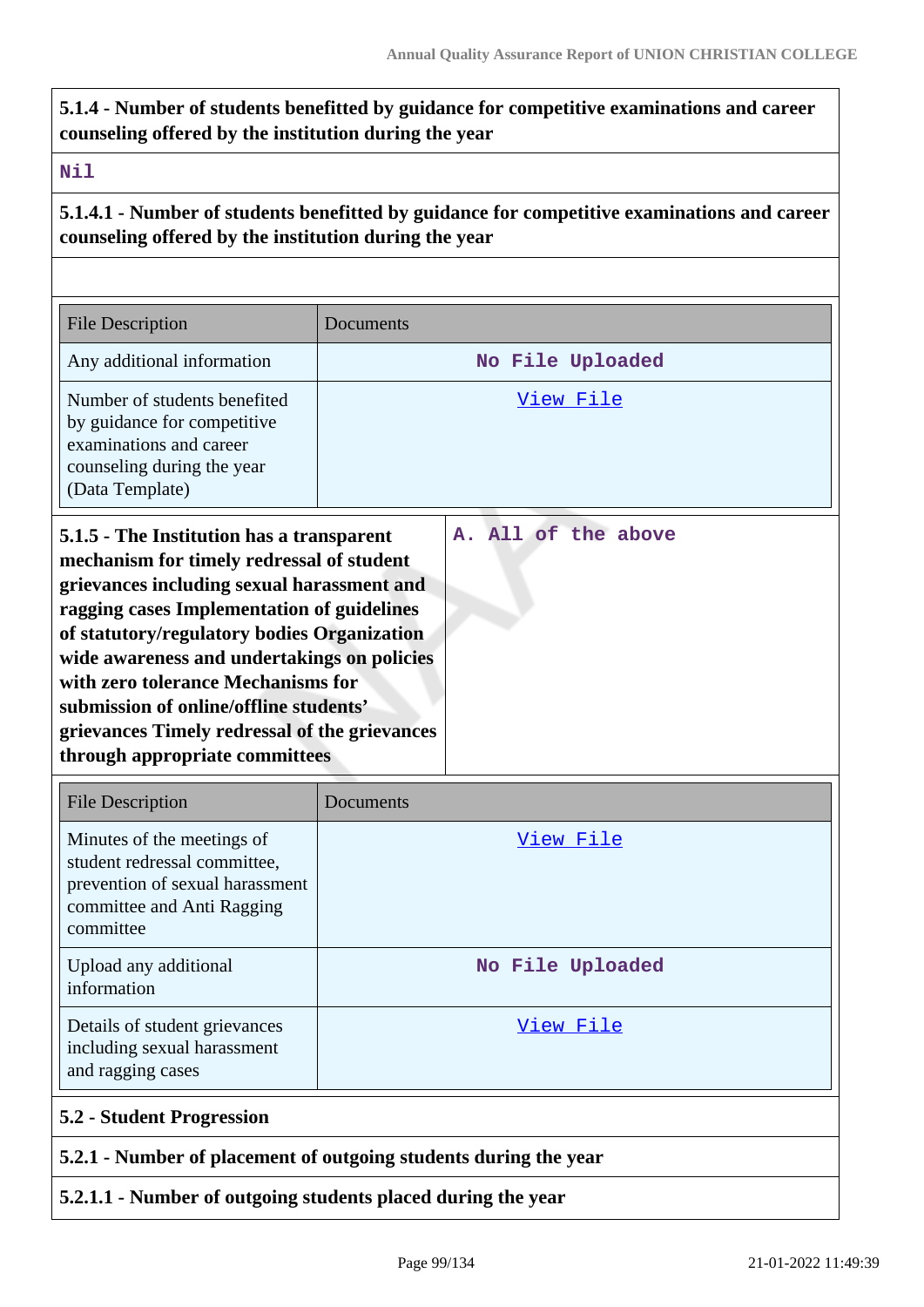**5.1.4 - Number of students benefitted by guidance for competitive examinations and career counseling offered by the institution during the year**

### **Nil**

**5.1.4.1 - Number of students benefitted by guidance for competitive examinations and career counseling offered by the institution during the year**

| <b>File Description</b>                                                                                                                                                                                                                                                                                                                                                                                                                             | Documents           |  |
|-----------------------------------------------------------------------------------------------------------------------------------------------------------------------------------------------------------------------------------------------------------------------------------------------------------------------------------------------------------------------------------------------------------------------------------------------------|---------------------|--|
| Any additional information                                                                                                                                                                                                                                                                                                                                                                                                                          | No File Uploaded    |  |
| Number of students benefited<br>by guidance for competitive<br>examinations and career<br>counseling during the year<br>(Data Template)                                                                                                                                                                                                                                                                                                             | View File           |  |
| 5.1.5 - The Institution has a transparent<br>mechanism for timely redressal of student<br>grievances including sexual harassment and<br>ragging cases Implementation of guidelines<br>of statutory/regulatory bodies Organization<br>wide awareness and undertakings on policies<br>with zero tolerance Mechanisms for<br>submission of online/offline students'<br>grievances Timely redressal of the grievances<br>through appropriate committees | A. All of the above |  |
| <b>File Description</b>                                                                                                                                                                                                                                                                                                                                                                                                                             | Documents           |  |
| Minutes of the meetings of<br>student redressal committee,<br>prevention of sexual harassment<br>committee and Anti Ragging<br>committee                                                                                                                                                                                                                                                                                                            | View File           |  |
| Upload any additional<br>information                                                                                                                                                                                                                                                                                                                                                                                                                | No File Uploaded    |  |
| Details of student grievances<br>including sexual harassment<br>and ragging cases                                                                                                                                                                                                                                                                                                                                                                   | View File           |  |

## **5.2 - Student Progression**

## **5.2.1 - Number of placement of outgoing students during the year**

## **5.2.1.1 - Number of outgoing students placed during the year**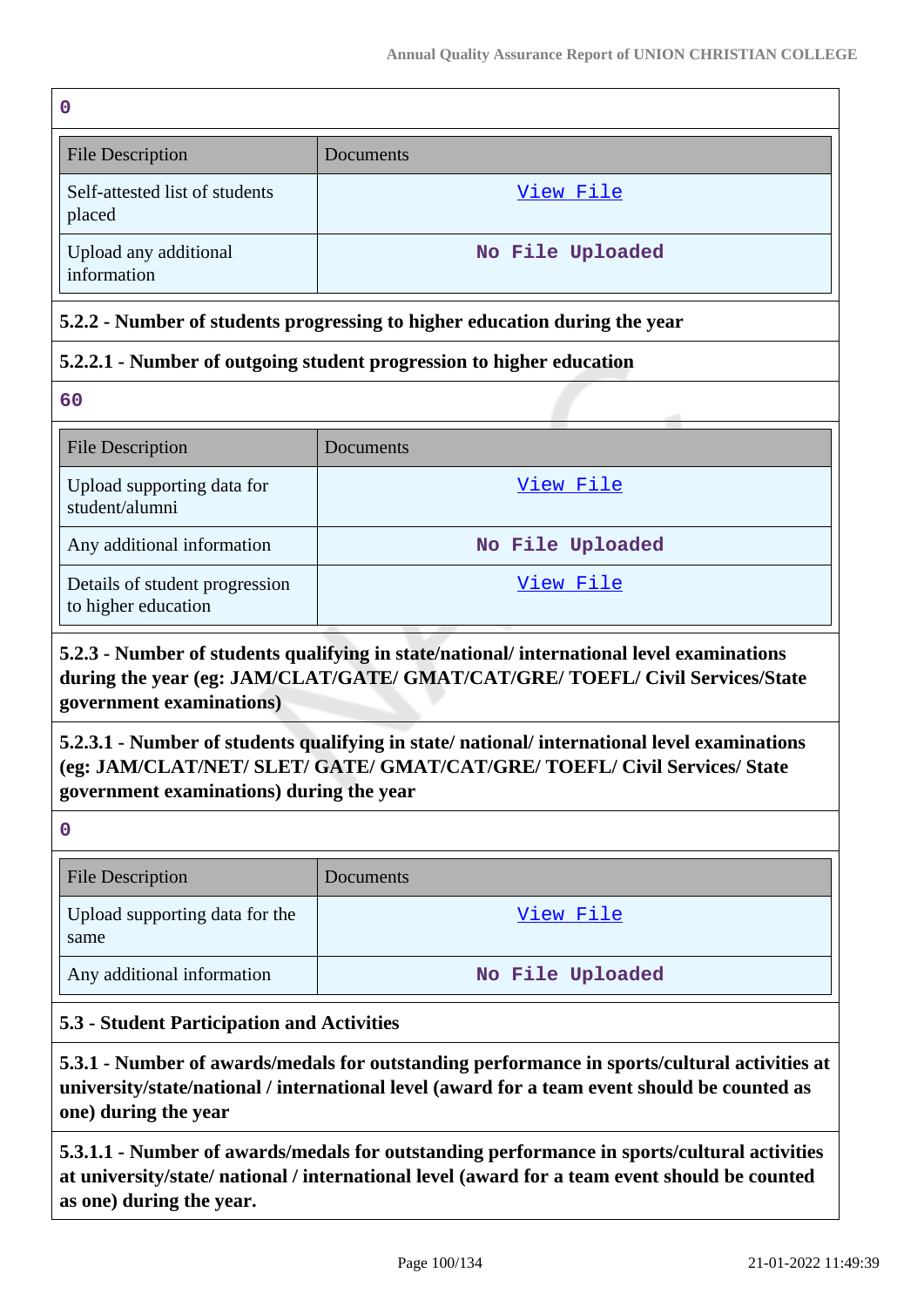| 0                                                                          |                  |  |
|----------------------------------------------------------------------------|------------------|--|
| <b>File Description</b>                                                    | Documents        |  |
| Self-attested list of students<br>placed                                   | View File        |  |
| Upload any additional<br>information                                       | No File Uploaded |  |
| 5.2.2 - Number of students progressing to higher education during the year |                  |  |
| 5.2.2.1 - Number of outgoing student progression to higher education       |                  |  |
| 60                                                                         |                  |  |
| <b>File Description</b>                                                    | Documents        |  |
| Upload supporting data for<br>student/alumni                               | <u>View File</u> |  |
| Any additional information                                                 | No File Uploaded |  |
| Details of student progression                                             | View File        |  |

## **5.2.3 - Number of students qualifying in state/national/ international level examinations during the year (eg: JAM/CLAT/GATE/ GMAT/CAT/GRE/ TOEFL/ Civil Services/State government examinations)**

## **5.2.3.1 - Number of students qualifying in state/ national/ international level examinations (eg: JAM/CLAT/NET/ SLET/ GATE/ GMAT/CAT/GRE/ TOEFL/ Civil Services/ State government examinations) during the year**

**0**

to higher education

| <b>File Description</b>                | <b>Documents</b> |
|----------------------------------------|------------------|
| Upload supporting data for the<br>same | View File        |
| Any additional information             | No File Uploaded |

## **5.3 - Student Participation and Activities**

**5.3.1 - Number of awards/medals for outstanding performance in sports/cultural activities at university/state/national / international level (award for a team event should be counted as one) during the year**

**5.3.1.1 - Number of awards/medals for outstanding performance in sports/cultural activities at university/state/ national / international level (award for a team event should be counted as one) during the year.**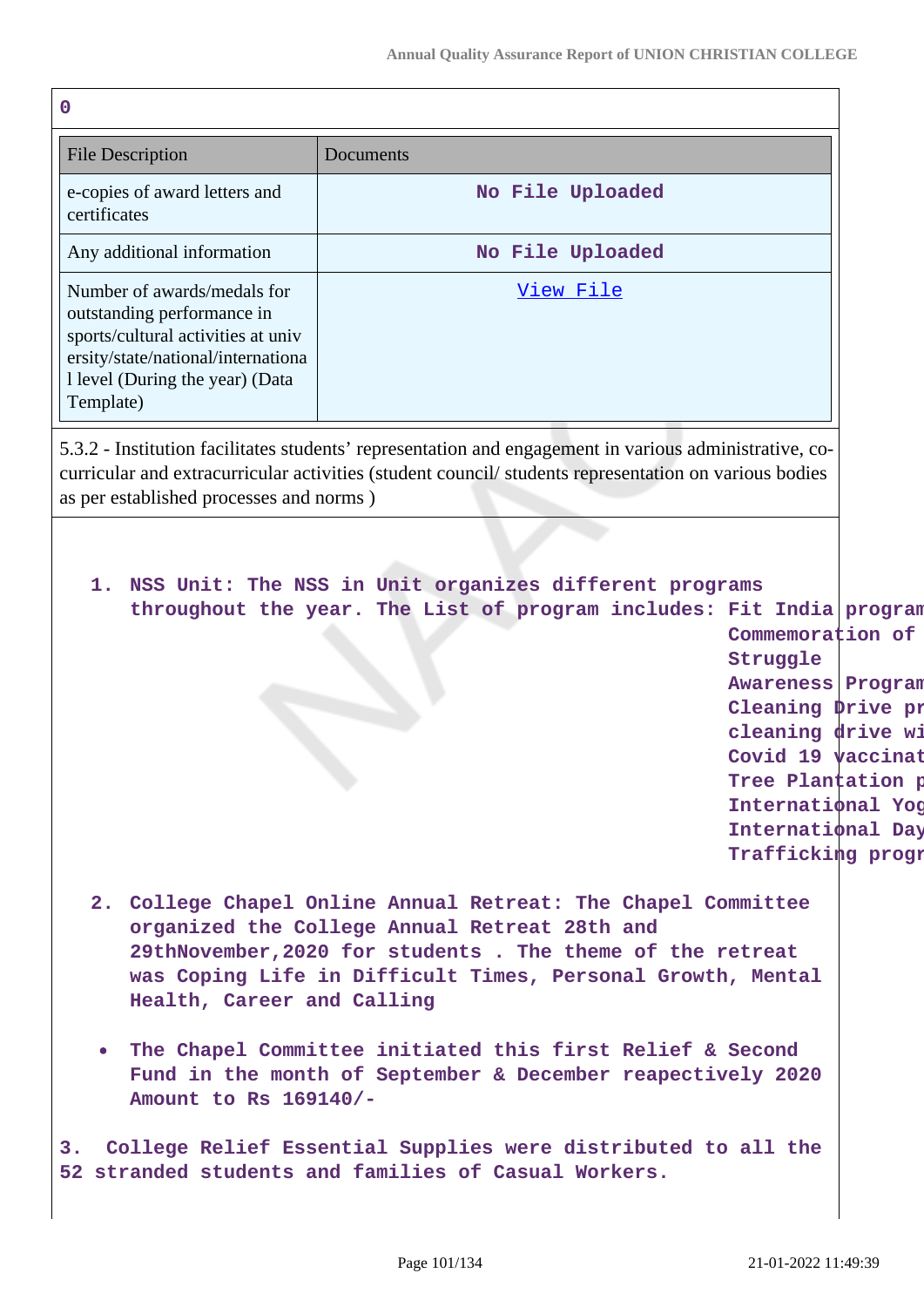| $\mathbf 0$                                                                                                                                                                           |                                                                                                                                                                                                                                                                                                                                                                        |                                                                                                                                                                                                      |
|---------------------------------------------------------------------------------------------------------------------------------------------------------------------------------------|------------------------------------------------------------------------------------------------------------------------------------------------------------------------------------------------------------------------------------------------------------------------------------------------------------------------------------------------------------------------|------------------------------------------------------------------------------------------------------------------------------------------------------------------------------------------------------|
| <b>File Description</b>                                                                                                                                                               | Documents                                                                                                                                                                                                                                                                                                                                                              |                                                                                                                                                                                                      |
| e-copies of award letters and<br>certificates                                                                                                                                         | No File Uploaded                                                                                                                                                                                                                                                                                                                                                       |                                                                                                                                                                                                      |
| Any additional information                                                                                                                                                            | No File Uploaded                                                                                                                                                                                                                                                                                                                                                       |                                                                                                                                                                                                      |
| Number of awards/medals for<br>outstanding performance in<br>sports/cultural activities at univ<br>ersity/state/national/internationa<br>I level (During the year) (Data<br>Template) | View File                                                                                                                                                                                                                                                                                                                                                              |                                                                                                                                                                                                      |
| as per established processes and norms)                                                                                                                                               | 5.3.2 - Institution facilitates students' representation and engagement in various administrative, co-<br>curricular and extracurricular activities (student council/students representation on various bodies                                                                                                                                                         |                                                                                                                                                                                                      |
| 1.                                                                                                                                                                                    | NSS Unit: The NSS in Unit organizes different programs<br>throughout the year. The List of program includes: Fit India program                                                                                                                                                                                                                                         | Commemoration of<br>Struggle<br>Awareness Program<br>Cleaning Drive pr<br>cleaning drive wi<br>Covid 19 vaccinat<br>Tree Plantation p<br>International Yog<br>International Day<br>Trafficking progr |
| Health, Career and Calling<br>$\bullet$<br>Amount to Rs 169140/-                                                                                                                      | 2. College Chapel Online Annual Retreat: The Chapel Committee<br>organized the College Annual Retreat 28th and<br>29thNovember, 2020 for students. The theme of the retreat<br>was Coping Life in Difficult Times, Personal Growth, Mental<br>The Chapel Committee initiated this first Relief & Second<br>Fund in the month of September & December reapectively 2020 |                                                                                                                                                                                                      |
|                                                                                                                                                                                       | 3. College Relief Essential Supplies were distributed to all the<br>52 stranded students and families of Casual Workers.                                                                                                                                                                                                                                               |                                                                                                                                                                                                      |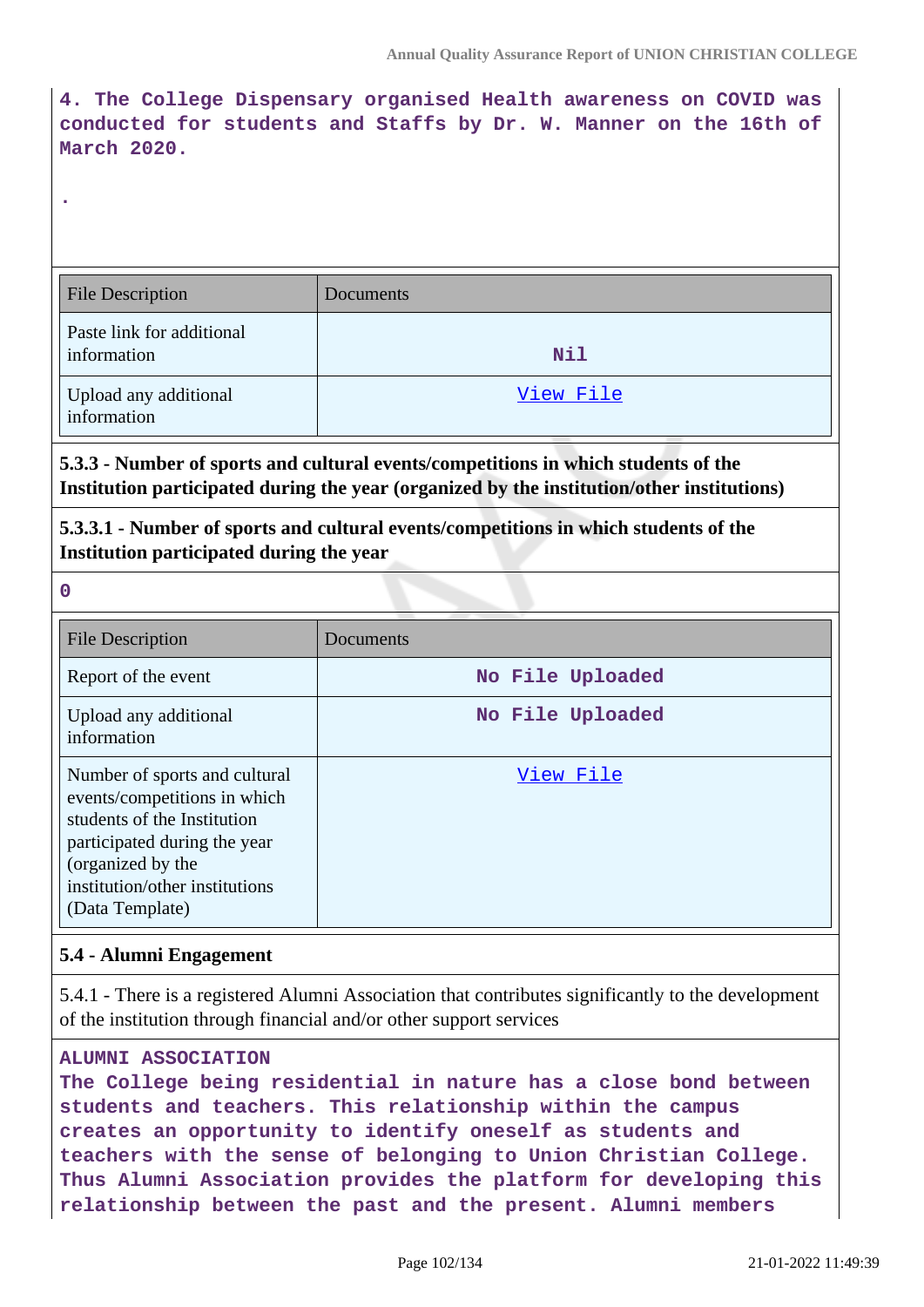**4. The College Dispensary organised Health awareness on COVID was conducted for students and Staffs by Dr. W. Manner on the 16th of March 2020.**

| <b>File Description</b>                  | Documents  |
|------------------------------------------|------------|
| Paste link for additional<br>information | <b>Nil</b> |
| Upload any additional<br>information     | View File  |

**5.3.3 - Number of sports and cultural events/competitions in which students of the Institution participated during the year (organized by the institution/other institutions)**

## **5.3.3.1 - Number of sports and cultural events/competitions in which students of the Institution participated during the year**

**0**

**.**

| <b>File Description</b>                                                                                                                                                                                | Documents        |  |  |  |
|--------------------------------------------------------------------------------------------------------------------------------------------------------------------------------------------------------|------------------|--|--|--|
| Report of the event                                                                                                                                                                                    | No File Uploaded |  |  |  |
| Upload any additional<br>information                                                                                                                                                                   | No File Uploaded |  |  |  |
| Number of sports and cultural<br>events/competitions in which<br>students of the Institution<br>participated during the year<br>(organized by the<br>institution/other institutions<br>(Data Template) | View File        |  |  |  |

## **5.4 - Alumni Engagement**

5.4.1 - There is a registered Alumni Association that contributes significantly to the development of the institution through financial and/or other support services

### **ALUMNI ASSOCIATION**

**The College being residential in nature has a close bond between students and teachers. This relationship within the campus creates an opportunity to identify oneself as students and teachers with the sense of belonging to Union Christian College. Thus Alumni Association provides the platform for developing this relationship between the past and the present. Alumni members**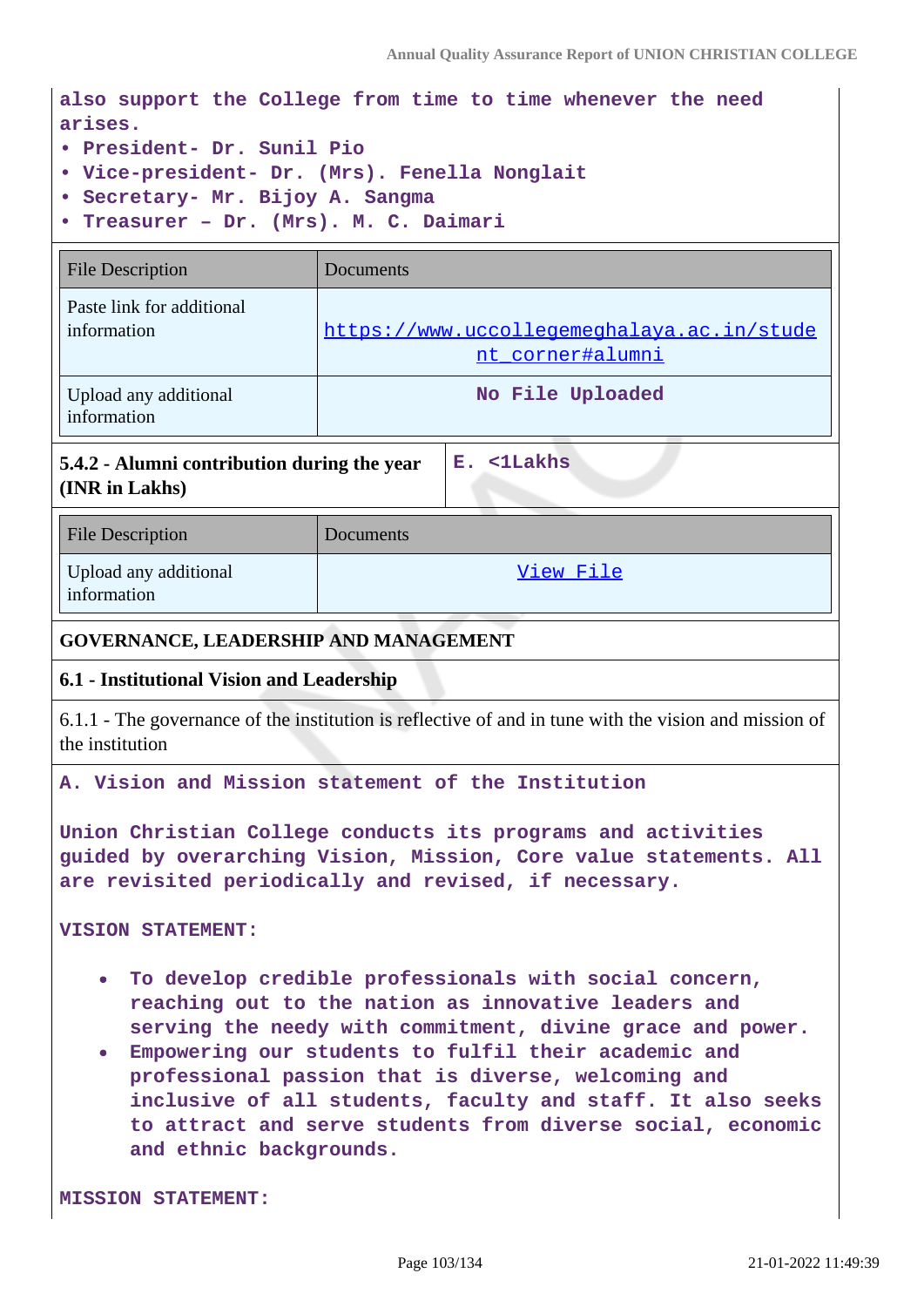**also support the College from time to time whenever the need arises.**

- **President- Dr. Sunil Pio**
- **Vice-president- Dr. (Mrs). Fenella Nonglait**
- **Secretary- Mr. Bijoy A. Sangma**
- **Treasurer Dr. (Mrs). M. C. Daimari**

| <b>File Description</b>                  | Documents                                                      |
|------------------------------------------|----------------------------------------------------------------|
| Paste link for additional<br>information | https://www.uccollegemeghalaya.ac.in/stude<br>nt corner#alumni |
| Upload any additional<br>information     | No File Uploaded                                               |

**5.4.2 - Alumni contribution during the year (INR in Lakhs)**

| <b>File Description</b>              | Documents |
|--------------------------------------|-----------|
| Upload any additional<br>information | View File |

**E. <1Lakhs**

### **GOVERNANCE, LEADERSHIP AND MANAGEMENT**

### **6.1 - Institutional Vision and Leadership**

6.1.1 - The governance of the institution is reflective of and in tune with the vision and mission of the institution

#### **A. Vision and Mission statement of the Institution**

**Union Christian College conducts its programs and activities guided by overarching Vision, Mission, Core value statements. All are revisited periodically and revised, if necessary.**

**VISION STATEMENT:**

- **To develop credible professionals with social concern, reaching out to the nation as innovative leaders and serving the needy with commitment, divine grace and power.**
- **Empowering our students to fulfil their academic and professional passion that is diverse, welcoming and inclusive of all students, faculty and staff. It also seeks to attract and serve students from diverse social, economic and ethnic backgrounds.**

**MISSION STATEMENT:**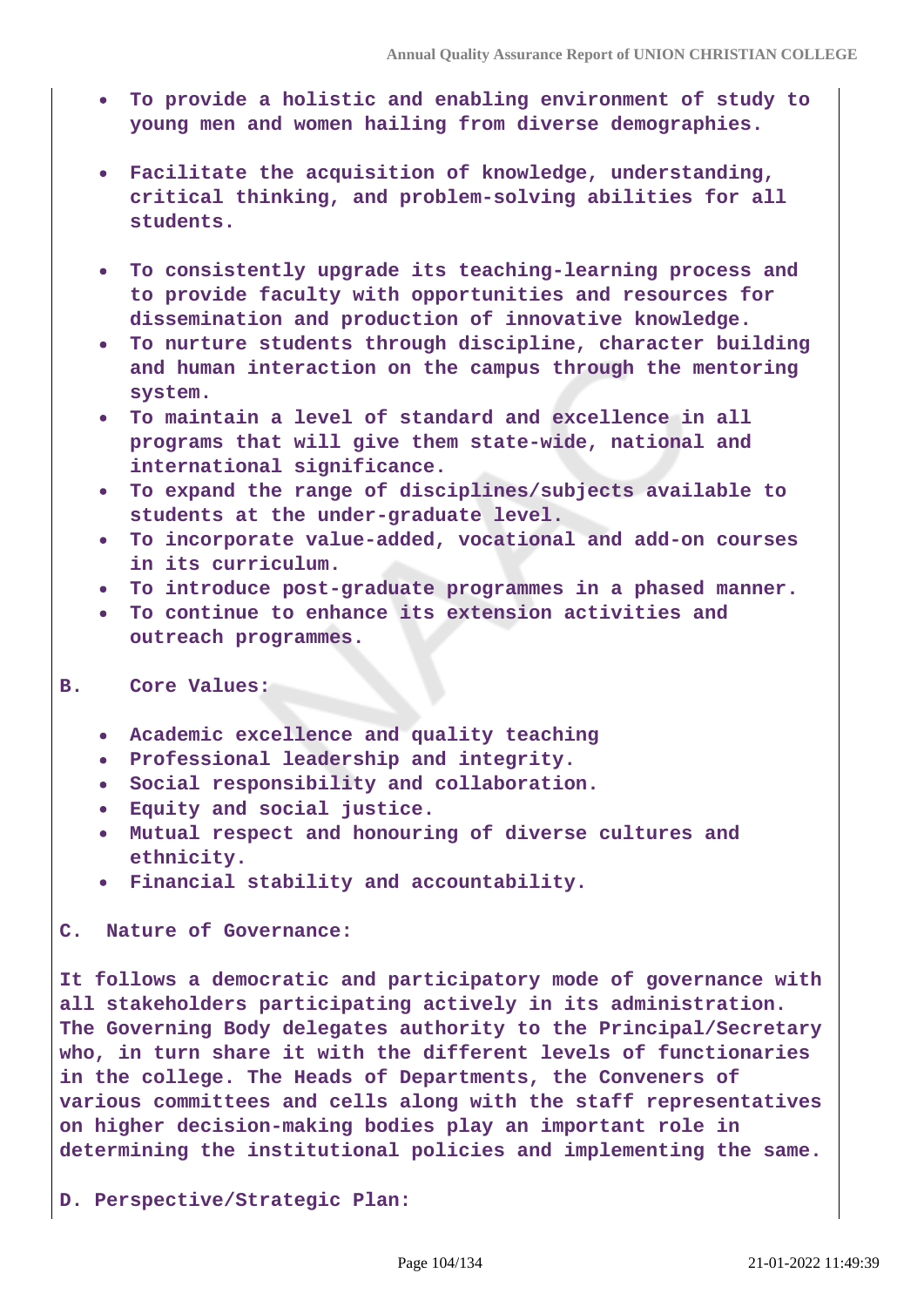- **To provide a holistic and enabling environment of study to young men and women hailing from diverse demographies.**
- **Facilitate the acquisition of knowledge, understanding, critical thinking, and problem-solving abilities for all students.**
- **To consistently upgrade its teaching-learning process and to provide faculty with opportunities and resources for dissemination and production of innovative knowledge.**
- **To nurture students through discipline, character building and human interaction on the campus through the mentoring system.**
- **To maintain a level of standard and excellence in all programs that will give them state-wide, national and international significance.**
- **To expand the range of disciplines/subjects available to students at the under-graduate level.**
- **To incorporate value-added, vocational and add-on courses in its curriculum.**
- **To introduce post-graduate programmes in a phased manner.**
- **To continue to enhance its extension activities and outreach programmes.**

#### **B. Core Values:**

- **Academic excellence and quality teaching**
- **Professional leadership and integrity.**
- **Social responsibility and collaboration.**
- **Equity and social justice.**
- **Mutual respect and honouring of diverse cultures and ethnicity.**
- **Financial stability and accountability.**

#### **C. Nature of Governance:**

**It follows a democratic and participatory mode of governance with all stakeholders participating actively in its administration. The Governing Body delegates authority to the Principal/Secretary who, in turn share it with the different levels of functionaries in the college. The Heads of Departments, the Conveners of various committees and cells along with the staff representatives on higher decision-making bodies play an important role in determining the institutional policies and implementing the same.**

**D. Perspective/Strategic Plan:**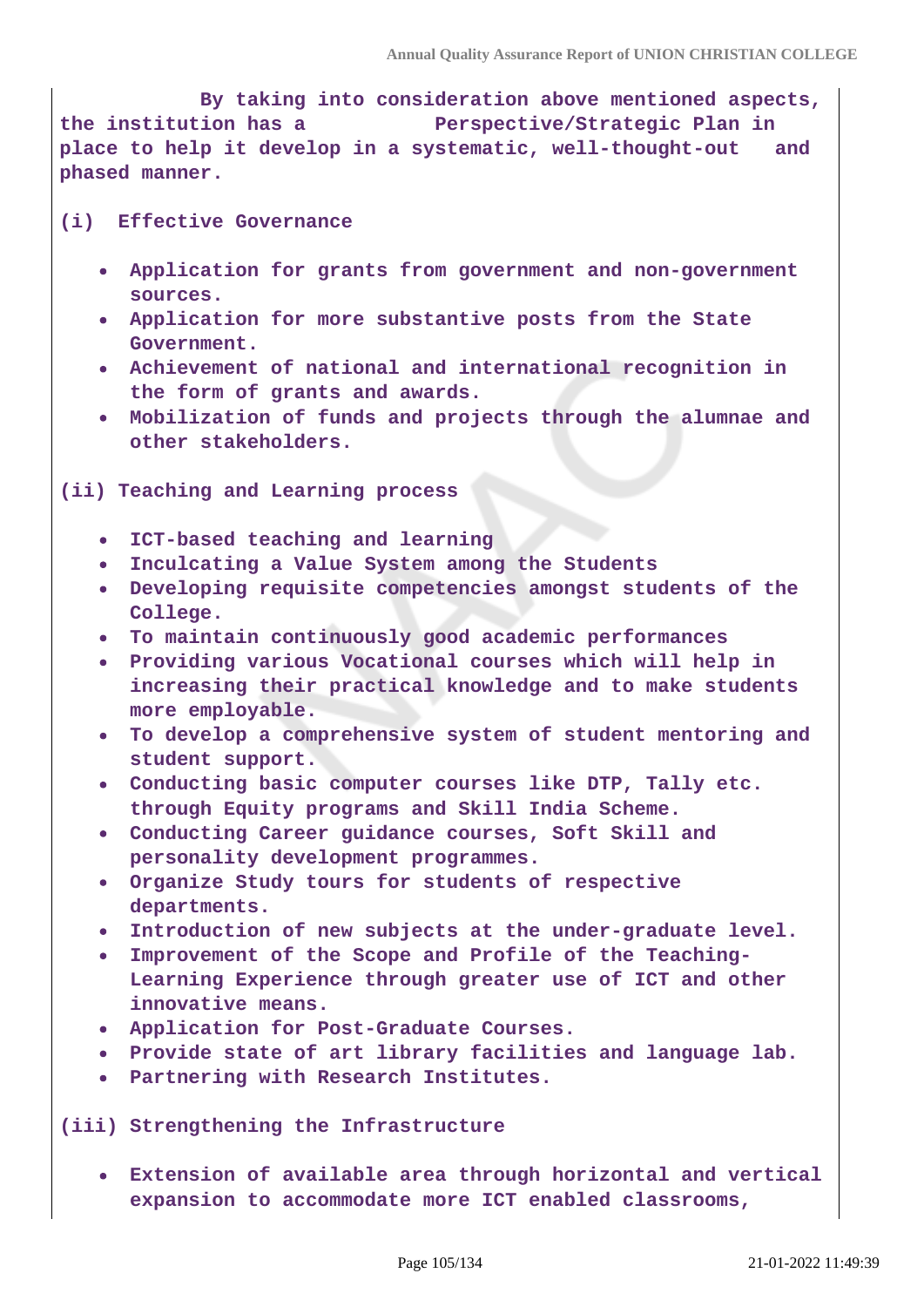**By taking into consideration above mentioned aspects, the institution has a Perspective/Strategic Plan in place to help it develop in a systematic, well-thought-out and phased manner.**

#### **(i) Effective Governance**

- **Application for grants from government and non-government sources.**
- **Application for more substantive posts from the State Government.**
- **Achievement of national and international recognition in the form of grants and awards.**
- **Mobilization of funds and projects through the alumnae and other stakeholders.**

**(ii) Teaching and Learning process**

- **ICT-based teaching and learning**
- **Inculcating a Value System among the Students**
- **Developing requisite competencies amongst students of the College.**
- **To maintain continuously good academic performances**
- **Providing various Vocational courses which will help in increasing their practical knowledge and to make students more employable.**
- **To develop a comprehensive system of student mentoring and student support.**
- **Conducting basic computer courses like DTP, Tally etc. through Equity programs and Skill India Scheme.**
- **Conducting Career guidance courses, Soft Skill and personality development programmes.**
- **Organize Study tours for students of respective departments.**
- **Introduction of new subjects at the under-graduate level.**
- **Improvement of the Scope and Profile of the Teaching-Learning Experience through greater use of ICT and other innovative means.**
- **Application for Post-Graduate Courses.**
- **Provide state of art library facilities and language lab.**
- **Partnering with Research Institutes.**

**(iii) Strengthening the Infrastructure**

**Extension of available area through horizontal and vertical expansion to accommodate more ICT enabled classrooms,**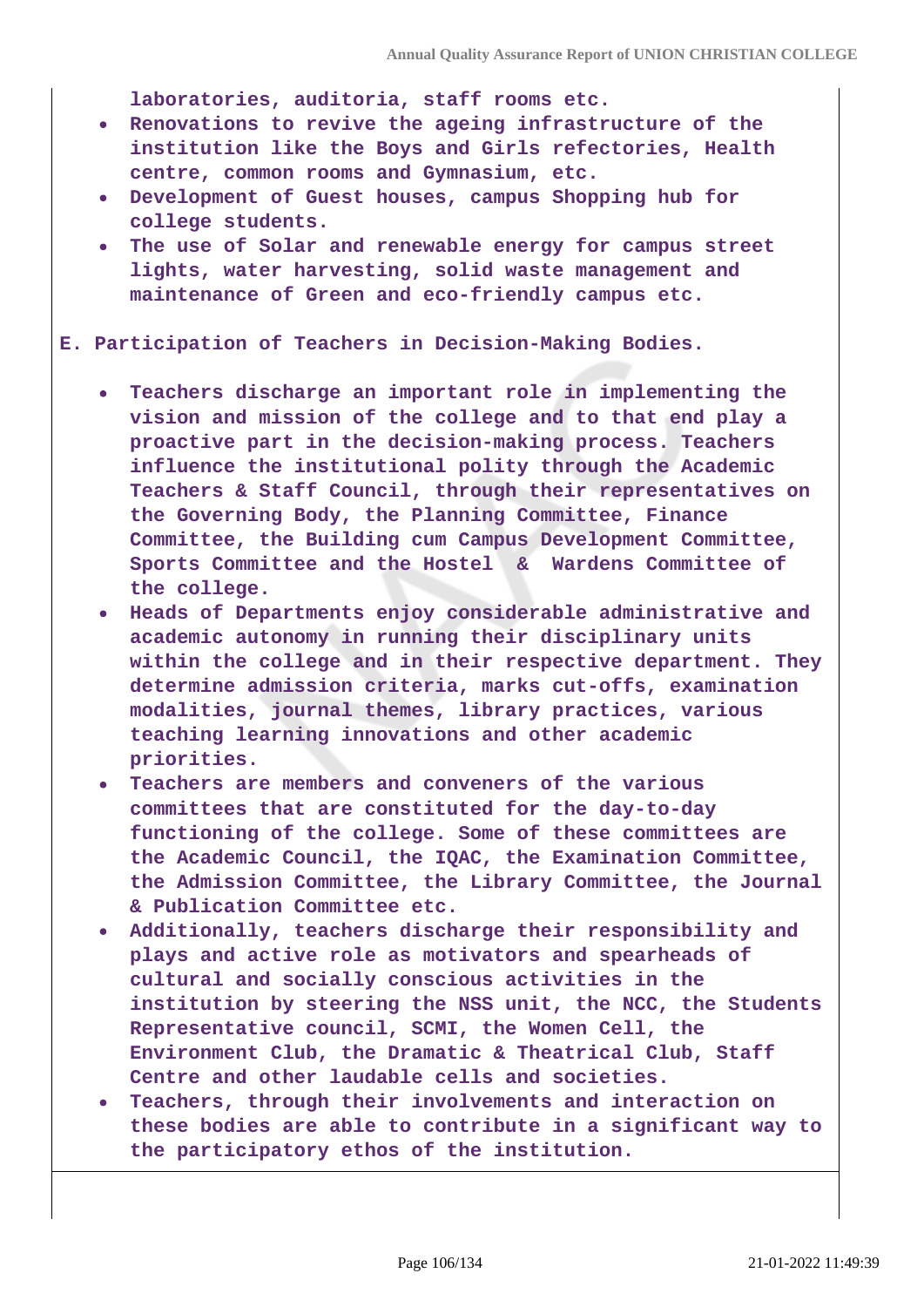**laboratories, auditoria, staff rooms etc.**

- **Renovations to revive the ageing infrastructure of the institution like the Boys and Girls refectories, Health centre, common rooms and Gymnasium, etc.**
- **Development of Guest houses, campus Shopping hub for college students.**
- **The use of Solar and renewable energy for campus street lights, water harvesting, solid waste management and maintenance of Green and eco-friendly campus etc.**
- **E. Participation of Teachers in Decision-Making Bodies.**
	- **Teachers discharge an important role in implementing the vision and mission of the college and to that end play a proactive part in the decision-making process. Teachers influence the institutional polity through the Academic Teachers & Staff Council, through their representatives on the Governing Body, the Planning Committee, Finance Committee, the Building cum Campus Development Committee, Sports Committee and the Hostel & Wardens Committee of the college.**
	- **Heads of Departments enjoy considerable administrative and academic autonomy in running their disciplinary units within the college and in their respective department. They determine admission criteria, marks cut-offs, examination modalities, journal themes, library practices, various teaching learning innovations and other academic priorities.**
	- **Teachers are members and conveners of the various committees that are constituted for the day-to-day functioning of the college. Some of these committees are the Academic Council, the IQAC, the Examination Committee, the Admission Committee, the Library Committee, the Journal & Publication Committee etc.**
	- **Additionally, teachers discharge their responsibility and plays and active role as motivators and spearheads of cultural and socially conscious activities in the institution by steering the NSS unit, the NCC, the Students Representative council, SCMI, the Women Cell, the Environment Club, the Dramatic & Theatrical Club, Staff Centre and other laudable cells and societies.**
	- **Teachers, through their involvements and interaction on these bodies are able to contribute in a significant way to the participatory ethos of the institution.**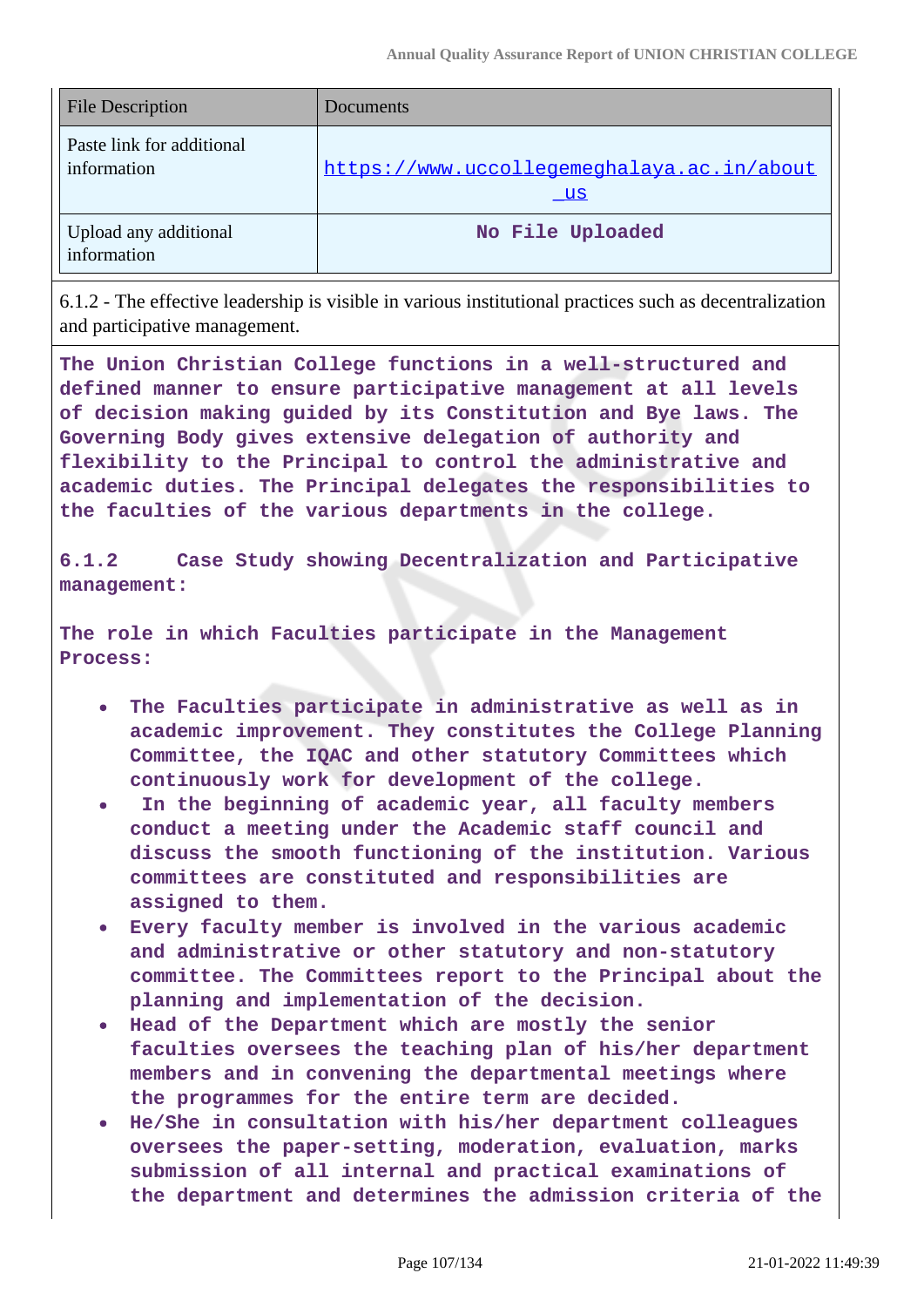| <b>File Description</b>                  | Documents                                                |  |
|------------------------------------------|----------------------------------------------------------|--|
| Paste link for additional<br>information | https://www.uccollegemeghalaya.ac.in/about<br><u>_us</u> |  |
| Upload any additional<br>information     | No File Uploaded                                         |  |

6.1.2 - The effective leadership is visible in various institutional practices such as decentralization and participative management.

**The Union Christian College functions in a well-structured and defined manner to ensure participative management at all levels of decision making guided by its Constitution and Bye laws. The Governing Body gives extensive delegation of authority and flexibility to the Principal to control the administrative and academic duties. The Principal delegates the responsibilities to the faculties of the various departments in the college.**

**6.1.2 Case Study showing Decentralization and Participative management:**

**The role in which Faculties participate in the Management Process:**

- **The Faculties participate in administrative as well as in academic improvement. They constitutes the College Planning Committee, the IQAC and other statutory Committees which continuously work for development of the college.**
- **In the beginning of academic year, all faculty members conduct a meeting under the Academic staff council and discuss the smooth functioning of the institution. Various committees are constituted and responsibilities are assigned to them.**
- **Every faculty member is involved in the various academic and administrative or other statutory and non-statutory committee. The Committees report to the Principal about the planning and implementation of the decision.**
- **Head of the Department which are mostly the senior faculties oversees the teaching plan of his/her department members and in convening the departmental meetings where the programmes for the entire term are decided.**
- **He/She in consultation with his/her department colleagues oversees the paper-setting, moderation, evaluation, marks submission of all internal and practical examinations of the department and determines the admission criteria of the**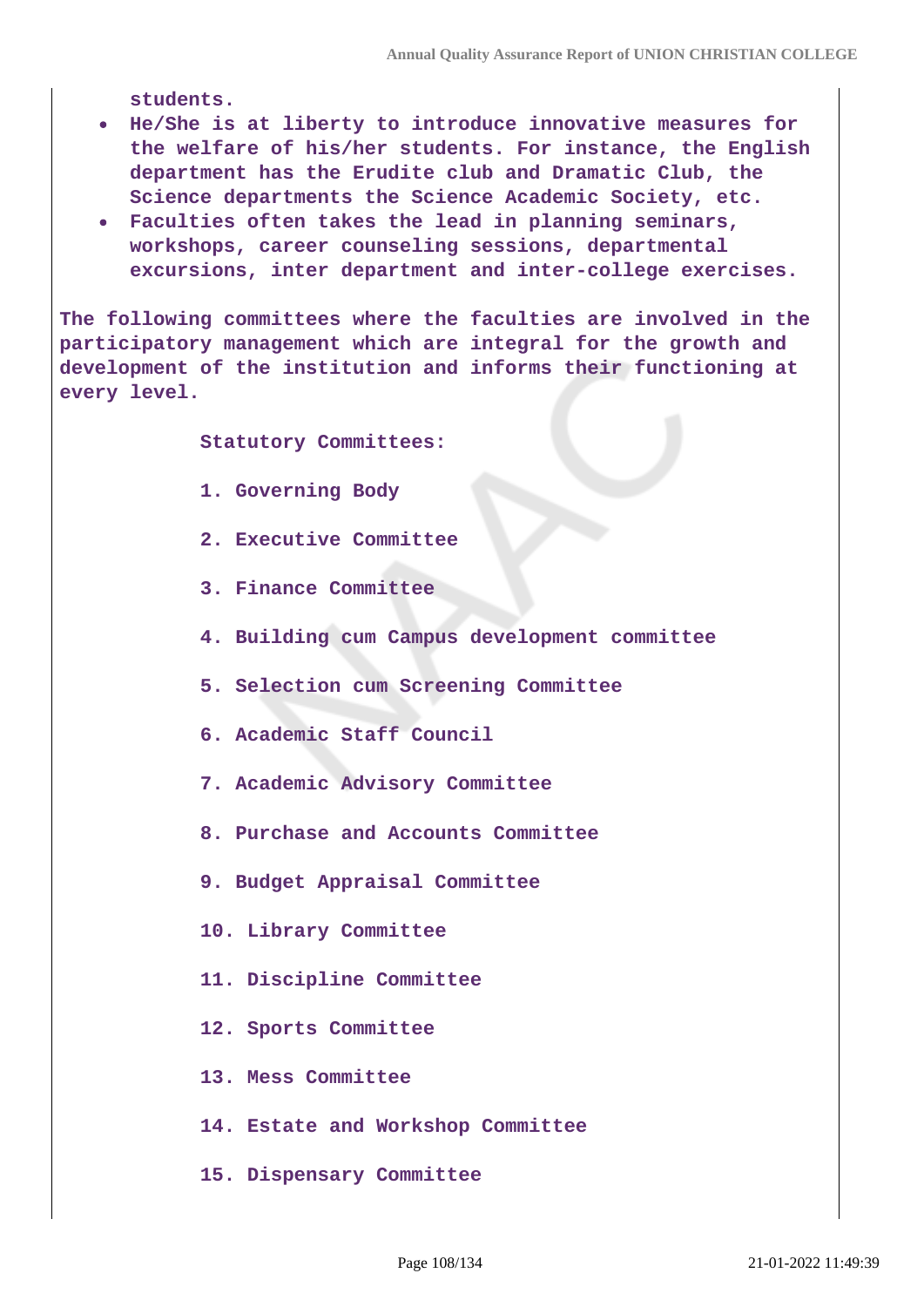**students.**

- **He/She is at liberty to introduce innovative measures for the welfare of his/her students. For instance, the English department has the Erudite club and Dramatic Club, the Science departments the Science Academic Society, etc.**
- **Faculties often takes the lead in planning seminars, workshops, career counseling sessions, departmental excursions, inter department and inter-college exercises.**

**The following committees where the faculties are involved in the participatory management which are integral for the growth and development of the institution and informs their functioning at every level.**

 **Statutory Committees:**

- **1. Governing Body**
- **2. Executive Committee**
- **3. Finance Committee**
- **4. Building cum Campus development committee**
- **5. Selection cum Screening Committee**
- **6. Academic Staff Council**
- **7. Academic Advisory Committee**
- **8. Purchase and Accounts Committee**
- **9. Budget Appraisal Committee**
- **10. Library Committee**
- **11. Discipline Committee**
- **12. Sports Committee**
- **13. Mess Committee**
- **14. Estate and Workshop Committee**
- **15. Dispensary Committee**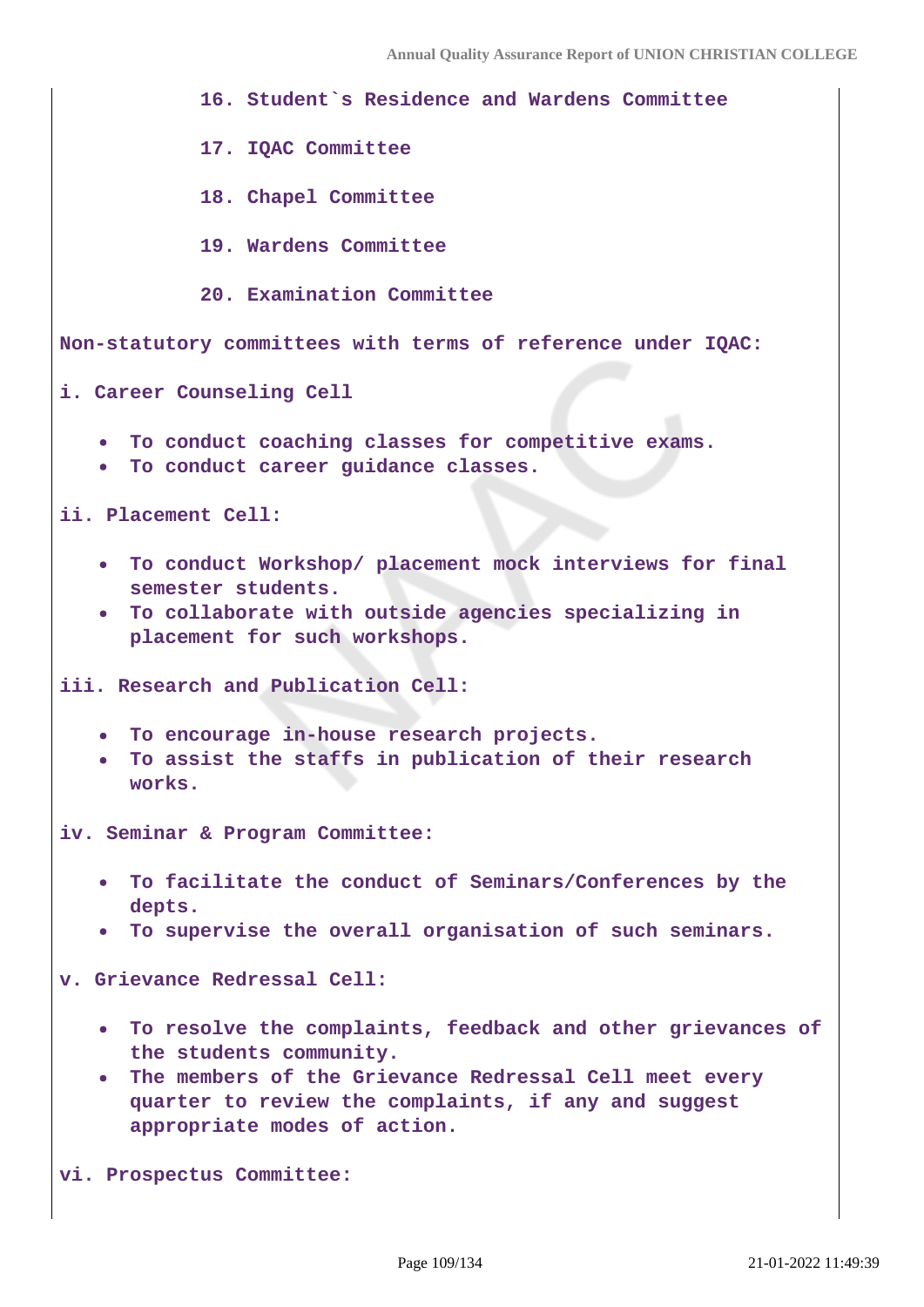**16. Student`s Residence and Wardens Committee**

 **17. IQAC Committee**

 **18. Chapel Committee**

 **19. Wardens Committee**

 **20. Examination Committee**

**Non-statutory committees with terms of reference under IQAC:**

**i. Career Counseling Cell** 

- **To conduct coaching classes for competitive exams.**
- **To conduct career guidance classes.**

**ii. Placement Cell:** 

- **To conduct Workshop/ placement mock interviews for final semester students.**
- **To collaborate with outside agencies specializing in placement for such workshops.**

**iii. Research and Publication Cell:** 

- **To encourage in-house research projects.**
- **To assist the staffs in publication of their research works.**

**iv. Seminar & Program Committee:** 

- **To facilitate the conduct of Seminars/Conferences by the depts.**
- **To supervise the overall organisation of such seminars.**

**v. Grievance Redressal Cell:** 

- **To resolve the complaints, feedback and other grievances of the students community.**
- **The members of the Grievance Redressal Cell meet every quarter to review the complaints, if any and suggest appropriate modes of action.**

**vi. Prospectus Committee:**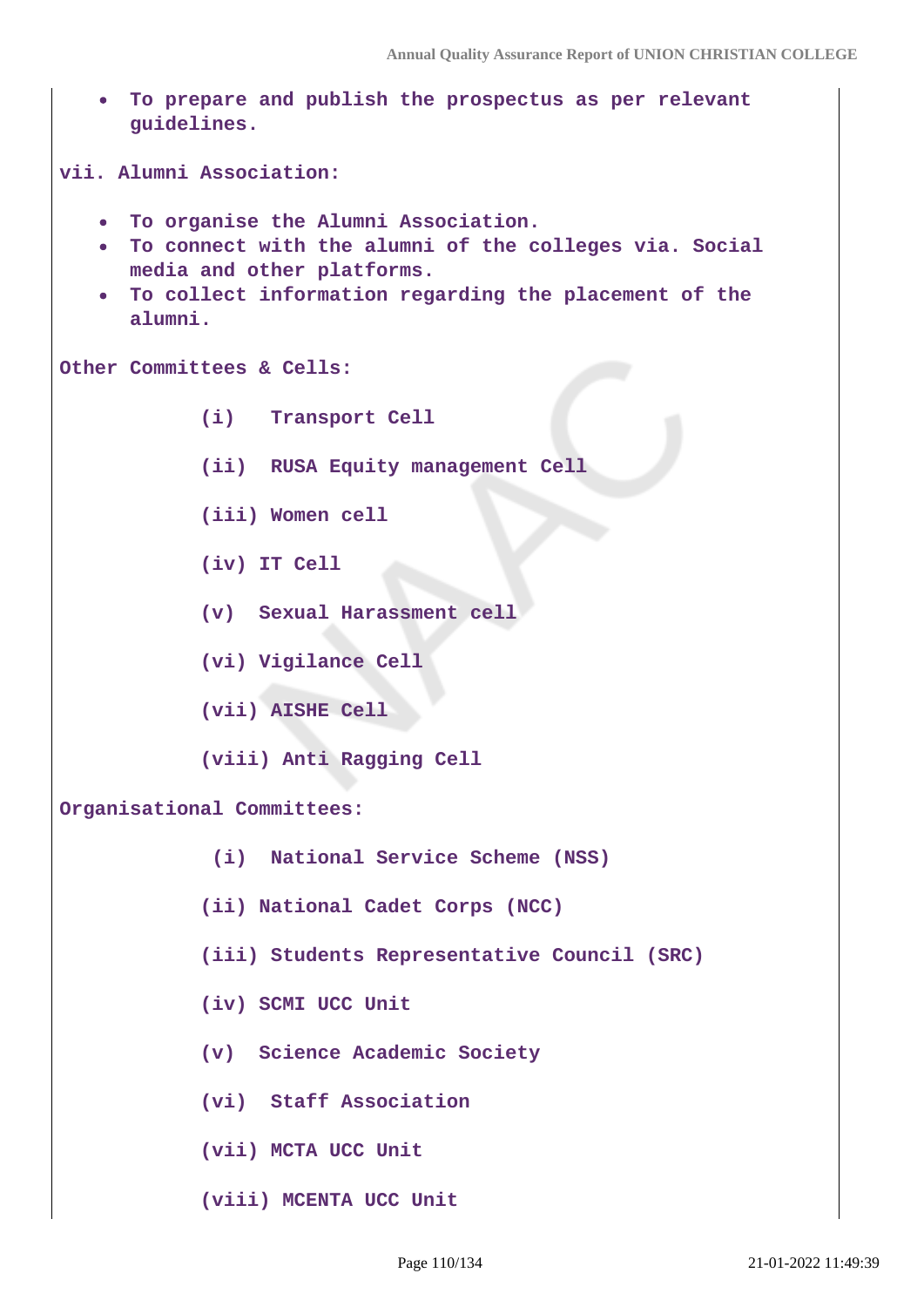| To prepare and publish the prospectus as per relevant<br>$\bullet$<br>guidelines.                                                                                                                     |
|-------------------------------------------------------------------------------------------------------------------------------------------------------------------------------------------------------|
| vii. Alumni Association:                                                                                                                                                                              |
| . To organise the Alumni Association.<br>. To connect with the alumni of the colleges via. Social<br>media and other platforms.<br>• To collect information regarding the placement of the<br>alumni. |
| Other Committees & Cells:                                                                                                                                                                             |
| (i) Transport Cell                                                                                                                                                                                    |
| (ii) RUSA Equity management Cell                                                                                                                                                                      |
| (iii) Women cell                                                                                                                                                                                      |
| (iv) IT Cell                                                                                                                                                                                          |
| (v) Sexual Harassment cell                                                                                                                                                                            |
| (vi) Vigilance Cell                                                                                                                                                                                   |
| (vii) AISHE Cell                                                                                                                                                                                      |
| (viii) Anti Ragging Cell                                                                                                                                                                              |
| Organisational Committees:                                                                                                                                                                            |
| (i) National Service Scheme (NSS)                                                                                                                                                                     |
| (ii) National Cadet Corps (NCC)                                                                                                                                                                       |
| (iii) Students Representative Council (SRC)                                                                                                                                                           |
| (iv) SCMI UCC Unit                                                                                                                                                                                    |
| (v) Science Academic Society                                                                                                                                                                          |
| (vi) Staff Association                                                                                                                                                                                |
| (vii) MCTA UCC Unit                                                                                                                                                                                   |
| (viii) MCENTA UCC Unit                                                                                                                                                                                |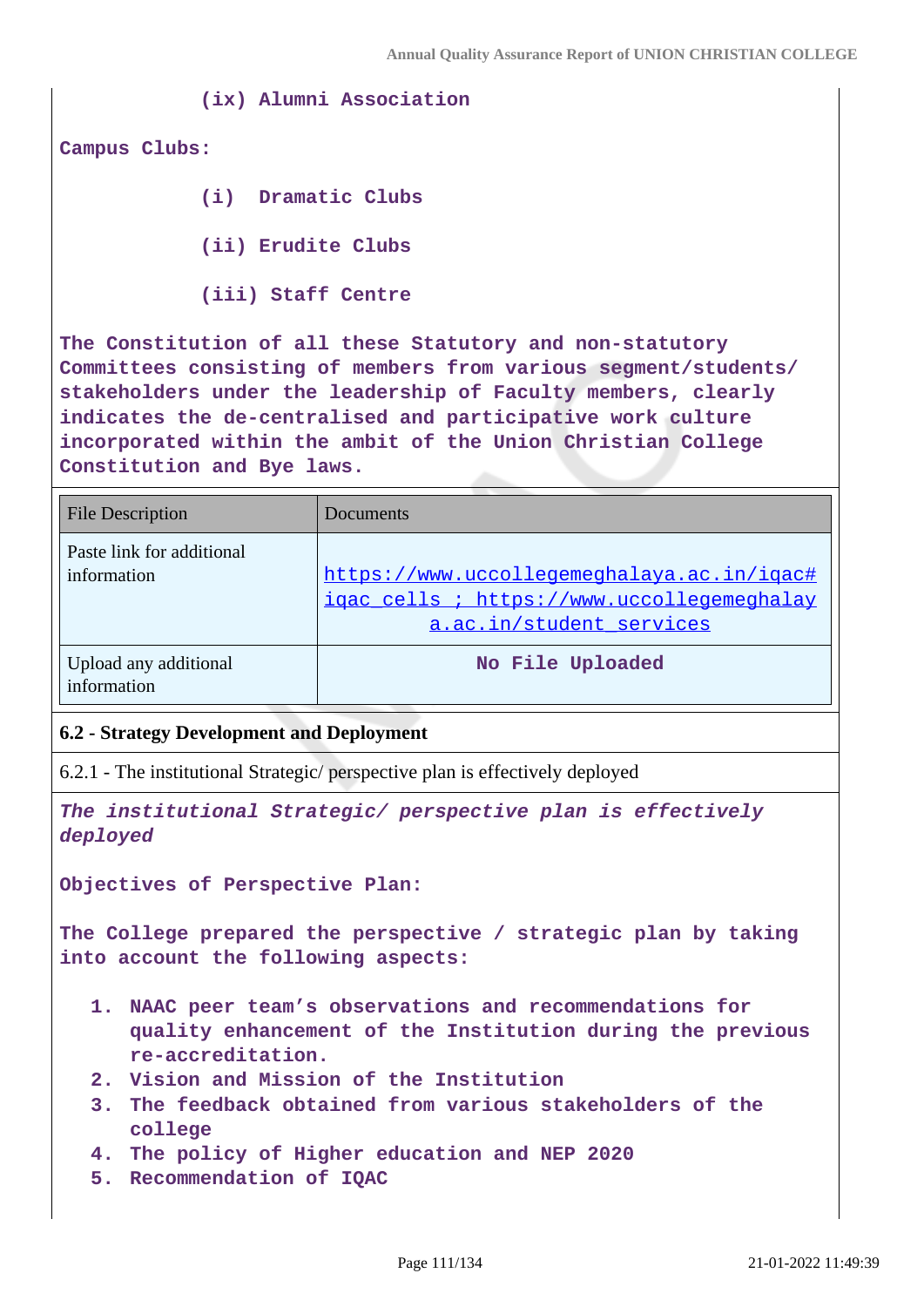**(ix) Alumni Association**

**Campus Clubs:**

 **(i) Dramatic Clubs**

 **(ii) Erudite Clubs**

 **(iii) Staff Centre**

**The Constitution of all these Statutory and non-statutory Committees consisting of members from various segment/students/ stakeholders under the leadership of Faculty members, clearly indicates the de-centralised and participative work culture incorporated within the ambit of the Union Christian College Constitution and Bye laws.**

| <b>File Description</b>                  | Documents                                                                                                            |
|------------------------------------------|----------------------------------------------------------------------------------------------------------------------|
| Paste link for additional<br>information | https://www.uccollegemeghalaya.ac.in/igac#<br>igac cells ; https://www.uccollegemeghalay<br>a.ac.in/student services |
| Upload any additional<br>information     | No File Uploaded                                                                                                     |

## **6.2 - Strategy Development and Deployment**

6.2.1 - The institutional Strategic/ perspective plan is effectively deployed

**The institutional Strategic/ perspective plan is effectively deployed**

**Objectives of Perspective Plan:**

**The College prepared the perspective / strategic plan by taking into account the following aspects:**

- **1. NAAC peer team's observations and recommendations for quality enhancement of the Institution during the previous re-accreditation.**
- **2. Vision and Mission of the Institution**
- **3. The feedback obtained from various stakeholders of the college**
- **4. The policy of Higher education and NEP 2020**
- **5. Recommendation of IQAC**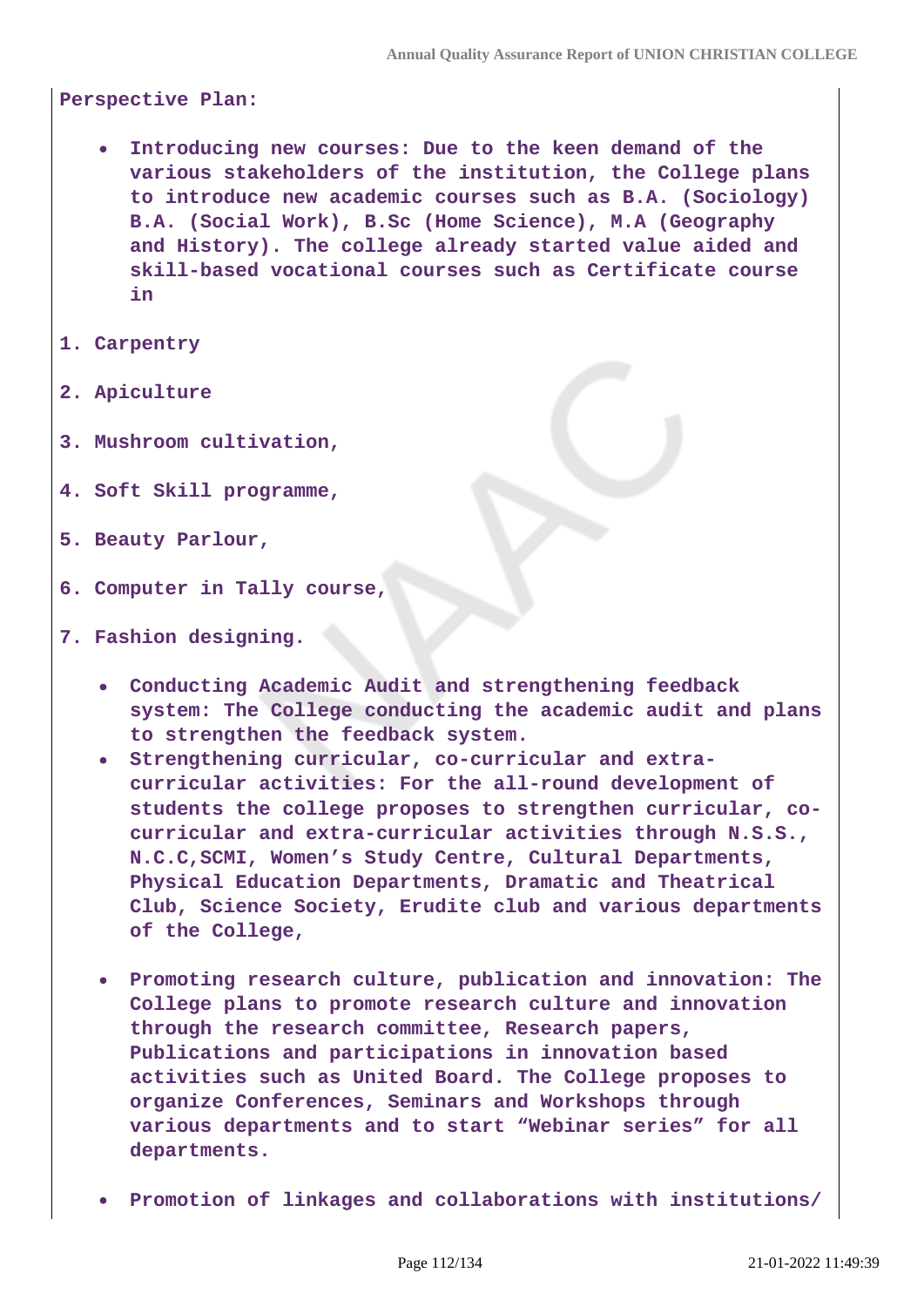**Perspective Plan:**

- **Introducing new courses: Due to the keen demand of the various stakeholders of the institution, the College plans to introduce new academic courses such as B.A. (Sociology) B.A. (Social Work), B.Sc (Home Science), M.A (Geography and History). The college already started value aided and skill-based vocational courses such as Certificate course in**
- **1. Carpentry**
- **2. Apiculture**
- **3. Mushroom cultivation,**
- **4. Soft Skill programme,**
- **5. Beauty Parlour,**
- **6. Computer in Tally course,**
- **7. Fashion designing.**
	- **Conducting Academic Audit and strengthening feedback system: The College conducting the academic audit and plans to strengthen the feedback system.**
	- **Strengthening curricular, co-curricular and extracurricular activities: For the all-round development of students the college proposes to strengthen curricular, cocurricular and extra-curricular activities through N.S.S., N.C.C,SCMI, Women's Study Centre, Cultural Departments, Physical Education Departments, Dramatic and Theatrical Club, Science Society, Erudite club and various departments of the College,**
	- **Promoting research culture, publication and innovation: The College plans to promote research culture and innovation through the research committee, Research papers, Publications and participations in innovation based activities such as United Board. The College proposes to organize Conferences, Seminars and Workshops through various departments and to start "Webinar series" for all departments.**
	- **Promotion of linkages and collaborations with institutions/**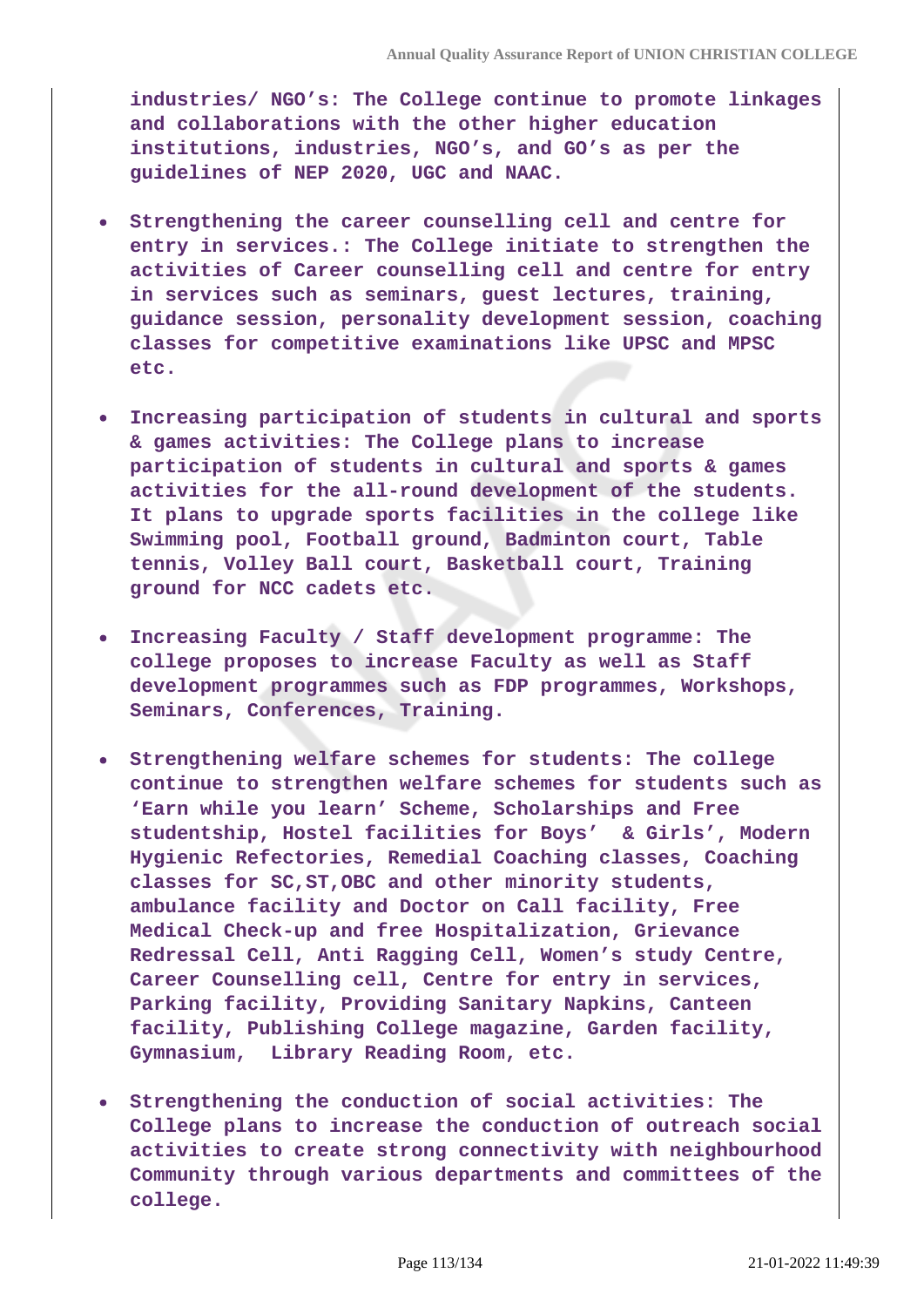**industries/ NGO's: The College continue to promote linkages and collaborations with the other higher education institutions, industries, NGO's, and GO's as per the guidelines of NEP 2020, UGC and NAAC.**

- **Strengthening the career counselling cell and centre for entry in services.: The College initiate to strengthen the activities of Career counselling cell and centre for entry in services such as seminars, guest lectures, training, guidance session, personality development session, coaching classes for competitive examinations like UPSC and MPSC etc.**
- **Increasing participation of students in cultural and sports & games activities: The College plans to increase participation of students in cultural and sports & games activities for the all-round development of the students. It plans to upgrade sports facilities in the college like Swimming pool, Football ground, Badminton court, Table tennis, Volley Ball court, Basketball court, Training ground for NCC cadets etc.**
- **Increasing Faculty / Staff development programme: The college proposes to increase Faculty as well as Staff development programmes such as FDP programmes, Workshops, Seminars, Conferences, Training.**
- **Strengthening welfare schemes for students: The college continue to strengthen welfare schemes for students such as 'Earn while you learn' Scheme, Scholarships and Free studentship, Hostel facilities for Boys' & Girls', Modern Hygienic Refectories, Remedial Coaching classes, Coaching classes for SC,ST,OBC and other minority students, ambulance facility and Doctor on Call facility, Free Medical Check-up and free Hospitalization, Grievance Redressal Cell, Anti Ragging Cell, Women's study Centre, Career Counselling cell, Centre for entry in services, Parking facility, Providing Sanitary Napkins, Canteen facility, Publishing College magazine, Garden facility, Gymnasium, Library Reading Room, etc.**
- **Strengthening the conduction of social activities: The College plans to increase the conduction of outreach social activities to create strong connectivity with neighbourhood Community through various departments and committees of the college.**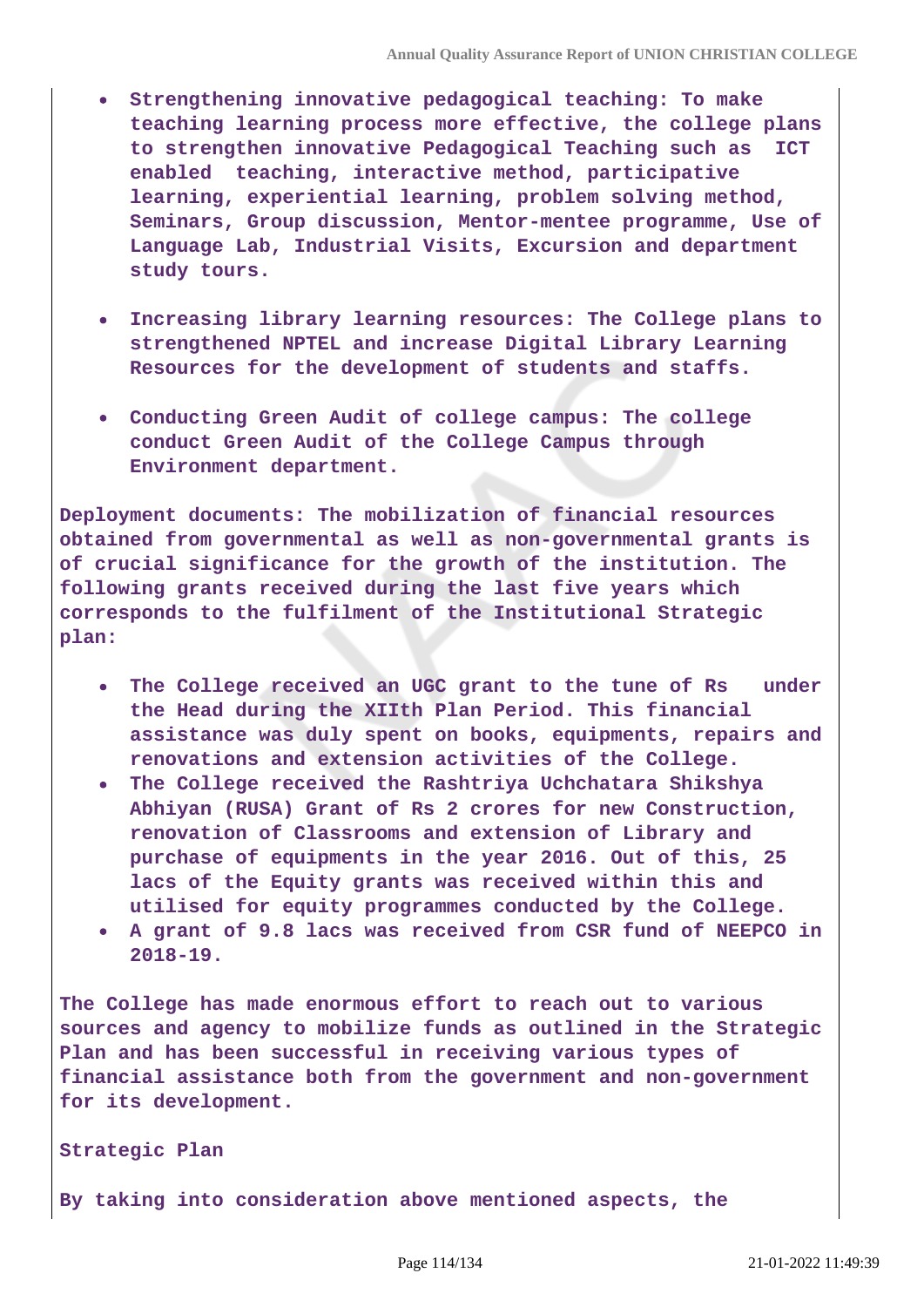- **Strengthening innovative pedagogical teaching: To make teaching learning process more effective, the college plans to strengthen innovative Pedagogical Teaching such as ICT enabled teaching, interactive method, participative learning, experiential learning, problem solving method, Seminars, Group discussion, Mentor-mentee programme, Use of Language Lab, Industrial Visits, Excursion and department study tours.**
- **Increasing library learning resources: The College plans to strengthened NPTEL and increase Digital Library Learning Resources for the development of students and staffs.**
- **Conducting Green Audit of college campus: The college conduct Green Audit of the College Campus through Environment department.**

**Deployment documents: The mobilization of financial resources obtained from governmental as well as non-governmental grants is of crucial significance for the growth of the institution. The following grants received during the last five years which corresponds to the fulfilment of the Institutional Strategic plan:**

- **The College received an UGC grant to the tune of Rs under the Head during the XIIth Plan Period. This financial assistance was duly spent on books, equipments, repairs and renovations and extension activities of the College.**
- **The College received the Rashtriya Uchchatara Shikshya Abhiyan (RUSA) Grant of Rs 2 crores for new Construction, renovation of Classrooms and extension of Library and purchase of equipments in the year 2016. Out of this, 25 lacs of the Equity grants was received within this and utilised for equity programmes conducted by the College.**
- **A grant of 9.8 lacs was received from CSR fund of NEEPCO in 2018-19.**

**The College has made enormous effort to reach out to various sources and agency to mobilize funds as outlined in the Strategic Plan and has been successful in receiving various types of financial assistance both from the government and non-government for its development.**

#### **Strategic Plan**

**By taking into consideration above mentioned aspects, the**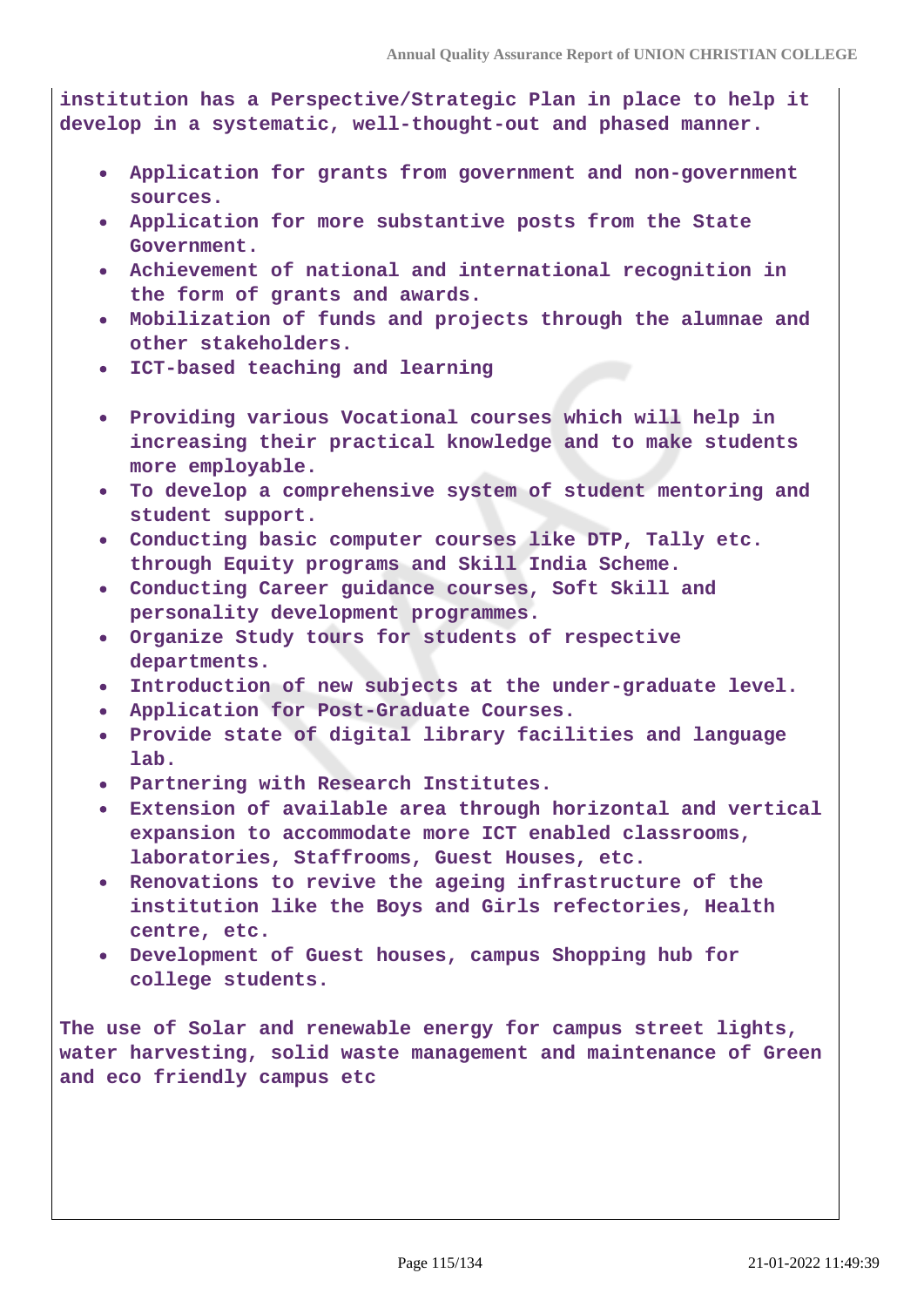**institution has a Perspective/Strategic Plan in place to help it develop in a systematic, well-thought-out and phased manner.**

- **Application for grants from government and non-government sources.**
- **Application for more substantive posts from the State Government.**
- **Achievement of national and international recognition in the form of grants and awards.**
- **Mobilization of funds and projects through the alumnae and other stakeholders.**
- **ICT-based teaching and learning**
- **Providing various Vocational courses which will help in increasing their practical knowledge and to make students more employable.**
- **To develop a comprehensive system of student mentoring and student support.**
- **Conducting basic computer courses like DTP, Tally etc. through Equity programs and Skill India Scheme.**
- **Conducting Career guidance courses, Soft Skill and personality development programmes.**
- **Organize Study tours for students of respective departments.**
- **Introduction of new subjects at the under-graduate level.**
- **Application for Post-Graduate Courses.**
- **Provide state of digital library facilities and language lab.**
- **Partnering with Research Institutes.**
- **Extension of available area through horizontal and vertical expansion to accommodate more ICT enabled classrooms, laboratories, Staffrooms, Guest Houses, etc.**
- **Renovations to revive the ageing infrastructure of the institution like the Boys and Girls refectories, Health centre, etc.**
- **Development of Guest houses, campus Shopping hub for college students.**

**The use of Solar and renewable energy for campus street lights, water harvesting, solid waste management and maintenance of Green and eco friendly campus etc**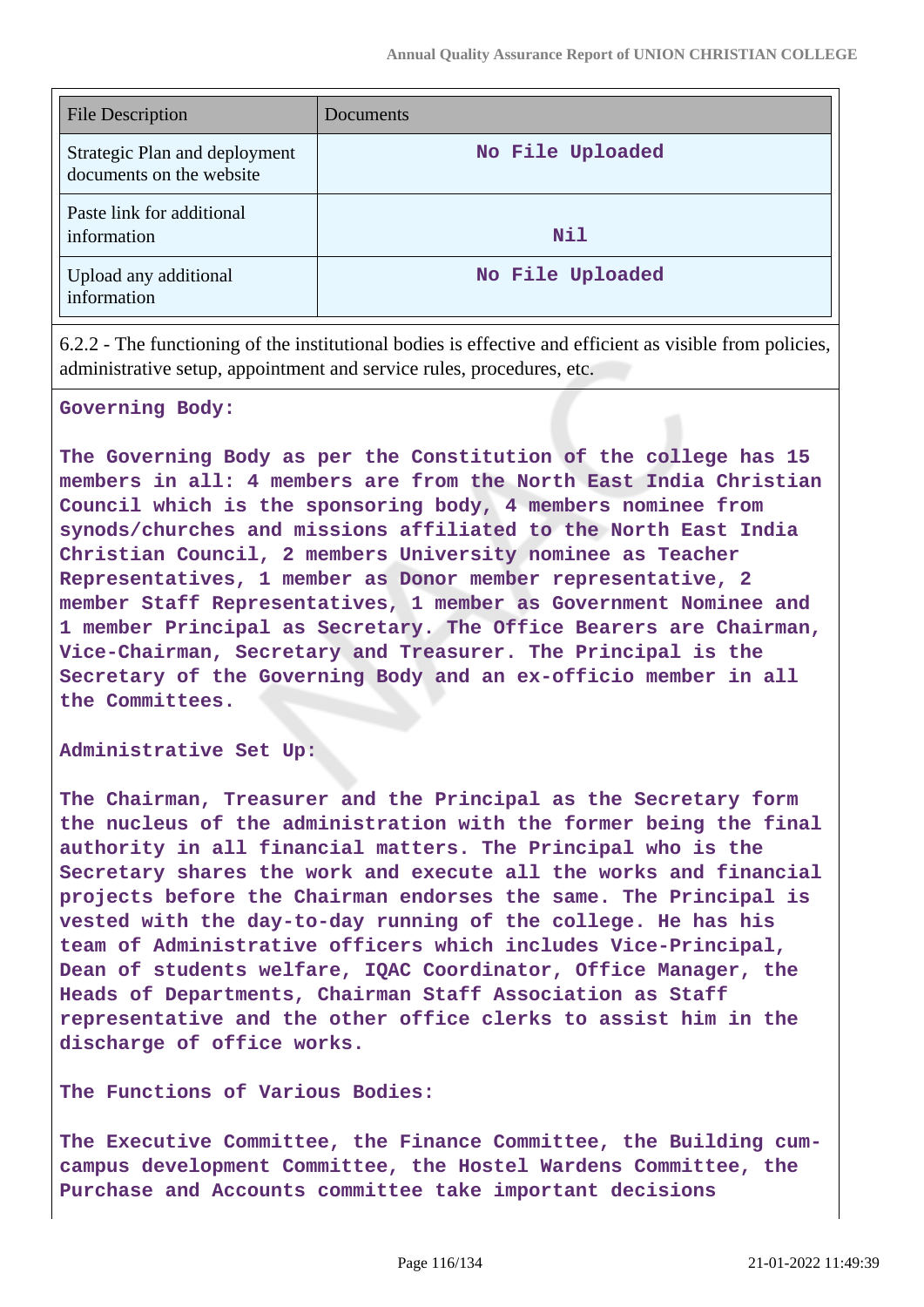| <b>File Description</b>                                   | Documents        |
|-----------------------------------------------------------|------------------|
| Strategic Plan and deployment<br>documents on the website | No File Uploaded |
| Paste link for additional<br>information                  | Nil              |
| Upload any additional<br>information                      | No File Uploaded |

6.2.2 - The functioning of the institutional bodies is effective and efficient as visible from policies, administrative setup, appointment and service rules, procedures, etc.

#### **Governing Body:**

**The Governing Body as per the Constitution of the college has 15 members in all: 4 members are from the North East India Christian Council which is the sponsoring body, 4 members nominee from synods/churches and missions affiliated to the North East India Christian Council, 2 members University nominee as Teacher Representatives, 1 member as Donor member representative, 2 member Staff Representatives, 1 member as Government Nominee and 1 member Principal as Secretary. The Office Bearers are Chairman, Vice-Chairman, Secretary and Treasurer. The Principal is the Secretary of the Governing Body and an ex-officio member in all the Committees.**

**Administrative Set Up:**

**The Chairman, Treasurer and the Principal as the Secretary form the nucleus of the administration with the former being the final authority in all financial matters. The Principal who is the Secretary shares the work and execute all the works and financial projects before the Chairman endorses the same. The Principal is vested with the day-to-day running of the college. He has his team of Administrative officers which includes Vice-Principal, Dean of students welfare, IQAC Coordinator, Office Manager, the Heads of Departments, Chairman Staff Association as Staff representative and the other office clerks to assist him in the discharge of office works.**

#### **The Functions of Various Bodies:**

**The Executive Committee, the Finance Committee, the Building cumcampus development Committee, the Hostel Wardens Committee, the Purchase and Accounts committee take important decisions**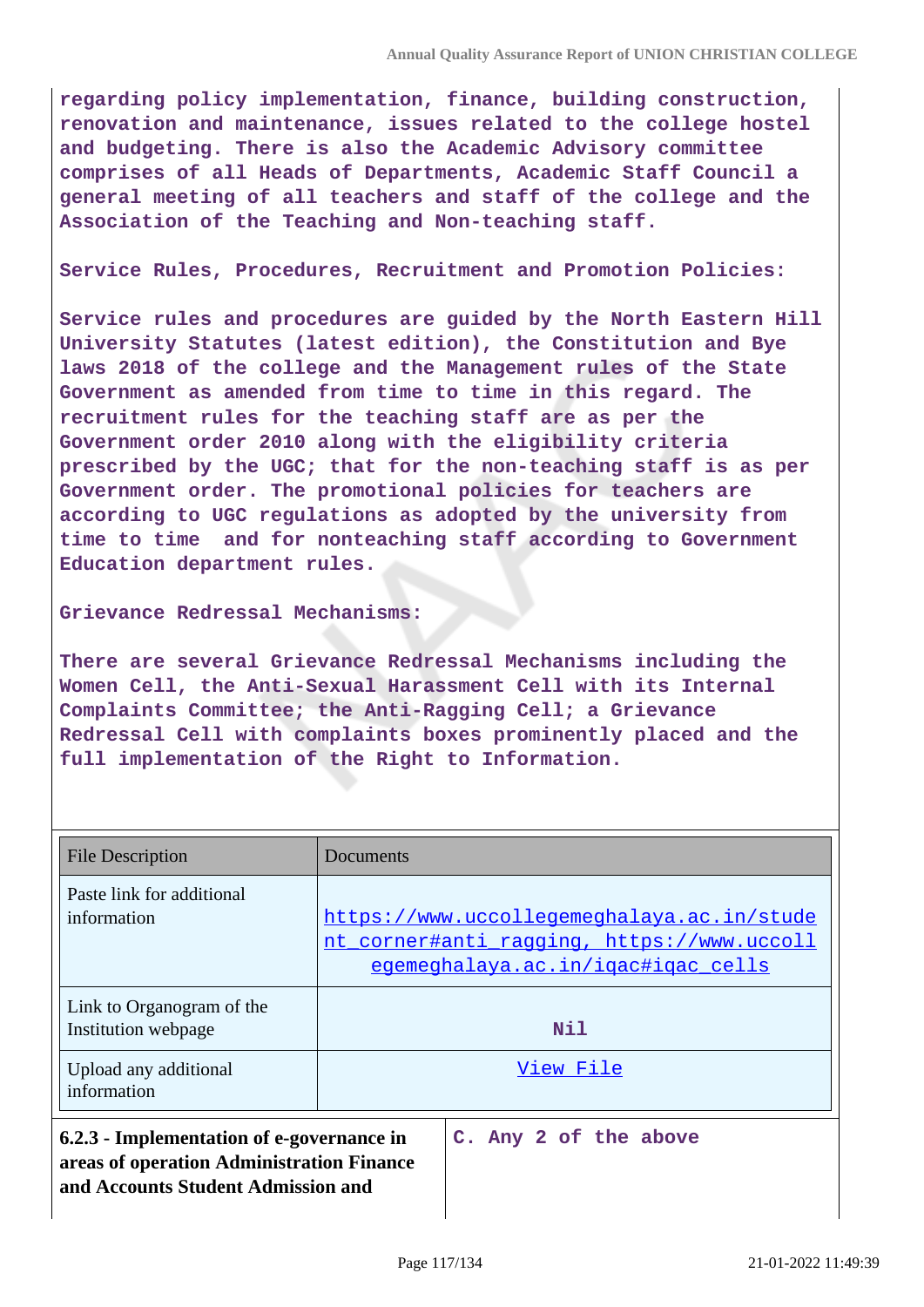**regarding policy implementation, finance, building construction, renovation and maintenance, issues related to the college hostel and budgeting. There is also the Academic Advisory committee comprises of all Heads of Departments, Academic Staff Council a general meeting of all teachers and staff of the college and the Association of the Teaching and Non-teaching staff.**

**Service Rules, Procedures, Recruitment and Promotion Policies:**

**Service rules and procedures are guided by the North Eastern Hill University Statutes (latest edition), the Constitution and Bye laws 2018 of the college and the Management rules of the State Government as amended from time to time in this regard. The recruitment rules for the teaching staff are as per the Government order 2010 along with the eligibility criteria prescribed by the UGC; that for the non-teaching staff is as per Government order. The promotional policies for teachers are according to UGC regulations as adopted by the university from time to time and for nonteaching staff according to Government Education department rules.**

#### **Grievance Redressal Mechanisms:**

**There are several Grievance Redressal Mechanisms including the Women Cell, the Anti-Sexual Harassment Cell with its Internal Complaints Committee; the Anti-Ragging Cell; a Grievance Redressal Cell with complaints boxes prominently placed and the full implementation of the Right to Information.**

| File Description                                                                                                             | Documents                                                                                                                      |
|------------------------------------------------------------------------------------------------------------------------------|--------------------------------------------------------------------------------------------------------------------------------|
| Paste link for additional<br>information                                                                                     | https://www.uccollegemeghalaya.ac.in/stude<br>nt corner#anti ragging, https://www.uccoll<br>egemeghalaya.ac.in/igac#igac cells |
| Link to Organogram of the<br>Institution webpage                                                                             | Nil                                                                                                                            |
| Upload any additional<br>information                                                                                         | View File                                                                                                                      |
| 6.2.3 - Implementation of e-governance in<br>areas of operation Administration Finance<br>and Accounts Student Admission and | C. Any 2 of the above                                                                                                          |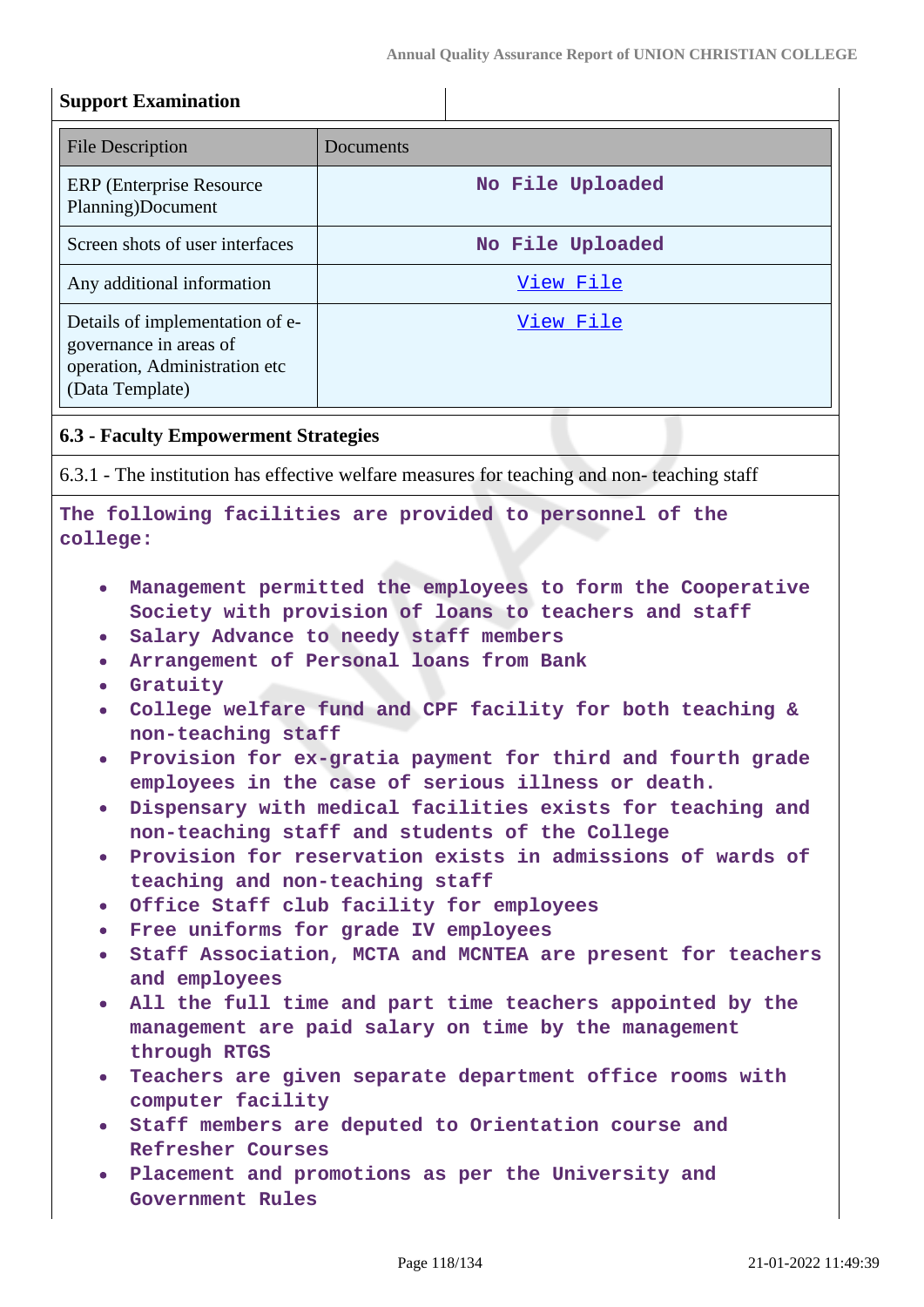# **Support Examination**

| <b>File Description</b>                                                                                       | Documents        |
|---------------------------------------------------------------------------------------------------------------|------------------|
| <b>ERP</b> (Enterprise Resource)<br>Planning)Document                                                         | No File Uploaded |
| Screen shots of user interfaces                                                                               | No File Uploaded |
| Any additional information                                                                                    | View File        |
| Details of implementation of e-<br>governance in areas of<br>operation, Administration etc<br>(Data Template) | View File        |

### **6.3 - Faculty Empowerment Strategies**

6.3.1 - The institution has effective welfare measures for teaching and non- teaching staff

### **The following facilities are provided to personnel of the college:**

- **Management permitted the employees to form the Cooperative Society with provision of loans to teachers and staff**
- **Salary Advance to needy staff members**
- **Arrangement of Personal loans from Bank**
- **Gratuity**
- **College welfare fund and CPF facility for both teaching & non-teaching staff**
- **Provision for ex-gratia payment for third and fourth grade employees in the case of serious illness or death.**
- **Dispensary with medical facilities exists for teaching and non-teaching staff and students of the College**
- **Provision for reservation exists in admissions of wards of teaching and non-teaching staff**
- **Office Staff club facility for employees**
- **Free uniforms for grade IV employees**
- **Staff Association, MCTA and MCNTEA are present for teachers and employees**
- **All the full time and part time teachers appointed by the management are paid salary on time by the management through RTGS**
- **Teachers are given separate department office rooms with computer facility**
- **Staff members are deputed to Orientation course and Refresher Courses**
- **Placement and promotions as per the University and Government Rules**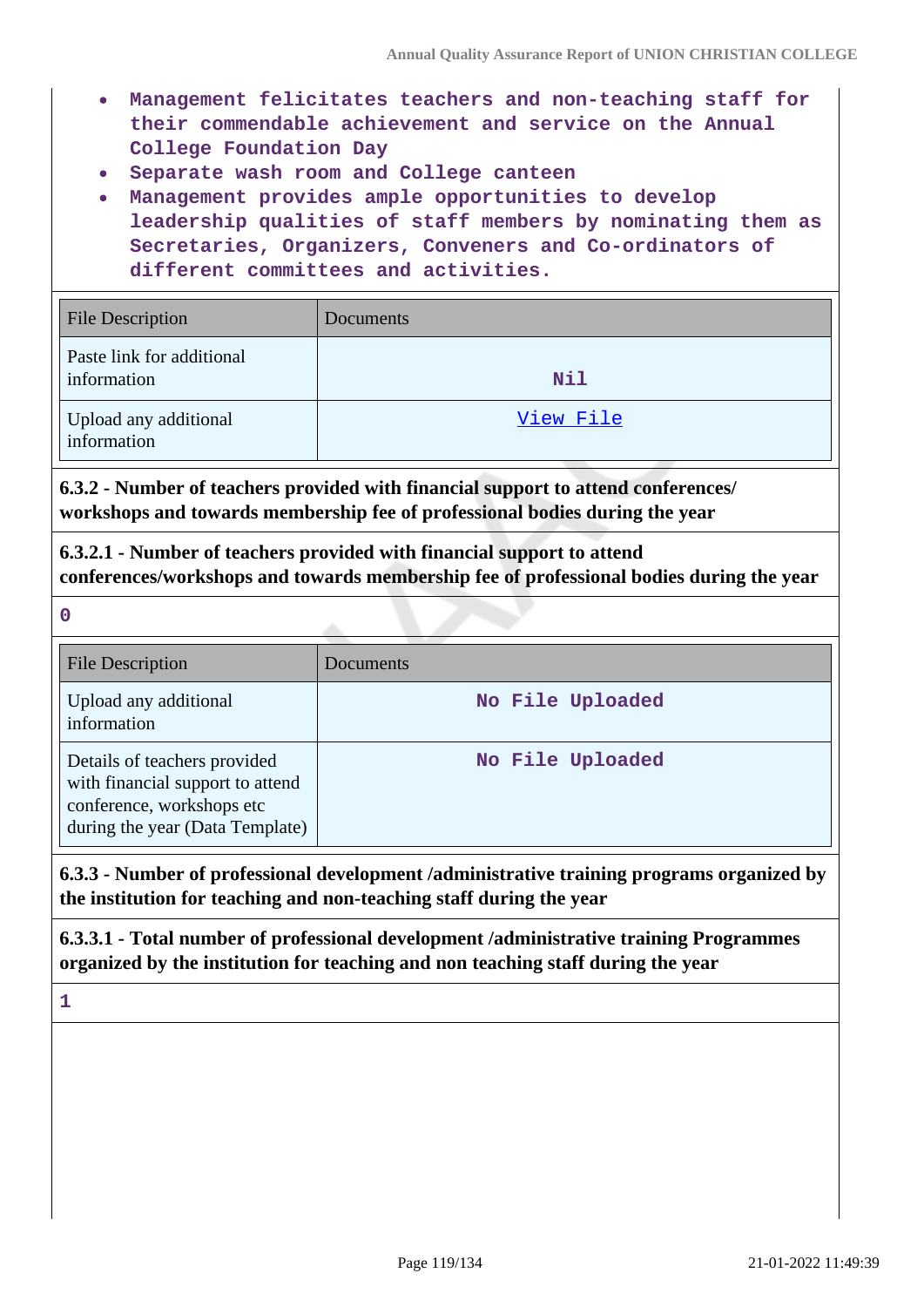- **Management felicitates teachers and non-teaching staff for their commendable achievement and service on the Annual College Foundation Day**
- **Separate wash room and College canteen**
- **Management provides ample opportunities to develop leadership qualities of staff members by nominating them as Secretaries, Organizers, Conveners and Co-ordinators of different committees and activities.**

| <b>File Description</b>                         | Documents |
|-------------------------------------------------|-----------|
| <b>Paste link for additional</b><br>information | Nil       |
| Upload any additional<br>information            | View File |

**6.3.2 - Number of teachers provided with financial support to attend conferences/ workshops and towards membership fee of professional bodies during the year**

**6.3.2.1 - Number of teachers provided with financial support to attend conferences/workshops and towards membership fee of professional bodies during the year**

**0**

| <b>File Description</b>                                                                                                          | <b>Documents</b> |
|----------------------------------------------------------------------------------------------------------------------------------|------------------|
| Upload any additional<br>information                                                                                             | No File Uploaded |
| Details of teachers provided<br>with financial support to attend<br>conference, workshops etc<br>during the year (Data Template) | No File Uploaded |

**6.3.3 - Number of professional development /administrative training programs organized by the institution for teaching and non-teaching staff during the year**

**6.3.3.1 - Total number of professional development /administrative training Programmes organized by the institution for teaching and non teaching staff during the year**

**1**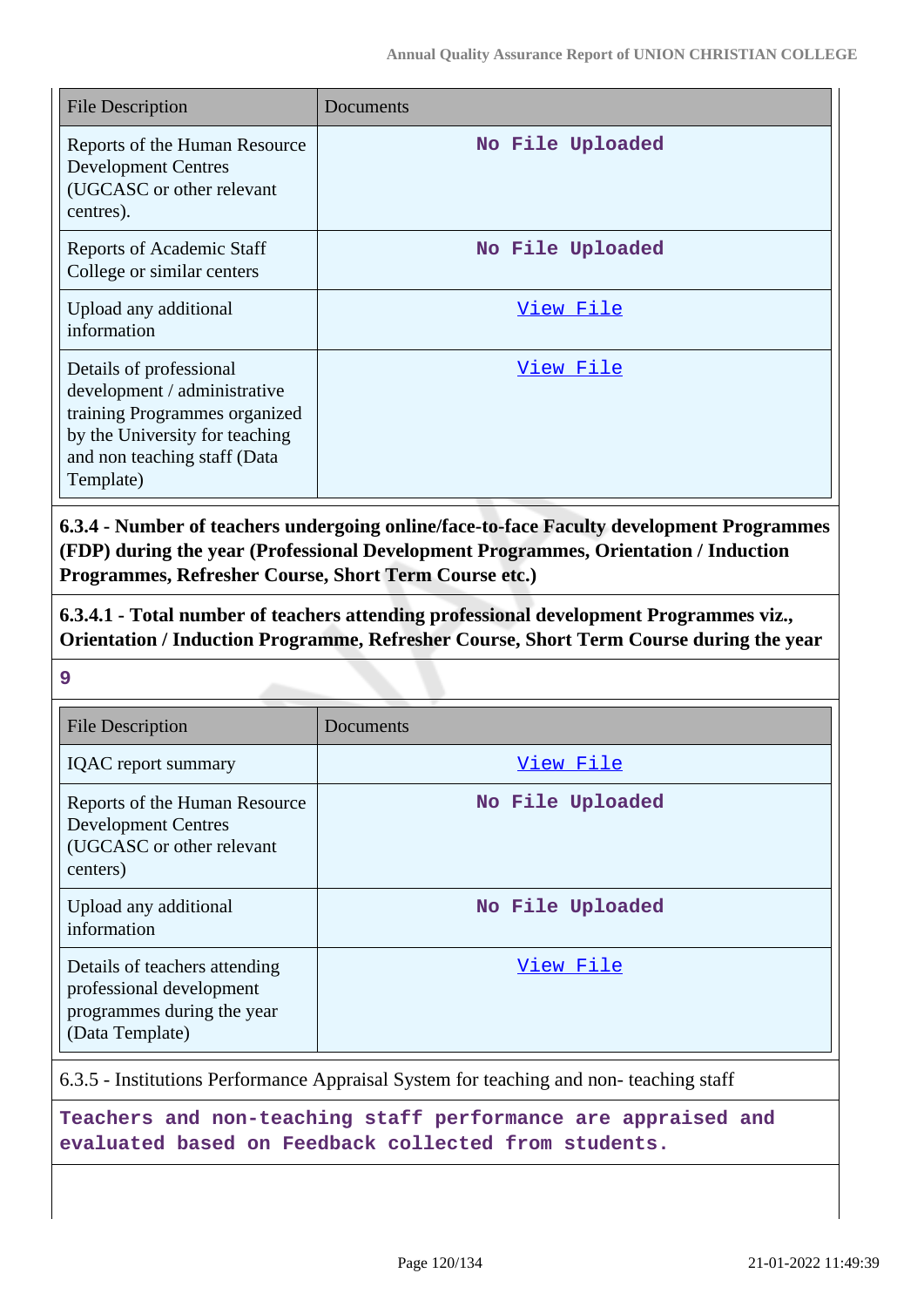| <b>File Description</b>                                                                                                                                                 | Documents        |
|-------------------------------------------------------------------------------------------------------------------------------------------------------------------------|------------------|
| Reports of the Human Resource<br><b>Development Centres</b><br>(UGCASC or other relevant<br>centres).                                                                   | No File Uploaded |
| <b>Reports of Academic Staff</b><br>College or similar centers                                                                                                          | No File Uploaded |
| Upload any additional<br>information                                                                                                                                    | View File        |
| Details of professional<br>development / administrative<br>training Programmes organized<br>by the University for teaching<br>and non teaching staff (Data<br>Template) | <u>View File</u> |

**6.3.4 - Number of teachers undergoing online/face-to-face Faculty development Programmes (FDP) during the year (Professional Development Programmes, Orientation / Induction Programmes, Refresher Course, Short Term Course etc.)**

**6.3.4.1 - Total number of teachers attending professional development Programmes viz., Orientation / Induction Programme, Refresher Course, Short Term Course during the year**

**9**

| <b>File Description</b>                                                                                    | Documents        |
|------------------------------------------------------------------------------------------------------------|------------------|
| <b>IQAC</b> report summary                                                                                 | View File        |
| Reports of the Human Resource<br><b>Development Centres</b><br>(UGCASC or other relevant<br>centers)       | No File Uploaded |
| Upload any additional<br>information                                                                       | No File Uploaded |
| Details of teachers attending<br>professional development<br>programmes during the year<br>(Data Template) | View File        |

6.3.5 - Institutions Performance Appraisal System for teaching and non- teaching staff

**Teachers and non-teaching staff performance are appraised and evaluated based on Feedback collected from students.**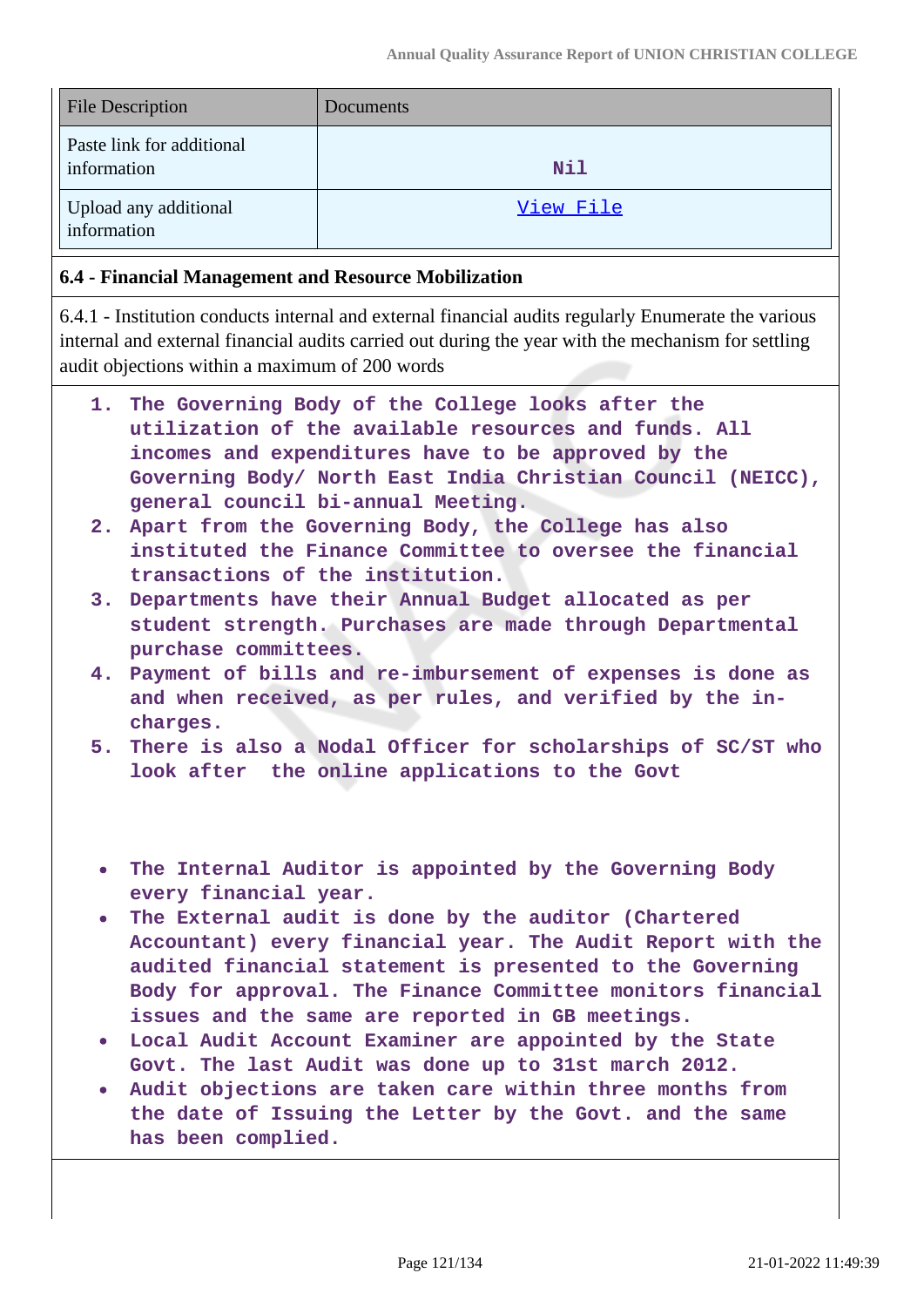| <b>File Description</b>                  | Documents  |
|------------------------------------------|------------|
| Paste link for additional<br>information | <b>Nil</b> |
| Upload any additional<br>information     | View File  |

### **6.4 - Financial Management and Resource Mobilization**

6.4.1 - Institution conducts internal and external financial audits regularly Enumerate the various internal and external financial audits carried out during the year with the mechanism for settling audit objections within a maximum of 200 words

- **1. The Governing Body of the College looks after the utilization of the available resources and funds. All incomes and expenditures have to be approved by the Governing Body/ North East India Christian Council (NEICC), general council bi-annual Meeting.**
- **2. Apart from the Governing Body, the College has also instituted the Finance Committee to oversee the financial transactions of the institution.**
- **3. Departments have their Annual Budget allocated as per student strength. Purchases are made through Departmental purchase committees.**
- **4. Payment of bills and re-imbursement of expenses is done as and when received, as per rules, and verified by the incharges.**
- **5. There is also a Nodal Officer for scholarships of SC/ST who look after the online applications to the Govt**
- **The Internal Auditor is appointed by the Governing Body every financial year.**
- **The External audit is done by the auditor (Chartered Accountant) every financial year. The Audit Report with the audited financial statement is presented to the Governing Body for approval. The Finance Committee monitors financial issues and the same are reported in GB meetings.**
- **Local Audit Account Examiner are appointed by the State Govt. The last Audit was done up to 31st march 2012.**
- **Audit objections are taken care within three months from the date of Issuing the Letter by the Govt. and the same has been complied.**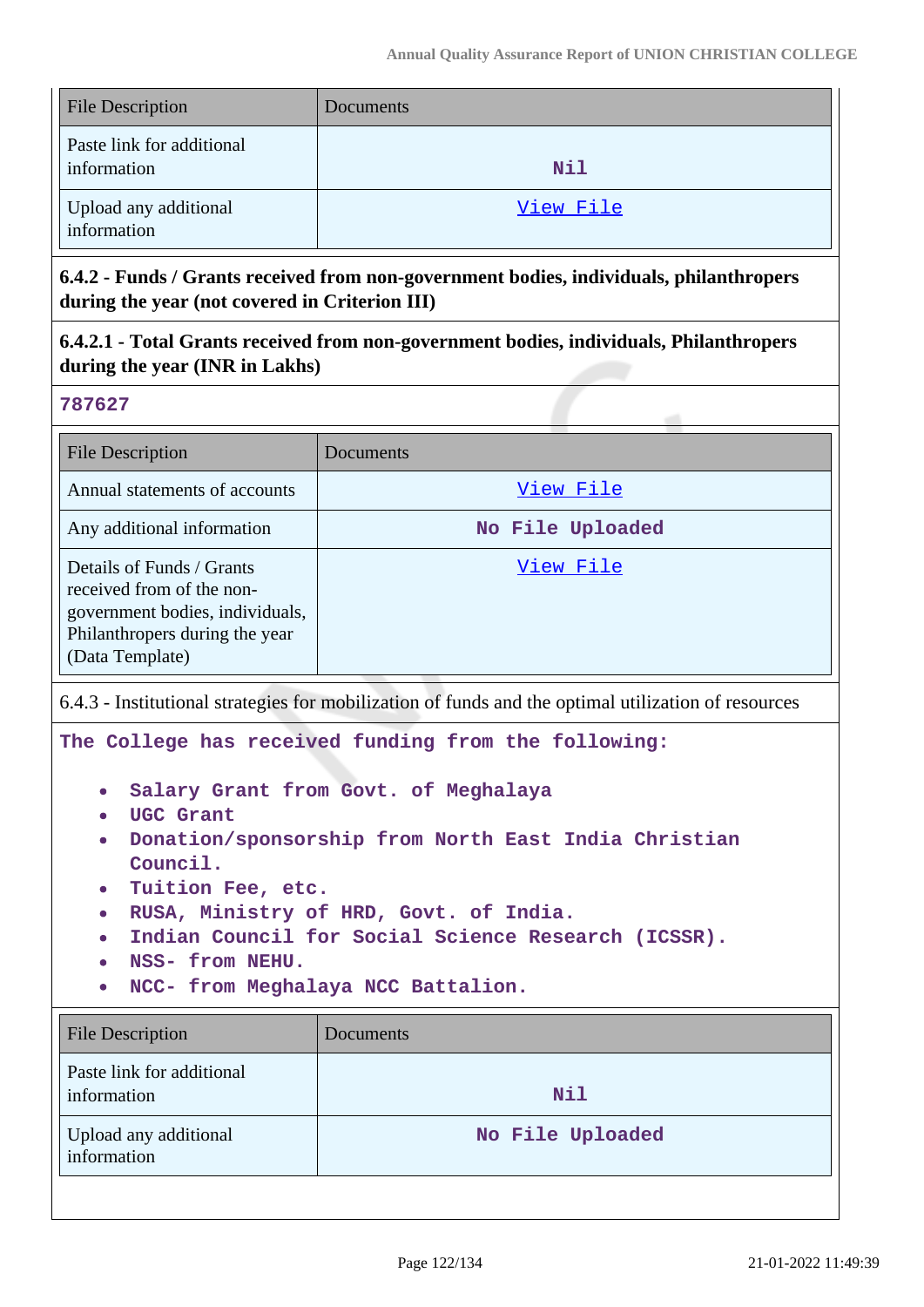| <b>File Description</b>                  | Documents |
|------------------------------------------|-----------|
| Paste link for additional<br>information | Nil       |
| Upload any additional<br>information     | View File |

**6.4.2 - Funds / Grants received from non-government bodies, individuals, philanthropers during the year (not covered in Criterion III)**

**6.4.2.1 - Total Grants received from non-government bodies, individuals, Philanthropers during the year (INR in Lakhs)**

#### **787627**

| <b>File Description</b>                                                                                                                        | Documents        |
|------------------------------------------------------------------------------------------------------------------------------------------------|------------------|
| Annual statements of accounts                                                                                                                  | View File        |
| Any additional information                                                                                                                     | No File Uploaded |
| Details of Funds / Grants<br>received from of the non-<br>government bodies, individuals,<br>Philanthropers during the year<br>(Data Template) | View File        |

6.4.3 - Institutional strategies for mobilization of funds and the optimal utilization of resources

**The College has received funding from the following:**

- **Salary Grant from Govt. of Meghalaya**
- **UGC Grant**
- **Donation/sponsorship from North East India Christian Council.**
- **Tuition Fee, etc.**
- **RUSA, Ministry of HRD, Govt. of India.**
- **Indian Council for Social Science Research (ICSSR).**
- **NSS- from NEHU.**
- **NCC- from Meghalaya NCC Battalion.**

| <b>File Description</b>                  | Documents        |
|------------------------------------------|------------------|
| Paste link for additional<br>information | <b>Nil</b>       |
| Upload any additional<br>information     | No File Uploaded |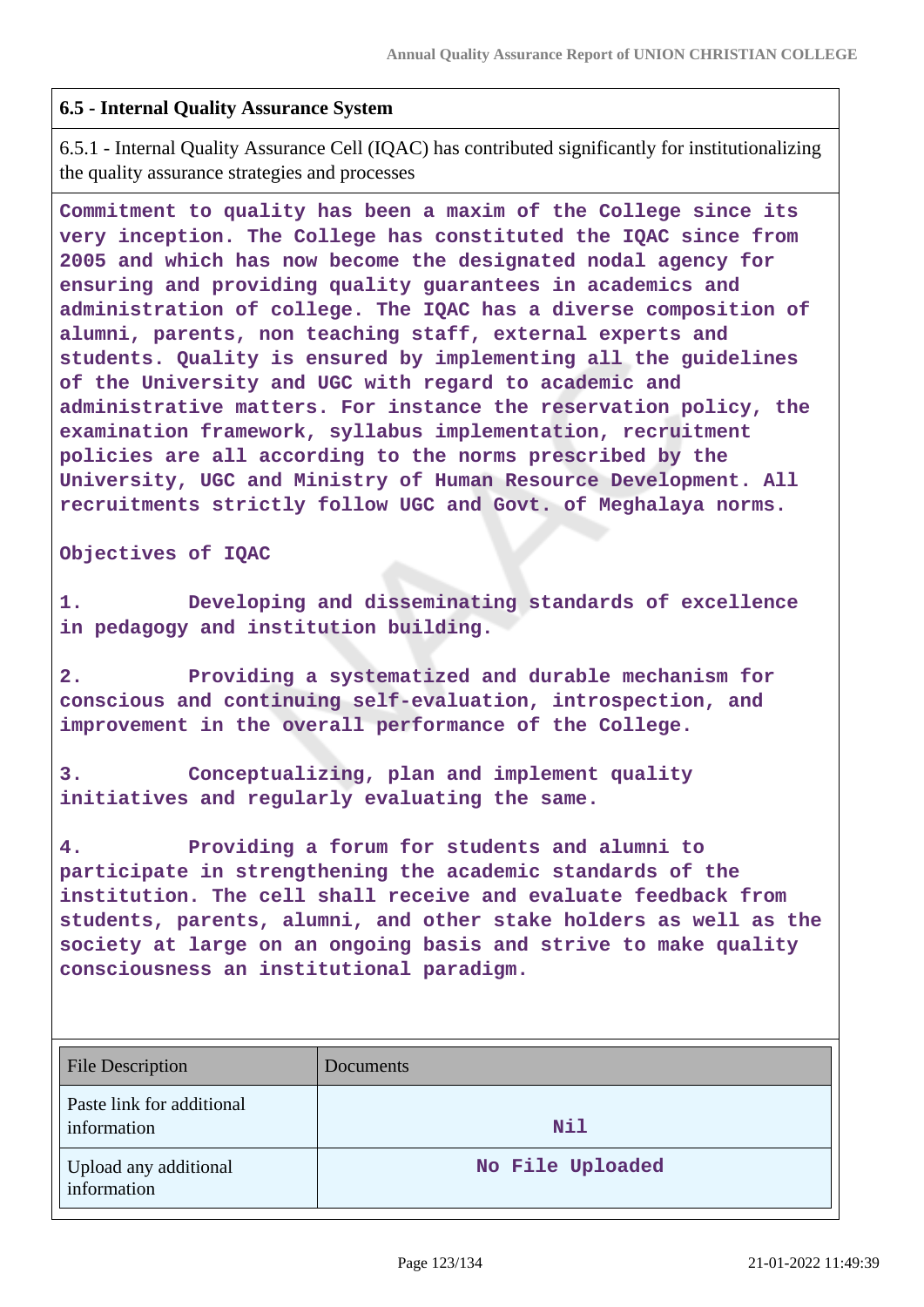### **6.5 - Internal Quality Assurance System**

6.5.1 - Internal Quality Assurance Cell (IQAC) has contributed significantly for institutionalizing the quality assurance strategies and processes

**Commitment to quality has been a maxim of the College since its very inception. The College has constituted the IQAC since from 2005 and which has now become the designated nodal agency for ensuring and providing quality guarantees in academics and administration of college. The IQAC has a diverse composition of alumni, parents, non teaching staff, external experts and students. Quality is ensured by implementing all the guidelines of the University and UGC with regard to academic and administrative matters. For instance the reservation policy, the examination framework, syllabus implementation, recruitment policies are all according to the norms prescribed by the University, UGC and Ministry of Human Resource Development. All recruitments strictly follow UGC and Govt. of Meghalaya norms.**

**Objectives of IQAC** 

**1. Developing and disseminating standards of excellence in pedagogy and institution building.**

**2. Providing a systematized and durable mechanism for conscious and continuing self-evaluation, introspection, and improvement in the overall performance of the College.**

**3. Conceptualizing, plan and implement quality initiatives and regularly evaluating the same.**

**4. Providing a forum for students and alumni to participate in strengthening the academic standards of the institution. The cell shall receive and evaluate feedback from students, parents, alumni, and other stake holders as well as the society at large on an ongoing basis and strive to make quality consciousness an institutional paradigm.**

| <b>File Description</b>                  | Documents        |
|------------------------------------------|------------------|
| Paste link for additional<br>information | <b>Nil</b>       |
| Upload any additional<br>information     | No File Uploaded |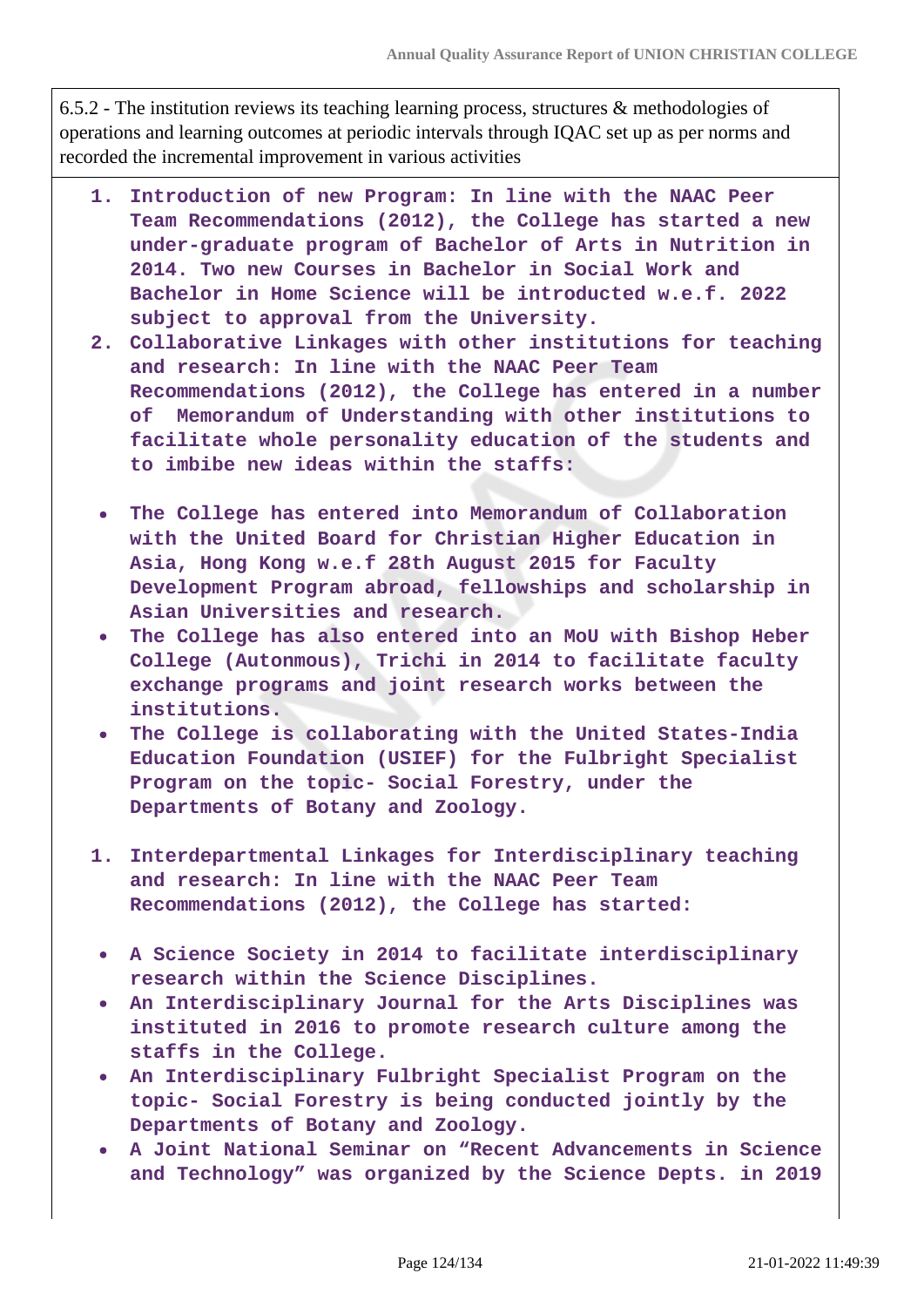6.5.2 - The institution reviews its teaching learning process, structures & methodologies of operations and learning outcomes at periodic intervals through IQAC set up as per norms and recorded the incremental improvement in various activities

- **1. Introduction of new Program: In line with the NAAC Peer Team Recommendations (2012), the College has started a new under-graduate program of Bachelor of Arts in Nutrition in 2014. Two new Courses in Bachelor in Social Work and Bachelor in Home Science will be introducted w.e.f. 2022 subject to approval from the University.**
- **2. Collaborative Linkages with other institutions for teaching and research: In line with the NAAC Peer Team Recommendations (2012), the College has entered in a number of Memorandum of Understanding with other institutions to facilitate whole personality education of the students and to imbibe new ideas within the staffs:**
	- **The College has entered into Memorandum of Collaboration with the United Board for Christian Higher Education in Asia, Hong Kong w.e.f 28th August 2015 for Faculty Development Program abroad, fellowships and scholarship in Asian Universities and research.**
	- **The College has also entered into an MoU with Bishop Heber College (Autonmous), Trichi in 2014 to facilitate faculty exchange programs and joint research works between the institutions.**
- **The College is collaborating with the United States-India Education Foundation (USIEF) for the Fulbright Specialist Program on the topic- Social Forestry, under the Departments of Botany and Zoology.**
- **1. Interdepartmental Linkages for Interdisciplinary teaching and research: In line with the NAAC Peer Team Recommendations (2012), the College has started:**
- **A Science Society in 2014 to facilitate interdisciplinary research within the Science Disciplines.**
- **An Interdisciplinary Journal for the Arts Disciplines was instituted in 2016 to promote research culture among the staffs in the College.**
- **An Interdisciplinary Fulbright Specialist Program on the topic- Social Forestry is being conducted jointly by the Departments of Botany and Zoology.**
- **A Joint National Seminar on "Recent Advancements in Science and Technology" was organized by the Science Depts. in 2019**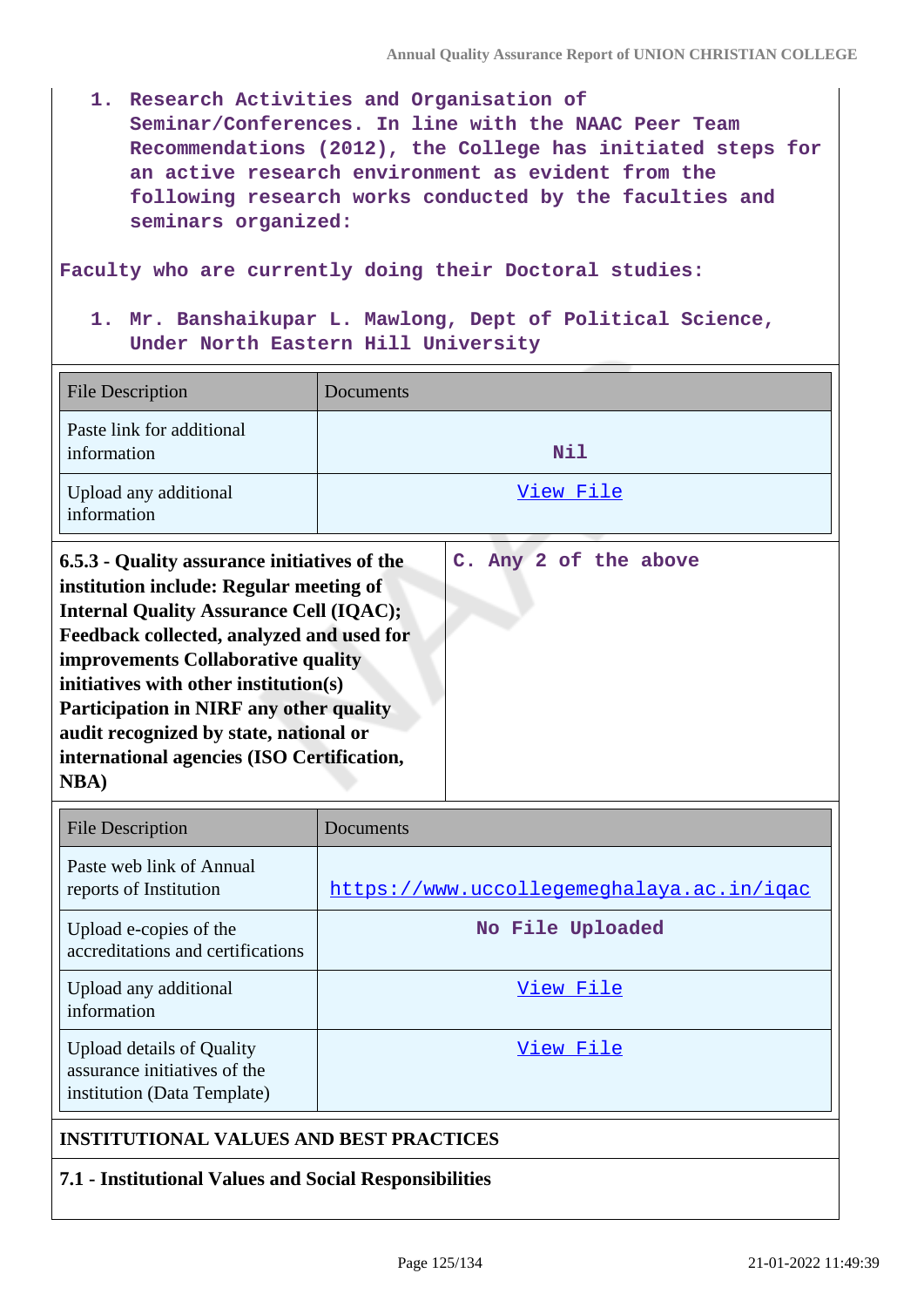**1. Research Activities and Organisation of Seminar/Conferences. In line with the NAAC Peer Team Recommendations (2012), the College has initiated steps for an active research environment as evident from the following research works conducted by the faculties and seminars organized:**

**Faculty who are currently doing their Doctoral studies:**

**1. Mr. Banshaikupar L. Mawlong, Dept of Political Science, Under North Eastern Hill University**

| <b>File Description</b>                                                                                                                                                                                                                                                                                                                                                                                                                | Documents             |
|----------------------------------------------------------------------------------------------------------------------------------------------------------------------------------------------------------------------------------------------------------------------------------------------------------------------------------------------------------------------------------------------------------------------------------------|-----------------------|
| Paste link for additional<br>information                                                                                                                                                                                                                                                                                                                                                                                               | <b>Nil</b>            |
| Upload any additional<br>information                                                                                                                                                                                                                                                                                                                                                                                                   | <u>View File</u>      |
| 6.5.3 - Quality assurance initiatives of the<br>institution include: Regular meeting of<br><b>Internal Quality Assurance Cell (IQAC);</b><br>Feedback collected, analyzed and used for<br><b>improvements Collaborative quality</b><br>initiatives with other institution(s)<br><b>Participation in NIRF any other quality</b><br>audit recognized by state, national or<br>international agencies (ISO Certification,<br><b>NBA</b> ) | C. Any 2 of the above |

| <b>File Description</b>                                                                         | Documents                                 |
|-------------------------------------------------------------------------------------------------|-------------------------------------------|
| Paste web link of Annual<br>reports of Institution                                              | https://www.uccollegemeghalaya.ac.in/igac |
| Upload e-copies of the<br>accreditations and certifications                                     | No File Uploaded                          |
| Upload any additional<br>information                                                            | View File                                 |
| <b>Upload details of Quality</b><br>assurance initiatives of the<br>institution (Data Template) | View File                                 |

# **INSTITUTIONAL VALUES AND BEST PRACTICES**

#### **7.1 - Institutional Values and Social Responsibilities**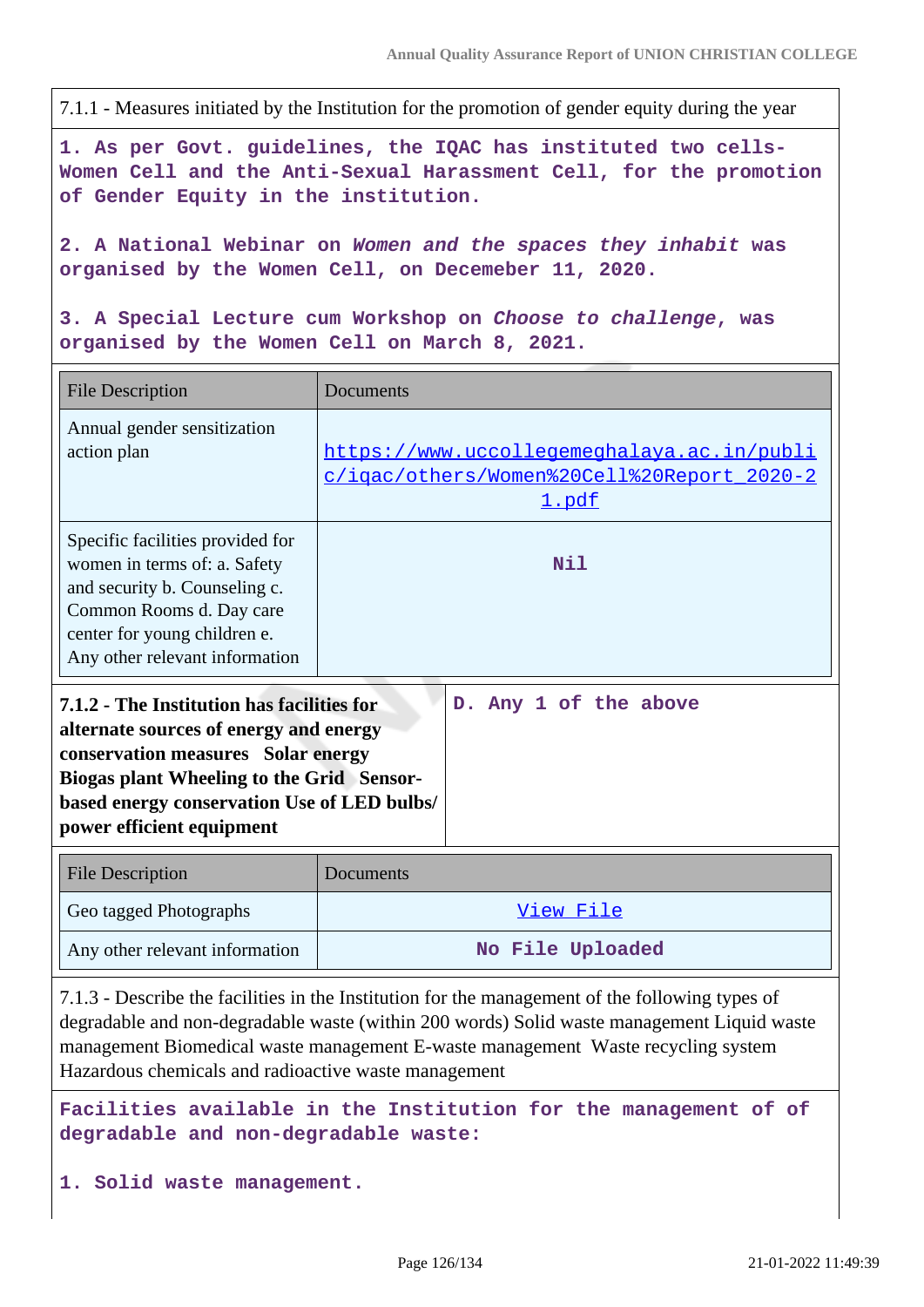7.1.1 - Measures initiated by the Institution for the promotion of gender equity during the year

**1. As per Govt. guidelines, the IQAC has instituted two cells-Women Cell and the Anti-Sexual Harassment Cell, for the promotion of Gender Equity in the institution.**

**2. A National Webinar on Women and the spaces they inhabit was organised by the Women Cell, on Decemeber 11, 2020.**

**3. A Special Lecture cum Workshop on Choose to challenge, was organised by the Women Cell on March 8, 2021.**

| <b>File Description</b>                                                                                                                                                                                                                                    | Documents                                                                                         |  |
|------------------------------------------------------------------------------------------------------------------------------------------------------------------------------------------------------------------------------------------------------------|---------------------------------------------------------------------------------------------------|--|
| Annual gender sensitization<br>action plan                                                                                                                                                                                                                 | https://www.uccollegemeghalaya.ac.in/publi<br>c/igac/others/Women%20Cell%20Report_2020-2<br>1.pdf |  |
| Specific facilities provided for<br>women in terms of: a. Safety<br>and security b. Counseling c.<br>Common Rooms d. Day care<br>center for young children e.<br>Any other relevant information                                                            | Nil                                                                                               |  |
| 7.1.2 - The Institution has facilities for<br>alternate sources of energy and energy<br>conservation measures Solar energy<br><b>Biogas plant Wheeling to the Grid Sensor-</b><br>based energy conservation Use of LED bulbs/<br>power efficient equipment | D. Any 1 of the above                                                                             |  |
| <b>File Description</b>                                                                                                                                                                                                                                    | Documents                                                                                         |  |
| Geo tagged Photographs                                                                                                                                                                                                                                     | View File                                                                                         |  |
| Any other relevant information                                                                                                                                                                                                                             | No File Uploaded                                                                                  |  |

7.1.3 - Describe the facilities in the Institution for the management of the following types of degradable and non-degradable waste (within 200 words) Solid waste management Liquid waste management Biomedical waste management E-waste management Waste recycling system Hazardous chemicals and radioactive waste management

**Facilities available in the Institution for the management of of degradable and non-degradable waste:**

**1. Solid waste management.**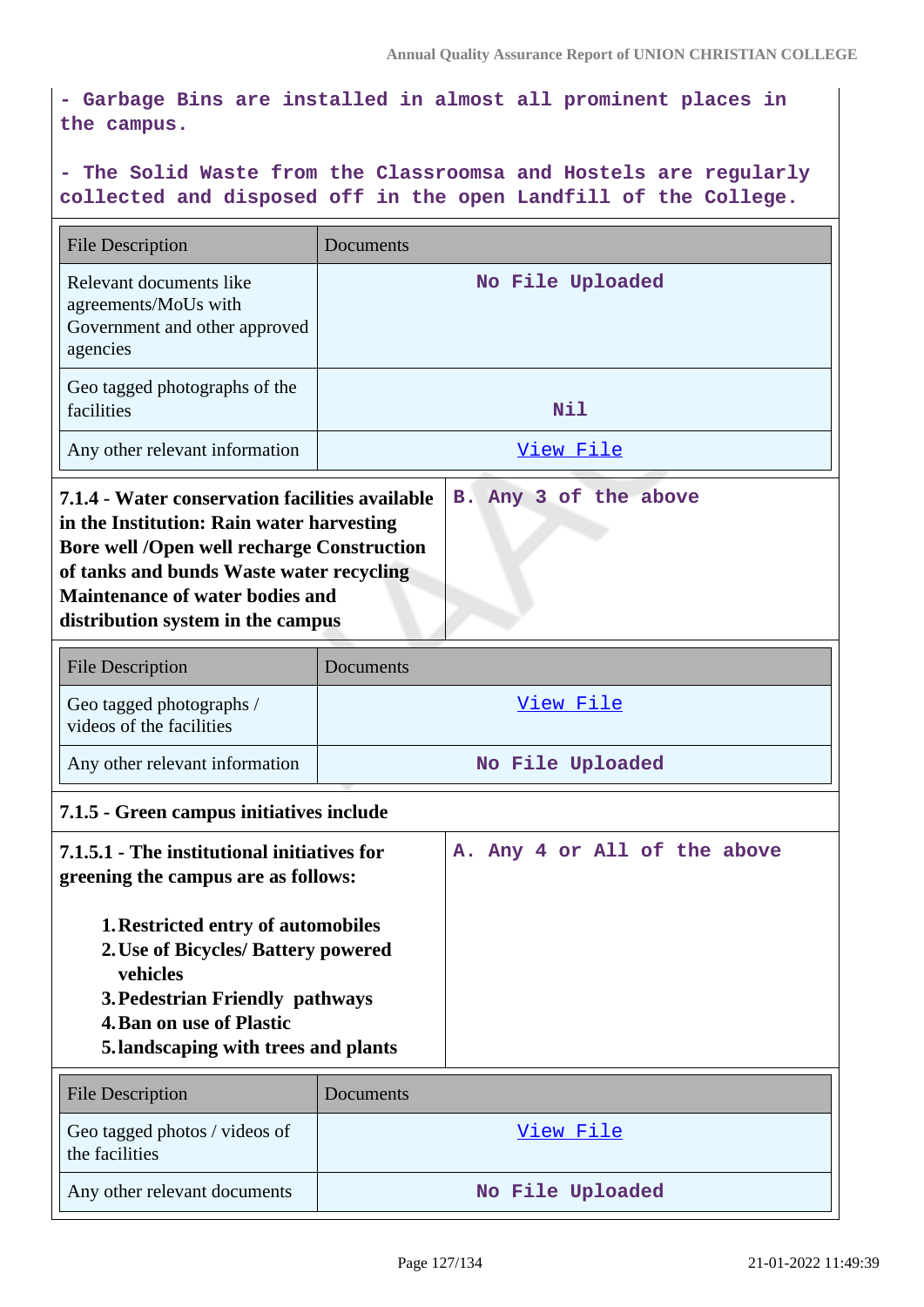**- Garbage Bins are installed in almost all prominent places in the campus.**

# **- The Solid Waste from the Classroomsa and Hostels are regularly collected and disposed off in the open Landfill of the College.**

| <b>File Description</b>                                                                                                                                                                                                                                                                                                          | Documents        |
|----------------------------------------------------------------------------------------------------------------------------------------------------------------------------------------------------------------------------------------------------------------------------------------------------------------------------------|------------------|
| Relevant documents like<br>agreements/MoUs with<br>Government and other approved<br>agencies                                                                                                                                                                                                                                     | No File Uploaded |
| Geo tagged photographs of the<br>facilities                                                                                                                                                                                                                                                                                      | <b>Nil</b>       |
| Any other relevant information                                                                                                                                                                                                                                                                                                   | View File        |
| 7.1.4 - Water conservation facilities available<br>B. Any 3 of the above<br>in the Institution: Rain water harvesting<br><b>Bore well /Open well recharge Construction</b><br>of tanks and bunds Waste water recycling<br><b>Maintenance of water bodies and</b><br>distribution system in the campus                            |                  |
| <b>File Description</b>                                                                                                                                                                                                                                                                                                          | Documents        |
| Geo tagged photographs /<br>videos of the facilities                                                                                                                                                                                                                                                                             | <u>View File</u> |
| Any other relevant information                                                                                                                                                                                                                                                                                                   | No File Uploaded |
| 7.1.5 - Green campus initiatives include                                                                                                                                                                                                                                                                                         |                  |
| 7.1.5.1 - The institutional initiatives for<br>A. Any 4 or All of the above<br>greening the campus are as follows:<br><b>1. Restricted entry of automobiles</b><br>2. Use of Bicycles/ Battery powered<br>vehicles<br>3. Pedestrian Friendly pathways<br><b>4. Ban on use of Plastic</b><br>5. landscaping with trees and plants |                  |
| <b>File Description</b>                                                                                                                                                                                                                                                                                                          | Documents        |
| Geo tagged photos / videos of<br>the facilities                                                                                                                                                                                                                                                                                  | <u>View File</u> |
| Any other relevant documents                                                                                                                                                                                                                                                                                                     | No File Uploaded |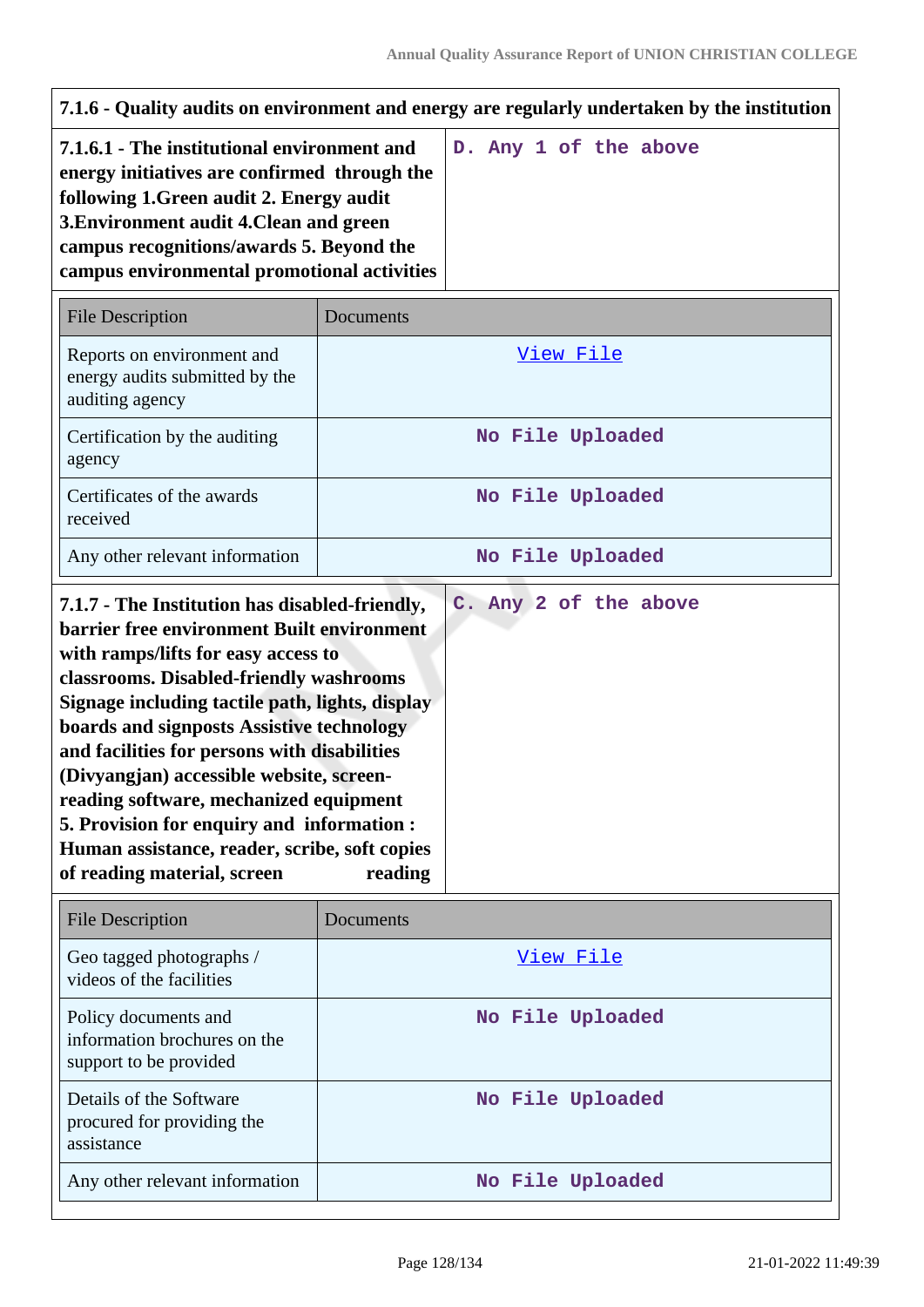| 7.1.6 - Quality audits on environment and energy are regularly undertaken by the institution                                                                                                                                                                                                                                                                                                                                                                                                                |           |                       |
|-------------------------------------------------------------------------------------------------------------------------------------------------------------------------------------------------------------------------------------------------------------------------------------------------------------------------------------------------------------------------------------------------------------------------------------------------------------------------------------------------------------|-----------|-----------------------|
| 7.1.6.1 - The institutional environment and<br>energy initiatives are confirmed through the<br>following 1. Green audit 2. Energy audit<br>3. Environment audit 4. Clean and green<br>campus recognitions/awards 5. Beyond the<br>campus environmental promotional activities                                                                                                                                                                                                                               |           | D. Any 1 of the above |
| <b>File Description</b>                                                                                                                                                                                                                                                                                                                                                                                                                                                                                     | Documents |                       |
| Reports on environment and<br>energy audits submitted by the<br>auditing agency                                                                                                                                                                                                                                                                                                                                                                                                                             |           | View File             |
| Certification by the auditing<br>agency                                                                                                                                                                                                                                                                                                                                                                                                                                                                     |           | No File Uploaded      |
| Certificates of the awards<br>received                                                                                                                                                                                                                                                                                                                                                                                                                                                                      |           | No File Uploaded      |
| Any other relevant information                                                                                                                                                                                                                                                                                                                                                                                                                                                                              |           | No File Uploaded      |
| barrier free environment Built environment<br>with ramps/lifts for easy access to<br>classrooms. Disabled-friendly washrooms<br>Signage including tactile path, lights, display<br>boards and signposts Assistive technology<br>and facilities for persons with disabilities<br>(Divyangjan) accessible website, screen-<br>reading software, mechanized equipment<br>5. Provision for enquiry and information :<br>Human assistance, reader, scribe, soft copies<br>of reading material, screen<br>reading |           |                       |
| <b>File Description</b>                                                                                                                                                                                                                                                                                                                                                                                                                                                                                     | Documents |                       |
| Geo tagged photographs /<br>videos of the facilities                                                                                                                                                                                                                                                                                                                                                                                                                                                        |           | <u>View File</u>      |
| Policy documents and<br>information brochures on the<br>support to be provided                                                                                                                                                                                                                                                                                                                                                                                                                              |           | No File Uploaded      |
| Details of the Software<br>procured for providing the<br>assistance                                                                                                                                                                                                                                                                                                                                                                                                                                         |           | No File Uploaded      |
| Any other relevant information                                                                                                                                                                                                                                                                                                                                                                                                                                                                              |           | No File Uploaded      |

 $\overline{1}$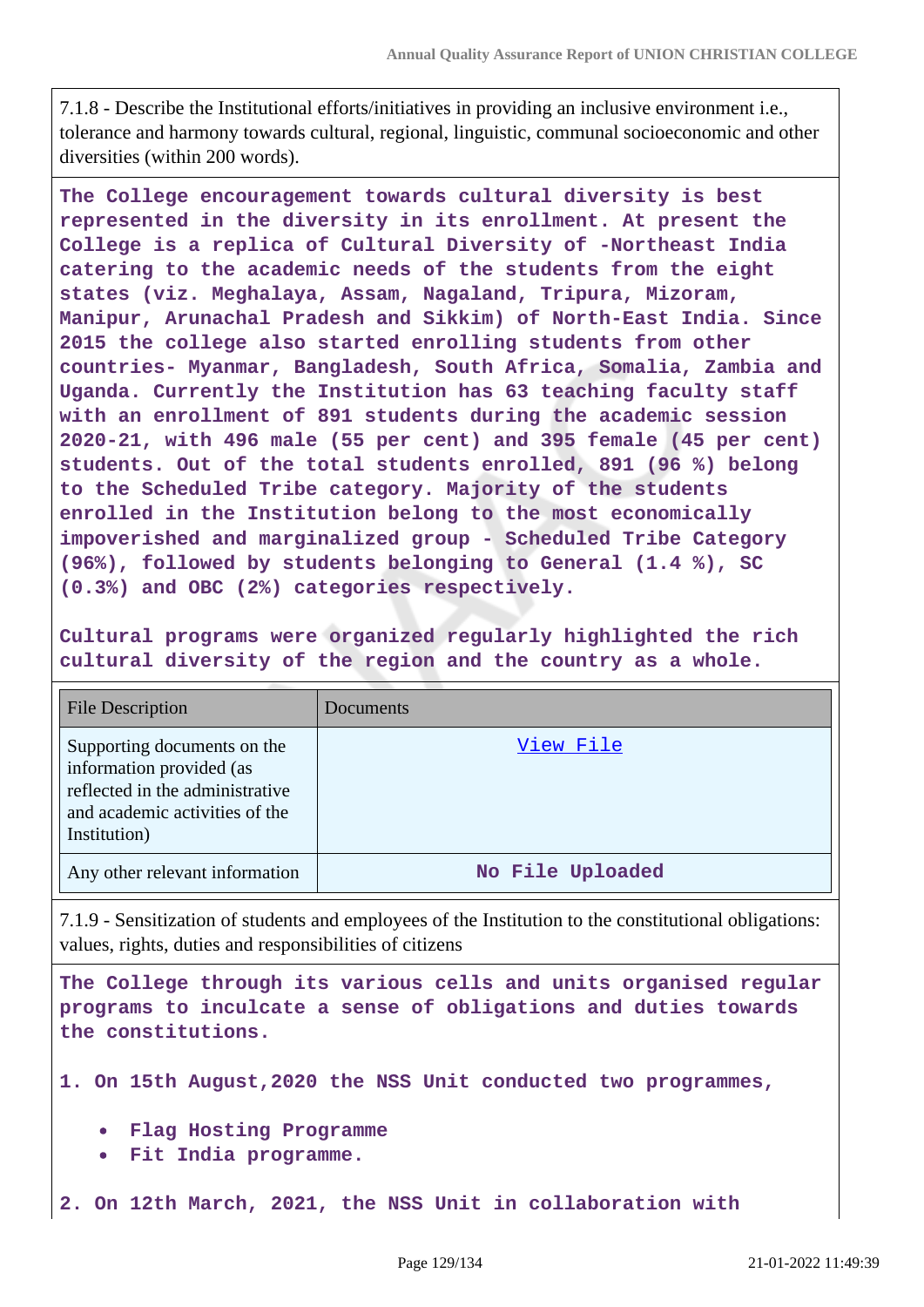7.1.8 - Describe the Institutional efforts/initiatives in providing an inclusive environment i.e., tolerance and harmony towards cultural, regional, linguistic, communal socioeconomic and other diversities (within 200 words).

**The College encouragement towards cultural diversity is best represented in the diversity in its enrollment. At present the College is a replica of Cultural Diversity of -Northeast India catering to the academic needs of the students from the eight states (viz. Meghalaya, Assam, Nagaland, Tripura, Mizoram, Manipur, Arunachal Pradesh and Sikkim) of North-East India. Since 2015 the college also started enrolling students from other countries- Myanmar, Bangladesh, South Africa, Somalia, Zambia and Uganda. Currently the Institution has 63 teaching faculty staff with an enrollment of 891 students during the academic session 2020-21, with 496 male (55 per cent) and 395 female (45 per cent) students. Out of the total students enrolled, 891 (96 %) belong to the Scheduled Tribe category. Majority of the students enrolled in the Institution belong to the most economically impoverished and marginalized group - Scheduled Tribe Category (96%), followed by students belonging to General (1.4 %), SC (0.3%) and OBC (2%) categories respectively.**

**Cultural programs were organized regularly highlighted the rich cultural diversity of the region and the country as a whole.**

| <b>File Description</b>                                                                                                                      | Documents        |
|----------------------------------------------------------------------------------------------------------------------------------------------|------------------|
| Supporting documents on the<br>information provided (as<br>reflected in the administrative<br>and academic activities of the<br>Institution) | View File        |
| Any other relevant information                                                                                                               | No File Uploaded |

7.1.9 - Sensitization of students and employees of the Institution to the constitutional obligations: values, rights, duties and responsibilities of citizens

**The College through its various cells and units organised regular programs to inculcate a sense of obligations and duties towards the constitutions.**

**1. On 15th August,2020 the NSS Unit conducted two programmes,**

- **Flag Hosting Programme**
- **Fit India programme.**

**2. On 12th March, 2021, the NSS Unit in collaboration with**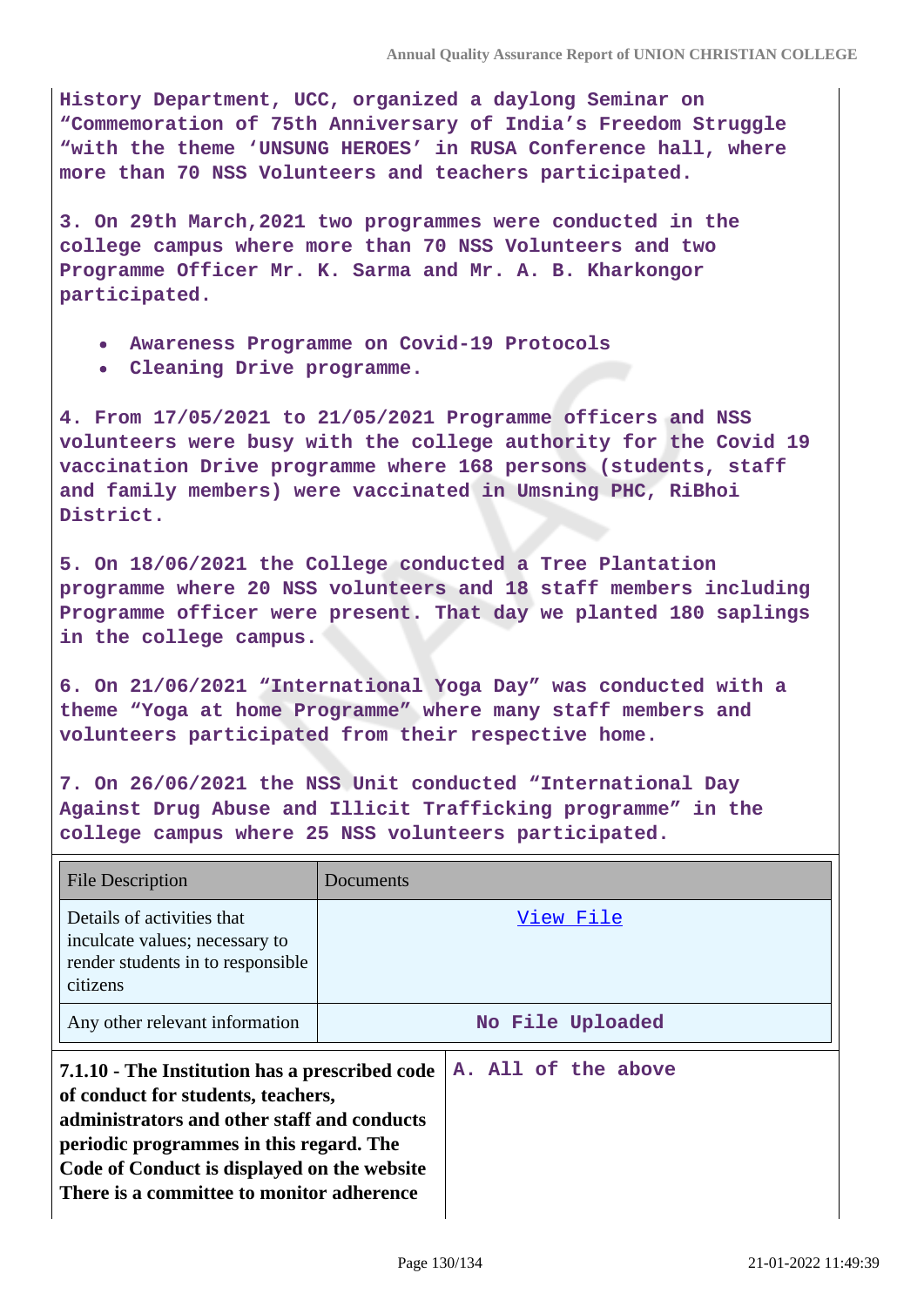**History Department, UCC, organized a daylong Seminar on "Commemoration of 75th Anniversary of India's Freedom Struggle "with the theme 'UNSUNG HEROES' in RUSA Conference hall, where more than 70 NSS Volunteers and teachers participated.**

**3. On 29th March,2021 two programmes were conducted in the college campus where more than 70 NSS Volunteers and two Programme Officer Mr. K. Sarma and Mr. A. B. Kharkongor participated.**

- **Awareness Programme on Covid-19 Protocols**
- **Cleaning Drive programme.**

**4. From 17/05/2021 to 21/05/2021 Programme officers and NSS volunteers were busy with the college authority for the Covid 19 vaccination Drive programme where 168 persons (students, staff and family members) were vaccinated in Umsning PHC, RiBhoi District.**

**5. On 18/06/2021 the College conducted a Tree Plantation programme where 20 NSS volunteers and 18 staff members including Programme officer were present. That day we planted 180 saplings in the college campus.**

**6. On 21/06/2021 "International Yoga Day" was conducted with a theme "Yoga at home Programme" where many staff members and volunteers participated from their respective home.**

**7. On 26/06/2021 the NSS Unit conducted "International Day Against Drug Abuse and Illicit Trafficking programme" in the college campus where 25 NSS volunteers participated.**

| <b>File Description</b>                                                                                                                                                                                                                                                    | Documents           |
|----------------------------------------------------------------------------------------------------------------------------------------------------------------------------------------------------------------------------------------------------------------------------|---------------------|
| Details of activities that<br>inculcate values; necessary to<br>render students in to responsible<br>citizens                                                                                                                                                              | View File           |
| Any other relevant information                                                                                                                                                                                                                                             | No File Uploaded    |
| 7.1.10 - The Institution has a prescribed code<br>of conduct for students, teachers,<br>administrators and other staff and conducts<br>periodic programmes in this regard. The<br>Code of Conduct is displayed on the website<br>There is a committee to monitor adherence | A. All of the above |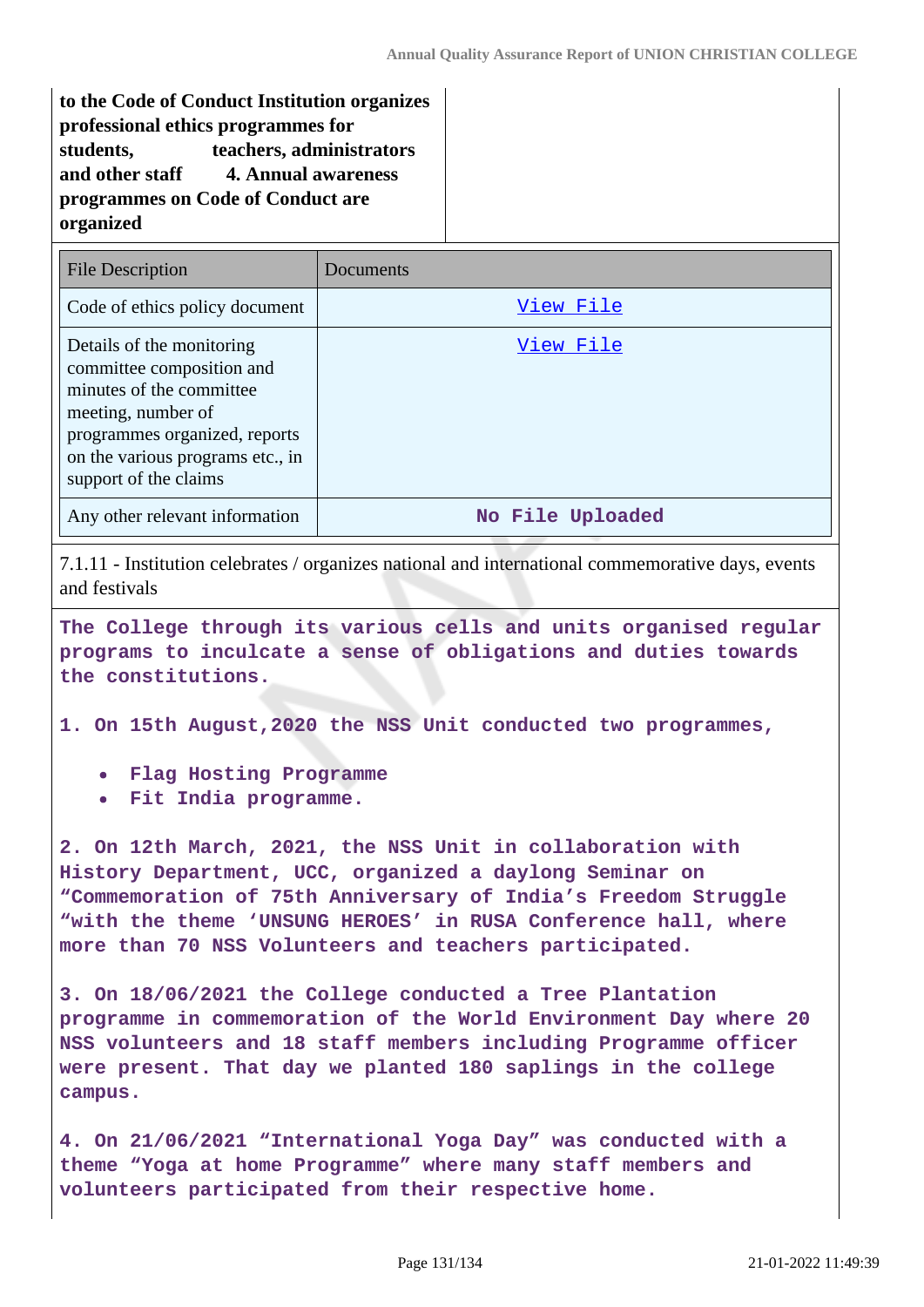**to the Code of Conduct Institution organizes professional ethics programmes for students, teachers, administrators and other staff 4. Annual awareness programmes on Code of Conduct are organized**

| <b>File Description</b>                                                                                                                                                                                | Documents        |
|--------------------------------------------------------------------------------------------------------------------------------------------------------------------------------------------------------|------------------|
| Code of ethics policy document                                                                                                                                                                         | View File        |
| Details of the monitoring<br>committee composition and<br>minutes of the committee<br>meeting, number of<br>programmes organized, reports<br>on the various programs etc., in<br>support of the claims | View File        |
| Any other relevant information                                                                                                                                                                         | No File Uploaded |

7.1.11 - Institution celebrates / organizes national and international commemorative days, events and festivals

**The College through its various cells and units organised regular programs to inculcate a sense of obligations and duties towards the constitutions.**

**1. On 15th August,2020 the NSS Unit conducted two programmes,**

- **Flag Hosting Programme**
- **Fit India programme.**

**2. On 12th March, 2021, the NSS Unit in collaboration with History Department, UCC, organized a daylong Seminar on "Commemoration of 75th Anniversary of India's Freedom Struggle "with the theme 'UNSUNG HEROES' in RUSA Conference hall, where more than 70 NSS Volunteers and teachers participated.**

**3. On 18/06/2021 the College conducted a Tree Plantation programme in commemoration of the World Environment Day where 20 NSS volunteers and 18 staff members including Programme officer were present. That day we planted 180 saplings in the college campus.**

**4. On 21/06/2021 "International Yoga Day" was conducted with a theme "Yoga at home Programme" where many staff members and volunteers participated from their respective home.**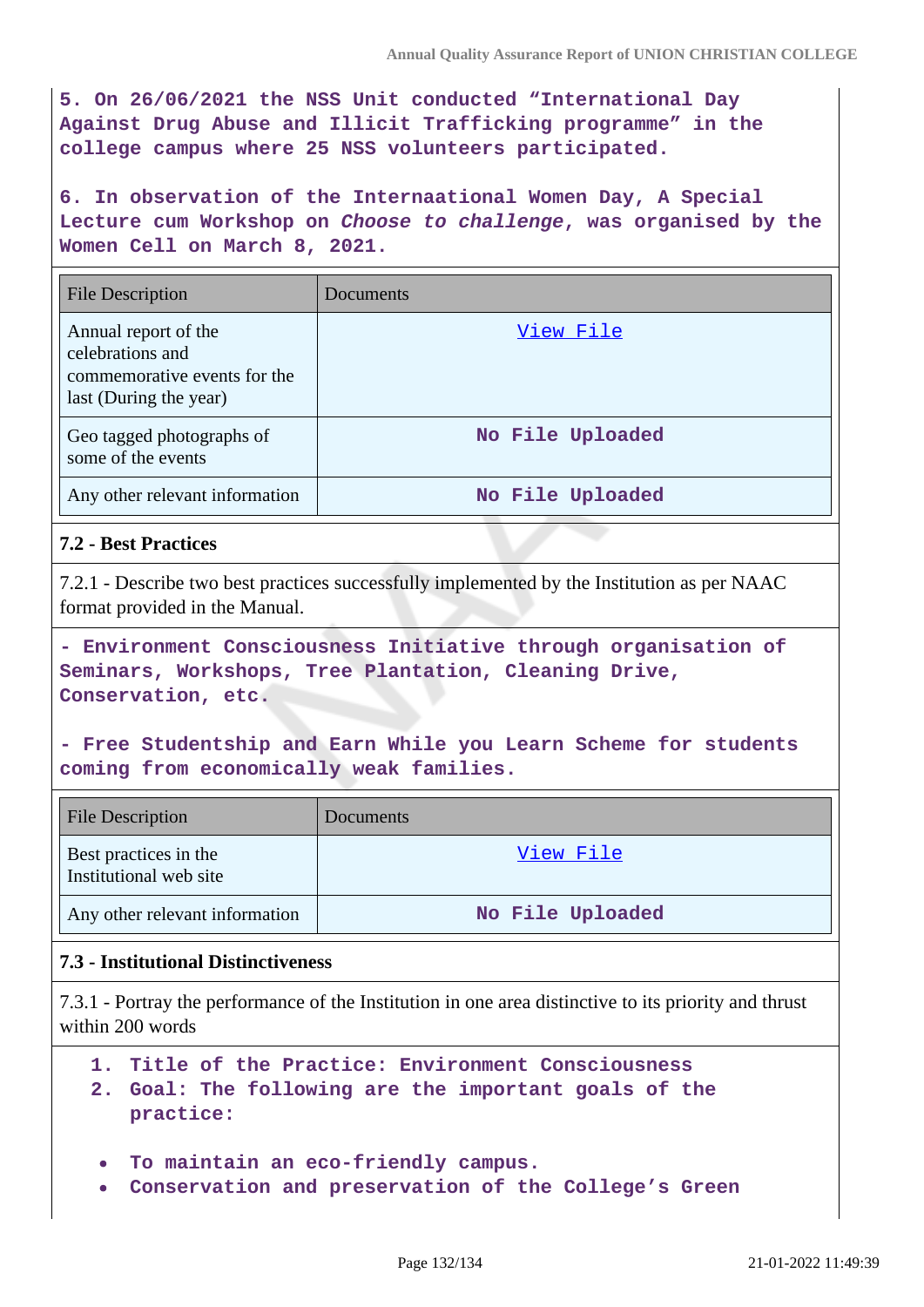**5. On 26/06/2021 the NSS Unit conducted "International Day Against Drug Abuse and Illicit Trafficking programme" in the college campus where 25 NSS volunteers participated.**

**6. In observation of the Internaational Women Day, A Special Lecture cum Workshop on Choose to challenge, was organised by the Women Cell on March 8, 2021.**

| <b>File Description</b>                                                                            | <b>Documents</b> |
|----------------------------------------------------------------------------------------------------|------------------|
| Annual report of the<br>celebrations and<br>commemorative events for the<br>last (During the year) | View File        |
| Geo tagged photographs of<br>some of the events                                                    | No File Uploaded |
| Any other relevant information                                                                     | No File Uploaded |

# **7.2 - Best Practices**

7.2.1 - Describe two best practices successfully implemented by the Institution as per NAAC format provided in the Manual.

**- Environment Consciousness Initiative through organisation of Seminars, Workshops, Tree Plantation, Cleaning Drive, Conservation, etc.**

**- Free Studentship and Earn While you Learn Scheme for students coming from economically weak families.**

| <b>File Description</b>                         | Documents        |
|-------------------------------------------------|------------------|
| Best practices in the<br>Institutional web site | View File        |
| Any other relevant information                  | No File Uploaded |

# **7.3 - Institutional Distinctiveness**

7.3.1 - Portray the performance of the Institution in one area distinctive to its priority and thrust within 200 words

- **1. Title of the Practice: Environment Consciousness**
- **2. Goal: The following are the important goals of the practice:**
- **To maintain an eco-friendly campus.**
- **Conservation and preservation of the College's Green**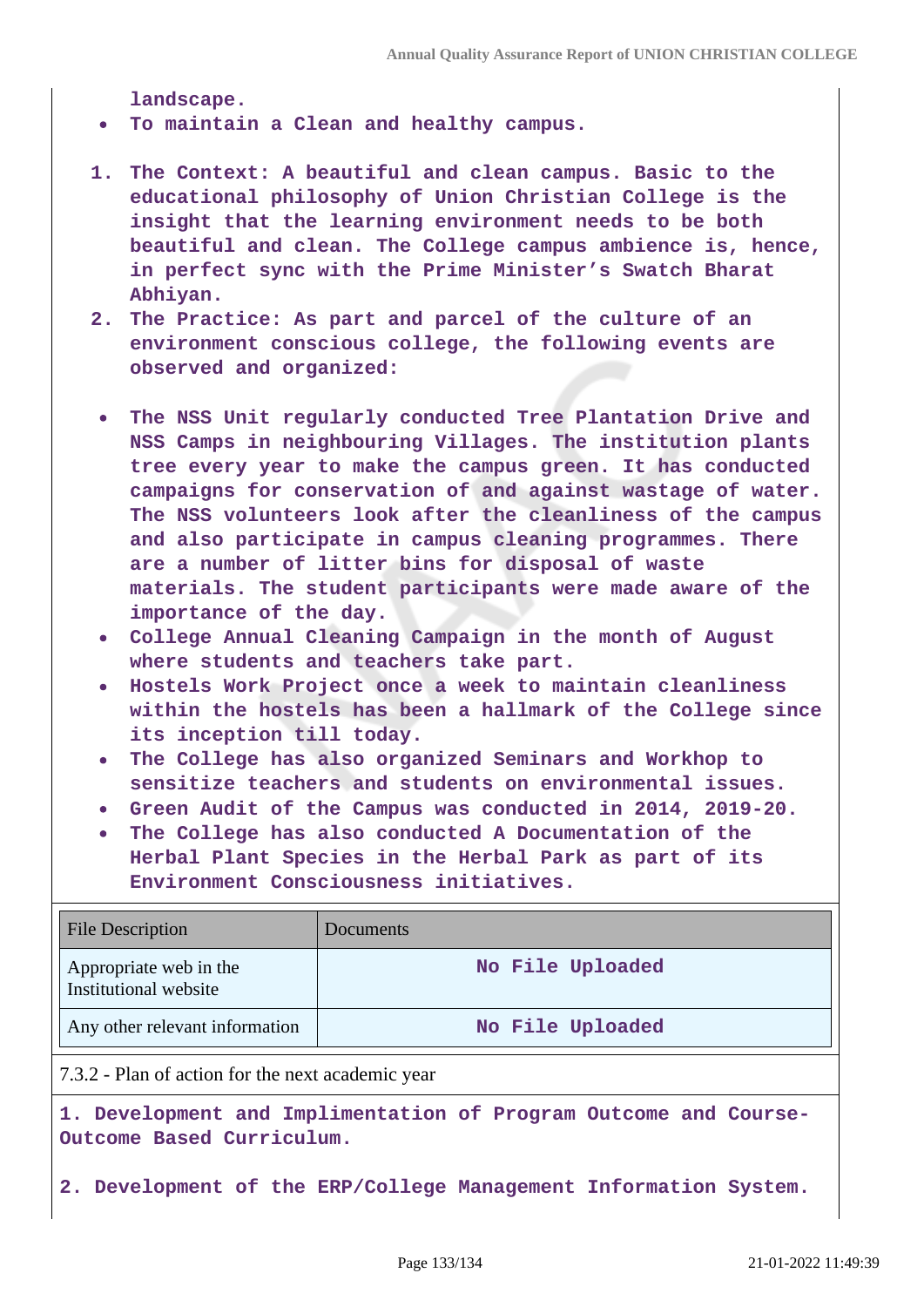**landscape.**

**To maintain a Clean and healthy campus.**

- **1. The Context: A beautiful and clean campus. Basic to the educational philosophy of Union Christian College is the insight that the learning environment needs to be both beautiful and clean. The College campus ambience is, hence, in perfect sync with the Prime Minister's Swatch Bharat Abhiyan.**
- **2. The Practice: As part and parcel of the culture of an environment conscious college, the following events are observed and organized:**
- **The NSS Unit regularly conducted Tree Plantation Drive and NSS Camps in neighbouring Villages. The institution plants tree every year to make the campus green. It has conducted campaigns for conservation of and against wastage of water. The NSS volunteers look after the cleanliness of the campus and also participate in campus cleaning programmes. There are a number of litter bins for disposal of waste materials. The student participants were made aware of the importance of the day.**
- **College Annual Cleaning Campaign in the month of August where students and teachers take part.**
- **Hostels Work Project once a week to maintain cleanliness within the hostels has been a hallmark of the College since its inception till today.**
- **The College has also organized Seminars and Workhop to sensitize teachers and students on environmental issues.**
- **Green Audit of the Campus was conducted in 2014, 2019-20.**
- **The College has also conducted A Documentation of the Herbal Plant Species in the Herbal Park as part of its Environment Consciousness initiatives.**

| <b>File Description</b>                         | Documents        |
|-------------------------------------------------|------------------|
| Appropriate web in the<br>Institutional website | No File Uploaded |
| Any other relevant information                  | No File Uploaded |

7.3.2 - Plan of action for the next academic year

**1. Development and Implimentation of Program Outcome and Course-Outcome Based Curriculum.**

**2. Development of the ERP/College Management Information System.**